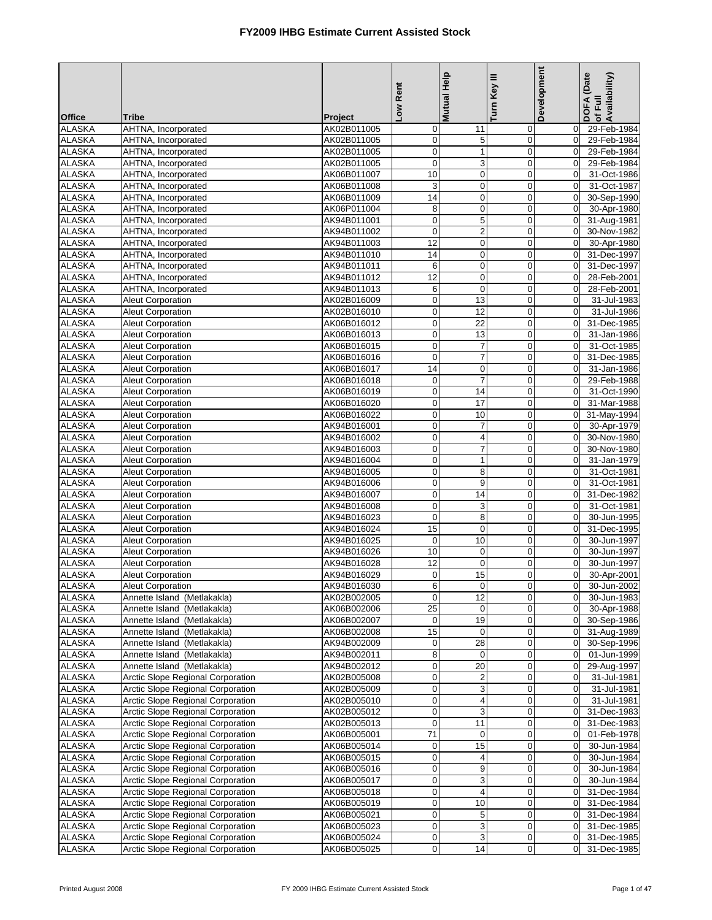|                                |                                                                        |                            | Low Rent                      | <b>Mutual Help</b>             | Turn Key III               | <b>Development</b>               | DOFA (Date<br>of Full<br>Availability) |
|--------------------------------|------------------------------------------------------------------------|----------------------------|-------------------------------|--------------------------------|----------------------------|----------------------------------|----------------------------------------|
| <b>Office</b>                  | <b>Tribe</b>                                                           | Project                    |                               |                                |                            |                                  |                                        |
| <b>ALASKA</b>                  | AHTNA, Incorporated                                                    | AK02B011005                | $\mathbf 0$                   | 11                             | 0                          | $\mathbf 0$                      | 29-Feb-1984                            |
| <b>ALASKA</b><br><b>ALASKA</b> | AHTNA, Incorporated<br>AHTNA, Incorporated                             | AK02B011005<br>AK02B011005 | $\overline{0}$<br>$\mathbf 0$ | 5<br>$\mathbf{1}$              | $\mathbf 0$<br>$\mathbf 0$ | $\overline{0}$<br>$\Omega$       | 29-Feb-1984<br>29-Feb-1984             |
| <b>ALASKA</b>                  | AHTNA, Incorporated                                                    | AK02B011005                | $\mathbf 0$                   | 3                              | $\mathbf 0$                | $\overline{0}$                   | 29-Feb-1984                            |
| <b>ALASKA</b>                  | AHTNA, Incorporated                                                    | AK06B011007                | 10                            | $\pmb{0}$                      | $\mathbf 0$                | $\mathbf 0$                      | 31-Oct-1986                            |
| <b>ALASKA</b>                  | AHTNA, Incorporated                                                    | AK06B011008                | 3                             | $\mathbf 0$                    | $\mathbf 0$                | $\overline{0}$                   | 31-Oct-1987                            |
| <b>ALASKA</b>                  | AHTNA, Incorporated                                                    | AK06B011009                | 14                            | $\pmb{0}$                      | $\pmb{0}$                  | $\overline{0}$                   | 30-Sep-1990                            |
| <b>ALASKA</b>                  | AHTNA, Incorporated                                                    | AK06P011004                | 8                             | $\mathbf 0$                    | $\mathbf 0$                | $\mathbf 0$                      | 30-Apr-1980                            |
| <b>ALASKA</b>                  | AHTNA, Incorporated                                                    | AK94B011001                | $\mathbf 0$                   | $\mathbf 5$                    | $\mathbf 0$                | $\overline{0}$                   | 31-Aug-1981                            |
| <b>ALASKA</b>                  | AHTNA, Incorporated                                                    | AK94B011002                | $\overline{0}$                | $\overline{2}$                 | $\mathbf 0$                | $\mathbf{0}$                     | 30-Nov-1982                            |
| <b>ALASKA</b>                  | AHTNA, Incorporated                                                    | AK94B011003                | $\overline{12}$               | $\mathbf 0$                    | $\mathbf 0$                | $\Omega$                         | 30-Apr-1980                            |
| <b>ALASKA</b>                  | AHTNA, Incorporated                                                    | AK94B011010                | 14                            | $\pmb{0}$                      | $\boldsymbol{0}$           | $\overline{0}$                   | 31-Dec-1997                            |
| <b>ALASKA</b>                  | AHTNA, Incorporated                                                    | AK94B011011                | 6                             | $\pmb{0}$                      | $\pmb{0}$                  | $\overline{0}$                   | 31-Dec-1997                            |
| <b>ALASKA</b>                  | AHTNA, Incorporated                                                    | AK94B011012                | $\overline{12}$               | $\mathbf 0$<br>$\mathbf 0$     | $\mathbf 0$<br>$\mathbf 0$ | $\mathbf 0$<br>$\overline{0}$    | 28-Feb-2001                            |
| <b>ALASKA</b><br><b>ALASKA</b> | AHTNA, Incorporated<br>Aleut Corporation                               | AK94B011013<br>AK02B016009 | 6<br>$\overline{0}$           | 13                             | $\mathbf 0$                | $\mathbf 0$                      | 28-Feb-2001<br>31-Jul-1983             |
| <b>ALASKA</b>                  | Aleut Corporation                                                      | AK02B016010                | $\mathbf 0$                   | $\overline{12}$                | $\mathbf 0$                | $\Omega$                         | 31-Jul-1986                            |
| <b>ALASKA</b>                  | Aleut Corporation                                                      | AK06B016012                | $\pmb{0}$                     | 22                             | $\mathbf 0$                | $\overline{0}$                   | 31-Dec-1985                            |
| <b>ALASKA</b>                  | Aleut Corporation                                                      | AK06B016013                | $\mathbf 0$                   | 13                             | $\mathbf 0$                | $\mathbf 0$                      | 31-Jan-1986                            |
| <b>ALASKA</b>                  | Aleut Corporation                                                      | AK06B016015                | $\mathbf 0$                   | $\boldsymbol{7}$               | $\mathbf 0$                | $\mathbf 0$                      | 31-Oct-1985                            |
| <b>ALASKA</b>                  | <b>Aleut Corporation</b>                                               | AK06B016016                | $\pmb{0}$                     | $\overline{7}$                 | $\pmb{0}$                  | $\mathbf 0$                      | 31-Dec-1985                            |
| <b>ALASKA</b>                  | <b>Aleut Corporation</b>                                               | AK06B016017                | $\overline{14}$               | $\mathbf 0$                    | $\mathbf 0$                | $\overline{0}$                   | 31-Jan-1986                            |
| <b>ALASKA</b>                  | Aleut Corporation                                                      | AK06B016018                | $\mathsf{O}\xspace$           | $\overline{7}$                 | $\boldsymbol{0}$           | $\mathbf 0$                      | 29-Feb-1988                            |
| <b>ALASKA</b>                  | <b>Aleut Corporation</b>                                               | AK06B016019                | $\overline{0}$                | 14                             | $\mathbf 0$                | $\mathbf 0$                      | 31-Oct-1990                            |
| <b>ALASKA</b>                  | <b>Aleut Corporation</b>                                               | AK06B016020                | $\mathbf 0$                   | $\overline{17}$                | $\mathbf 0$                | $\mathbf 0$                      | 31-Mar-1988                            |
| <b>ALASKA</b>                  | Aleut Corporation                                                      | AK06B016022                | $\pmb{0}$                     | 10                             | $\mathbf 0$                | $\overline{0}$                   | 31-May-1994                            |
| <b>ALASKA</b>                  | <b>Aleut Corporation</b>                                               | AK94B016001                | $\overline{0}$<br>$\mathbf 0$ | $\overline{7}$                 | $\mathbf 0$<br>$\mathbf 0$ | $\overline{0}$<br>$\Omega$       | 30-Apr-1979                            |
| <b>ALASKA</b><br><b>ALASKA</b> | <b>Aleut Corporation</b><br><b>Aleut Corporation</b>                   | AK94B016002<br>AK94B016003 | $\mathbf 0$                   | 4<br>7                         | $\mathbf 0$                | $\overline{0}$                   | 30-Nov-1980<br>30-Nov-1980             |
| <b>ALASKA</b>                  | <b>Aleut Corporation</b>                                               | AK94B016004                | $\pmb{0}$                     | $\mathbf{1}$                   | $\mathbf 0$                | $\overline{0}$                   | 31-Jan-1979                            |
| <b>ALASKA</b>                  | Aleut Corporation                                                      | AK94B016005                | $\mathbf 0$                   | 8                              | $\mathbf 0$                | $\mathbf 0$                      | 31-Oct-1981                            |
| <b>ALASKA</b>                  | Aleut Corporation                                                      | AK94B016006                | $\overline{0}$                | 9                              | $\mathbf 0$                | $\overline{0}$                   | 31-Oct-1981                            |
| <b>ALASKA</b>                  | Aleut Corporation                                                      | AK94B016007                | $\mathbf 0$                   | $\overline{14}$                | $\mathbf 0$                | $\mathbf 0$                      | 31-Dec-1982                            |
| <b>ALASKA</b>                  | Aleut Corporation                                                      | AK94B016008                | $\mathbf 0$                   | 3                              | $\mathbf 0$                | $\overline{0}$                   | 31-Oct-1981                            |
| <b>ALASKA</b>                  | <b>Aleut Corporation</b>                                               | AK94B016023                | $\mathbf 0$                   | $\overline{8}$                 | $\pmb{0}$                  | $\mathbf 0$                      | 30-Jun-1995                            |
| <b>ALASKA</b>                  | Aleut Corporation                                                      | AK94B016024                | 15                            | $\mathbf 0$                    | $\mathbf 0$                | $\mathbf 0$                      | 31-Dec-1995                            |
| <b>ALASKA</b>                  | Aleut Corporation                                                      | AK94B016025                | $\mathbf 0$                   | 10                             | $\mathbf 0$                | $\mathbf 0$                      | 30-Jun-1997                            |
| <b>ALASKA</b><br><b>ALASKA</b> | <b>Aleut Corporation</b>                                               | AK94B016026                | $\overline{10}$<br>12         | $\pmb{0}$<br>$\mathbf 0$       | $\pmb{0}$<br>$\mathbf 0$   | $\mathbf 0$<br>$\mathbf 0$       | 30-Jun-1997                            |
| <b>ALASKA</b>                  | Aleut Corporation<br><b>Aleut Corporation</b>                          | AK94B016028<br>AK94B016029 | $\mathbf 0$                   | 15                             | $\mathbf 0$                | $\mathbf 0$                      | 30-Jun-1997<br>30-Apr-2001             |
| <b>ALASKA</b>                  | <b>Aleut Corporation</b>                                               | AK94B016030                | $6 \mid$                      | U.                             | $\pmb{0}$                  |                                  | 30-Jun-2002                            |
| ALASKA                         | Annette Island (Metlakakla)                                            | AK02B002005                | $\mathbf{0}$                  | 12                             | $\mathbf 0$                | $\overline{0}$                   | 30-Jun-1983                            |
| <b>ALASKA</b>                  | Annette Island (Metlakakla)                                            | AK06B002006                | 25                            | 0                              | 0                          | $\overline{0}$                   | 30-Apr-1988                            |
| ALASKA                         | Annette Island (Metlakakla)                                            | AK06B002007                | $\mathbf 0$                   | 19                             | $\pmb{0}$                  | $\overline{0}$                   | 30-Sep-1986                            |
| <b>ALASKA</b>                  | Annette Island (Metlakakla)                                            | AK06B002008                | 15                            | $\mathbf 0$                    | $\mathbf 0$                | $\overline{0}$                   | 31-Aug-1989                            |
| <b>ALASKA</b>                  | Annette Island (Metlakakla)                                            | AK94B002009                | $\mathbf 0$                   | 28                             | 0                          | $\overline{0}$                   | 30-Sep-1996                            |
| <b>ALASKA</b>                  | Annette Island (Metlakakla)                                            | AK94B002011                | $\bf8$                        | $\mathbf 0$                    | $\mathbf 0$                | $\overline{0}$                   | 01-Jun-1999                            |
| ALASKA                         | Annette Island (Metlakakla)                                            | AK94B002012                | $\overline{0}$                | 20                             | $\mathbf 0$                | $\overline{0}$                   | 29-Aug-1997                            |
| ALASKA                         | <b>Arctic Slope Regional Corporation</b>                               | AK02B005008                | $\overline{0}$                | $\overline{c}$                 | 0                          | $\overline{0}$                   | 31-Jul-1981                            |
| <b>ALASKA</b>                  | Arctic Slope Regional Corporation<br>Arctic Slope Regional Corporation | AK02B005009                | $\overline{0}$                | 3                              | $\pmb{0}$                  | $\overline{0}$                   | 31-Jul-1981                            |
| <b>ALASKA</b><br>ALASKA        | Arctic Slope Regional Corporation                                      | AK02B005010<br>AK02B005012 | $\mathbf 0$<br>$\overline{0}$ | 4<br>$\ensuremath{\mathsf{3}}$ | 0<br>$\pmb{0}$             | $\mathbf 0$<br>$\overline{0}$    | 31-Jul-1981<br>31-Dec-1983             |
| <b>ALASKA</b>                  | Arctic Slope Regional Corporation                                      | AK02B005013                | $\mathbf 0$                   | 11                             | $\mathbf 0$                | $\overline{0}$                   | 31-Dec-1983                            |
| <b>ALASKA</b>                  | Arctic Slope Regional Corporation                                      | AK06B005001                | 71                            | 0                              | $\mathbf 0$                | $\mathbf 0$                      | 01-Feb-1978                            |
| ALASKA                         | Arctic Slope Regional Corporation                                      | AK06B005014                | $\mathbf 0$                   | 15                             | 0                          | $\mathbf 0$                      | 30-Jun-1984                            |
| <b>ALASKA</b>                  | Arctic Slope Regional Corporation                                      | AK06B005015                | $\overline{0}$                | 4                              | $\mathbf 0$                | $\overline{0}$                   | 30-Jun-1984                            |
| <b>ALASKA</b>                  | Arctic Slope Regional Corporation                                      | AK06B005016                | $\mathbf 0$                   | 9                              | 0                          | $\overline{0}$                   | 30-Jun-1984                            |
| <b>ALASKA</b>                  | Arctic Slope Regional Corporation                                      | AK06B005017                | $\overline{0}$                | 3                              | $\mathbf 0$                | $\overline{0}$                   | 30-Jun-1984                            |
| <b>ALASKA</b>                  | Arctic Slope Regional Corporation                                      | AK06B005018                | $\overline{0}$                | 4                              | 0                          | $\overline{0}$                   | 31-Dec-1984                            |
| ALASKA                         | Arctic Slope Regional Corporation                                      | AK06B005019                | $\overline{0}$                | 10                             | 0                          | $\overline{0}$                   | 31-Dec-1984                            |
| <b>ALASKA</b>                  | Arctic Slope Regional Corporation                                      | AK06B005021                | $\mathbf 0$                   | 5                              | $\mathbf 0$                | $\overline{0}$                   | 31-Dec-1984                            |
| <b>ALASKA</b>                  | Arctic Slope Regional Corporation                                      | AK06B005023                | $\overline{0}$                | 3                              | 0                          | $\overline{0}$                   | 31-Dec-1985                            |
| <b>ALASKA</b><br><b>ALASKA</b> | Arctic Slope Regional Corporation<br>Arctic Slope Regional Corporation | AK06B005024<br>AK06B005025 | $\mathbf 0$<br>$\overline{0}$ | 3                              | 0                          | $\overline{0}$<br>$\overline{0}$ | 31-Dec-1985<br>31-Dec-1985             |
|                                |                                                                        |                            |                               | 14                             | 0                          |                                  |                                        |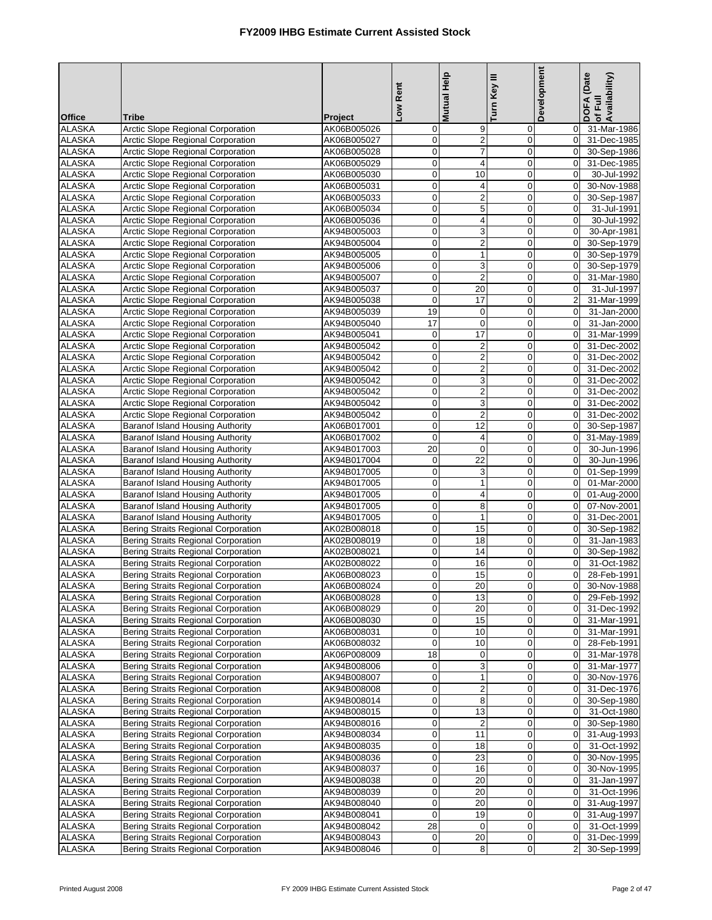|                                |                                                                                          |                            | Low Rent                      | <b>Mutual Help</b>                                   | Turn Key III               | Development                      | DOFA (Date<br>of Full<br>Availability) |
|--------------------------------|------------------------------------------------------------------------------------------|----------------------------|-------------------------------|------------------------------------------------------|----------------------------|----------------------------------|----------------------------------------|
|                                |                                                                                          |                            |                               |                                                      |                            |                                  |                                        |
| <b>Office</b><br><b>ALASKA</b> | <b>Tribe</b><br>Arctic Slope Regional Corporation                                        | Project<br>AK06B005026     | $\overline{0}$                | 9                                                    | 0                          | $\mathbf 0$                      | 31-Mar-1986                            |
| <b>ALASKA</b>                  | <b>Arctic Slope Regional Corporation</b>                                                 | AK06B005027                | $\overline{0}$                | $\overline{2}$                                       | $\mathbf 0$                | $\overline{0}$                   | 31-Dec-1985                            |
| <b>ALASKA</b>                  | Arctic Slope Regional Corporation                                                        | AK06B005028                | $\mathbf 0$                   | $\overline{7}$                                       | $\mathbf 0$                | $\Omega$                         | 30-Sep-1986                            |
| <b>ALASKA</b>                  | Arctic Slope Regional Corporation                                                        | AK06B005029                | $\mathbf 0$                   | $\overline{\mathbf{4}}$                              | $\mathbf 0$                | $\overline{0}$                   | 31-Dec-1985                            |
| <b>ALASKA</b>                  | Arctic Slope Regional Corporation                                                        | AK06B005030                | $\overline{0}$                | 10                                                   | $\mathbf 0$                | $\overline{0}$                   | 30-Jul-1992                            |
| <b>ALASKA</b>                  | <b>Arctic Slope Regional Corporation</b>                                                 | AK06B005031                | $\mathbf 0$                   | 4                                                    | $\mathbf 0$                | $\overline{0}$                   | 30-Nov-1988                            |
| <b>ALASKA</b>                  | <b>Arctic Slope Regional Corporation</b>                                                 | AK06B005033                | $\overline{0}$                | $\boldsymbol{2}$                                     | 0                          | $\mathbf 0$                      | 30-Sep-1987                            |
| <b>ALASKA</b>                  | Arctic Slope Regional Corporation                                                        | AK06B005034                | $\mathbf 0$                   | $\overline{5}$                                       | $\mathbf 0$                | $\mathbf 0$                      | 31-Jul-1991                            |
| <b>ALASKA</b>                  | Arctic Slope Regional Corporation                                                        | AK06B005036                | $\mathbf 0$                   | 4                                                    | $\mathbf 0$                | $\overline{0}$                   | 30-Jul-1992                            |
| <b>ALASKA</b><br><b>ALASKA</b> | Arctic Slope Regional Corporation<br>Arctic Slope Regional Corporation                   | AK94B005003<br>AK94B005004 | $\overline{0}$<br>$\mathbf 0$ | $\ensuremath{\mathsf{3}}$<br>$\overline{\mathbf{c}}$ | $\pmb{0}$<br>$\mathbf 0$   | $\overline{0}$<br>$\Omega$       | 30-Apr-1981<br>30-Sep-1979             |
| <b>ALASKA</b>                  | Arctic Slope Regional Corporation                                                        | AK94B005005                | $\mathsf{O}\xspace$           | $\mathbf{1}$                                         | $\boldsymbol{0}$           | $\overline{0}$                   | 30-Sep-1979                            |
| <b>ALASKA</b>                  | <b>Arctic Slope Regional Corporation</b>                                                 | AK94B005006                | $\overline{0}$                | 3                                                    | $\pmb{0}$                  | $\overline{0}$                   | 30-Sep-1979                            |
| <b>ALASKA</b>                  | Arctic Slope Regional Corporation                                                        | AK94B005007                | $\mathbf 0$                   | $\overline{2}$                                       | $\mathbf 0$                | $\mathbf 0$                      | 31-Mar-1980                            |
| <b>ALASKA</b>                  | Arctic Slope Regional Corporation                                                        | AK94B005037                | $\mathbf 0$                   | 20                                                   | $\mathbf 0$                | $\overline{0}$                   | 31-Jul-1997                            |
| <b>ALASKA</b>                  | Arctic Slope Regional Corporation                                                        | AK94B005038                | $\mathbf 0$                   | 17                                                   | $\mathbf 0$                | $\overline{a}$                   | 31-Mar-1999                            |
| <b>ALASKA</b>                  | Arctic Slope Regional Corporation                                                        | AK94B005039                | 19                            | $\mathbf 0$                                          | $\mathbf 0$                | $\mathbf{0}$                     | 31-Jan-2000                            |
| <b>ALASKA</b>                  | Arctic Slope Regional Corporation                                                        | AK94B005040                | 17                            | $\mathbf 0$                                          | $\mathbf 0$                | $\overline{0}$                   | 31-Jan-2000                            |
| <b>ALASKA</b>                  | Arctic Slope Regional Corporation                                                        | AK94B005041                | $\mathbf 0$                   | $\overline{17}$                                      | $\mathbf 0$                | $\overline{0}$                   | 31-Mar-1999                            |
| <b>ALASKA</b>                  | <b>Arctic Slope Regional Corporation</b>                                                 | AK94B005042                | $\mathbf 0$                   | $\boldsymbol{2}$                                     | $\mathbf 0$                | $\overline{0}$                   | 31-Dec-2002                            |
| <b>ALASKA</b>                  | Arctic Slope Regional Corporation                                                        | AK94B005042                | $\overline{0}$                | $\boldsymbol{2}$                                     | $\pmb{0}$                  | $\overline{0}$                   | 31-Dec-2002                            |
| <b>ALASKA</b>                  | Arctic Slope Regional Corporation                                                        | AK94B005042                | $\mathbf 0$                   | $\overline{2}$                                       | $\mathbf 0$                | $\overline{0}$                   | 31-Dec-2002                            |
| <b>ALASKA</b>                  | Arctic Slope Regional Corporation                                                        | AK94B005042                | $\mathbf 0$                   | 3                                                    | $\mathbf 0$                | $\overline{0}$                   | 31-Dec-2002                            |
| <b>ALASKA</b>                  | Arctic Slope Regional Corporation                                                        | AK94B005042                | $\overline{0}$                | $\overline{\mathbf{c}}$                              | $\pmb{0}$                  | $\overline{0}$                   | 31-Dec-2002                            |
| <b>ALASKA</b>                  | Arctic Slope Regional Corporation                                                        | AK94B005042                | $\mathbf 0$                   | 3                                                    | $\mathbf 0$                | $\mathbf 0$                      | 31-Dec-2002                            |
| <b>ALASKA</b>                  | Arctic Slope Regional Corporation                                                        | AK94B005042                | $\mathbf 0$                   | $\mathbf 2$                                          | $\mathbf 0$                | $\overline{0}$                   | 31-Dec-2002                            |
| <b>ALASKA</b>                  | Baranof Island Housing Authority                                                         | AK06B017001                | $\overline{0}$                | $\overline{12}$                                      | $\mathbf 0$                | $\overline{0}$                   | 30-Sep-1987                            |
| <b>ALASKA</b><br><b>ALASKA</b> | Baranof Island Housing Authority<br><b>Baranof Island Housing Authority</b>              | AK06B017002<br>AK94B017003 | $\mathbf 0$<br>20             | 4<br>$\mathbf 0$                                     | $\mathbf 0$<br>$\mathbf 0$ | $\overline{0}$<br>$\overline{0}$ | 31-May-1989<br>30-Jun-1996             |
| <b>ALASKA</b>                  | Baranof Island Housing Authority                                                         | AK94B017004                | $\mathbf 0$                   | 22                                                   | $\mathbf 0$                | $\overline{0}$                   | 30-Jun-1996                            |
| <b>ALASKA</b>                  | Baranof Island Housing Authority                                                         | AK94B017005                | $\mathbf 0$                   | 3                                                    | $\mathbf 0$                | $\overline{0}$                   | 01-Sep-1999                            |
| <b>ALASKA</b>                  | Baranof Island Housing Authority                                                         | AK94B017005                | $\overline{0}$                | $\mathbf{1}$                                         | 0                          | $\overline{0}$                   | 01-Mar-2000                            |
| <b>ALASKA</b>                  | Baranof Island Housing Authority                                                         | AK94B017005                | $\mathbf 0$                   | $\overline{\mathbf{4}}$                              | $\mathbf 0$                | $\overline{0}$                   | 01-Aug-2000                            |
| <b>ALASKA</b>                  | Baranof Island Housing Authority                                                         | AK94B017005                | $\mathbf 0$                   | 8                                                    | $\mathbf 0$                | $\overline{0}$                   | 07-Nov-2001                            |
| <b>ALASKA</b>                  | Baranof Island Housing Authority                                                         | AK94B017005                | $\overline{0}$                | $\mathbf{1}$                                         | $\pmb{0}$                  | $\overline{0}$                   | 31-Dec-2001                            |
| <b>ALASKA</b>                  | <b>Bering Straits Regional Corporation</b>                                               | AK02B008018                | $\mathbf 0$                   | 15                                                   | $\mathbf 0$                | $\Omega$                         | 30-Sep-1982                            |
| <b>ALASKA</b>                  | <b>Bering Straits Regional Corporation</b>                                               | AK02B008019                | $\mathsf{O}\xspace$           | 18                                                   | $\mathbf 0$                | $\mathbf 0$                      | 31-Jan-1983                            |
| <b>ALASKA</b>                  | <b>Bering Straits Regional Corporation</b>                                               | AK02B008021                | $\overline{0}$                | 14                                                   | $\pmb{0}$                  | $\mathbf 0$                      | 30-Sep-1982                            |
| <b>ALASKA</b>                  | Bering Straits Regional Corporation                                                      | AK02B008022                | $\mathsf{O}\xspace$           | 16                                                   | $\mathbf 0$                | $\mathbf 0$                      | 31-Oct-1982                            |
| <b>ALASKA</b>                  | <b>Bering Straits Regional Corporation</b>                                               | AK06B008023                | $\mathbf 0$                   | 15                                                   | $\mathbf 0$                | $\overline{0}$                   | 28-Feb-1991                            |
| <b>ALASKA</b>                  | <b>Bering Straits Regional Corporation</b>                                               | AK06B008024                | <sub>U</sub>                  | $\overline{20}$                                      | $\pmb{0}$                  |                                  | 30-Nov-1988                            |
| <b>ALASKA</b><br><b>ALASKA</b> | <b>Bering Straits Regional Corporation</b><br><b>Bering Straits Regional Corporation</b> | AK06B008028<br>AK06B008029 | $\mathbf 0$<br>$\overline{0}$ | 13<br>20                                             | $\mathbf 0$<br>0           | $\overline{0}$<br>$\overline{0}$ | 29-Feb-1992<br>31-Dec-1992             |
| <b>ALASKA</b>                  | <b>Bering Straits Regional Corporation</b>                                               | AK06B008030                | $\overline{0}$                | 15                                                   | $\pmb{0}$                  | $\overline{0}$                   | 31-Mar-1991                            |
| <b>ALASKA</b>                  | Bering Straits Regional Corporation                                                      | AK06B008031                | $\overline{0}$                | 10                                                   | $\mathbf 0$                | $\overline{0}$                   | 31-Mar-1991                            |
| <b>ALASKA</b>                  | <b>Bering Straits Regional Corporation</b>                                               | AK06B008032                | $\mathbf 0$                   | 10                                                   | 0                          | $\mathbf 0$                      | 28-Feb-1991                            |
| <b>ALASKA</b>                  | Bering Straits Regional Corporation                                                      | AK06P008009                | 18                            | $\mathbf 0$                                          | $\mathbf 0$                | $\overline{0}$                   | 31-Mar-1978                            |
| <b>ALASKA</b>                  | <b>Bering Straits Regional Corporation</b>                                               | AK94B008006                | $\mathbf 0$                   | 3                                                    | $\mathbf 0$                | $\overline{0}$                   | 31-Mar-1977                            |
| <b>ALASKA</b>                  | <b>Bering Straits Regional Corporation</b>                                               | AK94B008007                | $\overline{0}$                | $\mathbf{1}$                                         | 0                          | $\mathbf 0$                      | 30-Nov-1976                            |
| <b>ALASKA</b>                  | <b>Bering Straits Regional Corporation</b>                                               | AK94B008008                | $\mathbf 0$                   | 2                                                    | $\mathbf 0$                | $\overline{0}$                   | 31-Dec-1976                            |
| <b>ALASKA</b>                  | <b>Bering Straits Regional Corporation</b>                                               | AK94B008014                | $\mathbf 0$                   | 8                                                    | 0                          | $\overline{0}$                   | 30-Sep-1980                            |
| ALASKA                         | <b>Bering Straits Regional Corporation</b>                                               | AK94B008015                | $\overline{0}$                | 13                                                   | $\mathbf 0$                | $\overline{0}$                   | 31-Oct-1980                            |
| <b>ALASKA</b>                  | <b>Bering Straits Regional Corporation</b>                                               | AK94B008016                | $\mathbf 0$                   | $\overline{2}$                                       | $\mathbf 0$                | $\Omega$                         | 30-Sep-1980                            |
| <b>ALASKA</b>                  | <b>Bering Straits Regional Corporation</b>                                               | AK94B008034                | $\mathbf 0$                   | 11                                                   | $\mathbf 0$                | $\overline{0}$                   | 31-Aug-1993                            |
| <b>ALASKA</b>                  | <b>Bering Straits Regional Corporation</b>                                               | AK94B008035                | $\overline{0}$                | 18                                                   | $\mathbf 0$                | $\mathbf 0$                      | 31-Oct-1992                            |
| <b>ALASKA</b>                  | Bering Straits Regional Corporation                                                      | AK94B008036                | $\overline{0}$                | 23                                                   | $\mathbf 0$                | $\overline{0}$                   | 30-Nov-1995                            |
| <b>ALASKA</b><br><b>ALASKA</b> | <b>Bering Straits Regional Corporation</b><br>Bering Straits Regional Corporation        | AK94B008037<br>AK94B008038 | $\mathbf 0$<br>$\mathbf 0$    | 16<br>20                                             | 0<br>$\mathbf 0$           | $\mathbf 0$<br>$\overline{0}$    | 30-Nov-1995<br>31-Jan-1997             |
| <b>ALASKA</b>                  | <b>Bering Straits Regional Corporation</b>                                               | AK94B008039                | $\mathbf 0$                   | 20                                                   | $\mathbf 0$                | $\overline{0}$                   | 31-Oct-1996                            |
| <b>ALASKA</b>                  | <b>Bering Straits Regional Corporation</b>                                               | AK94B008040                | $\overline{0}$                | 20                                                   | 0                          | $\overline{0}$                   | 31-Aug-1997                            |
| <b>ALASKA</b>                  | <b>Bering Straits Regional Corporation</b>                                               | AK94B008041                | $\mathbf 0$                   | 19                                                   | $\mathbf 0$                | $\mathbf 0$                      | 31-Aug-1997                            |
| <b>ALASKA</b>                  | <b>Bering Straits Regional Corporation</b>                                               | AK94B008042                | 28                            | 0                                                    | $\mathbf 0$                | $\overline{0}$                   | 31-Oct-1999                            |
| <b>ALASKA</b>                  | Bering Straits Regional Corporation                                                      | AK94B008043                | $\overline{0}$                | 20                                                   | 0                          | $\mathbf 0$                      | 31-Dec-1999                            |
| <b>ALASKA</b>                  | <b>Bering Straits Regional Corporation</b>                                               | AK94B008046                | $\mathbf 0$                   | 8                                                    | 0                          | 2                                | 30-Sep-1999                            |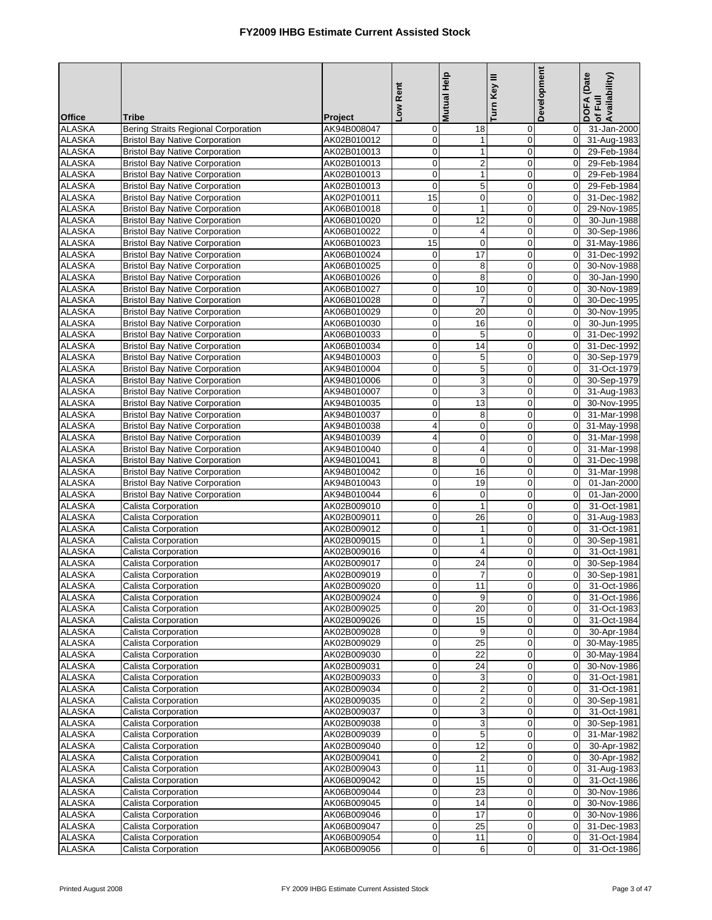|                                |                                                                                |                            | Low Rent                        | Mutual Help             | Turn Key III               | Development                | DOFA (Date<br>of Full<br>Availability) |
|--------------------------------|--------------------------------------------------------------------------------|----------------------------|---------------------------------|-------------------------|----------------------------|----------------------------|----------------------------------------|
| <b>Office</b><br><b>ALASKA</b> | Tribe<br><b>Bering Straits Regional Corporation</b>                            | Project<br>AK94B008047     | $\mathbf 0$                     | 18                      | 0                          | $\overline{0}$             | 31-Jan-2000                            |
| <b>ALASKA</b>                  | <b>Bristol Bay Native Corporation</b>                                          | AK02B010012                | $\pmb{0}$                       | 1                       | 0                          | $\mathbf 0$                | 31-Aug-1983                            |
| <b>ALASKA</b>                  | <b>Bristol Bay Native Corporation</b>                                          | AK02B010013                | 0                               | $\mathbf{1}$            | $\mathbf 0$                | $\mathbf 0$                | 29-Feb-1984                            |
| <b>ALASKA</b>                  | <b>Bristol Bay Native Corporation</b>                                          | AK02B010013                | $\mathbf 0$                     | $\overline{c}$          | $\mathbf 0$                | $\mathbf 0$                | 29-Feb-1984                            |
| <b>ALASKA</b>                  | <b>Bristol Bay Native Corporation</b>                                          | AK02B010013                | $\mathbf 0$                     | $\mathbf{1}$            | $\pmb{0}$                  | $\mathbf 0$                | 29-Feb-1984                            |
| <b>ALASKA</b>                  | <b>Bristol Bay Native Corporation</b>                                          | AK02B010013                | $\mathbf 0$                     | 5                       | $\mathbf 0$                | $\mathbf 0$                | 29-Feb-1984                            |
| <b>ALASKA</b>                  | <b>Bristol Bay Native Corporation</b>                                          | AK02P010011                | 15                              | $\mathbf 0$             | $\mathbf 0$                | $\Omega$                   | 31-Dec-1982                            |
| <b>ALASKA</b>                  | <b>Bristol Bay Native Corporation</b>                                          | AK06B010018                | $\boldsymbol{0}$                | $\mathbf{1}$            | $\mathbf 0$                | $\mathbf 0$                | 29-Nov-1985                            |
| <b>ALASKA</b>                  | <b>Bristol Bay Native Corporation</b>                                          | AK06B010020                | $\pmb{0}$                       | 12                      | $\mathbf 0$                | $\Omega$                   | 30-Jun-1988                            |
| <b>ALASKA</b>                  | <b>Bristol Bay Native Corporation</b>                                          | AK06B010022                | $\pmb{0}$                       | 4                       | $\mathbf 0$                | $\mathbf 0$                | 30-Sep-1986                            |
| <b>ALASKA</b>                  | <b>Bristol Bay Native Corporation</b>                                          | AK06B010023                | 15                              | $\mathbf 0$             | $\mathbf 0$                | $\mathbf 0$                | 31-May-1986                            |
| <b>ALASKA</b>                  | <b>Bristol Bay Native Corporation</b>                                          | AK06B010024                | $\mathbf 0$                     | $\overline{17}$         | $\mathbf 0$                | $\Omega$                   | 31-Dec-1992                            |
| <b>ALASKA</b>                  | <b>Bristol Bay Native Corporation</b>                                          | AK06B010025                | $\mathbf 0$                     | 8                       | $\mathbf 0$                | $\mathbf 0$                | 30-Nov-1988                            |
| <b>ALASKA</b>                  | <b>Bristol Bay Native Corporation</b>                                          | AK06B010026                | $\mathbf 0$                     | 8                       | $\mathbf 0$                | $\mathbf 0$                | 30-Jan-1990                            |
| <b>ALASKA</b>                  | <b>Bristol Bay Native Corporation</b>                                          | AK06B010027                | $\pmb{0}$                       | 10                      | $\mathbf 0$                | $\Omega$                   | 30-Nov-1989                            |
| <b>ALASKA</b>                  | <b>Bristol Bay Native Corporation</b>                                          | AK06B010028                | $\mathbf 0$                     | $\overline{7}$          | $\pmb{0}$                  | $\mathbf 0$                | 30-Dec-1995                            |
| <b>ALASKA</b>                  | <b>Bristol Bay Native Corporation</b>                                          | AK06B010029                | $\mathbf 0$                     | 20                      | $\mathbf 0$                | $\mathbf 0$                | 30-Nov-1995                            |
| <b>ALASKA</b>                  | <b>Bristol Bay Native Corporation</b>                                          | AK06B010030                | $\pmb{0}$                       | 16                      | 0                          | $\mathbf 0$                | 30-Jun-1995                            |
| <b>ALASKA</b>                  | <b>Bristol Bay Native Corporation</b>                                          | AK06B010033                | $\pmb{0}$                       | 5                       | $\mathbf 0$                | $\mathbf 0$                | 31-Dec-1992                            |
| <b>ALASKA</b><br><b>ALASKA</b> | <b>Bristol Bay Native Corporation</b>                                          | AK06B010034                | $\pmb{0}$                       | 14                      | 0                          | $\mathbf 0$                | 31-Dec-1992                            |
| <b>ALASKA</b>                  | <b>Bristol Bay Native Corporation</b><br><b>Bristol Bay Native Corporation</b> | AK94B010003<br>AK94B010004 | $\mathbf 0$<br>$\mathbf 0$      | 5<br>5                  | $\mathbf 0$<br>$\mathbf 0$ | $\mathbf 0$<br>$\mathbf 0$ | 30-Sep-1979<br>31-Oct-1979             |
| <b>ALASKA</b>                  | <b>Bristol Bay Native Corporation</b>                                          | AK94B010006                | $\mathbf 0$                     | 3                       | $\mathbf 0$                | $\Omega$                   | 30-Sep-1979                            |
| <b>ALASKA</b>                  | <b>Bristol Bay Native Corporation</b>                                          | AK94B010007                | $\mathbf 0$                     | 3                       | $\mathbf 0$                | $\mathbf 0$                | 31-Aug-1983                            |
| <b>ALASKA</b>                  | <b>Bristol Bay Native Corporation</b>                                          | AK94B010035                | $\pmb{0}$                       | 13                      | $\mathbf 0$                | 0                          | 30-Nov-1995                            |
| <b>ALASKA</b>                  | <b>Bristol Bay Native Corporation</b>                                          | AK94B010037                | $\mathbf 0$                     | 8                       | $\mathbf 0$                | $\Omega$                   | 31-Mar-1998                            |
| <b>ALASKA</b>                  | <b>Bristol Bay Native Corporation</b>                                          | AK94B010038                | 4                               | 0                       | $\pmb{0}$                  | $\mathbf 0$                | 31-May-1998                            |
| <b>ALASKA</b>                  | <b>Bristol Bay Native Corporation</b>                                          | AK94B010039                | 4                               | $\mathbf 0$             | $\mathbf 0$                | $\mathbf 0$                | 31-Mar-1998                            |
| <b>ALASKA</b>                  | <b>Bristol Bay Native Corporation</b>                                          | AK94B010040                | $\mathbf 0$                     | 4                       | 0                          | $\mathbf 0$                | 31-Mar-1998                            |
| <b>ALASKA</b>                  | <b>Bristol Bay Native Corporation</b>                                          | AK94B010041                | $\bf8$                          | $\mathbf 0$             | $\pmb{0}$                  | $\mathbf 0$                | 31-Dec-1998                            |
| <b>ALASKA</b>                  | <b>Bristol Bay Native Corporation</b>                                          | AK94B010042                | $\pmb{0}$                       | 16                      | $\mathbf 0$                | $\mathbf 0$                | 31-Mar-1998                            |
| <b>ALASKA</b>                  | <b>Bristol Bay Native Corporation</b>                                          | AK94B010043                | $\pmb{0}$                       | 19                      | $\mathbf 0$                | $\Omega$                   | 01-Jan-2000                            |
| <b>ALASKA</b>                  | <b>Bristol Bay Native Corporation</b>                                          | AK94B010044                | 6                               | $\mathbf 0$             | $\mathbf 0$                | $\mathbf 0$                | 01-Jan-2000                            |
| <b>ALASKA</b>                  | Calista Corporation                                                            | AK02B009010                | $\pmb{0}$                       | $\mathbf{1}$            | $\mathbf 0$                | $\mathbf 0$                | 31-Oct-1981                            |
| <b>ALASKA</b>                  | Calista Corporation                                                            | AK02B009011                | $\pmb{0}$                       | 26                      | $\mathbf 0$                | $\mathbf 0$                | 31-Aug-1983                            |
| <b>ALASKA</b>                  | Calista Corporation                                                            | AK02B009012                | $\pmb{0}$                       | $\mathbf 1$             | $\mathbf 0$                | $\mathbf 0$                | 31-Oct-1981                            |
| <b>ALASKA</b>                  | Calista Corporation                                                            | AK02B009015                | $\mathbf 0$                     | $\mathbf{1}$            | $\mathbf 0$                | $\mathbf 0$                | 30-Sep-1981                            |
| <b>ALASKA</b>                  | Calista Corporation                                                            | AK02B009016                | $\mathbf 0$                     | 4                       | $\mathbf 0$                | $\mathbf 0$                | 31-Oct-1981                            |
| <b>ALASKA</b>                  | Calista Corporation                                                            | AK02B009017                | $\pmb{0}$                       | 24                      | $\mathbf 0$                | $\mathbf 0$                | 30-Sep-1984                            |
| <b>ALASKA</b>                  | Calista Corporation                                                            | AK02B009019                | $\mathbf 0$                     | $\overline{7}$          | $\overline{0}$             | $\mathbf 0$                | 30-Sep-1981                            |
| ALASKA                         | Calista Corporation                                                            | AK02B009020                | $\overline{0}$                  | 11                      | $\mathbf{0}$               | $\overline{0}$             | 31-Oct-1986                            |
| <b>ALASKA</b>                  | Calista Corporation                                                            | AK02B009024                | $\mathbf 0$<br>$\mathbf 0$      | 9<br>20                 | $\mathbf 0$                | $\mathbf 0$                | 31-Oct-1986                            |
| <b>ALASKA</b><br><b>ALASKA</b> | Calista Corporation<br>Calista Corporation                                     | AK02B009025<br>AK02B009026 | $\pmb{0}$                       | 15                      | 0<br>$\pmb{0}$             | $\mathbf 0$<br>$\pmb{0}$   | 31-Oct-1983<br>31-Oct-1984             |
| <b>ALASKA</b>                  | Calista Corporation                                                            | AK02B009028                | $\pmb{0}$                       | 9                       | $\mathbf 0$                | $\mathbf 0$                | 30-Apr-1984                            |
| <b>ALASKA</b>                  | Calista Corporation                                                            | AK02B009029                | $\pmb{0}$                       | 25                      | 0                          | $\mathbf 0$                | 30-May-1985                            |
| <b>ALASKA</b>                  | Calista Corporation                                                            | AK02B009030                | $\pmb{0}$                       | $\overline{22}$         | $\mathbf 0$                | $\mathbf 0$                | 30-May-1984                            |
| <b>ALASKA</b>                  | Calista Corporation                                                            | AK02B009031                | $\pmb{0}$                       | 24                      | 0                          | $\mathbf 0$                | 30-Nov-1986                            |
| <b>ALASKA</b>                  | Calista Corporation                                                            | AK02B009033                | $\mathbf 0$                     | 3                       | 0                          | $\mathbf 0$                | 31-Oct-1981                            |
| <b>ALASKA</b>                  | Calista Corporation                                                            | AK02B009034                | $\pmb{0}$                       | $\overline{2}$          | $\pmb{0}$                  | $\pmb{0}$                  | 31-Oct-1981                            |
| <b>ALASKA</b>                  | Calista Corporation                                                            | AK02B009035                | $\pmb{0}$                       | $\overline{\mathbf{c}}$ | 0                          | $\mathbf 0$                | 30-Sep-1981                            |
| <b>ALASKA</b>                  | Calista Corporation                                                            | AK02B009037                | $\pmb{0}$                       | 3                       | 0                          | 0                          | 31-Oct-1981                            |
| <b>ALASKA</b>                  | Calista Corporation                                                            | AK02B009038                | $\pmb{0}$                       | 3                       | $\mathbf 0$                | $\mathbf 0$                | 30-Sep-1981                            |
| <b>ALASKA</b>                  | Calista Corporation                                                            | AK02B009039                | $\pmb{0}$                       | 5                       | $\mathbf 0$                | $\mathbf 0$                | 31-Mar-1982                            |
| <b>ALASKA</b>                  | Calista Corporation                                                            | AK02B009040                | $\mathbf 0$                     | 12                      | $\pmb{0}$                  | $\mathbf 0$                | 30-Apr-1982                            |
| <b>ALASKA</b>                  | Calista Corporation                                                            | AK02B009041                | $\pmb{0}$                       | $\overline{\mathbf{c}}$ | $\mathbf 0$                | $\boldsymbol{0}$           | 30-Apr-1982                            |
| <b>ALASKA</b>                  | Calista Corporation                                                            | AK02B009043                | $\pmb{0}$                       | 11                      | 0                          | $\mathbf 0$                | 31-Aug-1983                            |
| <b>ALASKA</b>                  | Calista Corporation                                                            | AK06B009042                | $\boldsymbol{0}$                | 15                      | $\pmb{0}$                  | $\mathbf 0$                | 31-Oct-1986                            |
| <b>ALASKA</b>                  | Calista Corporation                                                            | AK06B009044                | $\pmb{0}$                       | 23                      | 0                          | $\mathbf 0$                | 30-Nov-1986                            |
| <b>ALASKA</b>                  | Calista Corporation                                                            | AK06B009045                | $\boldsymbol{0}$                | 14                      | 0                          | $\mathbf 0$                | 30-Nov-1986                            |
| <b>ALASKA</b>                  | Calista Corporation                                                            | AK06B009046                | $\mathbf 0$                     | 17                      | $\mathbf 0$                | $\mathbf 0$                | 30-Nov-1986                            |
| <b>ALASKA</b><br><b>ALASKA</b> | Calista Corporation<br>Calista Corporation                                     | AK06B009047<br>AK06B009054 | $\mathbf 0$<br>$\boldsymbol{0}$ | 25<br>11                | $\pmb{0}$<br>0             | $\mathbf 0$<br>$\mathbf 0$ | 31-Dec-1983<br>31-Oct-1984             |
| <b>ALASKA</b>                  | Calista Corporation                                                            | AK06B009056                | $\pmb{0}$                       | 6                       | 0                          | $\mathbf 0$                | 31-Oct-1986                            |
|                                |                                                                                |                            |                                 |                         |                            |                            |                                        |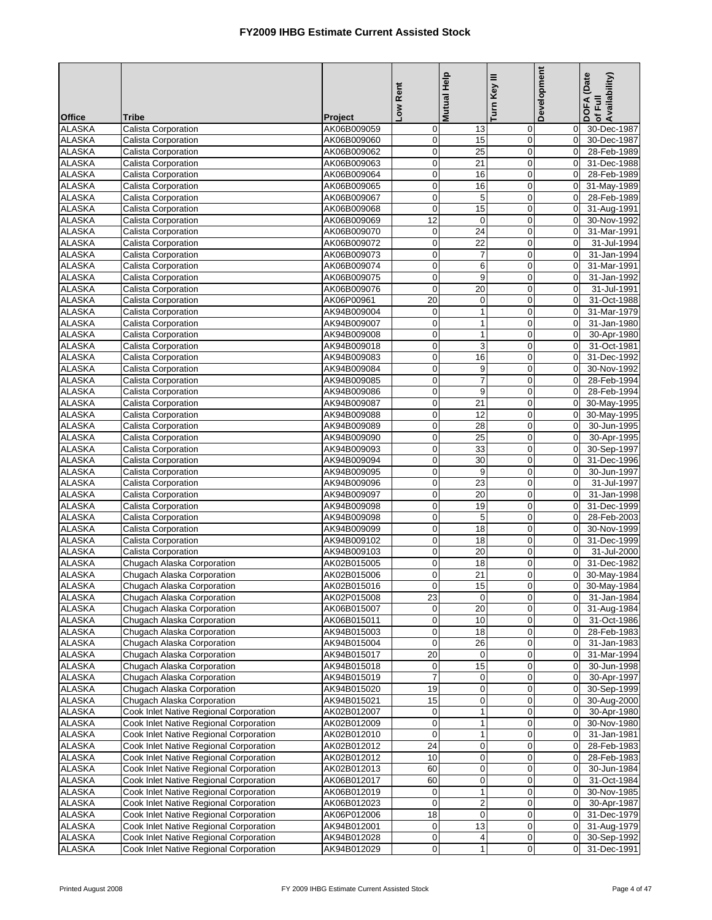|                                |                                                          |                            | Low Rent                               | <b>Mutual Help</b>           | Turn Key III               | Development                | DOFA (Date<br>of Full<br>Availability) |
|--------------------------------|----------------------------------------------------------|----------------------------|----------------------------------------|------------------------------|----------------------------|----------------------------|----------------------------------------|
| <b>Office</b><br><b>ALASKA</b> | <b>Tribe</b><br>Calista Corporation                      | Project<br>AK06B009059     | $\mathbf 0$                            | 13                           | 0                          | $\overline{0}$             | 30-Dec-1987                            |
| <b>ALASKA</b>                  | Calista Corporation                                      | AK06B009060                | $\mathbf 0$                            | 15                           | $\mathbf 0$                | $\overline{0}$             | 30-Dec-1987                            |
| <b>ALASKA</b>                  | Calista Corporation                                      | AK06B009062                | $\mathbf 0$                            | 25                           | $\mathbf 0$                | $\Omega$                   | 28-Feb-1989                            |
| <b>ALASKA</b>                  | Calista Corporation                                      | AK06B009063                | $\pmb{0}$                              | 21                           | $\mathbf 0$                | $\overline{0}$             | 31-Dec-1988                            |
| <b>ALASKA</b>                  | Calista Corporation                                      | AK06B009064                | $\mathbf 0$                            | 16                           | $\mathbf 0$                | $\mathbf 0$                | 28-Feb-1989                            |
| <b>ALASKA</b>                  | Calista Corporation                                      | AK06B009065                | $\mathbf 0$                            | 16                           | $\mathbf 0$                | $\overline{0}$             | 31-May-1989                            |
| <b>ALASKA</b>                  | Calista Corporation                                      | AK06B009067                | $\pmb{0}$                              | 5                            | $\pmb{0}$                  | $\overline{0}$             | 28-Feb-1989                            |
| <b>ALASKA</b>                  | Calista Corporation                                      | AK06B009068                | $\pmb{0}$                              | 15                           | $\mathbf 0$                | $\mathbf 0$                | 31-Aug-1991                            |
| <b>ALASKA</b>                  | Calista Corporation                                      | AK06B009069                | $\overline{12}$                        | $\pmb{0}$                    | $\mathbf 0$                | $\overline{0}$             | 30-Nov-1992                            |
| <b>ALASKA</b>                  | Calista Corporation                                      | AK06B009070                | $\pmb{0}$                              | 24                           | $\mathbf 0$                | $\mathbf 0$                | 31-Mar-1991                            |
| <b>ALASKA</b>                  | Calista Corporation                                      | AK06B009072                | $\mathbf 0$                            | $\overline{22}$              | $\mathbf 0$                | $\mathbf 0$                | 31-Jul-1994                            |
| <b>ALASKA</b>                  | Calista Corporation                                      | AK06B009073                | $\mathbf 0$                            | 7                            | $\pmb{0}$                  | $\overline{0}$             | 31-Jan-1994                            |
| <b>ALASKA</b>                  | Calista Corporation                                      | AK06B009074                | $\pmb{0}$                              | 6                            | $\pmb{0}$                  | $\mathbf 0$                | 31-Mar-1991                            |
| <b>ALASKA</b>                  | Calista Corporation                                      | AK06B009075                | $\pmb{0}$                              | 9                            | $\mathbf 0$                | $\mathbf 0$                | 31-Jan-1992                            |
| <b>ALASKA</b>                  | Calista Corporation                                      | AK06B009076                | $\pmb{0}$                              | 20                           | $\mathbf 0$                | $\overline{0}$             | 31-Jul-1991                            |
| <b>ALASKA</b>                  | Calista Corporation                                      | AK06P00961                 | 20                                     | $\pmb{0}$                    | $\mathbf 0$                | $\mathbf 0$                | 31-Oct-1988                            |
| <b>ALASKA</b>                  | Calista Corporation                                      | AK94B009004                | $\mathbf 0$                            | $\mathbf{1}$                 | $\mathbf 0$                | $\mathbf 0$                | 31-Mar-1979                            |
| <b>ALASKA</b><br><b>ALASKA</b> | Calista Corporation<br>Calista Corporation               | AK94B009007<br>AK94B009008 | $\mathbf 0$<br>$\overline{\mathbf{0}}$ | $\mathbf{1}$<br>$\mathbf{1}$ | $\mathbf 0$<br>$\mathbf 0$ | $\mathbf 0$<br>$\mathbf 0$ | 31-Jan-1980<br>30-Apr-1980             |
| <b>ALASKA</b>                  | Calista Corporation                                      | AK94B009018                | $\mathbf 0$                            | 3                            | $\mathbf 0$                | $\mathbf 0$                | 31-Oct-1981                            |
| <b>ALASKA</b>                  | Calista Corporation                                      | AK94B009083                | $\pmb{0}$                              | 16                           | $\pmb{0}$                  | $\mathbf 0$                | 31-Dec-1992                            |
| <b>ALASKA</b>                  | Calista Corporation                                      | AK94B009084                | $\mathbf 0$                            | 9                            | $\mathbf 0$                | $\overline{0}$             | 30-Nov-1992                            |
| <b>ALASKA</b>                  | Calista Corporation                                      | AK94B009085                | $\pmb{0}$                              | 7                            | $\mathbf 0$                | $\overline{0}$             | 28-Feb-1994                            |
| <b>ALASKA</b>                  | Calista Corporation                                      | AK94B009086                | $\mathsf{o}$                           | 9                            | $\mathbf 0$                | $\mathbf 0$                | 28-Feb-1994                            |
| <b>ALASKA</b>                  | Calista Corporation                                      | AK94B009087                | $\pmb{0}$                              | 21                           | $\mathbf 0$                | $\mathbf 0$                | 30-May-1995                            |
| <b>ALASKA</b>                  | Calista Corporation                                      | AK94B009088                | $\mathbf 0$                            | 12                           | $\mathbf 0$                | $\overline{0}$             | 30-May-1995                            |
| <b>ALASKA</b>                  | Calista Corporation                                      | AK94B009089                | $\mathbf 0$                            | 28                           | $\mathbf 0$                | $\overline{0}$             | 30-Jun-1995                            |
| <b>ALASKA</b>                  | Calista Corporation                                      | AK94B009090                | $\mathbf 0$                            | 25                           | $\mathbf 0$                | $\mathbf{0}$               | 30-Apr-1995                            |
| <b>ALASKA</b>                  | Calista Corporation                                      | AK94B009093                | $\pmb{0}$                              | 33                           | $\mathbf 0$                | $\overline{0}$             | 30-Sep-1997                            |
| <b>ALASKA</b>                  | Calista Corporation                                      | AK94B009094                | $\pmb{0}$                              | 30                           | $\mathbf 0$                | $\mathbf 0$                | 31-Dec-1996                            |
| <b>ALASKA</b>                  | Calista Corporation                                      | AK94B009095                | $\mathbf 0$                            | 9                            | $\mathbf 0$                | $\mathbf 0$                | 30-Jun-1997                            |
| <b>ALASKA</b>                  | Calista Corporation                                      | AK94B009096                | $\pmb{0}$                              | 23                           | $\pmb{0}$                  | $\mathbf 0$                | 31-Jul-1997                            |
| <b>ALASKA</b>                  | Calista Corporation                                      | AK94B009097                | $\overline{\mathbf{0}}$                | $\overline{20}$              | $\mathbf 0$                | $\mathbf 0$                | 31-Jan-1998                            |
| <b>ALASKA</b>                  | Calista Corporation                                      | AK94B009098                | $\mathbf 0$                            | 19                           | $\mathbf 0$                | $\overline{0}$             | 31-Dec-1999                            |
| <b>ALASKA</b>                  | Calista Corporation                                      | AK94B009098                | $\pmb{0}$                              | 5                            | $\pmb{0}$                  | $\overline{0}$             | 28-Feb-2003                            |
| <b>ALASKA</b>                  | Calista Corporation                                      | AK94B009099                | $\pmb{0}$                              | $\overline{18}$              | $\mathbf 0$                | $\Omega$                   | 30-Nov-1999                            |
| <b>ALASKA</b>                  | Calista Corporation                                      | AK94B009102                | $\pmb{0}$                              | 18                           | $\mathbf 0$                | $\mathbf 0$                | 31-Dec-1999                            |
| <b>ALASKA</b>                  | Calista Corporation                                      | AK94B009103                | $\pmb{0}$                              | 20                           | $\pmb{0}$                  | $\mathbf 0$                | 31-Jul-2000                            |
| <b>ALASKA</b>                  | Chugach Alaska Corporation                               | AK02B015005                | $\pmb{0}$                              | 18                           | 0                          | $\Omega$                   | 31-Dec-1982                            |
| <b>ALASKA</b>                  | Chugach Alaska Corporation                               | AK02B015006                | $\mathbf 0$                            | 21                           | $\mathbf 0$                | $\overline{0}$             | 30-May-1984                            |
| <b>ALASKA</b><br><b>ALASKA</b> | Chugach Alaska Corporation                               | AK02B015016                | U.<br>23                               | 15<br>$\pmb{0}$              | $\pmb{0}$<br>0             |                            | 0 30-May-1984<br>0 31-Jan-1984         |
| <b>ALASKA</b>                  | Chugach Alaska Corporation<br>Chugach Alaska Corporation | AK02P015008<br>AK06B015007 | $\overline{0}$                         | 20                           | 0                          | $\overline{0}$             | 31-Aug-1984                            |
| <b>ALASKA</b>                  | Chugach Alaska Corporation                               | AK06B015011                | $\mathbf 0$                            | 10                           | 0                          | $\overline{0}$             | 31-Oct-1986                            |
| <b>ALASKA</b>                  | Chugach Alaska Corporation                               | AK94B015003                | $\pmb{0}$                              | 18                           | 0                          | $\overline{0}$             | 28-Feb-1983                            |
| <b>ALASKA</b>                  | Chugach Alaska Corporation                               | AK94B015004                | $\mathbf 0$                            | 26                           | 0                          | $\mathbf 0$                | 31-Jan-1983                            |
| <b>ALASKA</b>                  | Chugach Alaska Corporation                               | AK94B015017                | 20                                     | $\mathbf 0$                  | $\mathbf 0$                | $\overline{0}$             | 31-Mar-1994                            |
| <b>ALASKA</b>                  | Chugach Alaska Corporation                               | AK94B015018                | $\boldsymbol{0}$                       | 15                           | 0                          | $\overline{0}$             | 30-Jun-1998                            |
| <b>ALASKA</b>                  | Chugach Alaska Corporation                               | AK94B015019                | $\boldsymbol{7}$                       | $\boldsymbol{0}$             | 0                          | $\mathbf 0$                | 30-Apr-1997                            |
| <b>ALASKA</b>                  | Chugach Alaska Corporation                               | AK94B015020                | 19                                     | 0                            | $\mathbf 0$                | $\overline{0}$             | 30-Sep-1999                            |
| <b>ALASKA</b>                  | Chugach Alaska Corporation                               | AK94B015021                | 15                                     | 0                            | 0                          | $\mathbf 0$                | 30-Aug-2000                            |
| ALASKA                         | Cook Inlet Native Regional Corporation                   | AK02B012007                | $\mathbf 0$                            | $\mathbf{1}$                 | $\mathbf 0$                | $\mathbf 0$                | 30-Apr-1980                            |
| <b>ALASKA</b>                  | Cook Inlet Native Regional Corporation                   | AK02B012009                | $\mathbf 0$                            | $\mathbf{1}$                 | $\mathbf 0$                | $\overline{0}$             | 30-Nov-1980                            |
| <b>ALASKA</b>                  | Cook Inlet Native Regional Corporation                   | AK02B012010                | $\mathbf 0$                            | $\mathbf{1}$                 | 0                          | $\overline{0}$             | 31-Jan-1981                            |
| <b>ALASKA</b>                  | Cook Inlet Native Regional Corporation                   | AK02B012012                | 24                                     | 0                            | 0                          | $\mathbf 0$                | 28-Feb-1983                            |
| <b>ALASKA</b>                  | Cook Inlet Native Regional Corporation                   | AK02B012012                | 10                                     | 0                            | 0                          | $\overline{0}$             | 28-Feb-1983                            |
| ALASKA                         | Cook Inlet Native Regional Corporation                   | AK02B012013                | 60                                     | 0                            | 0                          | $\mathbf 0$                | 30-Jun-1984                            |
| <b>ALASKA</b>                  | Cook Inlet Native Regional Corporation                   | AK06B012017                | 60                                     | 0                            | $\mathbf 0$                | $\overline{0}$             | 31-Oct-1984                            |
| <b>ALASKA</b>                  | Cook Inlet Native Regional Corporation                   | AK06B012019                | $\mathbf 0$                            | $\mathbf{1}$                 | 0                          | $\overline{0}$             | 30-Nov-1985                            |
| ALASKA                         | Cook Inlet Native Regional Corporation                   | AK06B012023                | $\pmb{0}$                              | $\boldsymbol{2}$             | 0                          | $\mathbf 0$                | 30-Apr-1987                            |
| <b>ALASKA</b>                  | Cook Inlet Native Regional Corporation                   | AK06P012006                | 18                                     | 0                            | 0                          | $\overline{0}$             | 31-Dec-1979                            |
| <b>ALASKA</b>                  | Cook Inlet Native Regional Corporation                   | AK94B012001                | $\mathbf 0$                            | 13                           | 0                          | $\overline{0}$             | 31-Aug-1979                            |
| <b>ALASKA</b>                  | Cook Inlet Native Regional Corporation                   | AK94B012028                | $\boldsymbol{0}$                       | 4                            | 0                          | $\mathbf 0$                | 30-Sep-1992                            |
| <b>ALASKA</b>                  | Cook Inlet Native Regional Corporation                   | AK94B012029                | $\pmb{0}$                              | $\mathbf{1}$                 | 0                          | $\overline{0}$             | 31-Dec-1991                            |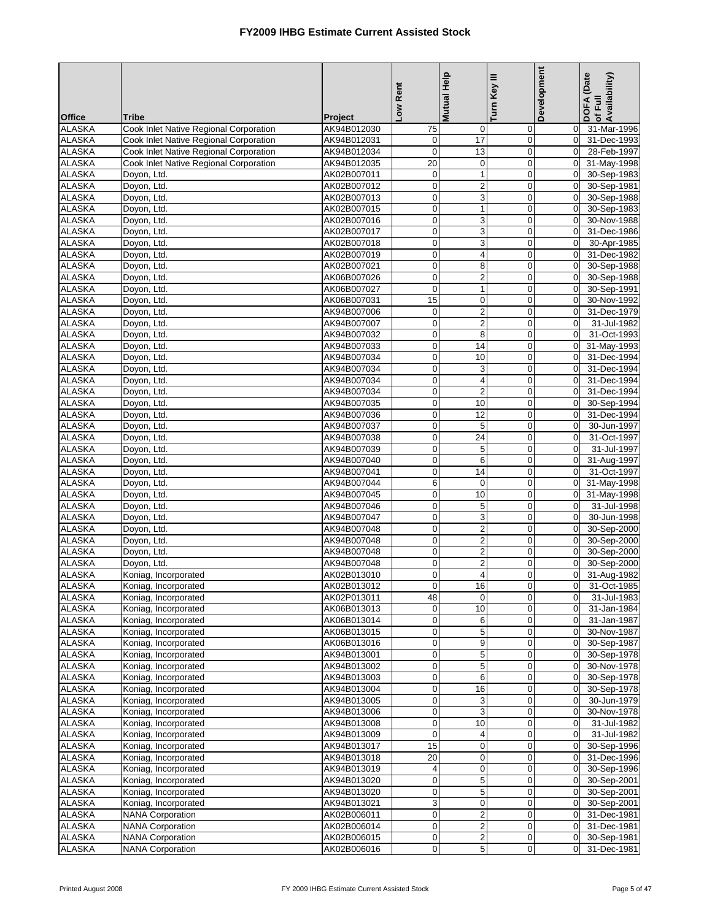|                                |                                              |                            | Low Rent                   | <b>Mutual Help</b>                        | Turn Key III               | Development                      | DOFA (Date<br>of Full<br>Availability) |
|--------------------------------|----------------------------------------------|----------------------------|----------------------------|-------------------------------------------|----------------------------|----------------------------------|----------------------------------------|
| <b>Office</b>                  | <b>Tribe</b>                                 | Project                    |                            |                                           |                            |                                  |                                        |
| <b>ALASKA</b>                  | Cook Inlet Native Regional Corporation       | AK94B012030                | 75                         | $\mathbf 0$                               | 0                          | $\mathbf 0$                      | 31-Mar-1996                            |
| <b>ALASKA</b>                  | Cook Inlet Native Regional Corporation       | AK94B012031                | $\mathbf 0$                | $\overline{17}$                           | $\mathbf 0$                | $\overline{0}$                   | 31-Dec-1993                            |
| <b>ALASKA</b>                  | Cook Inlet Native Regional Corporation       | AK94B012034                | $\mathbf 0$                | 13                                        | $\mathbf 0$                | $\Omega$                         | 28-Feb-1997                            |
| <b>ALASKA</b>                  | Cook Inlet Native Regional Corporation       | AK94B012035                | 20                         | $\mathbf 0$                               | 0                          | $\overline{0}$                   | 31-May-1998                            |
| <b>ALASKA</b>                  | Doyon, Ltd.                                  | AK02B007011                | $\mathbf 0$                | $\mathbf{1}$                              | $\mathbf 0$                | $\overline{0}$                   | 30-Sep-1983                            |
| <b>ALASKA</b><br><b>ALASKA</b> | Doyon, Ltd.<br>Doyon, Ltd.                   | AK02B007012<br>AK02B007013 | $\mathbf 0$<br>$\pmb{0}$   | $\overline{c}$                            | $\mathbf 0$<br>0           | $\Omega$<br>$\overline{0}$       | 30-Sep-1981<br>30-Sep-1988             |
| <b>ALASKA</b>                  | Doyon, Ltd.                                  | AK02B007015                | $\pmb{0}$                  | 3<br>$\mathbf{1}$                         | $\mathbf 0$                | $\Omega$                         | 30-Sep-1983                            |
| <b>ALASKA</b>                  | Doyon, Ltd.                                  | AK02B007016                | $\mathbf 0$                | 3                                         | $\mathbf 0$                | $\Omega$                         | 30-Nov-1988                            |
| <b>ALASKA</b>                  | Doyon, Ltd.                                  | AK02B007017                | $\overline{\mathbf{0}}$    | 3                                         | $\mathbf 0$                | $\mathbf{0}$                     | 31-Dec-1986                            |
| <b>ALASKA</b>                  | Doyon, Ltd.                                  | AK02B007018                | $\mathbf 0$                | 3                                         | $\mathbf 0$                | $\Omega$                         | 30-Apr-1985                            |
| <b>ALASKA</b>                  | Doyon, Ltd.                                  | AK02B007019                | $\mathbf 0$                | 4                                         | $\mathbf 0$                | $\overline{0}$                   | 31-Dec-1982                            |
| <b>ALASKA</b>                  | Doyon, Ltd.                                  | AK02B007021                | $\mathbf 0$                | 8                                         | $\mathbf 0$                | $\overline{0}$                   | 30-Sep-1988                            |
| <b>ALASKA</b>                  | Doyon, Ltd.                                  | AK06B007026                | $\pmb{0}$                  | $\overline{c}$                            | $\mathbf 0$                | $\Omega$                         | 30-Sep-1988                            |
| <b>ALASKA</b>                  | Doyon, Ltd.                                  | AK06B007027                | $\pmb{0}$                  | $\mathbf{1}$                              | $\mathbf 0$                | $\overline{0}$                   | 30-Sep-1991                            |
| <b>ALASKA</b>                  | Doyon, Ltd.                                  | AK06B007031                | 15                         | $\pmb{0}$                                 | $\mathbf 0$                | $\overline{0}$                   | 30-Nov-1992                            |
| <b>ALASKA</b>                  | Doyon, Ltd.                                  | AK94B007006                | $\mathbf 0$                | $\overline{\mathbf{c}}$                   | $\mathbf 0$                | $\Omega$                         | 31-Dec-1979                            |
| <b>ALASKA</b>                  | Doyon, Ltd.                                  | AK94B007007                | $\pmb{0}$                  | $\overline{c}$                            | $\mathbf 0$                | $\overline{0}$                   | 31-Jul-1982                            |
| <b>ALASKA</b>                  | Doyon, Ltd.                                  | AK94B007032                | $\pmb{0}$                  | 8                                         | $\mathbf 0$                | $\Omega$                         | 31-Oct-1993                            |
| <b>ALASKA</b>                  | Doyon, Ltd.                                  | AK94B007033                | $\mathbf 0$                | 14                                        | $\mathbf 0$                | $\Omega$                         | 31-May-1993                            |
| <b>ALASKA</b>                  | Doyon, Ltd.                                  | AK94B007034                | $\mathbf 0$                | 10                                        | $\mathbf 0$                | $\overline{0}$                   | 31-Dec-1994                            |
| <b>ALASKA</b><br><b>ALASKA</b> | Doyon, Ltd.                                  | AK94B007034                | $\mathbf 0$<br>$\mathbf 0$ | 3                                         | $\mathbf 0$<br>$\mathbf 0$ | $\overline{0}$<br>$\overline{0}$ | 31-Dec-1994                            |
| <b>ALASKA</b>                  | Doyon, Ltd.<br>Doyon, Ltd.                   | AK94B007034<br>AK94B007034 | $\mathsf{o}$               | 4<br>$\overline{2}$                       | $\pmb{0}$                  | $\overline{0}$                   | 31-Dec-1994<br>31-Dec-1994             |
| <b>ALASKA</b>                  | Doyon, Ltd.                                  | AK94B007035                | $\pmb{0}$                  | 10                                        | $\mathbf 0$                | $\mathbf 0$                      | 30-Sep-1994                            |
| <b>ALASKA</b>                  | Doyon, Ltd.                                  | AK94B007036                | $\mathbf 0$                | 12                                        | $\mathbf 0$                | $\overline{0}$                   | 31-Dec-1994                            |
| <b>ALASKA</b>                  | Doyon, Ltd.                                  | AK94B007037                | $\mathbf 0$                | 5                                         | $\mathbf 0$                | $\overline{0}$                   | 30-Jun-1997                            |
| <b>ALASKA</b>                  | Doyon, Ltd.                                  | AK94B007038                | $\pmb{0}$                  | 24                                        | $\mathbf 0$                | $\mathbf{0}$                     | 31-Oct-1997                            |
| <b>ALASKA</b>                  | Doyon, Ltd.                                  | AK94B007039                | $\pmb{0}$                  | 5                                         | $\mathbf 0$                | $\overline{0}$                   | 31-Jul-1997                            |
| <b>ALASKA</b>                  | Doyon, Ltd.                                  | AK94B007040                | $\mathbf 0$                | 6                                         | $\mathbf 0$                | $\overline{0}$                   | 31-Aug-1997                            |
| <b>ALASKA</b>                  | Doyon, Ltd.                                  | AK94B007041                | $\mathbf 0$                | 14                                        | $\mathbf 0$                | $\Omega$                         | 31-Oct-1997                            |
| <b>ALASKA</b>                  | Doyon, Ltd.                                  | AK94B007044                | 6                          | $\mathbf 0$                               | 0                          | $\overline{0}$                   | 31-May-1998                            |
| <b>ALASKA</b>                  | Doyon, Ltd.                                  | AK94B007045                | $\mathbf 0$                | 10                                        | $\mathbf 0$                | $\overline{0}$                   | 31-May-1998                            |
| <b>ALASKA</b>                  | Doyon, Ltd.                                  | AK94B007046                | $\pmb{0}$                  | 5                                         | $\mathbf 0$                | $\mathbf{0}$                     | 31-Jul-1998                            |
| <b>ALASKA</b>                  | Doyon, Ltd.                                  | AK94B007047                | $\pmb{0}$                  | 3                                         | $\pmb{0}$                  | $\overline{0}$                   | 30-Jun-1998                            |
| <b>ALASKA</b>                  | Doyon, Ltd.                                  | AK94B007048                | $\mathbf 0$                | $\overline{\mathbf{c}}$                   | $\mathbf 0$                | $\Omega$                         | 30-Sep-2000                            |
| <b>ALASKA</b>                  | Doyon, Ltd.                                  | AK94B007048                | $\pmb{0}$                  | $\overline{\mathbf{c}}$                   | $\mathbf 0$                | $\Omega$                         | 30-Sep-2000<br>30-Sep-2000             |
| <b>ALASKA</b><br><b>ALASKA</b> | Doyon, Ltd.<br>Doyon, Ltd.                   | AK94B007048<br>AK94B007048 | $\pmb{0}$<br>$\pmb{0}$     | $\overline{\mathbf{c}}$<br>$\overline{c}$ | $\mathbf 0$<br>0           | $\overline{0}$<br>$\Omega$       | 30-Sep-2000                            |
| <b>ALASKA</b>                  | Koniag, Incorporated                         | AK02B013010                | $\mathbf{0}$               | 4                                         | $\mathbf 0$                | $\overline{0}$                   | 31-Aug-1982                            |
| <b>ALASKA</b>                  | Koniag, Incorporated                         | AK02B013012                | $\overline{0}$             | 16                                        | $\pmb{0}$                  |                                  | 31-Oct-1985                            |
| <b>ALASKA</b>                  | Koniag, Incorporated                         | AK02P013011                | 48                         | $\mathbf 0$                               | $\mathbf 0$                | $\overline{0}$                   | 31-Jul-1983                            |
| <b>ALASKA</b>                  | Koniag, Incorporated                         | AK06B013013                | $\mathbf 0$                | 10                                        | 0                          | $\overline{0}$                   | 31-Jan-1984                            |
| <b>ALASKA</b>                  | Koniag, Incorporated                         | AK06B013014                | $\mathbf 0$                | 6                                         | $\pmb{0}$                  | $\overline{0}$                   | $\overline{31}$ -Jan-1987              |
| <b>ALASKA</b>                  | Koniag, Incorporated                         | AK06B013015                | $\pmb{0}$                  | $\,$ 5 $\,$                               | $\mathbf 0$                | $\overline{0}$                   | 30-Nov-1987                            |
| <b>ALASKA</b>                  | Koniag, Incorporated                         | AK06B013016                | $\pmb{0}$                  | 9                                         | 0                          | $\mathbf 0$                      | 30-Sep-1987                            |
| <b>ALASKA</b>                  | Koniag, Incorporated                         | AK94B013001                | $\pmb{0}$                  | 5                                         | $\mathbf 0$                | $\overline{0}$                   | 30-Sep-1978                            |
| <b>ALASKA</b>                  | Koniag, Incorporated                         | AK94B013002                | $\pmb{0}$                  | 5                                         | 0                          | $\overline{0}$                   | 30-Nov-1978                            |
| <b>ALASKA</b>                  | Koniag, Incorporated                         | AK94B013003                | $\pmb{0}$                  | 6                                         | $\pmb{0}$                  | $\mathbf 0$                      | 30-Sep-1978                            |
| <b>ALASKA</b>                  | Koniag, Incorporated                         | AK94B013004                | $\mathbf 0$                | 16                                        | $\pmb{0}$                  | $\overline{0}$                   | 30-Sep-1978                            |
| <b>ALASKA</b>                  | Koniag, Incorporated                         | AK94B013005                | $\pmb{0}$                  | 3                                         | 0                          | $\overline{0}$                   | 30-Jun-1979                            |
| <b>ALASKA</b>                  | Koniag, Incorporated                         | AK94B013006                | $\mathbf 0$<br>$\mathbf 0$ | 3<br>10                                   | $\mathbf 0$<br>$\mathbf 0$ | $\mathbf 0$<br>$\overline{0}$    | 30-Nov-1978                            |
| <b>ALASKA</b><br><b>ALASKA</b> | Koniag, Incorporated<br>Koniag, Incorporated | AK94B013008<br>AK94B013009 | $\mathbf 0$                |                                           |                            |                                  | 31-Jul-1982<br>31-Jul-1982             |
| <b>ALASKA</b>                  | Koniag, Incorporated                         | AK94B013017                | 15                         | 4<br>0                                    | 0<br>$\pmb{0}$             | $\mathbf 0$<br>$\mathbf 0$       | 30-Sep-1996                            |
| <b>ALASKA</b>                  | Koniag, Incorporated                         | AK94B013018                | 20                         | $\mathbf 0$                               | 0                          | $\overline{0}$                   | 31-Dec-1996                            |
| <b>ALASKA</b>                  | Koniag, Incorporated                         | AK94B013019                | $\overline{4}$             | 0                                         | 0                          | $\mathbf 0$                      | 30-Sep-1996                            |
| <b>ALASKA</b>                  | Koniag, Incorporated                         | AK94B013020                | $\mathbf 0$                | $\mathbf 5$                               | $\mathbf 0$                | $\overline{0}$                   | 30-Sep-2001                            |
| <b>ALASKA</b>                  | Koniag, Incorporated                         | AK94B013020                | $\mathbf 0$                | 5                                         | $\mathbf 0$                | $\overline{0}$                   | 30-Sep-2001                            |
| <b>ALASKA</b>                  | Koniag, Incorporated                         | AK94B013021                | ω                          | $\pmb{0}$                                 | 0                          | $\overline{0}$                   | 30-Sep-2001                            |
| <b>ALASKA</b>                  | <b>NANA Corporation</b>                      | AK02B006011                | $\mathbf 0$                | $\overline{\mathbf{c}}$                   | $\mathbf 0$                | $\overline{0}$                   | 31-Dec-1981                            |
| <b>ALASKA</b>                  | <b>NANA Corporation</b>                      | AK02B006014                | $\pmb{0}$                  | $\overline{\mathbf{c}}$                   | 0                          | $\overline{0}$                   | 31-Dec-1981                            |
| <b>ALASKA</b>                  | <b>NANA Corporation</b>                      | AK02B006015                | $\pmb{0}$                  | $\boldsymbol{2}$                          | 0                          | $\overline{0}$                   | 30-Sep-1981                            |
| <b>ALASKA</b>                  | <b>NANA Corporation</b>                      | AK02B006016                | $\mathbf 0$                | 5                                         | $\mathbf 0$                | $\Omega$                         | 31-Dec-1981                            |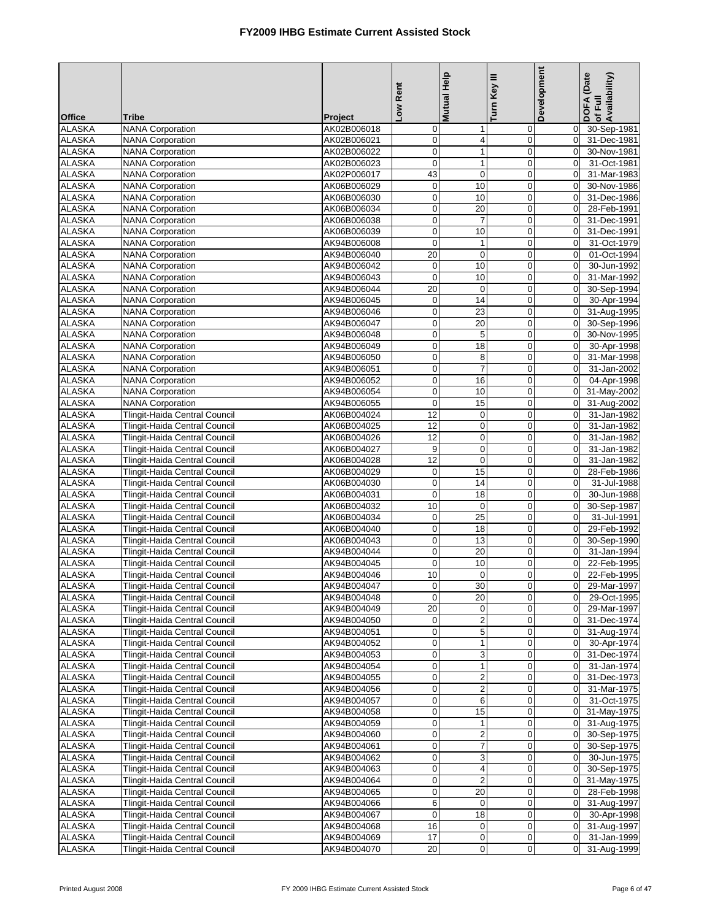|                                |                                                                |                            | Low Rent                         | Mutual Help                          | Turn Key III               | Development                      | DOFA (Date<br> of Full<br> Availability)  |
|--------------------------------|----------------------------------------------------------------|----------------------------|----------------------------------|--------------------------------------|----------------------------|----------------------------------|-------------------------------------------|
| <b>Office</b>                  | <b>Tribe</b>                                                   | Project                    |                                  |                                      |                            |                                  |                                           |
| <b>ALASKA</b>                  | <b>NANA Corporation</b>                                        | AK02B006018                | $\overline{0}$                   | 1                                    | 0                          | $\mathbf 0$                      | 30-Sep-1981                               |
| <b>ALASKA</b>                  | <b>NANA Corporation</b>                                        | AK02B006021                | $\mathbf 0$                      | 4                                    | $\mathbf 0$                | $\overline{0}$                   | 31-Dec-1981                               |
| <b>ALASKA</b>                  | <b>NANA Corporation</b>                                        | AK02B006022                | $\mathbf 0$                      | $\mathbf{1}$                         | $\mathbf 0$                | $\Omega$                         | 30-Nov-1981                               |
| <b>ALASKA</b>                  | <b>NANA Corporation</b>                                        | AK02B006023                | $\overline{0}$                   | $\mathbf{1}$                         | $\mathbf 0$                | $\overline{0}$                   | 31-Oct-1981                               |
| <b>ALASKA</b><br><b>ALASKA</b> | <b>NANA Corporation</b><br><b>NANA Corporation</b>             | AK02P006017                | 43<br>$\overline{0}$             | $\mathbf 0$<br>10                    | $\mathbf 0$<br>$\mathbf 0$ | $\mathbf{0}$<br>$\Omega$         | 31-Mar-1983                               |
| <b>ALASKA</b>                  | <b>NANA Corporation</b>                                        | AK06B006029<br>AK06B006030 | $\overline{0}$                   | 10                                   | $\pmb{0}$                  | $\overline{0}$                   | 30-Nov-1986<br>31-Dec-1986                |
| <b>ALASKA</b>                  | <b>NANA Corporation</b>                                        | AK06B006034                | $\mathbf 0$                      | $\overline{20}$                      | $\mathbf 0$                | $\overline{0}$                   | 28-Feb-1991                               |
| <b>ALASKA</b>                  | <b>NANA Corporation</b>                                        | AK06B006038                | $\mathbf 0$                      | $\overline{7}$                       | $\boldsymbol{0}$           | $\overline{0}$                   | 31-Dec-1991                               |
| <b>ALASKA</b>                  | <b>NANA Corporation</b>                                        | AK06B006039                | $\overline{0}$                   | 10                                   | $\pmb{0}$                  | $\mathbf 0$                      | 31-Dec-1991                               |
| <b>ALASKA</b>                  | <b>NANA Corporation</b>                                        | AK94B006008                | $\mathbf 0$                      | $\mathbf{1}$                         | $\mathbf 0$                | $\mathbf{0}$                     | 31-Oct-1979                               |
| <b>ALASKA</b>                  | <b>NANA Corporation</b>                                        | AK94B006040                | 20                               | $\mathbf 0$                          | $\mathbf 0$                | $\mathbf{0}$                     | 01-Oct-1994                               |
| <b>ALASKA</b>                  | <b>NANA Corporation</b>                                        | AK94B006042                | $\overline{0}$                   | 10                                   | $\mathbf 0$                | $\overline{0}$                   | 30-Jun-1992                               |
| <b>ALASKA</b>                  | <b>NANA Corporation</b>                                        | AK94B006043                | $\mathbf 0$                      | 10                                   | $\mathbf 0$                | $\Omega$                         | 31-Mar-1992                               |
| <b>ALASKA</b>                  | <b>NANA Corporation</b>                                        | AK94B006044                | 20                               | $\mathbf 0$                          | $\mathbf 0$                | $\overline{0}$                   | 30-Sep-1994                               |
| <b>ALASKA</b>                  | <b>NANA</b> Corporation                                        | AK94B006045                | $\overline{0}$                   | 14                                   | $\mathbf 0$                | $\overline{0}$                   | 30-Apr-1994                               |
| <b>ALASKA</b>                  | <b>NANA Corporation</b>                                        | AK94B006046                | $\mathbf 0$                      | 23                                   | $\mathbf 0$                | $\overline{0}$                   | 31-Aug-1995                               |
| <b>ALASKA</b>                  | <b>NANA Corporation</b>                                        | AK94B006047                | $\overline{0}$                   | 20                                   | $\pmb{0}$                  | $\overline{0}$                   | 30-Sep-1996                               |
| <b>ALASKA</b>                  | <b>NANA Corporation</b>                                        | AK94B006048                | $\mathbf 0$                      | $\mathbf 5$                          | $\mathbf 0$                | $\mathbf 0$                      | 30-Nov-1995                               |
| <b>ALASKA</b><br><b>ALASKA</b> | <b>NANA Corporation</b><br><b>NANA Corporation</b>             | AK94B006049<br>AK94B006050 | $\overline{0}$<br>$\overline{0}$ | 18<br>8                              | $\mathbf 0$<br>$\mathbf 0$ | $\overline{0}$<br>$\overline{0}$ | 30-Apr-1998<br>31-Mar-1998                |
| <b>ALASKA</b>                  | <b>NANA Corporation</b>                                        | AK94B006051                | $\mathbf 0$                      | $\overline{7}$                       | $\mathbf 0$                | $\mathbf{0}$                     | 31-Jan-2002                               |
| <b>ALASKA</b>                  | <b>NANA Corporation</b>                                        | AK94B006052                | $\mathbf 0$                      | 16                                   | $\mathbf 0$                | $\Omega$                         | 04-Apr-1998                               |
| <b>ALASKA</b>                  | <b>NANA Corporation</b>                                        | AK94B006054                | $\overline{0}$                   | 10                                   | $\mathbf 0$                | $\overline{0}$                   | 31-May-2002                               |
| <b>ALASKA</b>                  | <b>NANA Corporation</b>                                        | AK94B006055                | $\mathbf 0$                      | 15                                   | $\mathbf 0$                | $\Omega$                         | 31-Aug-2002                               |
| <b>ALASKA</b>                  | Tlingit-Haida Central Council                                  | AK06B004024                | 12                               | $\mathbf 0$                          | $\mathbf 0$                | $\overline{0}$                   | 31-Jan-1982                               |
| <b>ALASKA</b>                  | Tlingit-Haida Central Council                                  | AK06B004025                | 12                               | $\pmb{0}$                            | $\mathbf 0$                | $\overline{0}$                   | 31-Jan-1982                               |
| <b>ALASKA</b>                  | Tlingit-Haida Central Council                                  | AK06B004026                | 12                               | $\mathbf 0$                          | $\mathbf 0$                | $\Omega$                         | 31-Jan-1982                               |
| <b>ALASKA</b>                  | Tlingit-Haida Central Council                                  | AK06B004027                | 9                                | $\pmb{0}$                            | $\mathbf 0$                | $\overline{0}$                   | 31-Jan-1982                               |
| <b>ALASKA</b>                  | Tlingit-Haida Central Council                                  | AK06B004028                | $\overline{12}$                  | $\mathbf 0$                          | $\mathbf 0$                | $\mathbf 0$                      | 31-Jan-1982                               |
| <b>ALASKA</b>                  | Tlingit-Haida Central Council                                  | AK06B004029                | $\overline{0}$                   | 15                                   | $\mathbf 0$                | $\overline{0}$                   | 28-Feb-1986                               |
| <b>ALASKA</b>                  | Tlingit-Haida Central Council                                  | AK06B004030                | $\overline{0}$                   | $\overline{14}$                      | $\mathbf 0$                | $\overline{0}$                   | 31-Jul-1988                               |
| <b>ALASKA</b>                  | Tlingit-Haida Central Council                                  | AK06B004031                | $\mathbf 0$                      | 18                                   | $\mathbf 0$                | $\overline{0}$                   | 30-Jun-1988                               |
| <b>ALASKA</b>                  | Tlingit-Haida Central Council                                  | AK06B004032                | 10                               | $\mathbf 0$                          | $\boldsymbol{0}$           | $\overline{0}$                   | 30-Sep-1987                               |
| <b>ALASKA</b><br><b>ALASKA</b> | Tlingit-Haida Central Council<br>Tlingit-Haida Central Council | AK06B004034<br>AK06B004040 | $\mathbf 0$<br>$\mathbf 0$       | 25<br>18                             | $\pmb{0}$<br>$\mathbf 0$   | $\overline{0}$<br>$\Omega$       | 31-Jul-1991<br>29-Feb-1992                |
| <b>ALASKA</b>                  | Tlingit-Haida Central Council                                  | AK06B004043                | $\overline{0}$                   | 13                                   | $\mathbf 0$                | $\overline{0}$                   | 30-Sep-1990                               |
| <b>ALASKA</b>                  | Tlingit-Haida Central Council                                  | AK94B004044                | $\overline{0}$                   | 20                                   | $\mathbf 0$                | $\overline{0}$                   | 31-Jan-1994                               |
| <b>ALASKA</b>                  | Tlingit-Haida Central Council                                  | AK94B004045                | $\mathbf 0$                      | 10                                   | $\mathbf 0$                | $\Omega$                         | 22-Feb-1995                               |
| <b>ALASKA</b>                  | Tlingit-Haida Central Council                                  | AK94B004046                | 10                               | $\boldsymbol{0}$                     | $\mathbf 0$                | $\mathbf 0$                      | 22-Feb-1995                               |
| <b>ALASKA</b>                  | Tlingit-Haida Central Council                                  | AK94B004047                | $\overline{0}$                   | 30                                   | $\overline{0}$             |                                  | 0 29-Mar-1997                             |
| ALASKA                         | Tlingit-Haida Central Council                                  | AK94B004048                | $\overline{0}$                   | 20                                   | $\mathbf 0$                |                                  | 0 29-Oct-1995                             |
| <b>ALASKA</b>                  | Tlingit-Haida Central Council                                  | AK94B004049                | 20                               | 0                                    | 0                          | $\overline{0}$                   | 29-Mar-1997                               |
| <b>ALASKA</b>                  | Tlingit-Haida Central Council                                  | AK94B004050                | $\mathbf 0$                      | $\mathbf 2$                          | $\mathbf 0$                | $\overline{0}$                   | 31-Dec-1974                               |
| <b>ALASKA</b>                  | <b>Tlingit-Haida Central Council</b>                           | AK94B004051                | $\overline{0}$                   | $\,$ 5 $\,$                          | 0                          |                                  | 0 31-Aug-1974                             |
| ALASKA                         | Tlingit-Haida Central Council                                  | AK94B004052                | $\overline{0}$                   | $\mathbf 1$                          | 0                          | $\overline{0}$                   | 30-Apr-1974                               |
| <b>ALASKA</b>                  | Tlingit-Haida Central Council                                  | AK94B004053                | $\overline{0}$<br>$\overline{0}$ | 3                                    | $\mathbf 0$                | $\overline{0}$                   | 31-Dec-1974                               |
| <b>ALASKA</b><br><b>ALASKA</b> | Tlingit-Haida Central Council<br>Tlingit-Haida Central Council | AK94B004054<br>AK94B004055 | $\overline{0}$                   | $\mathbf{1}$                         | 0<br>$\pmb{0}$             | $\overline{0}$                   | 31-Jan-1974<br>$\overline{0}$ 31-Dec-1973 |
| <b>ALASKA</b>                  | Tlingit-Haida Central Council                                  | AK94B004056                | $\overline{0}$                   | $\boldsymbol{2}$<br>$\boldsymbol{2}$ | 0                          | $\overline{0}$                   | 31-Mar-1975                               |
| <b>ALASKA</b>                  | Tlingit-Haida Central Council                                  | AK94B004057                | $\overline{0}$                   | 6                                    | 0                          | $\overline{0}$                   | 31-Oct-1975                               |
| ALASKA                         | Tlingit-Haida Central Council                                  | AK94B004058                | $\overline{0}$                   | 15                                   | 0                          |                                  | 0 31-May-1975                             |
| <b>ALASKA</b>                  | Tlingit-Haida Central Council                                  | AK94B004059                | $\mathbf 0$                      | 1                                    | 0                          | $\overline{0}$                   | 31-Aug-1975                               |
| <b>ALASKA</b>                  | Tlingit-Haida Central Council                                  | AK94B004060                | $\overline{0}$                   | $\overline{\mathbf{c}}$              | 0                          | $\overline{0}$                   | 30-Sep-1975                               |
| <b>ALASKA</b>                  | Tlingit-Haida Central Council                                  | AK94B004061                | $\overline{0}$                   | 7                                    | $\mathbf 0$                |                                  | 0 30-Sep-1975                             |
| <b>ALASKA</b>                  | Tlingit-Haida Central Council                                  | AK94B004062                | $\overline{0}$                   | 3                                    | 0                          |                                  | 0 30-Jun-1975                             |
| ALASKA                         | Tlingit-Haida Central Council                                  | AK94B004063                | $\overline{0}$                   | $\overline{\mathbf{4}}$              | 0                          | $\overline{0}$                   | 30-Sep-1975                               |
| <b>ALASKA</b>                  | Tlingit-Haida Central Council                                  | AK94B004064                | $\mathbf 0$                      | $\overline{2}$                       | $\mathbf 0$                | $\overline{0}$                   | 31-May-1975                               |
| <b>ALASKA</b>                  | Tlingit-Haida Central Council                                  | AK94B004065                | $\overline{0}$                   | 20                                   | 0                          |                                  | 0 28-Feb-1998                             |
| <b>ALASKA</b>                  | Tlingit-Haida Central Council                                  | AK94B004066                | $6\phantom{.}6$                  | 0                                    | 0                          | $\overline{0}$                   | 31-Aug-1997                               |
| ALASKA                         | Tlingit-Haida Central Council                                  | AK94B004067                | $\mathbf 0$                      | 18                                   | 0                          | $\overline{0}$                   | 30-Apr-1998                               |
| <b>ALASKA</b><br><b>ALASKA</b> | Tlingit-Haida Central Council<br>Tlingit-Haida Central Council | AK94B004068<br>AK94B004069 | 16<br>17                         | $\pmb{0}$<br>$\mathbf 0$             | 0<br>$\mathbf 0$           | $\overline{0}$<br>$\overline{0}$ | 31-Aug-1997<br>31-Jan-1999                |
| <b>ALASKA</b>                  | Tlingit-Haida Central Council                                  | AK94B004070                | 20                               | $\pmb{0}$                            | $\mathbf 0$                |                                  | 0 31-Aug-1999                             |
|                                |                                                                |                            |                                  |                                      |                            |                                  |                                           |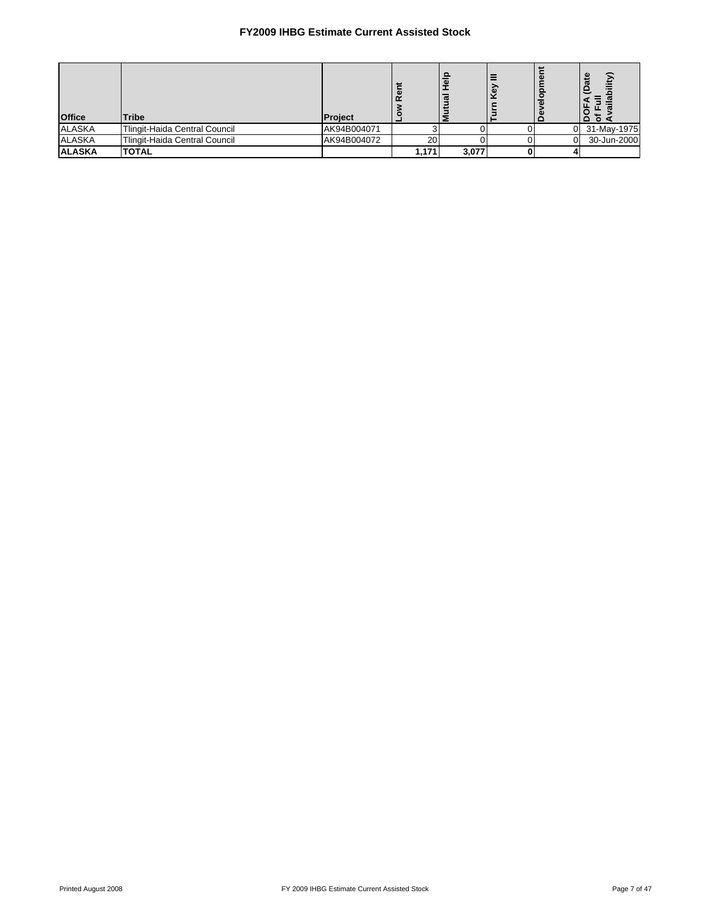| <b>Office</b> | <b>Tribe</b>                  | Project     |       |       |  | യ<br>ਨੌ<br>'e<br><sup>o</sup> |
|---------------|-------------------------------|-------------|-------|-------|--|-------------------------------|
| <b>ALASKA</b> | Tlingit-Haida Central Council | AK94B004071 |       |       |  | 31-May-1975                   |
| <b>ALASKA</b> | Tlingit-Haida Central Council | AK94B004072 | 20    |       |  | 30-Jun-2000                   |
| <b>ALASKA</b> | <b>TOTAL</b>                  |             | 1.171 | 3,077 |  |                               |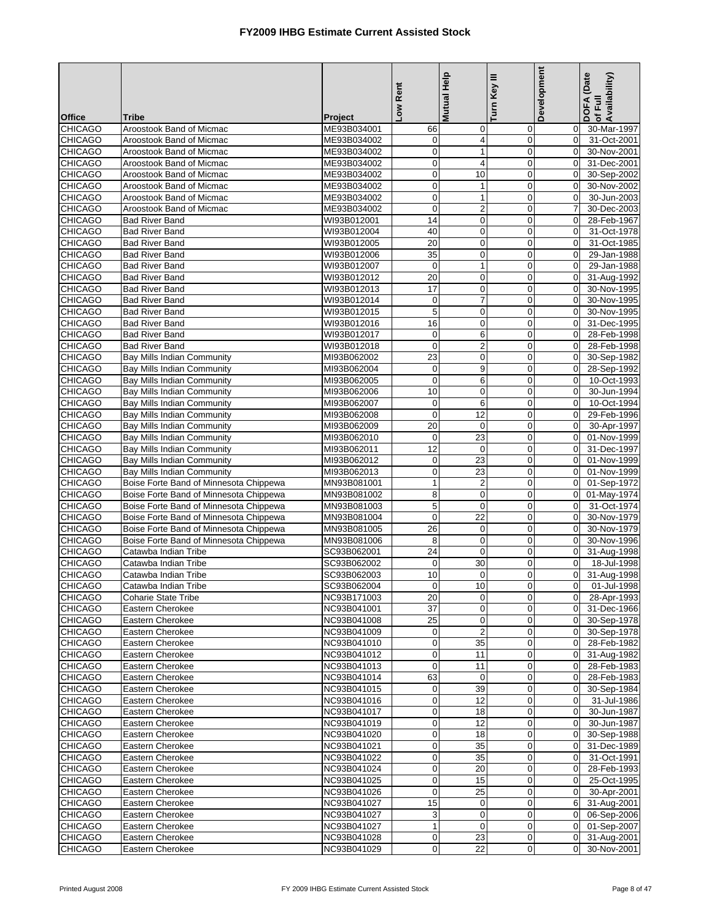| <b>Office</b>                    | <b>Tribe</b>                                             | Project                    | Low Rent               | <b>Mutual Help</b>      | Turn Key III     | Development             | DOFA (Date<br>Availability)<br>of Full |
|----------------------------------|----------------------------------------------------------|----------------------------|------------------------|-------------------------|------------------|-------------------------|----------------------------------------|
| <b>CHICAGO</b>                   | Aroostook Band of Micmac                                 | ME93B034001                | 66                     | $\mathbf 0$             | 0                | $\overline{0}$          | 30-Mar-1997                            |
| <b>CHICAGO</b>                   | Aroostook Band of Micmac                                 | ME93B034002                | $\mathbf 0$            | 4                       | $\boldsymbol{0}$ | $\mathbf 0$             | 31-Oct-2001                            |
| <b>CHICAGO</b>                   | Aroostook Band of Micmac                                 | ME93B034002                | 0                      | $\mathbf{1}$            | $\mathbf 0$      | $\Omega$                | 30-Nov-2001                            |
| <b>CHICAGO</b>                   | Aroostook Band of Micmac                                 | ME93B034002                | $\pmb{0}$              | 4                       | 0                | $\Omega$                | 31-Dec-2001                            |
| <b>CHICAGO</b>                   | Aroostook Band of Micmac                                 | ME93B034002                | $\mathbf 0$            | 10                      | $\mathbf 0$      | $\mathbf 0$             | 30-Sep-2002                            |
| <b>CHICAGO</b>                   | Aroostook Band of Micmac                                 | ME93B034002                | $\pmb{0}$              | $\mathbf 1$             | 0                | $\mathbf 0$             | 30-Nov-2002                            |
| <b>CHICAGO</b>                   | Aroostook Band of Micmac                                 | ME93B034002                | $\mathbf 0$            | $\mathbf{1}$            | 0                | $\mathbf 0$             | 30-Jun-2003                            |
| <b>CHICAGO</b>                   | Aroostook Band of Micmac                                 | ME93B034002                | $\pmb{0}$              | $\overline{c}$          | $\mathbf 0$      | $\overline{7}$          | 30-Dec-2003                            |
| <b>CHICAGO</b>                   | <b>Bad River Band</b>                                    | WI93B012001                | 14                     | 0                       | $\mathbf 0$      | $\Omega$                | 28-Feb-1967                            |
| <b>CHICAGO</b>                   | <b>Bad River Band</b>                                    | WI93B012004                | 40                     | 0                       | $\mathbf 0$      | $\mathbf 0$             | 31-Oct-1978                            |
| <b>CHICAGO</b>                   | <b>Bad River Band</b>                                    | WI93B012005                | 20                     | $\mathbf 0$             | $\mathbf 0$      | $\mathbf 0$             | 31-Oct-1985                            |
| <b>CHICAGO</b>                   | <b>Bad River Band</b>                                    | WI93B012006                | 35                     | $\mathbf 0$             | $\mathbf 0$      | $\Omega$                | 29-Jan-1988                            |
| <b>CHICAGO</b>                   | <b>Bad River Band</b>                                    | WI93B012007                | 0                      | $\mathbf 1$             | 0                | $\mathbf 0$             | 29-Jan-1988                            |
| <b>CHICAGO</b>                   | <b>Bad River Band</b>                                    | WI93B012012                | 20                     | $\mathbf 0$             | $\overline{0}$   | $\mathbf 0$             | 31-Aug-1992                            |
| <b>CHICAGO</b>                   | <b>Bad River Band</b>                                    | WI93B012013                | 17                     | $\mathbf 0$             | 0                | $\Omega$                | 30-Nov-1995                            |
| <b>CHICAGO</b>                   | <b>Bad River Band</b>                                    | WI93B012014                | $\boldsymbol{0}$       | 7                       | $\mathbf 0$      | $\mathbf 0$             | 30-Nov-1995                            |
| <b>CHICAGO</b>                   | <b>Bad River Band</b>                                    | WI93B012015                | 5                      | $\mathbf 0$             | $\mathbf 0$      | $\mathbf 0$             | 30-Nov-1995                            |
| <b>CHICAGO</b>                   | <b>Bad River Band</b>                                    | WI93B012016                | 16                     | $\mathbf 0$             | 0                | $\Omega$                | 31-Dec-1995                            |
| <b>CHICAGO</b>                   | <b>Bad River Band</b>                                    | WI93B012017                | $\mathbf 0$            | 6                       | $\mathbf 0$      | $\mathbf 0$             | 28-Feb-1998                            |
| <b>CHICAGO</b>                   | <b>Bad River Band</b>                                    | WI93B012018                | $\mathbf 0$            | $\overline{2}$          | $\mathbf 0$      | $\Omega$                | 28-Feb-1998                            |
| <b>CHICAGO</b>                   | Bay Mills Indian Community                               | MI93B062002                | 23                     | $\mathbf 0$             | $\mathbf 0$      | $\Omega$                | 30-Sep-1982                            |
| <b>CHICAGO</b>                   | Bay Mills Indian Community                               | MI93B062004                | $\mathbf 0$            | 9                       | $\mathbf 0$      | 0                       | 28-Sep-1992                            |
| <b>CHICAGO</b>                   | Bay Mills Indian Community                               | MI93B062005                | $\mathbf 0$            | 6                       | $\mathbf 0$      | $\mathbf 0$             | 10-Oct-1993                            |
| CHICAGO                          | Bay Mills Indian Community                               | MI93B062006                | 10                     | 0                       | 0                | $\mathbf 0$             | 30-Jun-1994                            |
| <b>CHICAGO</b>                   | Bay Mills Indian Community                               | MI93B062007                | $\mathbf 0$            | 6                       | $\mathbf 0$      | $\Omega$                | 10-Oct-1994                            |
| <b>CHICAGO</b>                   | Bay Mills Indian Community                               | MI93B062008                | $\mathbf 0$            | $\overline{12}$         | $\overline{0}$   | $\Omega$                | 29-Feb-1996                            |
| <b>CHICAGO</b><br><b>CHICAGO</b> | <b>Bay Mills Indian Community</b>                        | MI93B062009                | 20                     | $\mathbf 0$             | $\boldsymbol{0}$ | $\mathbf 0$             | 30-Apr-1997                            |
|                                  | Bay Mills Indian Community                               | MI93B062010                | $\mathbf 0$            | 23                      | $\mathbf 0$<br>0 | $\Omega$<br>$\mathbf 0$ | 01-Nov-1999                            |
| <b>CHICAGO</b><br><b>CHICAGO</b> | Bay Mills Indian Community                               | MI93B062011<br>MI93B062012 | 12<br>$\boldsymbol{0}$ | 0<br>23                 | $\mathbf 0$      | $\mathbf 0$             | 31-Dec-1997<br>01-Nov-1999             |
| <b>CHICAGO</b>                   | Bay Mills Indian Community<br>Bay Mills Indian Community | MI93B062013                | $\pmb{0}$              | 23                      | $\mathbf 0$      | $\mathbf 0$             | 01-Nov-1999                            |
| <b>CHICAGO</b>                   | Boise Forte Band of Minnesota Chippewa                   | MN93B081001                | $\mathbf{1}$           | $\overline{\mathbf{c}}$ | 0                | $\mathbf 0$             | 01-Sep-1972                            |
| <b>CHICAGO</b>                   | Boise Forte Band of Minnesota Chippewa                   | MN93B081002                | 8                      | $\mathbf 0$             | $\mathbf 0$      | $\mathbf 0$             | 01-May-1974                            |
| <b>CHICAGO</b>                   | Boise Forte Band of Minnesota Chippewa                   | MN93B081003                | 5                      | $\mathbf 0$             | $\mathbf 0$      | $\Omega$                | 31-Oct-1974                            |
| <b>CHICAGO</b>                   | Boise Forte Band of Minnesota Chippewa                   | MN93B081004                | $\mathbf 0$            | 22                      | $\mathbf 0$      | $\mathbf 0$             | 30-Nov-1979                            |
| <b>CHICAGO</b>                   | Boise Forte Band of Minnesota Chippewa                   | MN93B081005                | 26                     | $\mathbf 0$             | $\mathbf 0$      | $\Omega$                | 30-Nov-1979                            |
| <b>CHICAGO</b>                   | Boise Forte Band of Minnesota Chippewa                   | MN93B081006                | 8                      | $\mathbf 0$             | $\mathbf 0$      | $\Omega$                | 30-Nov-1996                            |
| <b>CHICAGO</b>                   | Catawba Indian Tribe                                     | SC93B062001                | 24                     | 0                       | 0                | $\mathbf 0$             | 31-Aug-1998                            |
| <b>CHICAGO</b>                   | Catawba Indian Tribe                                     | SC93B062002                | $\Omega$               | 30                      | $\overline{0}$   | $\Omega$                | 18-Jul-1998                            |
| <b>CHICAGO</b>                   | Catawba Indian Tribe                                     | SC93B062003                | 10                     | 0                       | 0                | 0                       | 31-Aug-1998                            |
| <b>CHICAGO</b>                   | Catawba Indian Tribe                                     | SC93B062004                | $\sigma$               | 10                      | $\mathbf{0}$     | $\overline{O}$          | 01-Jul-1998                            |
| <b>CHICAGO</b>                   | <b>Coharie State Tribe</b>                               | NC93B171003                | 20                     | $\mathbf 0$             | $\mathbf 0$      | $\overline{0}$          | 28-Apr-1993                            |
| <b>CHICAGO</b>                   | Eastern Cherokee                                         | NC93B041001                | 37                     | 0                       | 0                | $\overline{0}$          | 31-Dec-1966                            |
| <b>CHICAGO</b>                   | Eastern Cherokee                                         | NC93B041008                | 25                     | $\pmb{0}$               | 0                | $\overline{0}$          | 30-Sep-1978                            |
| <b>CHICAGO</b>                   | Eastern Cherokee                                         | NC93B041009                | $\mathbf 0$            | $\overline{2}$          | 0                | $\overline{0}$          | 30-Sep-1978                            |
| <b>CHICAGO</b>                   | Eastern Cherokee                                         | NC93B041010                | $\mathbf 0$            | 35                      | 0                | $\mathbf 0$             | 28-Feb-1982                            |
| <b>CHICAGO</b>                   | Eastern Cherokee                                         | NC93B041012                | $\mathbf 0$            | 11                      | 0                | $\overline{0}$          | 31-Aug-1982                            |
| <b>CHICAGO</b>                   | Eastern Cherokee                                         | NC93B041013                | $\mathbf 0$            | 11                      | 0                | $\overline{0}$          | 28-Feb-1983                            |
| <b>CHICAGO</b>                   | Eastern Cherokee                                         | NC93B041014                | 63                     | 0                       | 0                | $\mathbf 0$             | 28-Feb-1983                            |
| <b>CHICAGO</b>                   | Eastern Cherokee                                         | NC93B041015                | $\mathbf 0$            | 39                      | $\mathbf 0$      | 0                       | 30-Sep-1984                            |
| <b>CHICAGO</b>                   | Eastern Cherokee                                         | NC93B041016                | $\mathbf 0$            | 12                      | 0                | $\overline{0}$          | $31 -$ Jul-1986                        |
| <b>CHICAGO</b>                   | Eastern Cherokee                                         | NC93B041017                | $\overline{0}$         | 18                      | 0                | $\overline{0}$          | 30-Jun-1987                            |
| <b>CHICAGO</b>                   | Eastern Cherokee                                         | NC93B041019                | $\mathbf 0$            | 12                      | $\mathbf 0$      | $\overline{0}$          | 30-Jun-1987                            |
| <b>CHICAGO</b>                   | Eastern Cherokee                                         | NC93B041020                | 0                      | 18                      | 0                | $\mathbf 0$             | 30-Sep-1988                            |
| <b>CHICAGO</b>                   | Eastern Cherokee                                         | NC93B041021                | $\boldsymbol{0}$       | 35                      | 0                | $\mathbf 0$             | 31-Dec-1989                            |
| <b>CHICAGO</b>                   | Eastern Cherokee                                         | NC93B041022                | $\pmb{0}$              | 35                      | 0                | $\mathbf 0$             | 31-Oct-1991                            |
| <b>CHICAGO</b>                   | Eastern Cherokee                                         | NC93B041024                | $\boldsymbol{0}$       | 20                      | $\pmb{0}$        | 0                       | 28-Feb-1993                            |
| <b>CHICAGO</b>                   | Eastern Cherokee                                         | NC93B041025                | $\mathbf 0$            | 15                      | $\mathbf 0$      | $\mathbf 0$             | 25-Oct-1995                            |
| <b>CHICAGO</b>                   | Eastern Cherokee                                         | NC93B041026                | $\mathbf 0$            | 25                      | 0                | $\mathbf 0$             | 30-Apr-2001                            |
| <b>CHICAGO</b>                   | Eastern Cherokee                                         | NC93B041027                | 15                     | 0                       | 0                | 6                       | 31-Aug-2001                            |
| <b>CHICAGO</b>                   | Eastern Cherokee                                         | NC93B041027                | 3                      | 0                       | 0                | $\mathbf 0$             | $06 - Sep-2006$                        |
| <b>CHICAGO</b>                   | Eastern Cherokee                                         | NC93B041027                | $\mathbf{1}$           | $\mathbf 0$             | 0                | $\overline{0}$          | 01-Sep-2007                            |
| <b>CHICAGO</b>                   | Eastern Cherokee                                         | NC93B041028                | $\mathbf 0$            | 23                      | 0                | $\overline{0}$          | 31-Aug-2001                            |
| <b>CHICAGO</b>                   | Eastern Cherokee                                         | NC93B041029                | $\boldsymbol{0}$       | 22                      | 0                | 0                       | 30-Nov-2001                            |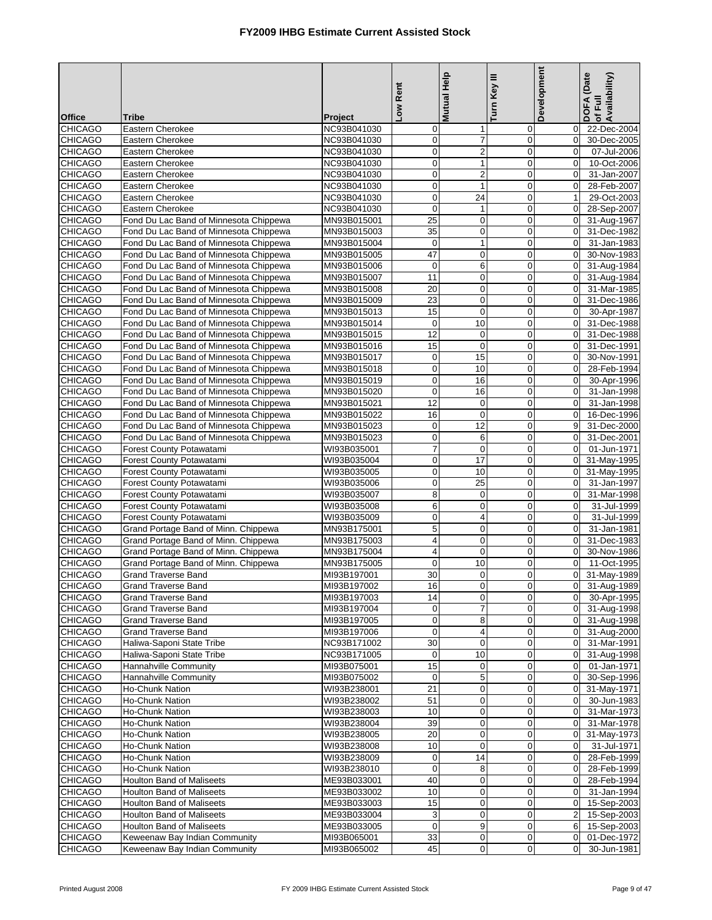|                                  |                                                                                  |                            | Low Rent                   | <b>Mutual Help</b> | Turn Key III               | <b>Development</b>               | DOFA (Date<br>of Full<br>Availability) |
|----------------------------------|----------------------------------------------------------------------------------|----------------------------|----------------------------|--------------------|----------------------------|----------------------------------|----------------------------------------|
| <b>Office</b>                    | <b>Tribe</b>                                                                     | Project                    |                            |                    |                            |                                  |                                        |
| <b>CHICAGO</b>                   | Eastern Cherokee                                                                 | NC93B041030                | $\mathbf 0$                | $\mathbf{1}$       | 0                          | $\mathbf 0$                      | 22-Dec-2004                            |
| <b>CHICAGO</b>                   | Eastern Cherokee                                                                 | NC93B041030                | $\pmb{0}$                  | 7                  | $\pmb{0}$                  | $\mathbf 0$                      | 30-Dec-2005                            |
| <b>CHICAGO</b>                   | Eastern Cherokee                                                                 | NC93B041030                | $\pmb{0}$                  | $\overline{2}$     | $\mathbf 0$                | $\mathbf 0$                      | 07-Jul-2006                            |
| <b>CHICAGO</b>                   | Eastern Cherokee                                                                 | NC93B041030                | $\mathbf 0$                | $\mathbf{1}$       | $\mathbf 0$                | $\mathbf 0$                      | 10-Oct-2006                            |
| <b>CHICAGO</b>                   | Eastern Cherokee                                                                 | NC93B041030                | $\overline{\mathbf{0}}$    | $\mathbf 2$        | $\mathbf 0$                | $\mathbf 0$                      | 31-Jan-2007                            |
| <b>CHICAGO</b>                   | Eastern Cherokee                                                                 | NC93B041030                | $\pmb{0}$                  | $\mathbf{1}$       | $\mathbf 0$                | $\mathbf 0$                      | 28-Feb-2007                            |
| <b>CHICAGO</b><br><b>CHICAGO</b> | Eastern Cherokee<br>Eastern Cherokee                                             | NC93B041030<br>NC93B041030 | $\mathbf 0$<br>$\mathbf 0$ | 24<br>$\mathbf{1}$ | $\mathbf 0$<br>$\mathbf 0$ | $\mathbf{1}$<br>$\overline{0}$   | 29-Oct-2003<br>28-Sep-2007             |
| <b>CHICAGO</b>                   | Fond Du Lac Band of Minnesota Chippewa                                           | MN93B015001                | 25                         | 0                  | $\mathbf 0$                | $\mathbf 0$                      | 31-Aug-1967                            |
| <b>CHICAGO</b>                   | Fond Du Lac Band of Minnesota Chippewa                                           | MN93B015003                | 35                         | $\overline{0}$     | $\mathbf 0$                | $\overline{0}$                   | 31-Dec-1982                            |
| <b>CHICAGO</b>                   | Fond Du Lac Band of Minnesota Chippewa                                           | MN93B015004                | $\boldsymbol{0}$           | $\mathbf{1}$       | $\mathbf 0$                | $\overline{0}$                   | 31-Jan-1983                            |
| <b>CHICAGO</b>                   | Fond Du Lac Band of Minnesota Chippewa                                           | MN93B015005                | 47                         | $\pmb{0}$          | $\mathbf 0$                | $\Omega$                         | 30-Nov-1983                            |
| <b>CHICAGO</b>                   | Fond Du Lac Band of Minnesota Chippewa                                           | MN93B015006                | $\pmb{0}$                  | 6                  | $\mathbf 0$                | $\overline{0}$                   | 31-Aug-1984                            |
| <b>CHICAGO</b>                   | Fond Du Lac Band of Minnesota Chippewa                                           | MN93B015007                | 11                         | $\pmb{0}$          | $\mathbf 0$                | $\mathbf 0$                      | 31-Aug-1984                            |
| <b>CHICAGO</b>                   | Fond Du Lac Band of Minnesota Chippewa                                           | MN93B015008                | 20                         | 0                  | $\mathbf 0$                | $\overline{0}$                   | 31-Mar-1985                            |
| <b>CHICAGO</b>                   | Fond Du Lac Band of Minnesota Chippewa                                           | MN93B015009                | 23                         | $\pmb{0}$          | $\mathbf 0$                | $\mathbf 0$                      | 31-Dec-1986                            |
| <b>CHICAGO</b>                   | Fond Du Lac Band of Minnesota Chippewa                                           | MN93B015013                | 15                         | $\overline{0}$     | $\overline{0}$             | $\overline{0}$                   | 30-Apr-1987                            |
| <b>CHICAGO</b>                   | Fond Du Lac Band of Minnesota Chippewa                                           | MN93B015014                | 0                          | 10                 | 0                          | $\overline{0}$                   | 31-Dec-1988                            |
| <b>CHICAGO</b>                   | Fond Du Lac Band of Minnesota Chippewa                                           | MN93B015015                | 12                         | $\mathbf 0$        | $\mathbf 0$                | $\overline{0}$                   | 31-Dec-1988                            |
| <b>CHICAGO</b>                   | Fond Du Lac Band of Minnesota Chippewa                                           | MN93B015016                | 15                         | $\mathbf 0$        | $\mathbf 0$                | $\mathbf 0$                      | 31-Dec-1991                            |
| <b>CHICAGO</b>                   | Fond Du Lac Band of Minnesota Chippewa                                           | MN93B015017                | $\pmb{0}$<br>$\mathbf 0$   | 15<br>10           | $\mathbf 0$<br>$\mathbf 0$ | $\Omega$<br>$\overline{0}$       | 30-Nov-1991                            |
| <b>CHICAGO</b><br><b>CHICAGO</b> | Fond Du Lac Band of Minnesota Chippewa<br>Fond Du Lac Band of Minnesota Chippewa | MN93B015018<br>MN93B015019 | $\mathbf 0$                | 16                 | $\mathbf 0$                | $\mathbf 0$                      | 28-Feb-1994<br>30-Apr-1996             |
| <b>CHICAGO</b>                   | Fond Du Lac Band of Minnesota Chippewa                                           | MN93B015020                | $\pmb{0}$                  | 16                 | $\mathbf 0$                | $\overline{0}$                   | 31-Jan-1998                            |
| <b>CHICAGO</b>                   | Fond Du Lac Band of Minnesota Chippewa                                           | MN93B015021                | $\overline{12}$            | $\mathbf 0$        | $\mathbf 0$                | $\mathbf 0$                      | 31-Jan-1998                            |
| <b>CHICAGO</b>                   | Fond Du Lac Band of Minnesota Chippewa                                           | MN93B015022                | 16                         | $\mathbf 0$        | $\mathbf 0$                | $\overline{0}$                   | 16-Dec-1996                            |
| <b>CHICAGO</b>                   | Fond Du Lac Band of Minnesota Chippewa                                           | MN93B015023                | $\boldsymbol{0}$           | 12                 | $\mathbf 0$                | 9                                | 31-Dec-2000                            |
| <b>CHICAGO</b>                   | Fond Du Lac Band of Minnesota Chippewa                                           | MN93B015023                | $\pmb{0}$                  | 6                  | $\mathbf 0$                | $\overline{0}$                   | 31-Dec-2001                            |
| <b>CHICAGO</b>                   | Forest County Potawatami                                                         | WI93B035001                | $\overline{7}$             | 0                  | $\mathbf 0$                | $\Omega$                         | 01-Jun-1971                            |
| <b>CHICAGO</b>                   | Forest County Potawatami                                                         | WI93B035004                | $\pmb{0}$                  | $\overline{17}$    | $\mathbf 0$                | $\overline{0}$                   | 31-May-1995                            |
| <b>CHICAGO</b>                   | Forest County Potawatami                                                         | WI93B035005                | $\pmb{0}$                  | 10                 | $\mathbf 0$                | $\mathbf 0$                      | 31-May-1995                            |
| <b>CHICAGO</b>                   | Forest County Potawatami                                                         | WI93B035006                | $\mathbf 0$                | 25                 | $\mathbf 0$                | $\mathbf 0$                      | 31-Jan-1997                            |
| <b>CHICAGO</b>                   | Forest County Potawatami                                                         | WI93B035007                | $\bf 8$                    | $\pmb{0}$          | $\mathbf 0$                | $\overline{0}$                   | 31-Mar-1998                            |
| <b>CHICAGO</b>                   | Forest County Potawatami                                                         | WI93B035008                | 6                          | 0                  | $\mathbf 0$                | $\mathbf 0$                      | 31-Jul-1999                            |
| <b>CHICAGO</b><br><b>CHICAGO</b> | Forest County Potawatami<br>Grand Portage Band of Minn. Chippewa                 | WI93B035009<br>MN93B175001 | $\mathbf 0$<br>$\mathbf 5$ | 4<br>0             | $\mathbf 0$<br>$\mathbf 0$ | $\overline{0}$<br>$\mathbf 0$    | 31-Jul-1999<br>31-Jan-1981             |
| <b>CHICAGO</b>                   | Grand Portage Band of Minn. Chippewa                                             | MN93B175003                | $\overline{\mathbf{r}}$    | $\pmb{0}$          | $\mathbf 0$                | $\mathbf 0$                      | 31-Dec-1983                            |
| <b>CHICAGO</b>                   | Grand Portage Band of Minn. Chippewa                                             | MN93B175004                | $\overline{\mathbf{4}}$    | $\pmb{0}$          | $\mathbf 0$                | $\overline{0}$                   | 30-Nov-1986                            |
| <b>CHICAGO</b>                   | Grand Portage Band of Minn. Chippewa                                             | MN93B175005                | $\mathbf 0$                | 10                 | $\mathbf 0$                | $\Omega$                         | 11-Oct-1995                            |
| <b>CHICAGO</b>                   | <b>Grand Traverse Band</b>                                                       | MI93B197001                | 30                         | 0                  | $\overline{0}$             | $\overline{0}$                   | 31-May-1989                            |
| <b>CHICAGO</b>                   | Grand Traverse Band                                                              | MI93B197002                | 16                         | 0                  | $\overline{0}$             |                                  | 0 31-Aug-1989                          |
| <b>CHICAGO</b>                   | <b>Grand Traverse Band</b>                                                       | MI93B197003                | 14                         | 0                  | $\mathbf 0$                | $\overline{0}$                   | 30-Apr-1995                            |
| <b>CHICAGO</b>                   | <b>Grand Traverse Band</b>                                                       | MI93B197004                | $\mathbf 0$                | 7                  | 0                          | $\overline{0}$                   | 31-Aug-1998                            |
| <b>CHICAGO</b>                   | <b>Grand Traverse Band</b>                                                       | MI93B197005                | $\boldsymbol{0}$           | 8                  | 0                          | $\overline{0}$                   | 31-Aug-1998                            |
| <b>CHICAGO</b>                   | <b>Grand Traverse Band</b>                                                       | MI93B197006                | $\mathbf 0$                | 4                  | 0                          | $\overline{0}$                   | 31-Aug-2000                            |
| <b>CHICAGO</b>                   | Haliwa-Saponi State Tribe                                                        | NC93B171002                | 30                         | $\mathbf 0$        | 0                          | $\overline{0}$                   | 31-Mar-1991                            |
| <b>CHICAGO</b>                   | Haliwa-Saponi State Tribe                                                        | NC93B171005                | $\mathbf 0$                | 10                 | $\mathbf 0$                | $\overline{0}$                   | 31-Aug-1998                            |
| <b>CHICAGO</b>                   | Hannahville Community<br>Hannahville Community                                   | MI93B075001                | 15                         | $\mathbf 0$        | 0                          | $\overline{0}$<br>$\overline{0}$ | 01-Jan-1971                            |
| <b>CHICAGO</b><br><b>CHICAGO</b> | Ho-Chunk Nation                                                                  | MI93B075002<br>WI93B238001 | $\mathbf 0$<br>21          | 5<br>0             | 0<br>0                     | $\mathbf 0$                      | 30-Sep-1996<br>31-May-1971             |
| <b>CHICAGO</b>                   | Ho-Chunk Nation                                                                  | WI93B238002                | 51                         | 0                  | 0                          | $\overline{0}$                   | 30-Jun-1983                            |
| <b>CHICAGO</b>                   | Ho-Chunk Nation                                                                  | WI93B238003                | 10                         | 0                  | 0                          | $\mathbf 0$                      | 31-Mar-1973                            |
| <b>CHICAGO</b>                   | Ho-Chunk Nation                                                                  | WI93B238004                | 39                         | 0                  | $\mathbf 0$                | $\overline{0}$                   | 31-Mar-1978                            |
| <b>CHICAGO</b>                   | Ho-Chunk Nation                                                                  | WI93B238005                | 20                         | 0                  | 0                          | $\overline{0}$                   | 31-May-1973                            |
| <b>CHICAGO</b>                   | Ho-Chunk Nation                                                                  | WI93B238008                | 10                         | $\pmb{0}$          | $\boldsymbol{0}$           | $\overline{0}$                   | 31-Jul-1971                            |
| <b>CHICAGO</b>                   | Ho-Chunk Nation                                                                  | WI93B238009                | $\mathbf 0$                | 14                 | $\mathbf 0$                | $\overline{0}$                   | 28-Feb-1999                            |
| <b>CHICAGO</b>                   | Ho-Chunk Nation                                                                  | WI93B238010                | $\mathbf 0$                | 8                  | 0                          | $\mathbf 0$                      | 28-Feb-1999                            |
| <b>CHICAGO</b>                   | <b>Houlton Band of Maliseets</b>                                                 | ME93B033001                | 40                         | $\mathbf 0$        | 0                          | $\mathbf 0$                      | 28-Feb-1994                            |
| <b>CHICAGO</b>                   | <b>Houlton Band of Maliseets</b>                                                 | ME93B033002                | 10                         | 0                  | 0                          | $\overline{0}$                   | 31-Jan-1994                            |
| <b>CHICAGO</b>                   | <b>Houlton Band of Maliseets</b>                                                 | ME93B033003                | 15                         | 0                  | 0                          | $\overline{0}$                   | 15-Sep-2003                            |
| <b>CHICAGO</b>                   | <b>Houlton Band of Maliseets</b>                                                 | ME93B033004                | 3                          | 0                  | 0                          | $\overline{c}$                   | 15-Sep-2003                            |
| <b>CHICAGO</b>                   | <b>Houlton Band of Maliseets</b>                                                 | ME93B033005                | $\mathbf 0$                | 9                  | 0                          | $6 \mid$                         | 15-Sep-2003                            |
| <b>CHICAGO</b><br><b>CHICAGO</b> | Keweenaw Bay Indian Community<br>Keweenaw Bay Indian Community                   | MI93B065001<br>MI93B065002 | 33<br>45                   | 0<br>$\pmb{0}$     | 0<br>0                     | $\overline{0}$<br>$\overline{0}$ | 01-Dec-1972<br>30-Jun-1981             |
|                                  |                                                                                  |                            |                            |                    |                            |                                  |                                        |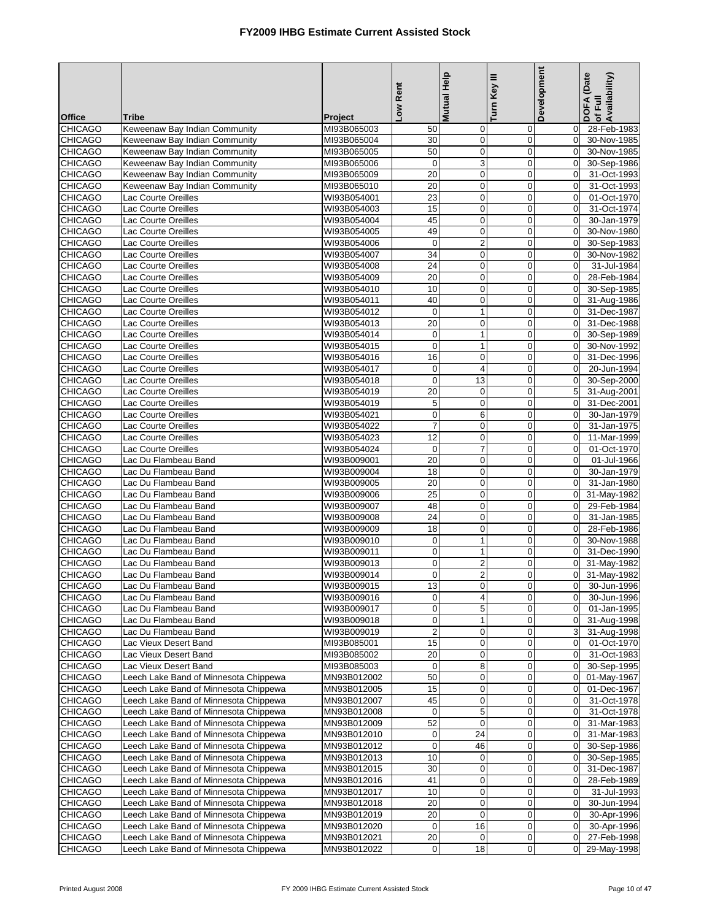| <b>Office</b>                    | Tribe                                                                          | Project                    | Low Rent                        | Mutual Help                | Turn Key III               | <b>Development</b>              | DOFA (Date<br>Availability)<br>of Full |
|----------------------------------|--------------------------------------------------------------------------------|----------------------------|---------------------------------|----------------------------|----------------------------|---------------------------------|----------------------------------------|
| <b>CHICAGO</b>                   | Keweenaw Bay Indian Community                                                  | MI93B065003                | 50                              | $\mathbf 0$                | 0                          | $\mathbf 0$                     | 28-Feb-1983                            |
| <b>CHICAGO</b>                   | Keweenaw Bay Indian Community                                                  | MI93B065004                | 30                              | 0                          | 0                          | $\mathbf 0$                     | 30-Nov-1985                            |
| <b>CHICAGO</b>                   | Keweenaw Bay Indian Community                                                  | MI93B065005                | 50                              | $\mathbf 0$                | $\mathbf 0$                | $\mathbf 0$                     | 30-Nov-1985                            |
| <b>CHICAGO</b>                   | Keweenaw Bay Indian Community                                                  | MI93B065006                | $\pmb{0}$                       | 3                          | $\mathbf 0$                | $\mathbf 0$                     | 30-Sep-1986                            |
| <b>CHICAGO</b>                   | Keweenaw Bay Indian Community                                                  | MI93B065009                | 20                              | 0                          | $\pmb{0}$                  | $\mathbf 0$                     | 31-Oct-1993                            |
| <b>CHICAGO</b>                   | Keweenaw Bay Indian Community                                                  | MI93B065010                | 20                              | $\mathbf 0$                | $\overline{0}$             | $\mathbf 0$                     | 31-Oct-1993                            |
| <b>CHICAGO</b>                   | Lac Courte Oreilles                                                            | WI93B054001                | 23                              | $\mathbf 0$                | $\mathbf 0$                | $\mathbf 0$                     | 01-Oct-1970                            |
| <b>CHICAGO</b><br><b>CHICAGO</b> | Lac Courte Oreilles                                                            | WI93B054003                | 15<br>45                        | $\pmb{0}$                  | $\pmb{0}$                  | $\boldsymbol{0}$<br>$\mathbf 0$ | 31-Oct-1974                            |
| <b>CHICAGO</b>                   | Lac Courte Oreilles<br>Lac Courte Oreilles                                     | WI93B054004<br>WI93B054005 | 49                              | $\mathbf 0$<br>$\mathbf 0$ | $\mathbf 0$<br>$\mathbf 0$ | $\Omega$                        | 30-Jan-1979<br>30-Nov-1980             |
| <b>CHICAGO</b>                   | Lac Courte Oreilles                                                            | WI93B054006                | $\pmb{0}$                       | $\overline{2}$             | $\mathbf 0$                | $\mathbf 0$                     | 30-Sep-1983                            |
| <b>CHICAGO</b>                   | Lac Courte Oreilles                                                            | WI93B054007                | 34                              | $\mathbf 0$                | $\mathbf 0$                | $\mathbf 0$                     | 30-Nov-1982                            |
| <b>CHICAGO</b>                   | Lac Courte Oreilles                                                            | WI93B054008                | 24                              | 0                          | $\mathbf 0$                | $\mathbf 0$                     | 31-Jul-1984                            |
| <b>CHICAGO</b>                   | Lac Courte Oreilles                                                            | WI93B054009                | 20                              | $\mathbf 0$                | $\mathbf 0$                | 0                               | 28-Feb-1984                            |
| <b>CHICAGO</b>                   | Lac Courte Oreilles                                                            | WI93B054010                | 10                              | $\mathbf 0$                | $\mathbf 0$                | $\Omega$                        | 30-Sep-1985                            |
| <b>CHICAGO</b>                   | Lac Courte Oreilles                                                            | WI93B054011                | 40                              | $\mathbf 0$                | 0                          | 0                               | 31-Aug-1986                            |
| <b>CHICAGO</b>                   | Lac Courte Oreilles                                                            | WI93B054012                | $\mathbf 0$                     | $\mathbf{1}$               | $\overline{0}$             | $\mathbf 0$                     | 31-Dec-1987                            |
| <b>CHICAGO</b>                   | Lac Courte Oreilles                                                            | WI93B054013                | 20                              | $\mathbf 0$                | 0                          | $\mathbf 0$                     | 31-Dec-1988                            |
| <b>CHICAGO</b>                   | Lac Courte Oreilles                                                            | WI93B054014                | $\pmb{0}$                       | $\mathbf{1}$               | $\pmb{0}$                  | $\mathbf 0$                     | 30-Sep-1989                            |
| <b>CHICAGO</b>                   | Lac Courte Oreilles                                                            | WI93B054015                | $\mathbf 0$                     | $\mathbf{1}$               | $\overline{0}$             | $\Omega$                        | 30-Nov-1992                            |
| <b>CHICAGO</b>                   | Lac Courte Oreilles                                                            | WI93B054016                | 16                              | $\mathbf 0$                | 0                          | $\mathbf 0$                     | 31-Dec-1996                            |
| <b>CHICAGO</b><br><b>CHICAGO</b> | Lac Courte Oreilles<br>Lac Courte Oreilles                                     | WI93B054017<br>WI93B054018 | $\boldsymbol{0}$<br>$\mathbf 0$ | 4<br>13                    | $\mathbf 0$<br>$\mathbf 0$ | $\mathbf 0$<br>$\mathbf 0$      | 20-Jun-1994<br>30-Sep-2000             |
| <b>CHICAGO</b>                   | Lac Courte Oreilles                                                            | WI93B054019                | 20                              | 0                          | $\mathbf 0$                | 5                               | 31-Aug-2001                            |
| <b>CHICAGO</b>                   | Lac Courte Oreilles                                                            | WI93B054019                | 5                               | $\mathbf 0$                | $\mathbf 0$                | $\pmb{0}$                       | 31-Dec-2001                            |
| <b>CHICAGO</b>                   | Lac Courte Oreilles                                                            | WI93B054021                | $\mathbf 0$                     | 6                          | $\mathbf 0$                | $\mathbf 0$                     | 30-Jan-1979                            |
| <b>CHICAGO</b>                   | Lac Courte Oreilles                                                            | WI93B054022                | $\overline{7}$                  | 0                          | $\mathbf 0$                | $\mathbf 0$                     | 31-Jan-1975                            |
| <b>CHICAGO</b>                   | Lac Courte Oreilles                                                            | WI93B054023                | 12                              | $\mathbf 0$                | $\mathbf 0$                | $\mathbf 0$                     | 11-Mar-1999                            |
| <b>CHICAGO</b>                   | Lac Courte Oreilles                                                            | WI93B054024                | $\mathbf 0$                     | 7                          | $\mathbf 0$                | $\mathbf 0$                     | 01-Oct-1970                            |
| <b>CHICAGO</b>                   | Lac Du Flambeau Band                                                           | WI93B009001                | 20                              | $\mathbf 0$                | 0                          | $\mathbf 0$                     | 01-Jul-1966                            |
| <b>CHICAGO</b>                   | Lac Du Flambeau Band                                                           | WI93B009004                | 18                              | $\mathbf 0$                | $\overline{0}$             | $\mathbf 0$                     | 30-Jan-1979                            |
| <b>CHICAGO</b>                   | Lac Du Flambeau Band                                                           | WI93B009005                | 20                              | $\mathbf 0$                | $\mathbf 0$                | $\mathbf 0$                     | 31-Jan-1980                            |
| <b>CHICAGO</b>                   | Lac Du Flambeau Band                                                           | WI93B009006                | $\overline{25}$                 | $\pmb{0}$                  | $\boldsymbol{0}$           | $\mathbf 0$                     | 31-May-1982                            |
| <b>CHICAGO</b><br><b>CHICAGO</b> | Lac Du Flambeau Band<br>Lac Du Flambeau Band                                   | WI93B009007<br>WI93B009008 | 48<br>24                        | $\mathbf 0$<br>$\mathbf 0$ | $\mathbf 0$<br>$\mathbf 0$ | $\mathbf 0$<br>$\mathbf 0$      | 29-Feb-1984<br>31-Jan-1985             |
| <b>CHICAGO</b>                   | Lac Du Flambeau Band                                                           | WI93B009009                | 18                              | 0                          | $\mathbf 0$                | $\mathbf 0$                     | 28-Feb-1986                            |
| <b>CHICAGO</b>                   | Lac Du Flambeau Band                                                           | WI93B009010                | $\pmb{0}$                       | $\mathbf{1}$               | $\mathbf 0$                | $\mathbf 0$                     | 30-Nov-1988                            |
| CHICAGO                          | Lac Du Flambeau Band                                                           | WI93B009011                | $\pmb{0}$                       | $\mathbf{1}$               | $\mathbf 0$                | $\Omega$                        | 31-Dec-1990                            |
| <b>CHICAGO</b>                   | Lac Du Flambeau Band                                                           | WI93B009013                | $\pmb{0}$                       | 2                          | 0                          | 0                               | 31-May-1982                            |
| <b>CHICAGO</b>                   | Lac Du Flambeau Band                                                           | WI93B009014                | $\mathbf 0$                     | 2                          | $\overline{0}$             | $\mathbf 0$                     | 31-May-1982                            |
| <b>CHICAGO</b>                   | Lac Du Flambeau Band                                                           | WI93B009015                | 13                              | 0                          | $\mathbf 0$                | $\overline{0}$                  | 30-Jun-1996                            |
| <b>CHICAGO</b>                   | Lac Du Flambeau Band                                                           | WI93B009016                | $\overline{0}$                  | 4                          | $\mathbf 0$                | $\mathbf 0$                     | 30-Jun-1996                            |
| <b>CHICAGO</b>                   | Lac Du Flambeau Band                                                           | WI93B009017                | $\mathbf 0$                     | 5                          | 0                          | $\overline{0}$                  | 01-Jan-1995                            |
| <b>CHICAGO</b>                   | Lac Du Flambeau Band                                                           | WI93B009018                | $\pmb{0}$                       | $\mathbf{1}$               | 0                          | $\mathbf 0$                     | 31-Aug-1998                            |
| <b>CHICAGO</b><br><b>CHICAGO</b> | Lac Du Flambeau Band                                                           | WI93B009019                | $\overline{c}$                  | 0                          | 0                          | 3                               | 31-Aug-1998                            |
| <b>CHICAGO</b>                   | Lac Vieux Desert Band<br>Lac Vieux Desert Band                                 | MI93B085001<br>MI93B085002 | 15<br>20                        | 0<br>0                     | 0<br>0                     | $\mathbf 0$<br>$\mathbf 0$      | 01-Oct-1970<br>31-Oct-1983             |
| <b>CHICAGO</b>                   | Lac Vieux Desert Band                                                          | MI93B085003                | $\mathbf 0$                     | 8                          | 0                          | $\overline{0}$                  | 30-Sep-1995                            |
| <b>CHICAGO</b>                   | Leech Lake Band of Minnesota Chippewa                                          | MN93B012002                | 50                              | 0                          | $\mathbf 0$                | 0                               | 01-May-1967                            |
| <b>CHICAGO</b>                   | Leech Lake Band of Minnesota Chippewa                                          | MN93B012005                | 15                              | 0                          | $\mathbf 0$                | $\mathbf 0$                     | 01-Dec-1967                            |
| <b>CHICAGO</b>                   | Leech Lake Band of Minnesota Chippewa                                          | MN93B012007                | 45                              | 0                          | $\mathbf 0$                | $\overline{0}$                  | 31-Oct-1978                            |
| <b>CHICAGO</b>                   | Leech Lake Band of Minnesota Chippewa                                          | MN93B012008                | $\mathbf 0$                     | 5                          | 0                          | $\mathbf 0$                     | 31-Oct-1978                            |
| <b>CHICAGO</b>                   | Leech Lake Band of Minnesota Chippewa                                          | MN93B012009                | 52                              | 0                          | 0                          | $\mathbf 0$                     | 31-Mar-1983                            |
| <b>CHICAGO</b>                   | Leech Lake Band of Minnesota Chippewa                                          | MN93B012010                | $\boldsymbol{0}$                | 24                         | 0                          | 0                               | 31-Mar-1983                            |
| <b>CHICAGO</b>                   | Leech Lake Band of Minnesota Chippewa                                          | MN93B012012                | $\boldsymbol{0}$                | 46                         | 0                          | 0                               | 30-Sep-1986                            |
| <b>CHICAGO</b>                   | Leech Lake Band of Minnesota Chippewa                                          | MN93B012013                | 10                              | 0                          | 0                          | 0                               | 30-Sep-1985                            |
| <b>CHICAGO</b>                   | Leech Lake Band of Minnesota Chippewa                                          | MN93B012015                | 30                              | 0                          | 0                          | 0                               | 31-Dec-1987                            |
| <b>CHICAGO</b><br><b>CHICAGO</b> | Leech Lake Band of Minnesota Chippewa                                          | MN93B012016                | 41                              | $\pmb{0}$                  | 0                          | $\mathbf 0$                     | 28-Feb-1989                            |
| <b>CHICAGO</b>                   | Leech Lake Band of Minnesota Chippewa<br>Leech Lake Band of Minnesota Chippewa | MN93B012017<br>MN93B012018 | 10<br>20                        | 0<br>0                     | 0<br>0                     | $\mathbf 0$<br>0                | 31-Jul-1993<br>30-Jun-1994             |
| <b>CHICAGO</b>                   | Leech Lake Band of Minnesota Chippewa                                          | MN93B012019                | 20                              | 0                          | $\mathbf 0$                | $\mathbf 0$                     | 30-Apr-1996                            |
| <b>CHICAGO</b>                   | Leech Lake Band of Minnesota Chippewa                                          | MN93B012020                | $\mathbf 0$                     | 16                         | 0                          | $\mathbf 0$                     | 30-Apr-1996                            |
| <b>CHICAGO</b>                   | Leech Lake Band of Minnesota Chippewa                                          | MN93B012021                | 20                              | 0                          | 0                          | 0                               | 27-Feb-1998                            |
| <b>CHICAGO</b>                   | Leech Lake Band of Minnesota Chippewa                                          | MN93B012022                | $\boldsymbol{0}$                | $\overline{18}$            | $\pmb{0}$                  | 0                               | 29-May-1998                            |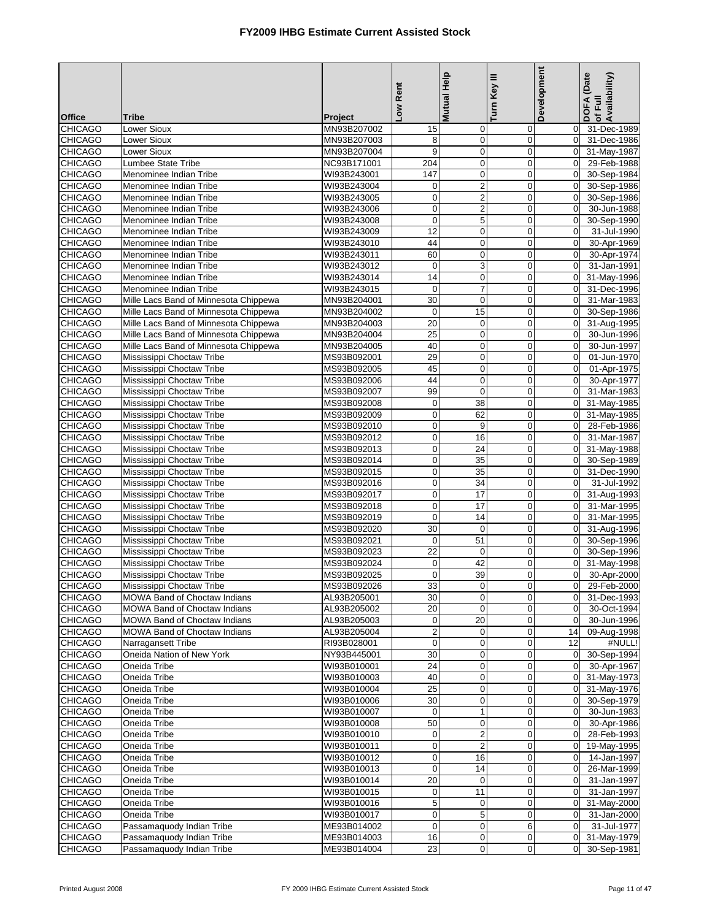|                                  |                                                        |                            | Low Rent                   | <b>Mutual Help</b>          | Turn Key III               | Development                      | DOFA (Date<br> of Full<br> Availability) |
|----------------------------------|--------------------------------------------------------|----------------------------|----------------------------|-----------------------------|----------------------------|----------------------------------|------------------------------------------|
| <b>Office</b>                    | <b>Tribe</b>                                           | Project                    |                            |                             |                            |                                  |                                          |
| <b>CHICAGO</b>                   | Lower Sioux                                            | MN93B207002                | 15                         | $\mathbf 0$                 | 0                          | $\mathbf 0$                      | 31-Dec-1989                              |
| <b>CHICAGO</b>                   | <b>Lower Sioux</b>                                     | MN93B207003                | 8                          | $\pmb{0}$                   | $\mathbf 0$                | $\overline{0}$                   | 31-Dec-1986                              |
| <b>CHICAGO</b>                   | <b>Lower Sioux</b>                                     | MN93B207004                | 9                          | $\mathbf 0$                 | $\mathbf 0$                | $\Omega$                         | 31-May-1987                              |
| <b>CHICAGO</b>                   | Lumbee State Tribe                                     | NC93B171001                | 204                        | $\mathbf 0$                 | $\mathbf 0$                | $\overline{0}$                   | 29-Feb-1988                              |
| CHICAGO<br><b>CHICAGO</b>        | Menominee Indian Tribe<br>Menominee Indian Tribe       | WI93B243001<br>WI93B243004 | 147<br>$\mathbf 0$         | $\pmb{0}$<br>$\overline{2}$ | $\mathbf 0$<br>$\mathbf 0$ | $\overline{0}$<br>$\overline{0}$ | 30-Sep-1984<br>30-Sep-1986               |
| <b>CHICAGO</b>                   | Menominee Indian Tribe                                 | WI93B243005                | $\overline{0}$             | $\boldsymbol{2}$            | 0                          | $\overline{0}$                   | 30-Sep-1986                              |
| <b>CHICAGO</b>                   | Menominee Indian Tribe                                 | WI93B243006                | $\mathbf 0$                | $\overline{2}$              | $\mathbf 0$                | $\mathbf 0$                      | 30-Jun-1988                              |
| <b>CHICAGO</b>                   | Menominee Indian Tribe                                 | WI93B243008                | $\mathbf 0$                | $\mathbf 5$                 | $\mathbf 0$                | $\overline{0}$                   | 30-Sep-1990                              |
| <b>CHICAGO</b>                   | Menominee Indian Tribe                                 | WI93B243009                | $\overline{12}$            | $\overline{0}$              | $\mathbf 0$                | $\mathbf 0$                      | 31-Jul-1990                              |
| <b>CHICAGO</b>                   | Menominee Indian Tribe                                 | WI93B243010                | 44                         | $\mathbf 0$                 | $\mathbf 0$                | $\Omega$                         | 30-Apr-1969                              |
| <b>CHICAGO</b>                   | Menominee Indian Tribe                                 | WI93B243011                | 60                         | $\pmb{0}$                   | $\mathbf 0$                | $\mathbf{0}$                     | 30-Apr-1974                              |
| <b>CHICAGO</b>                   | Menominee Indian Tribe                                 | WI93B243012                | $\overline{0}$             | $\ensuremath{\mathsf{3}}$   | $\mathbf 0$                | $\overline{0}$                   | 31-Jan-1991                              |
| <b>CHICAGO</b>                   | Menominee Indian Tribe                                 | WI93B243014                | $\overline{14}$            | $\mathbf 0$                 | $\mathbf 0$                | $\mathbf{0}$                     | 31-May-1996                              |
| <b>CHICAGO</b>                   | Menominee Indian Tribe                                 | WI93B243015                | $\mathbf 0$                | $\overline{7}$              | $\mathbf 0$                | $\overline{0}$                   | 31-Dec-1996                              |
| <b>CHICAGO</b>                   | Mille Lacs Band of Minnesota Chippewa                  | MN93B204001                | 30                         | $\pmb{0}$                   | $\mathbf 0$                | $\overline{0}$                   | 31-Mar-1983                              |
| <b>CHICAGO</b>                   | Mille Lacs Band of Minnesota Chippewa                  | MN93B204002                | $\mathbf 0$                | 15                          | $\mathbf 0$                | $\Omega$                         | 30-Sep-1986                              |
| <b>CHICAGO</b>                   | Mille Lacs Band of Minnesota Chippewa                  | MN93B204003                | 20                         | $\mathbf 0$                 | $\mathbf 0$                | $\overline{0}$                   | 31-Aug-1995                              |
| <b>CHICAGO</b>                   | Mille Lacs Band of Minnesota Chippewa                  | MN93B204004                | $\overline{25}$            | $\mathbf 0$                 | $\mathbf 0$                | $\mathbf 0$                      | 30-Jun-1996                              |
| <b>CHICAGO</b>                   | Mille Lacs Band of Minnesota Chippewa                  | MN93B204005                | 40                         | $\mathbf 0$                 | $\mathbf 0$                | $\mathbf{0}$                     | 30-Jun-1997                              |
| <b>CHICAGO</b>                   | Mississippi Choctaw Tribe                              | MS93B092001                | 29                         | $\pmb{0}$                   | $\mathbf 0$                | $\mathbf{0}$                     | 01-Jun-1970                              |
| <b>CHICAGO</b>                   | Mississippi Choctaw Tribe                              | MS93B092005                | 45                         | $\mathbf 0$                 | $\mathbf 0$                | $\overline{0}$                   | 01-Apr-1975                              |
| <b>CHICAGO</b>                   | Mississippi Choctaw Tribe                              | MS93B092006                | 44                         | $\mathbf 0$                 | $\mathbf 0$                | $\mathbf 0$                      | 30-Apr-1977                              |
| CHICAGO                          | Mississippi Choctaw Tribe                              | MS93B092007                | 99                         | $\pmb{0}$                   | $\pmb{0}$                  | $\mathbf{0}$                     | 31-Mar-1983                              |
| <b>CHICAGO</b>                   | Mississippi Choctaw Tribe                              | MS93B092008                | $\mathbf 0$                | 38                          | $\mathbf 0$                | $\mathbf 0$                      | 31-May-1985                              |
| <b>CHICAGO</b>                   | Mississippi Choctaw Tribe                              | MS93B092009                | $\mathbf 0$                | 62                          | $\mathbf 0$                | $\overline{0}$                   | 31-May-1985                              |
| <b>CHICAGO</b>                   | Mississippi Choctaw Tribe                              | MS93B092010                | $\overline{0}$             | 9                           | $\mathbf 0$                | $\overline{0}$<br>$\Omega$       | 28-Feb-1986                              |
| <b>CHICAGO</b><br><b>CHICAGO</b> | Mississippi Choctaw Tribe<br>Mississippi Choctaw Tribe | MS93B092012<br>MS93B092013 | $\mathbf 0$<br>$\mathbf 0$ | 16<br>24                    | $\mathbf 0$<br>$\mathbf 0$ | $\overline{0}$                   | 31-Mar-1987<br>31-May-1988               |
| <b>CHICAGO</b>                   | Mississippi Choctaw Tribe                              | MS93B092014                | $\overline{0}$             | 35                          | $\mathbf 0$                | $\overline{0}$                   | 30-Sep-1989                              |
| <b>CHICAGO</b>                   | Mississippi Choctaw Tribe                              | MS93B092015                | $\mathbf 0$                | 35                          | $\mathbf 0$                | $\mathbf{0}$                     | 31-Dec-1990                              |
| <b>CHICAGO</b>                   | Mississippi Choctaw Tribe                              | MS93B092016                | $\overline{0}$             | 34                          | $\mathbf 0$                | $\overline{0}$                   | 31-Jul-1992                              |
| <b>CHICAGO</b>                   | Mississippi Choctaw Tribe                              | MS93B092017                | $\mathbf 0$                | $\overline{17}$             | $\mathbf 0$                | $\overline{0}$                   | 31-Aug-1993                              |
| <b>CHICAGO</b>                   | Mississippi Choctaw Tribe                              | MS93B092018                | $\mathbf 0$                | $\overline{17}$             | $\mathbf 0$                | $\overline{0}$                   | 31-Mar-1995                              |
| <b>CHICAGO</b>                   | Mississippi Choctaw Tribe                              | MS93B092019                | $\overline{0}$             | 14                          | $\pmb{0}$                  | $\mathbf{0}$                     | 31-Mar-1995                              |
| <b>CHICAGO</b>                   | Mississippi Choctaw Tribe                              | MS93B092020                | 30                         | $\mathbf 0$                 | $\mathbf 0$                | $\Omega$                         | 31-Aug-1996                              |
| <b>CHICAGO</b>                   | Mississippi Choctaw Tribe                              | MS93B092021                | $\mathbf 0$                | 51                          | $\mathbf 0$                | $\mathbf{0}$                     | 30-Sep-1996                              |
| <b>CHICAGO</b>                   | Mississippi Choctaw Tribe                              | MS93B092023                | 22                         | 0                           | $\pmb{0}$                  | $\overline{0}$                   | 30-Sep-1996                              |
| <b>CHICAGO</b>                   | Mississippi Choctaw Tribe                              | MS93B092024                | 0                          | 42                          | $\mathbf 0$                | $\Omega$                         | 31-May-1998                              |
| <b>CHICAGO</b>                   | Mississippi Choctaw Tribe                              | MS93B092025                | $\mathbf{0}$               | 39                          | $\mathbf 0$                | $\overline{0}$                   | 30-Apr-2000                              |
| <b>CHICAGO</b>                   | Mississippi Choctaw Tribe                              | MS93B092026                | 33                         | <sub>U</sub>                | $\pmb{0}$                  |                                  | 0 29-Feb-2000                            |
| <b>CHICAGO</b>                   | <b>MOWA Band of Choctaw Indians</b>                    | AL93B205001                | 30                         | $\mathbf 0$                 | $\mathbf 0$                | $\overline{0}$                   | 31-Dec-1993                              |
| <b>CHICAGO</b>                   | <b>MOWA Band of Choctaw Indians</b>                    | AL93B205002                | 20                         | $\mathbf 0$                 | 0                          | $\overline{0}$                   | 30-Oct-1994                              |
| <b>CHICAGO</b>                   | MOWA Band of Choctaw Indians                           | AL93B205003                | $\mathbf 0$                | 20                          | $\mathbf 0$                | $\overline{0}$                   | 30-Jun-1996                              |
| <b>CHICAGO</b>                   | MOWA Band of Choctaw Indians                           | AL93B205004                | $\overline{a}$             | $\mathbf 0$                 | $\mathbf 0$                | 14                               | 09-Aug-1998                              |
| <b>CHICAGO</b>                   | Narragansett Tribe                                     | RI93B028001                | $\overline{0}$             | $\mathbf 0$                 | 0                          | 12                               | #NULL!                                   |
| <b>CHICAGO</b>                   | Oneida Nation of New York                              | NY93B445001                | 30                         | $\mathbf 0$                 | $\mathbf 0$                | $\overline{0}$<br>$\overline{0}$ | 30-Sep-1994                              |
| <b>CHICAGO</b>                   | Oneida Tribe<br>Oneida Tribe                           | WI93B010001<br>WI93B010003 | 24<br>40                   | $\mathbf 0$<br>$\pmb{0}$    | $\mathbf 0$                |                                  | 30-Apr-1967                              |
| <b>CHICAGO</b><br><b>CHICAGO</b> | Oneida Tribe                                           | WI93B010004                | 25                         | $\mathbf 0$                 | 0<br>$\mathbf 0$           | $\overline{0}$                   | 0 31-May-1973<br>31-May-1976             |
| <b>CHICAGO</b>                   | Oneida Tribe                                           | WI93B010006                | 30                         | $\pmb{0}$                   | 0                          | $\overline{0}$                   | 30-Sep-1979                              |
| <b>CHICAGO</b>                   | Oneida Tribe                                           | WI93B010007                | $\overline{0}$             | $\mathbf{1}$                | $\mathbf 0$                | $\overline{0}$                   | 30-Jun-1983                              |
| <b>CHICAGO</b>                   | Oneida Tribe                                           | WI93B010008                | 50                         | $\mathbf 0$                 | $\mathbf 0$                | $\overline{0}$                   | 30-Apr-1986                              |
| <b>CHICAGO</b>                   | Oneida Tribe                                           | WI93B010010                | $\mathbf 0$                | 2                           | $\mathbf 0$                | $\overline{0}$                   | 28-Feb-1993                              |
| <b>CHICAGO</b>                   | Oneida Tribe                                           | WI93B010011                | $\overline{0}$             | 2                           | $\mathbf 0$                | $\overline{0}$                   | 19-May-1995                              |
| <b>CHICAGO</b>                   | Oneida Tribe                                           | WI93B010012                | $\overline{0}$             | 16                          | $\mathbf 0$                | $\overline{0}$                   | 14-Jan-1997                              |
| <b>CHICAGO</b>                   | Oneida Tribe                                           | WI93B010013                | $\overline{0}$             | 14                          | 0                          | $\overline{0}$                   | 26-Mar-1999                              |
| <b>CHICAGO</b>                   | Oneida Tribe                                           | WI93B010014                | 20                         | $\mathbf 0$                 | $\mathbf 0$                | $\overline{0}$                   | $\overline{31}$ -Jan-1997                |
| <b>CHICAGO</b>                   | Oneida Tribe                                           | WI93B010015                | $\overline{0}$             | 11                          | $\mathbf 0$                | $\overline{0}$                   | 31-Jan-1997                              |
| <b>CHICAGO</b>                   | Oneida Tribe                                           | WI93B010016                | $\sqrt{5}$                 | $\pmb{0}$                   | 0                          | $\overline{0}$                   | 31-May-2000                              |
| <b>CHICAGO</b>                   | Oneida Tribe                                           | WI93B010017                | $\mathbf 0$                | 5                           | $\mathbf 0$                | $\overline{0}$                   | 31-Jan-2000                              |
| <b>CHICAGO</b>                   | Passamaquody Indian Tribe                              | ME93B014002                | $\overline{0}$             | 0                           | 6                          | $\overline{0}$                   | 31-Jul-1977                              |
| <b>CHICAGO</b>                   | Passamaquody Indian Tribe                              | ME93B014003                | 16                         | $\mathbf 0$                 | 0                          |                                  | 0 31-May-1979                            |
| <b>CHICAGO</b>                   | Passamaquody Indian Tribe                              | ME93B014004                | 23                         | $\pmb{0}$                   | 0                          |                                  | 0 30-Sep-1981                            |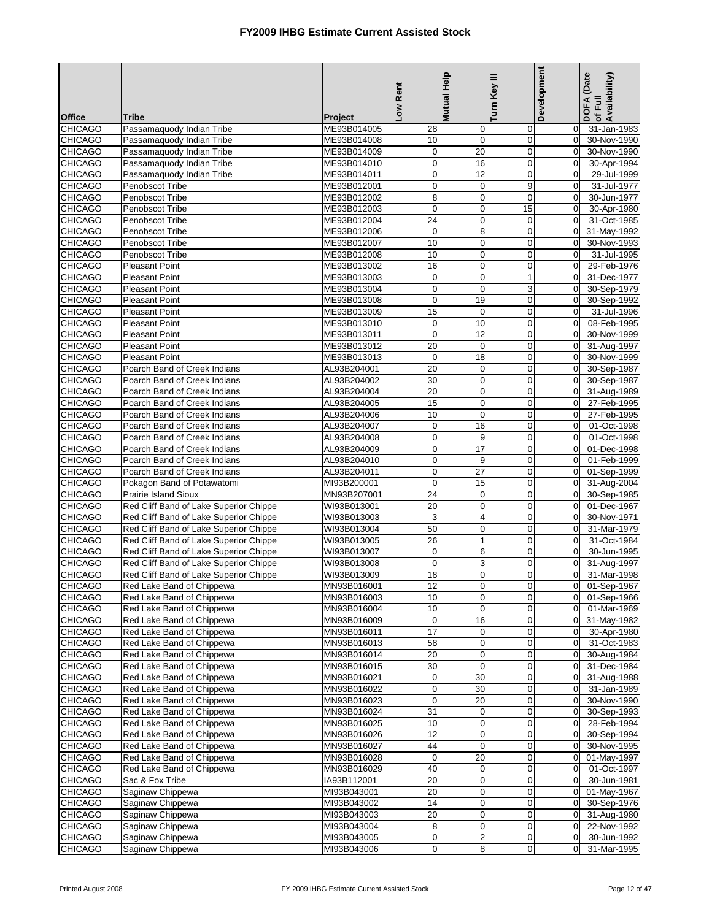|                                  |                                                        |                            | Low Rent          | Mutual Help             | Turn Key III      | Development                      | DOFA (Date<br>of Full<br>Availability) |
|----------------------------------|--------------------------------------------------------|----------------------------|-------------------|-------------------------|-------------------|----------------------------------|----------------------------------------|
| <b>Office</b>                    | <b>Tribe</b>                                           | Project                    |                   |                         |                   |                                  |                                        |
| <b>CHICAGO</b>                   | Passamaquody Indian Tribe                              | ME93B014005                | 28                | $\mathbf 0$             | $\mathbf 0$       | $\overline{0}$                   | 31-Jan-1983                            |
| <b>CHICAGO</b>                   | Passamaquody Indian Tribe                              | ME93B014008                | 10                | $\pmb{0}$               | $\mathbf 0$       | $\overline{0}$                   | 30-Nov-1990                            |
| <b>CHICAGO</b>                   | Passamaquody Indian Tribe                              | ME93B014009                | $\pmb{0}$         | 20                      | $\mathbf 0$       | $\overline{0}$                   | 30-Nov-1990                            |
| <b>CHICAGO</b>                   | Passamaquody Indian Tribe                              | ME93B014010                | $\pmb{0}$         | 16                      | $\mathbf 0$       | $\overline{0}$                   | 30-Apr-1994                            |
| <b>CHICAGO</b>                   | Passamaquody Indian Tribe                              | ME93B014011                | $\mathbf 0$       | 12                      | 0                 | $\mathbf 0$                      | 29-Jul-1999                            |
| <b>CHICAGO</b>                   | Penobscot Tribe                                        | ME93B012001                | $\mathbf 0$       | $\mathbf 0$             | 9                 | $\mathbf 0$                      | 31-Jul-1977                            |
| <b>CHICAGO</b>                   | Penobscot Tribe<br>Penobscot Tribe                     | ME93B012002<br>ME93B012003 | 8<br>$\mathbf 0$  | $\mathbf 0$             | $\mathbf 0$<br>15 | $\Omega$                         | 30-Jun-1977                            |
| CHICAGO<br><b>CHICAGO</b>        | Penobscot Tribe                                        |                            | 24                | $\pmb{0}$<br>0          | $\mathbf 0$       | $\mathbf 0$<br>$\Omega$          | 30-Apr-1980<br>31-Oct-1985             |
| <b>CHICAGO</b>                   | Penobscot Tribe                                        | ME93B012004<br>ME93B012006 | 0                 | 8                       | $\mathbf 0$       | $\overline{0}$                   | 31-May-1992                            |
| <b>CHICAGO</b>                   | Penobscot Tribe                                        | ME93B012007                | 10                | 0                       | $\mathbf 0$       | $\overline{0}$                   | 30-Nov-1993                            |
| CHICAGO                          | Penobscot Tribe                                        | ME93B012008                | 10                | $\pmb{0}$               | $\mathbf 0$       | $\Omega$                         | 31-Jul-1995                            |
| <b>CHICAGO</b>                   | <b>Pleasant Point</b>                                  | ME93B013002                | 16                | $\pmb{0}$               | $\mathbf 0$       | $\overline{0}$                   | 29-Feb-1976                            |
| CHICAGO                          | <b>Pleasant Point</b>                                  | ME93B013003                | $\boldsymbol{0}$  | $\mathbf 0$             | $\mathbf{1}$      | $\overline{0}$                   | 31-Dec-1977                            |
| <b>CHICAGO</b>                   | <b>Pleasant Point</b>                                  | ME93B013004                | $\pmb{0}$         | 0                       | 3                 | $\Omega$                         | 30-Sep-1979                            |
| CHICAGO                          | <b>Pleasant Point</b>                                  | ME93B013008                | $\pmb{0}$         | 19                      | $\mathbf 0$       | $\mathbf 0$                      | 30-Sep-1992                            |
| CHICAGO                          | <b>Pleasant Point</b>                                  | ME93B013009                | 15                | 0                       | $\mathbf 0$       | $\mathbf 0$                      | 31-Jul-1996                            |
| CHICAGO                          | <b>Pleasant Point</b>                                  | ME93B013010                | $\mathbf 0$       | 10                      | 0                 | $\Omega$                         | 08-Feb-1995                            |
| CHICAGO                          | <b>Pleasant Point</b>                                  | ME93B013011                | $\mathbf 0$       | 12                      | $\mathbf 0$       | $\overline{0}$                   | 30-Nov-1999                            |
| <b>CHICAGO</b>                   | <b>Pleasant Point</b>                                  | ME93B013012                | 20                | $\mathbf 0$             | $\mathbf 0$       | $\overline{0}$                   | 31-Aug-1997                            |
| <b>CHICAGO</b>                   | <b>Pleasant Point</b>                                  | ME93B013013                | $\mathbf 0$       | 18                      | $\mathbf 0$       | $\Omega$                         | 30-Nov-1999                            |
| <b>CHICAGO</b>                   | Poarch Band of Creek Indians                           | AL93B204001                | $\overline{20}$   | $\pmb{0}$               | $\mathbf 0$       | $\overline{0}$                   | 30-Sep-1987                            |
| <b>CHICAGO</b>                   | Poarch Band of Creek Indians                           | AL93B204002                | 30                | $\pmb{0}$               | $\mathbf 0$       | $\Omega$                         | 30-Sep-1987                            |
| <b>CHICAGO</b>                   | Poarch Band of Creek Indians                           | AL93B204004                | 20                | 0                       | $\mathbf 0$       | $\overline{0}$                   | 31-Aug-1989                            |
| <b>CHICAGO</b>                   | Poarch Band of Creek Indians                           | AL93B204005                | 15                | 0                       | $\mathbf 0$       | $\overline{0}$                   | 27-Feb-1995                            |
| <b>CHICAGO</b>                   | Poarch Band of Creek Indians                           | AL93B204006                | 10                | $\mathbf 0$             | $\mathbf 0$       | $\overline{0}$                   | 27-Feb-1995                            |
| <b>CHICAGO</b>                   | Poarch Band of Creek Indians                           | AL93B204007                | 0                 | 16                      | $\mathbf 0$       | $\mathbf 0$                      | 01-Oct-1998                            |
| CHICAGO                          | Poarch Band of Creek Indians                           | AL93B204008                | $\mathbf 0$       | 9                       | $\mathbf 0$       | $\Omega$                         | 01-Oct-1998                            |
| <b>CHICAGO</b>                   | Poarch Band of Creek Indians                           | AL93B204009                | $\mathbf 0$       | 17                      | $\mathbf 0$       | $\overline{0}$                   | 01-Dec-1998                            |
| <b>CHICAGO</b>                   | Poarch Band of Creek Indians                           | AL93B204010                | $\pmb{0}$         | 9                       | 0                 | $\overline{0}$                   | 01-Feb-1999                            |
| <b>CHICAGO</b>                   | Poarch Band of Creek Indians                           | AL93B204011                | $\mathbf 0$       | 27                      | $\mathbf 0$       | $\mathbf 0$                      | 01-Sep-1999                            |
| CHICAGO                          | Pokagon Band of Potawatomi                             | MI93B200001                | $\pmb{0}$         | 15                      | $\mathbf 0$       | $\overline{0}$                   | 31-Aug-2004                            |
| CHICAGO                          | <b>Prairie Island Sioux</b>                            | MN93B207001                | 24                | $\mathbf 0$             | $\mathbf 0$       | $\mathbf 0$                      | 30-Sep-1985                            |
| <b>CHICAGO</b>                   | Red Cliff Band of Lake Superior Chippe                 | WI93B013001                | 20                | 0                       | $\mathbf 0$       | $\overline{0}$                   | 01-Dec-1967                            |
| <b>CHICAGO</b>                   | Red Cliff Band of Lake Superior Chippe                 | WI93B013003                | 3                 | 4                       | $\mathbf 0$       | $\overline{0}$                   | 30-Nov-1971                            |
| <b>CHICAGO</b>                   | Red Cliff Band of Lake Superior Chippe                 | WI93B013004                | 50                | 0                       | $\mathbf 0$       | $\mathbf 0$                      | 31-Mar-1979                            |
| CHICAGO                          | Red Cliff Band of Lake Superior Chippe                 | WI93B013005                | $\overline{26}$   | $\mathbf{1}$            | $\mathbf 0$       | $\Omega$                         | 31-Oct-1984                            |
| <b>CHICAGO</b>                   | Red Cliff Band of Lake Superior Chippe                 | WI93B013007                | $\pmb{0}$         | 6                       | $\mathbf 0$       | $\mathbf 0$                      | 30-Jun-1995                            |
| <b>CHICAGO</b>                   | Red Cliff Band of Lake Superior Chippe                 | WI93B013008                | $\mathbf 0$       | 3                       | $\mathbf 0$       | $\overline{0}$                   | 31-Aug-1997                            |
| <b>CHICAGO</b>                   | Red Cliff Band of Lake Superior Chippe                 | WI93B013009                | 18                | $\mathbf 0$             | $\overline{0}$    | $\overline{0}$                   | 31-Mar-1998                            |
| <b>CHICAGO</b>                   | Red Lake Band of Chippewa                              | MN93B016001                | 12                | $\mathbf{0}$            | $\overline{0}$    | $\overline{0}$                   | 01-Sep-1967                            |
| CHICAGO                          | Red Lake Band of Chippewa                              | MN93B016003                | 10                | 0                       | $\mathbf 0$       | $\mathbf 0$                      | 01-Sep-1966                            |
| <b>CHICAGO</b>                   | Red Lake Band of Chippewa                              | MN93B016004                | 10                | 0                       | 0                 | $\overline{0}$                   | 01-Mar-1969                            |
| CHICAGO                          | Red Lake Band of Chippewa                              | MN93B016009                | $\boldsymbol{0}$  | 16                      | $\boldsymbol{0}$  | $\mathbf 0$                      | 31-May-1982                            |
| <b>CHICAGO</b>                   | Red Lake Band of Chippewa                              | MN93B016011                | 17                | 0                       | $\mathbf 0$       | $\overline{0}$                   | 30-Apr-1980                            |
| <b>CHICAGO</b>                   | Red Lake Band of Chippewa                              | MN93B016013                | 58                | 0                       | 0                 | $\overline{0}$                   | 31-Oct-1983                            |
| <b>CHICAGO</b>                   | Red Lake Band of Chippewa                              | MN93B016014                | 20                | 0                       | 0                 | $\mathbf 0$                      | 30-Aug-1984                            |
| <b>CHICAGO</b>                   | Red Lake Band of Chippewa                              | MN93B016015                | 30                | $\pmb{0}$               | 0                 | $\overline{0}$                   | 31-Dec-1984                            |
| <b>CHICAGO</b><br>CHICAGO        | Red Lake Band of Chippewa                              | MN93B016021                | $\mathbf 0$       | 30                      | 0                 | $\overline{0}$                   | 31-Aug-1988                            |
| <b>CHICAGO</b>                   | Red Lake Band of Chippewa                              | MN93B016022                | $\mathbf 0$       | 30                      | $\mathbf 0$       | $\overline{0}$<br>$\overline{0}$ | 31-Jan-1989                            |
| <b>CHICAGO</b>                   | Red Lake Band of Chippewa<br>Red Lake Band of Chippewa | MN93B016023                | $\mathbf 0$<br>31 | 20<br>0                 | $\mathbf 0$<br>0  | $\mathbf 0$                      | 30-Nov-1990<br>30-Sep-1993             |
| CHICAGO                          | Red Lake Band of Chippewa                              | MN93B016024<br>MN93B016025 | 10                | 0                       | $\mathbf 0$       | $\overline{0}$                   | 28-Feb-1994                            |
| <b>CHICAGO</b>                   | Red Lake Band of Chippewa                              | MN93B016026                | 12                | 0                       | $\mathbf 0$       | $\overline{0}$                   | 30-Sep-1994                            |
|                                  | Red Lake Band of Chippewa                              |                            | 44                | $\pmb{0}$               | $\pmb{0}$         | $\mathbf 0$                      |                                        |
| <b>CHICAGO</b><br><b>CHICAGO</b> | Red Lake Band of Chippewa                              | MN93B016027<br>MN93B016028 | $\mathbf 0$       | 20                      | 0                 | $\overline{0}$                   | 30-Nov-1995<br>01-May-1997             |
| <b>CHICAGO</b>                   | Red Lake Band of Chippewa                              | MN93B016029                | 40                | 0                       | 0                 | $\overline{0}$                   | 01-Oct-1997                            |
| CHICAGO                          | Sac & Fox Tribe                                        | IA93B112001                | 20                | $\pmb{0}$               | 0                 | $\mathbf 0$                      | 30-Jun-1981                            |
| <b>CHICAGO</b>                   | Saginaw Chippewa                                       | MI93B043001                | 20                | 0                       | $\mathbf 0$       | $\overline{0}$                   | 01-May-1967                            |
| <b>CHICAGO</b>                   | Saginaw Chippewa                                       | MI93B043002                | 14                | 0                       | $\mathbf 0$       | $\overline{0}$                   | 30-Sep-1976                            |
| <b>CHICAGO</b>                   | Saginaw Chippewa                                       | MI93B043003                | 20                | 0                       | $\mathbf 0$       | $\overline{0}$                   | 31-Aug-1980                            |
| <b>CHICAGO</b>                   | Saginaw Chippewa                                       | MI93B043004                | $\bf 8$           | $\pmb{0}$               | $\pmb{0}$         | $\overline{0}$                   | 22-Nov-1992                            |
| <b>CHICAGO</b>                   | Saginaw Chippewa                                       | MI93B043005                | $\pmb{0}$         | $\overline{\mathbf{c}}$ | $\boldsymbol{0}$  | $\overline{0}$                   | 30-Jun-1992                            |
| <b>CHICAGO</b>                   | Saginaw Chippewa                                       | MI93B043006                | $\mathbf 0$       | 8                       | $\mathbf 0$       | $\overline{0}$                   | 31-Mar-1995                            |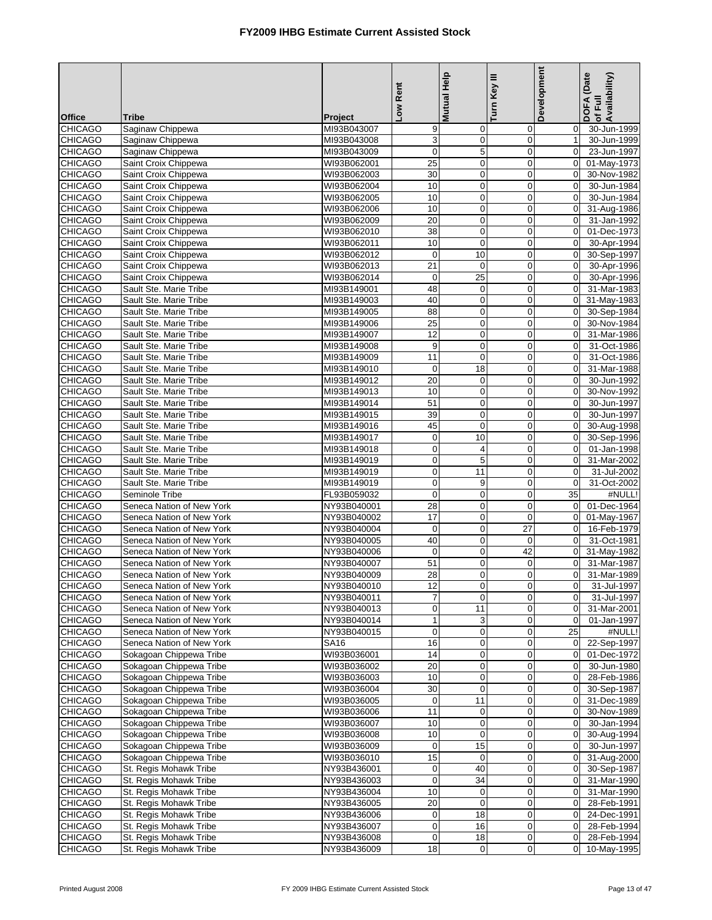|                                  |                                                        |                            | Low Rent                    | <b>Mutual Help</b> | Turn Key III               | Development                   | DOFA (Date<br>of Full<br>Availability) |
|----------------------------------|--------------------------------------------------------|----------------------------|-----------------------------|--------------------|----------------------------|-------------------------------|----------------------------------------|
| <b>Office</b>                    | <b>Tribe</b>                                           | Project                    |                             |                    |                            |                               |                                        |
| <b>CHICAGO</b><br><b>CHICAGO</b> | Saginaw Chippewa                                       | MI93B043007                | 9                           | 0<br>$\pmb{0}$     | 0<br>$\mathbf 0$           | $\overline{0}$<br>1           | 30-Jun-1999                            |
| <b>CHICAGO</b>                   | Saginaw Chippewa<br>Saginaw Chippewa                   | MI93B043008<br>MI93B043009 | 3<br>$\mathbf 0$            | 5                  | $\mathbf 0$                | $\Omega$                      | 30-Jun-1999<br>23-Jun-1997             |
| <b>CHICAGO</b>                   | Saint Croix Chippewa                                   | WI93B062001                | 25                          | $\pmb{0}$          | $\mathbf 0$                | $\overline{0}$                | 01-May-1973                            |
| <b>CHICAGO</b>                   | Saint Croix Chippewa                                   | WI93B062003                | $30\,$                      | 0                  | $\mathbf 0$                | $\overline{0}$                | 30-Nov-1982                            |
| <b>CHICAGO</b>                   | Saint Croix Chippewa                                   | WI93B062004                | 10                          | 0                  | $\mathbf 0$                | $\overline{0}$                | 30-Jun-1984                            |
| <b>CHICAGO</b>                   | Saint Croix Chippewa                                   | WI93B062005                | 10                          | 0                  | 0                          | $\overline{0}$                | 30-Jun-1984                            |
| <b>CHICAGO</b>                   | Saint Croix Chippewa                                   | WI93B062006                | 10                          | $\mathbf 0$        | $\mathbf 0$                | $\mathbf 0$                   | 31-Aug-1986                            |
| <b>CHICAGO</b>                   | Saint Croix Chippewa                                   | WI93B062009                | $\overline{20}$             | 0                  | $\mathbf 0$                | $\Omega$                      | 31-Jan-1992                            |
| <b>CHICAGO</b>                   | Saint Croix Chippewa                                   | WI93B062010                | 38                          | $\pmb{0}$          | $\mathbf 0$                | $\mathbf{0}$                  | 01-Dec-1973                            |
| <b>CHICAGO</b>                   | Saint Croix Chippewa                                   | WI93B062011                | 10                          | 0                  | $\mathbf 0$                | $\Omega$                      | 30-Apr-1994                            |
| <b>CHICAGO</b>                   | Saint Croix Chippewa                                   | WI93B062012                | $\pmb{0}$                   | 10                 | $\mathbf 0$                | $\overline{0}$                | 30-Sep-1997                            |
| <b>CHICAGO</b>                   | Saint Croix Chippewa                                   | WI93B062013                | 21                          | $\mathbf 0$        | $\mathbf 0$                | $\mathbf 0$                   | 30-Apr-1996                            |
| <b>CHICAGO</b>                   | Saint Croix Chippewa                                   | WI93B062014                | $\pmb{0}$                   | 25                 | $\mathbf 0$                | $\Omega$                      | 30-Apr-1996                            |
| <b>CHICAGO</b>                   | Sault Ste. Marie Tribe                                 | MI93B149001                | 48                          | 0                  | $\mathbf 0$                | $\overline{0}$                | 31-Mar-1983                            |
| <b>CHICAGO</b>                   | Sault Ste. Marie Tribe                                 | MI93B149003                | 40                          | $\pmb{0}$          | $\mathbf 0$                | $\overline{0}$                | 31-May-1983                            |
| <b>CHICAGO</b>                   | Sault Ste. Marie Tribe                                 | MI93B149005                | 88                          | $\pmb{0}$          | $\mathbf 0$                | $\Omega$                      | 30-Sep-1984                            |
| <b>CHICAGO</b>                   | Sault Ste. Marie Tribe                                 | MI93B149006                | 25                          | $\pmb{0}$          | $\mathbf 0$                | $\overline{0}$                | 30-Nov-1984                            |
| <b>CHICAGO</b>                   | Sault Ste. Marie Tribe                                 | MI93B149007                | $\overline{12}$             | $\pmb{0}$          | $\mathbf 0$                | $\mathbf 0$                   | 31-Mar-1986                            |
| <b>CHICAGO</b>                   | Sault Ste. Marie Tribe                                 | MI93B149008                | $\mathsf g$                 | 0                  | $\mathbf 0$                | $\mathbf 0$                   | 31-Oct-1986                            |
| <b>CHICAGO</b>                   | Sault Ste. Marie Tribe                                 | MI93B149009                | 11                          | $\pmb{0}$          | $\pmb{0}$                  | $\overline{0}$                | 31-Oct-1986                            |
| <b>CHICAGO</b>                   | Sault Ste. Marie Tribe                                 | MI93B149010                | $\mathbf 0$                 | $\overline{18}$    | $\mathbf 0$                | $\overline{0}$                | 31-Mar-1988                            |
| <b>CHICAGO</b>                   | Sault Ste. Marie Tribe                                 | MI93B149012                | 20                          | 0                  | $\mathbf 0$                | $\mathbf 0$                   | 30-Jun-1992                            |
| <b>CHICAGO</b><br><b>CHICAGO</b> | Sault Ste. Marie Tribe<br>Sault Ste. Marie Tribe       | MI93B149013<br>MI93B149014 | $10$<br>51                  | $\pmb{0}$<br>0     | $\mathbf 0$<br>$\mathbf 0$ | $\mathbf 0$<br>$\mathbf 0$    | 30-Nov-1992<br>30-Jun-1997             |
| <b>CHICAGO</b>                   | Sault Ste. Marie Tribe                                 | MI93B149015                | 39                          | $\pmb{0}$          | $\mathbf 0$                | $\Omega$                      | 30-Jun-1997                            |
| <b>CHICAGO</b>                   | Sault Ste. Marie Tribe                                 | MI93B149016                | 45                          | $\pmb{0}$          | $\mathbf 0$                | $\overline{0}$                | 30-Aug-1998                            |
| <b>CHICAGO</b>                   | Sault Ste. Marie Tribe                                 | MI93B149017                | $\mathbf 0$                 | 10                 | $\mathbf 0$                | $\mathbf{0}$                  | 30-Sep-1996                            |
| <b>CHICAGO</b>                   | Sault Ste. Marie Tribe                                 | MI93B149018                | $\mathbf 0$                 | 4                  | $\mathbf 0$                | $\overline{0}$                | 01-Jan-1998                            |
| <b>CHICAGO</b>                   | Sault Ste. Marie Tribe                                 | MI93B149019                | $\mathbf 0$                 | 5                  | $\mathbf 0$                | $\overline{0}$                | 31-Mar-2002                            |
| <b>CHICAGO</b>                   | Sault Ste. Marie Tribe                                 | MI93B149019                | $\mathbf 0$                 | 11                 | $\mathbf 0$                | $\overline{0}$                | 31-Jul-2002                            |
| <b>CHICAGO</b>                   | Sault Ste. Marie Tribe                                 | MI93B149019                | $\mathbf 0$                 | 9                  | $\mathbf 0$                | $\overline{0}$                | 31-Oct-2002                            |
| <b>CHICAGO</b>                   | Seminole Tribe                                         | FL93B059032                | $\mathbf 0$                 | $\pmb{0}$          | $\mathbf 0$                | 35                            | #NULL!                                 |
| <b>CHICAGO</b>                   | Seneca Nation of New York                              | NY93B040001                | 28                          | 0                  | $\mathbf 0$                | $\overline{0}$                | 01-Dec-1964                            |
| <b>CHICAGO</b>                   | Seneca Nation of New York                              | NY93B040002                | 17                          | $\pmb{0}$          | $\pmb{0}$                  | $\overline{0}$                | 01-May-1967                            |
| <b>CHICAGO</b>                   | Seneca Nation of New York                              | NY93B040004                | $\mathbf 0$                 | 0                  | $\overline{27}$            | $\Omega$                      | 16-Feb-1979                            |
| <b>CHICAGO</b>                   | Seneca Nation of New York                              | NY93B040005                | 40                          | 0                  | 0                          | $\mathbf 0$                   | 31-Oct-1981                            |
| <b>CHICAGO</b>                   | Seneca Nation of New York                              | NY93B040006                | $\mathbf 0$                 | $\pmb{0}$          | 42                         | $\overline{0}$                | 31-May-1982                            |
| <b>CHICAGO</b>                   | Seneca Nation of New York                              | NY93B040007                | 51                          | 0                  | 0                          | $\Omega$                      | 31-Mar-1987                            |
| <b>CHICAGO</b>                   | Seneca Nation of New York                              | NY93B040009                | 28                          | 0                  | $\mathbf 0$                | $\mathbf 0$                   | 31-Mar-1989                            |
| <b>CHICAGO</b>                   | Seneca Nation of New York                              | NY93B040010                | 12                          | <sub>U</sub>       | $\overline{0}$             | $\mathbf 0$                   | 31-Jul-1997                            |
| <b>CHICAGO</b>                   | Seneca Nation of New York                              | NY93B040011                | $\overline{7}$              | $\mathbf 0$        | $\mathbf 0$                | $\overline{0}$                | 31-Jul-1997                            |
| <b>CHICAGO</b>                   | Seneca Nation of New York                              | NY93B040013                | $\mathbf 0$<br>$\mathbf{1}$ | 11                 | 0                          | $\mathbf 0$<br>$\overline{0}$ | 31-Mar-2001                            |
| <b>CHICAGO</b><br><b>CHICAGO</b> | Seneca Nation of New York<br>Seneca Nation of New York | NY93B040014<br>NY93B040015 | $\mathbf 0$                 | 3<br>0             | 0<br>$\mathbf 0$           | 25                            | $\overline{01}$ -Jan-1997<br>#NULL!    |
| <b>CHICAGO</b>                   | Seneca Nation of New York                              | SA16                       | 16                          | 0                  | 0                          | $\mathbf 0$                   | 22-Sep-1997                            |
| <b>CHICAGO</b>                   | Sokagoan Chippewa Tribe                                | WI93B036001                | 14                          | 0                  | $\mathbf 0$                | $\overline{0}$                | 01-Dec-1972                            |
| <b>CHICAGO</b>                   | Sokagoan Chippewa Tribe                                | WI93B036002                | 20                          | 0                  | 0                          | $\overline{0}$                | 30-Jun-1980                            |
| <b>CHICAGO</b>                   | Sokagoan Chippewa Tribe                                | WI93B036003                | 10                          | $\boldsymbol{0}$   | 0                          | $\mathbf 0$                   | 28-Feb-1986                            |
| <b>CHICAGO</b>                   | Sokagoan Chippewa Tribe                                | WI93B036004                | 30                          | 0                  | $\mathbf 0$                | $\overline{0}$                | 30-Sep-1987                            |
| <b>CHICAGO</b>                   | Sokagoan Chippewa Tribe                                | WI93B036005                | $\boldsymbol{0}$            | 11                 | 0                          | $\mathbf 0$                   | 31-Dec-1989                            |
| <b>CHICAGO</b>                   | Sokagoan Chippewa Tribe                                | WI93B036006                | 11                          | $\mathbf 0$        | 0                          | $\overline{0}$                | 30-Nov-1989                            |
| <b>CHICAGO</b>                   | Sokagoan Chippewa Tribe                                | WI93B036007                | 10                          | 0                  | $\mathbf 0$                | $\overline{0}$                | 30-Jan-1994                            |
| <b>CHICAGO</b>                   | Sokagoan Chippewa Tribe                                | WI93B036008                | 10                          | 0                  | 0                          | $\mathbf 0$                   | 30-Aug-1994                            |
| <b>CHICAGO</b>                   | Sokagoan Chippewa Tribe                                | WI93B036009                | $\mathbf 0$                 | 15                 | 0                          | $\mathbf 0$                   | 30-Jun-1997                            |
| <b>CHICAGO</b>                   | Sokagoan Chippewa Tribe                                | WI93B036010                | 15                          | $\mathbf 0$        | 0                          | $\overline{0}$                | 31-Aug-2000                            |
| <b>CHICAGO</b>                   | St. Regis Mohawk Tribe                                 | NY93B436001                | $\mathbf 0$                 | 40                 | 0                          | $\mathbf 0$                   | 30-Sep-1987                            |
| <b>CHICAGO</b>                   | St. Regis Mohawk Tribe                                 | NY93B436003                | $\mathbf{0}$                | 34                 | $\mathbf 0$                | $\overline{0}$                | 31-Mar-1990                            |
| <b>CHICAGO</b>                   | St. Regis Mohawk Tribe                                 | NY93B436004                | 10                          | $\mathbf 0$        | 0                          | $\overline{0}$                | 31-Mar-1990                            |
| <b>CHICAGO</b>                   | St. Regis Mohawk Tribe                                 | NY93B436005                | 20                          | $\pmb{0}$          | 0                          | $\overline{0}$                | 28-Feb-1991                            |
| <b>CHICAGO</b>                   | St. Regis Mohawk Tribe                                 | NY93B436006                | $\mathbf 0$                 | 18                 | 0                          | $\mathbf 0$                   | 24-Dec-1991                            |
| <b>CHICAGO</b>                   | St. Regis Mohawk Tribe                                 | NY93B436007                | $\boldsymbol{0}$            | 16                 | 0                          | $\overline{0}$                | 28-Feb-1994                            |
| <b>CHICAGO</b>                   | St. Regis Mohawk Tribe                                 | NY93B436008                | $\mathbf 0$                 | 18                 | 0                          | $\overline{0}$                | 28-Feb-1994                            |
| <b>CHICAGO</b>                   | St. Regis Mohawk Tribe                                 | NY93B436009                | 18                          | 0                  | 0                          | $\overline{0}$                | 10-May-1995                            |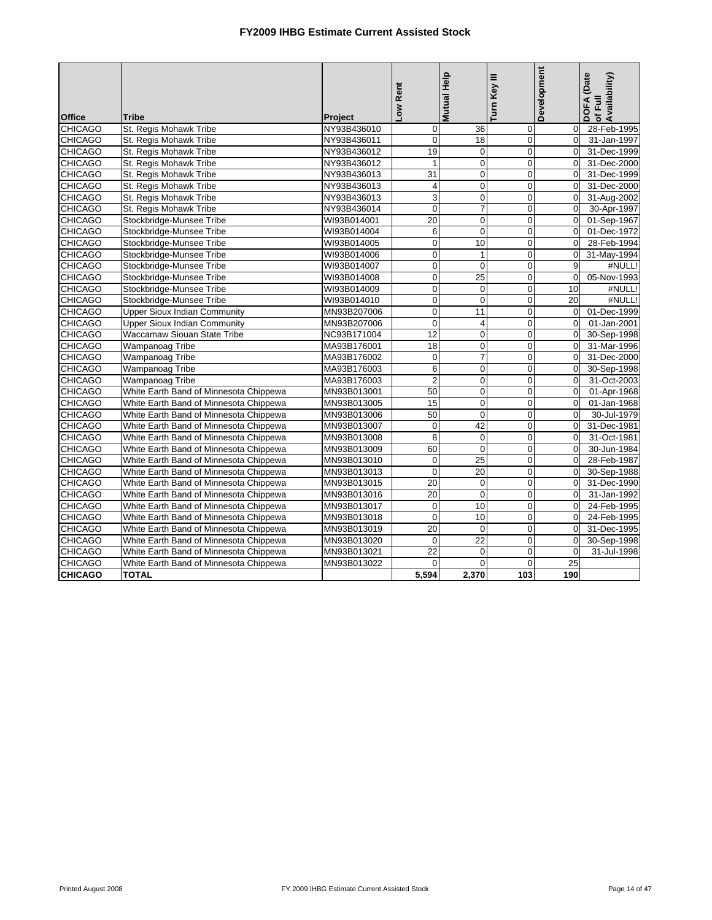|                |                                        |                        | Low Rent                  | Mutual Help     | Turn Key III   | Development     | DOFA (Date<br>of Full<br>Availability) |
|----------------|----------------------------------------|------------------------|---------------------------|-----------------|----------------|-----------------|----------------------------------------|
| <b>Office</b>  | Tribe                                  |                        |                           |                 |                |                 |                                        |
| <b>CHICAGO</b> | St. Regis Mohawk Tribe                 | Project<br>NY93B436010 | $\mathbf 0$               | 36              | 0              | $\overline{0}$  | 28-Feb-1995                            |
| <b>CHICAGO</b> | St. Regis Mohawk Tribe                 | NY93B436011            | $\pmb{0}$                 | 18              | $\mathbf 0$    | $\mathbf 0$     | 31-Jan-1997                            |
| <b>CHICAGO</b> | St. Regis Mohawk Tribe                 | NY93B436012            | 19                        | $\pmb{0}$       | $\mathbf 0$    | $\Omega$        | 31-Dec-1999                            |
| <b>CHICAGO</b> | St. Regis Mohawk Tribe                 | NY93B436012            | $\mathbf{1}$              | $\mathbf 0$     | $\mathbf 0$    | $\Omega$        | 31-Dec-2000                            |
| <b>CHICAGO</b> | St. Regis Mohawk Tribe                 | NY93B436013            | 31                        | $\pmb{0}$       | $\mathbf 0$    | $\overline{0}$  | 31-Dec-1999                            |
| <b>CHICAGO</b> | St. Regis Mohawk Tribe                 | NY93B436013            | 4                         | $\overline{0}$  | $\overline{0}$ | $\Omega$        | 31-Dec-2000                            |
| <b>CHICAGO</b> | St. Regis Mohawk Tribe                 | NY93B436013            | $\ensuremath{\mathsf{3}}$ | 0               | $\mathbf 0$    | $\Omega$        | 31-Aug-2002                            |
| <b>CHICAGO</b> | St. Regis Mohawk Tribe                 | NY93B436014            | $\overline{\mathbf{0}}$   | $\overline{7}$  | $\mathbf 0$    | $\mathbf 0$     | 30-Apr-1997                            |
| <b>CHICAGO</b> | Stockbridge-Munsee Tribe               | WI93B014001            | 20                        | 0               | $\mathbf 0$    | $\Omega$        | 01-Sep-1967                            |
| <b>CHICAGO</b> | Stockbridge-Munsee Tribe               | WI93B014004            | $6 \,$                    | $\mathbf 0$     | $\mathbf 0$    | $\Omega$        | 01-Dec-1972                            |
| <b>CHICAGO</b> | Stockbridge-Munsee Tribe               | WI93B014005            | $\mathbf 0$               | 10              | $\mathbf 0$    | $\mathbf 0$     | 28-Feb-1994                            |
| <b>CHICAGO</b> | Stockbridge-Munsee Tribe               | WI93B014006            | $\mathbf 0$               | $\mathbf{1}$    | $\mathbf 0$    | $\Omega$        | 31-May-1994                            |
| <b>CHICAGO</b> | Stockbridge-Munsee Tribe               | WI93B014007            | $\mathbf 0$               | $\mathbf 0$     | $\mathbf 0$    | 9               | #NULL!                                 |
| <b>CHICAGO</b> | Stockbridge-Munsee Tribe               | WI93B014008            | $\mathbf 0$               | $\overline{25}$ | $\mathbf 0$    | $\mathbf 0$     | 05-Nov-1993                            |
| <b>CHICAGO</b> | Stockbridge-Munsee Tribe               | WI93B014009            | $\mathbf 0$               | $\mathbf 0$     | $\mathbf 0$    | 10              | #NULL!                                 |
| <b>CHICAGO</b> | Stockbridge-Munsee Tribe               | WI93B014010            | $\mathbf 0$               | $\mathbf 0$     | $\mathbf 0$    | 20              | #NULL!                                 |
| <b>CHICAGO</b> | <b>Upper Sioux Indian Community</b>    | MN93B207006            | $\Omega$                  | 11              | $\mathbf 0$    | $\mathbf 0$     | 01-Dec-1999                            |
| <b>CHICAGO</b> | <b>Upper Sioux Indian Community</b>    | MN93B207006            | $\mathbf 0$               | 4               | $\mathbf 0$    | $\Omega$        | 01-Jan-2001                            |
| <b>CHICAGO</b> | Waccamaw Siouan State Tribe            | NC93B171004            | 12                        | $\mathbf 0$     | $\mathbf 0$    | $\mathbf 0$     | 30-Sep-1998                            |
| <b>CHICAGO</b> | Wampanoag Tribe                        | MA93B176001            | 18                        | $\mathbf 0$     | $\mathbf 0$    | $\Omega$        | 31-Mar-1996                            |
| <b>CHICAGO</b> | Wampanoag Tribe                        | MA93B176002            | $\mathbf 0$               | $\overline{7}$  | $\overline{0}$ | $\Omega$        | 31-Dec-2000                            |
| <b>CHICAGO</b> | Wampanoag Tribe                        | MA93B176003            | 6                         | $\overline{0}$  | $\overline{0}$ | $\mathbf 0$     | 30-Sep-1998                            |
| <b>CHICAGO</b> | Wampanoag Tribe                        | MA93B176003            | $\overline{2}$            | 0               | $\mathbf 0$    | $\Omega$        | 31-Oct-2003                            |
| <b>CHICAGO</b> | White Earth Band of Minnesota Chippewa | MN93B013001            | 50                        | $\overline{0}$  | $\overline{0}$ | $\Omega$        | 01-Apr-1968                            |
| <b>CHICAGO</b> | White Earth Band of Minnesota Chippewa | MN93B013005            | 15                        | 0               | $\overline{0}$ | $\mathbf 0$     | 01-Jan-1968                            |
| <b>CHICAGO</b> | White Earth Band of Minnesota Chippewa | MN93B013006            | 50                        | $\mathbf 0$     | $\overline{0}$ | $\Omega$        | 30-Jul-1979                            |
| <b>CHICAGO</b> | White Earth Band of Minnesota Chippewa | MN93B013007            | $\mathbf 0$               | 42              | $\mathbf 0$    | $\mathbf 0$     | 31-Dec-1981                            |
| <b>CHICAGO</b> | White Earth Band of Minnesota Chippewa | MN93B013008            | 8                         | $\mathbf 0$     | $\overline{0}$ | $\Omega$        | 31-Oct-1981                            |
| <b>CHICAGO</b> | White Earth Band of Minnesota Chippewa | MN93B013009            | 60                        | $\mathbf 0$     | $\overline{0}$ | $\Omega$        | 30-Jun-1984                            |
| <b>CHICAGO</b> | White Earth Band of Minnesota Chippewa | MN93B013010            | $\mathbf{0}$              | $\overline{25}$ | $\mathbf 0$    | $\Omega$        | 28-Feb-1987                            |
| <b>CHICAGO</b> | White Earth Band of Minnesota Chippewa | MN93B013013            | $\overline{0}$            | $\overline{20}$ | $\overline{0}$ | $\Omega$        | 30-Sep-1988                            |
| <b>CHICAGO</b> | White Earth Band of Minnesota Chippewa | MN93B013015            | $\overline{20}$           | $\mathbf 0$     | $\overline{0}$ | $\Omega$        | 31-Dec-1990                            |
| <b>CHICAGO</b> | White Earth Band of Minnesota Chippewa | MN93B013016            | 20                        | $\Omega$        | $\overline{0}$ | $\Omega$        | 31-Jan-1992                            |
| <b>CHICAGO</b> | White Earth Band of Minnesota Chippewa | MN93B013017            | $\mathbf 0$               | 10              | $\overline{0}$ | $\Omega$        | 24-Feb-1995                            |
| <b>CHICAGO</b> | White Earth Band of Minnesota Chippewa | MN93B013018            | $\mathbf 0$               | 10              | $\mathbf 0$    | $\Omega$        | 24-Feb-1995                            |
| <b>CHICAGO</b> | White Earth Band of Minnesota Chippewa | MN93B013019            | $\overline{20}$           | $\mathbf 0$     | $\overline{0}$ | $\Omega$        | 31-Dec-1995                            |
| <b>CHICAGO</b> | White Earth Band of Minnesota Chippewa | MN93B013020            | $\Omega$                  | 22              | $\overline{0}$ | $\Omega$        | 30-Sep-1998                            |
| <b>CHICAGO</b> | White Earth Band of Minnesota Chippewa | MN93B013021            | $\overline{22}$           | $\mathbf 0$     | $\overline{0}$ | $\Omega$        | 31-Jul-1998                            |
| <b>CHICAGO</b> | White Earth Band of Minnesota Chippewa | MN93B013022            | $\Omega$                  | $\Omega$        | $\Omega$       | $\overline{25}$ |                                        |
| <b>CHICAGO</b> | <b>TOTAL</b>                           |                        | 5.594                     | 2.370           | 103            | 190             |                                        |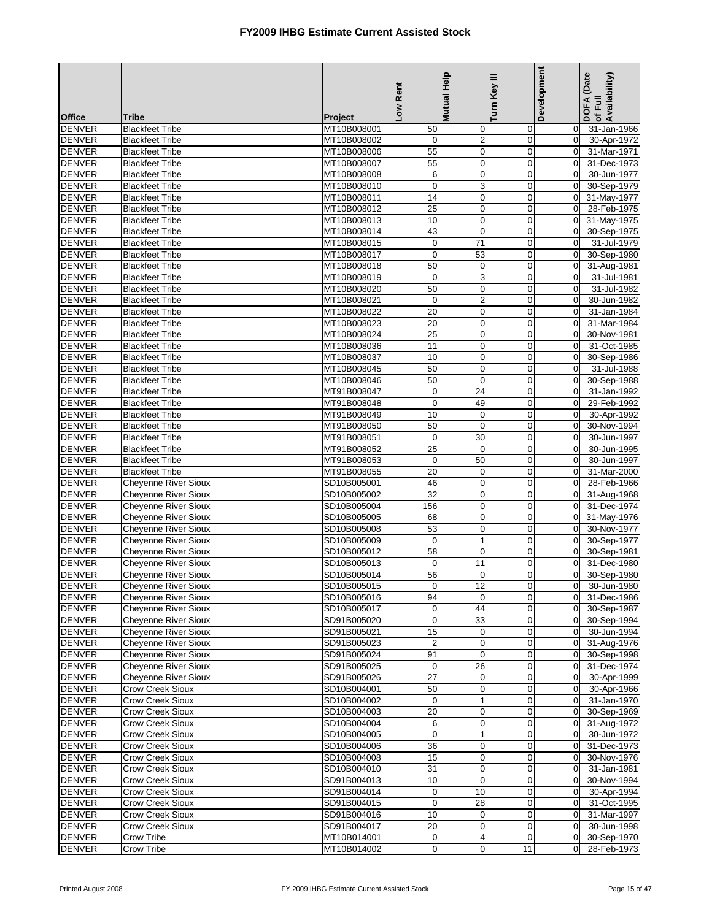|                                |                                                     |                            | Rent<br><b>No7</b>             | <b>Mutual Help</b>            | Turn Key III                  | Development                      | DOFA (Date<br>of Full<br>Availability) |
|--------------------------------|-----------------------------------------------------|----------------------------|--------------------------------|-------------------------------|-------------------------------|----------------------------------|----------------------------------------|
| <b>Office</b>                  | Tribe                                               | Project                    |                                |                               |                               |                                  |                                        |
| <b>DENVER</b>                  | <b>Blackfeet Tribe</b>                              | MT10B008001                | 50                             | 0                             | 0                             | $\mathbf 0$                      | 31-Jan-1966                            |
| <b>DENVER</b><br><b>DENVER</b> | <b>Blackfeet Tribe</b>                              | MT10B008002                | $\mathbf 0$<br>$\overline{55}$ | $\overline{c}$<br>$\mathbf 0$ | $\mathbf 0$<br>$\mathbf 0$    | $\overline{0}$<br>$\Omega$       | 30-Apr-1972                            |
| <b>DENVER</b>                  | <b>Blackfeet Tribe</b><br><b>Blackfeet Tribe</b>    | MT10B008006<br>MT10B008007 | 55                             | $\mathbf 0$                   | $\mathbf 0$                   | $\overline{0}$                   | 31-Mar-1971<br>31-Dec-1973             |
| <b>DENVER</b>                  | <b>Blackfeet Tribe</b>                              | MT10B008008                | 6                              | 0                             | $\mathbf 0$                   | $\overline{0}$                   | 30-Jun-1977                            |
| <b>DENVER</b>                  | <b>Blackfeet Tribe</b>                              | MT10B008010                | $\mathbf 0$                    | 3                             | $\mathbf 0$                   | $\Omega$                         | 30-Sep-1979                            |
| <b>DENVER</b>                  | <b>Blackfeet Tribe</b>                              | MT10B008011                | 14                             | $\pmb{0}$                     | $\mathbf 0$                   | $\overline{0}$                   | 31-May-1977                            |
| <b>DENVER</b>                  | <b>Blackfeet Tribe</b>                              | MT10B008012                | $\overline{25}$                | $\mathbf 0$                   | $\mathbf 0$                   | $\mathbf{0}$                     | 28-Feb-1975                            |
| <b>DENVER</b>                  | <b>Blackfeet Tribe</b>                              | MT10B008013                | 10                             | 0                             | $\mathbf 0$                   | $\Omega$                         | 31-May-1975                            |
| <b>DENVER</b>                  | <b>Blackfeet Tribe</b>                              | MT10B008014                | 43                             | $\circ$                       | $\pmb{0}$                     | $\overline{0}$                   | 30-Sep-1975                            |
| <b>DENVER</b>                  | <b>Blackfeet Tribe</b>                              | MT10B008015                | $\pmb{0}$                      | 71                            | $\overline{0}$                | $\Omega$                         | 31-Jul-1979                            |
| <b>DENVER</b>                  | <b>Blackfeet Tribe</b>                              | MT10B008017                | $\pmb{0}$                      | 53                            | $\mathbf 0$                   | $\Omega$                         | 30-Sep-1980                            |
| <b>DENVER</b>                  | <b>Blackfeet Tribe</b>                              | MT10B008018                | 50                             | $\pmb{0}$                     | $\pmb{0}$                     | $\overline{0}$                   | 31-Aug-1981                            |
| <b>DENVER</b>                  | <b>Blackfeet Tribe</b>                              | MT10B008019                | $\pmb{0}$                      | 3                             | $\mathbf 0$                   | $\mathbf{0}$                     | 31-Jul-1981                            |
| <b>DENVER</b>                  | <b>Blackfeet Tribe</b>                              | MT10B008020                | 50                             | $\mathbf 0$                   | $\mathbf 0$                   | $\overline{0}$                   | 31-Jul-1982                            |
| <b>DENVER</b>                  | <b>Blackfeet Tribe</b>                              | MT10B008021                | $\pmb{0}$                      | $\overline{\mathbf{c}}$       | $\mathbf 0$                   | $\mathbf{0}$                     | 30-Jun-1982                            |
| <b>DENVER</b>                  | <b>Blackfeet Tribe</b>                              | MT10B008022                | $\overline{20}$                | $\mathbf 0$                   | $\mathbf 0$                   | $\Omega$                         | 31-Jan-1984                            |
| <b>DENVER</b>                  | <b>Blackfeet Tribe</b>                              | MT10B008023                | 20                             | $\mathbf 0$                   | $\mathbf 0$                   | $\overline{0}$                   | 31-Mar-1984                            |
| <b>DENVER</b>                  | <b>Blackfeet Tribe</b>                              | MT10B008024                | $\overline{25}$                | $\mathbf 0$                   | $\mathbf 0$                   | $\overline{0}$                   | 30-Nov-1981                            |
| <b>DENVER</b>                  | <b>Blackfeet Tribe</b>                              | MT10B008036                | 11                             | $\mathbf 0$                   | $\mathbf 0$                   | $\Omega$                         | 31-Oct-1985                            |
| <b>DENVER</b><br><b>DENVER</b> | <b>Blackfeet Tribe</b><br><b>Blackfeet Tribe</b>    | MT10B008037<br>MT10B008045 | 10<br>50                       | $\pmb{0}$<br>$\overline{0}$   | $\mathbf 0$<br>$\overline{0}$ | $\overline{0}$<br>$\overline{0}$ | 30-Sep-1986<br>31-Jul-1988             |
| <b>DENVER</b>                  | <b>Blackfeet Tribe</b>                              | MT10B008046                | 50                             | 0                             | $\mathbf 0$                   | $\overline{0}$                   | 30-Sep-1988                            |
| <b>DENVER</b>                  | <b>Blackfeet Tribe</b>                              | MT91B008047                | $\pmb{0}$                      | 24                            | $\pmb{0}$                     | $\overline{0}$                   | 31-Jan-1992                            |
| <b>DENVER</b>                  | <b>Blackfeet Tribe</b>                              | MT91B008048                | $\mathbf 0$                    | 49                            | $\mathbf 0$                   | $\mathbf 0$                      | 29-Feb-1992                            |
| <b>DENVER</b>                  | <b>Blackfeet Tribe</b>                              | MT91B008049                | 10                             | $\mathbf 0$                   | $\mathbf 0$                   | $\overline{0}$                   | 30-Apr-1992                            |
| <b>DENVER</b>                  | <b>Blackfeet Tribe</b>                              | MT91B008050                | 50                             | $\mathbf 0$                   | $\mathbf 0$                   | $\overline{0}$                   | 30-Nov-1994                            |
| <b>DENVER</b>                  | <b>Blackfeet Tribe</b>                              | MT91B008051                | $\mathbf 0$                    | 30                            | $\mathbf 0$                   | $\Omega$                         | 30-Jun-1997                            |
| <b>DENVER</b>                  | <b>Blackfeet Tribe</b>                              | MT91B008052                | 25                             | 0                             | $\mathbf 0$                   | $\overline{0}$                   | 30-Jun-1995                            |
| <b>DENVER</b>                  | <b>Blackfeet Tribe</b>                              | MT91B008053                | $\pmb{0}$                      | 50                            | $\mathbf 0$                   | $\overline{0}$                   | 30-Jun-1997                            |
| <b>DENVER</b>                  | <b>Blackfeet Tribe</b>                              | MT91B008055                | $\overline{20}$                | $\mathbf 0$                   | $\mathbf 0$                   | $\Omega$                         | 31-Mar-2000                            |
| <b>DENVER</b>                  | <b>Cheyenne River Sioux</b>                         | SD10B005001                | 46                             | $\pmb{0}$                     | 0                             | $\overline{0}$                   | 28-Feb-1966                            |
| <b>DENVER</b>                  | <b>Cheyenne River Sioux</b>                         | SD10B005002                | 32                             | $\mathbf 0$                   | $\mathbf 0$                   | $\overline{0}$                   | 31-Aug-1968                            |
| <b>DENVER</b>                  | <b>Cheyenne River Sioux</b>                         | SD10B005004                | 156                            | 0                             | $\mathbf 0$                   | $\Omega$                         | 31-Dec-1974                            |
| <b>DENVER</b>                  | Cheyenne River Sioux                                | SD10B005005                | 68                             | $\mathbf 0$                   | $\pmb{0}$                     | $\overline{0}$                   | 31-May-1976                            |
| <b>DENVER</b>                  | <b>Cheyenne River Sioux</b>                         | SD10B005008                | 53                             | $\mathbf 0$                   | $\mathbf 0$                   | $\Omega$                         | 30-Nov-1977                            |
| <b>DENVER</b>                  | <b>Cheyenne River Sioux</b>                         | SD10B005009                | $\pmb{0}$                      | $\mathbf{1}$                  | $\mathbf 0$                   | $\Omega$                         | 30-Sep-1977                            |
| <b>DENVER</b>                  | Cheyenne River Sioux                                | SD10B005012                | 58<br>$\pmb{0}$                | $\pmb{0}$                     | 0                             | $\overline{0}$<br>$\Omega$       | 30-Sep-1981                            |
| <b>DENVER</b><br><b>DENVER</b> | Cheyenne River Sioux<br><b>Chevenne River Sioux</b> | SD10B005013<br>SD10B005014 | 56                             | 11<br>$\mathbf 0$             | $\mathbf 0$<br>$\mathbf 0$    | $\Omega$                         | 31-Dec-1980<br>30-Sep-1980             |
| <b>DENVER</b>                  | Cheyenne River Sioux                                | SD10B005015                | $\overline{0}$                 | $\overline{12}$               | $\mathsf{O}\xspace$           |                                  | 0 30-Jun-1980                          |
| <b>DENVER</b>                  | <b>Cheyenne River Sioux</b>                         | SD10B005016                | 94                             | $\mathbf 0$                   | $\mathbf 0$                   |                                  | 0 31-Dec-1986                          |
| <b>DENVER</b>                  | Cheyenne River Sioux                                | SD10B005017                | $\mathbf 0$                    | 44                            | 0                             | $\overline{0}$                   | 30-Sep-1987                            |
| <b>DENVER</b>                  | Cheyenne River Sioux                                | SD91B005020                | $\mathbf 0$                    | 33                            | $\pmb{0}$                     |                                  | 0 30-Sep-1994                          |
| <b>DENVER</b>                  | Cheyenne River Sioux                                | SD91B005021                | 15                             | $\mathbf 0$                   | 0                             |                                  | 0 30-Jun-1994                          |
| <b>DENVER</b>                  | <b>Cheyenne River Sioux</b>                         | SD91B005023                | $\overline{\mathbf{c}}$        | 0                             | 0                             | $\overline{0}$                   | 31-Aug-1976                            |
| <b>DENVER</b>                  | Cheyenne River Sioux                                | SD91B005024                | 91                             | $\overline{0}$                | $\mathbf 0$                   | $\overline{0}$                   | 30-Sep-1998                            |
| <b>DENVER</b>                  | Cheyenne River Sioux                                | SD91B005025                | $\mathbf 0$                    | 26                            | $\mathbf 0$                   | $\overline{0}$                   | 31-Dec-1974                            |
| <b>DENVER</b>                  | Cheyenne River Sioux                                | SD91B005026                | 27                             | $\mathbf 0$                   | $\pmb{0}$                     | $\overline{0}$                   | 30-Apr-1999                            |
| <b>DENVER</b>                  | <b>Crow Creek Sioux</b>                             | SD10B004001                | 50                             | 0                             | $\mathbf 0$                   | $\overline{0}$                   | 30-Apr-1966                            |
| <b>DENVER</b>                  | Crow Creek Sioux                                    | SD10B004002                | $\mathbf 0$                    | $\mathbf{1}$                  | 0                             | $\overline{0}$                   | 31-Jan-1970                            |
| <b>DENVER</b>                  | Crow Creek Sioux                                    | SD10B004003                | 20                             | $\pmb{0}$                     | $\mathbf 0$                   |                                  | 0 30-Sep-1969                          |
| <b>DENVER</b>                  | <b>Crow Creek Sioux</b>                             | SD10B004004                | 6                              | 0                             | $\mathbf 0$                   |                                  | 0 31-Aug-1972                          |
| <b>DENVER</b><br><b>DENVER</b> | <b>Crow Creek Sioux</b><br>Crow Creek Sioux         | SD10B004005<br>SD10B004006 | $\mathbf 0$<br>36              | 1                             | $\mathbf 0$<br>$\mathbf 0$    | $\overline{0}$                   | 30-Jun-1972                            |
| <b>DENVER</b>                  | <b>Crow Creek Sioux</b>                             | SD10B004008                | 15                             | 0<br>$\mathbf 0$              | 0                             | $\overline{0}$                   | 0 31-Dec-1973<br>30-Nov-1976           |
| <b>DENVER</b>                  | Crow Creek Sioux                                    | SD10B004010                | 31                             | $\boldsymbol{0}$              | $\pmb{0}$                     | $\overline{0}$                   | 31-Jan-1981                            |
| <b>DENVER</b>                  | Crow Creek Sioux                                    | SD91B004013                | 10                             | $\mathbf 0$                   | $\mathbf 0$                   | $\overline{0}$                   | 30-Nov-1994                            |
| <b>DENVER</b>                  | Crow Creek Sioux                                    | SD91B004014                | $\mathbf 0$                    | 10                            | 0                             | $\overline{0}$                   | 30-Apr-1994                            |
| <b>DENVER</b>                  | Crow Creek Sioux                                    | SD91B004015                | $\overline{0}$                 | 28                            | $\pmb{0}$                     | $\overline{0}$                   | 31-Oct-1995                            |
| <b>DENVER</b>                  | <b>Crow Creek Sioux</b>                             | SD91B004016                | 10                             | 0                             | $\mathbf 0$                   | $\overline{0}$                   | 31-Mar-1997                            |
| <b>DENVER</b>                  | <b>Crow Creek Sioux</b>                             | SD91B004017                | 20                             | 0                             | 0                             | $\overline{0}$                   | 30-Jun-1998                            |
| <b>DENVER</b>                  | Crow Tribe                                          | MT10B014001                | $\mathbf 0$                    | 4                             | $\mathbf 0$                   | $\overline{0}$                   | 30-Sep-1970                            |
| <b>DENVER</b>                  | Crow Tribe                                          | MT10B014002                | $\mathbf 0$                    | $\boldsymbol{0}$              | 11                            | $\overline{0}$                   | 28-Feb-1973                            |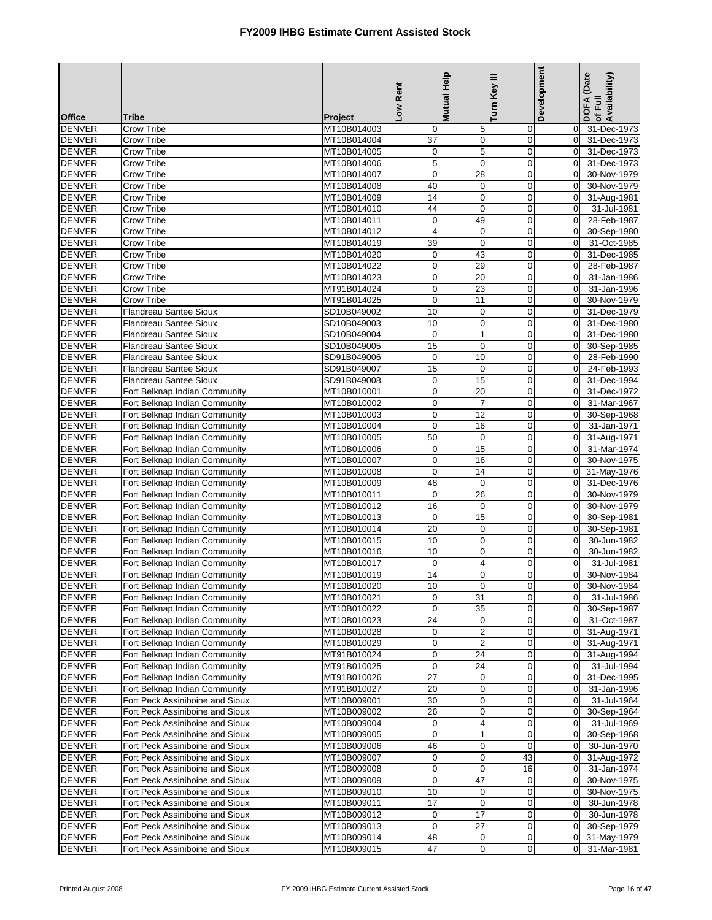|                                |                                                                    |                            | Low Rent                     | Mutual Help                  | Turn Key III               | Development                      | DOFA (Date<br>of Full<br>Availability) |
|--------------------------------|--------------------------------------------------------------------|----------------------------|------------------------------|------------------------------|----------------------------|----------------------------------|----------------------------------------|
| <b>Office</b>                  | <b>Tribe</b>                                                       | Project                    |                              |                              |                            |                                  |                                        |
| <b>DENVER</b>                  | Crow Tribe                                                         | MT10B014003                | 0                            | 5                            | $\mathbf 0$                | $\overline{0}$                   | 31-Dec-1973                            |
| <b>DENVER</b>                  | Crow Tribe                                                         | MT10B014004                | $\overline{37}$              | $\mathbf 0$                  | $\mathbf 0$                | $\overline{0}$                   | 31-Dec-1973                            |
| <b>DENVER</b>                  | Crow Tribe                                                         | MT10B014005                | $\mathbf 0$                  | 5                            | $\mathbf 0$                | $\Omega$                         | 31-Dec-1973                            |
| <b>DENVER</b>                  | Crow Tribe                                                         | MT10B014006                | 5                            | $\mathbf 0$                  | $\mathbf 0$                | $\overline{0}$                   | 31-Dec-1973                            |
| <b>DENVER</b><br><b>DENVER</b> | Crow Tribe<br><b>Crow Tribe</b>                                    | MT10B014007<br>MT10B014008 | $\mathbf 0$<br>40            | 28<br>$\mathbf 0$            | $\mathbf 0$<br>$\mathbf 0$ | $\overline{0}$<br>$\Omega$       | 30-Nov-1979<br>30-Nov-1979             |
| <b>DENVER</b>                  | <b>Crow Tribe</b>                                                  | MT10B014009                | 14                           | $\mathbf 0$                  | $\mathbf 0$                | $\overline{0}$                   | 31-Aug-1981                            |
| <b>DENVER</b>                  | Crow Tribe                                                         | MT10B014010                | 44                           | $\pmb{0}$                    | $\mathbf 0$                | $\mathbf 0$                      | 31-Jul-1981                            |
| <b>DENVER</b>                  | Crow Tribe                                                         | MT10B014011                | $\boldsymbol{0}$             | 49                           | $\mathbf 0$                | $\Omega$                         | 28-Feb-1987                            |
| <b>DENVER</b>                  | Crow Tribe                                                         | MT10B014012                | $\overline{\mathbf{4}}$      | 0                            | $\pmb{0}$                  | $\overline{0}$                   | 30-Sep-1980                            |
| <b>DENVER</b>                  | Crow Tribe                                                         | MT10B014019                | 39                           | $\pmb{0}$                    | $\overline{0}$             | $\Omega$                         | 31-Oct-1985                            |
| <b>DENVER</b>                  | Crow Tribe                                                         | MT10B014020                | $\mathbf 0$                  | 43                           | $\mathbf 0$                | $\overline{0}$                   | 31-Dec-1985                            |
| <b>DENVER</b>                  | Crow Tribe                                                         | MT10B014022                | $\pmb{0}$                    | 29                           | $\mathbf 0$                | $\overline{0}$                   | 28-Feb-1987                            |
| <b>DENVER</b><br><b>DENVER</b> | Crow Tribe<br>Crow Tribe                                           | MT10B014023<br>MT91B014024 | $\mathbf 0$<br>$\mathbf 0$   | 20<br>23                     | $\mathbf 0$<br>$\mathbf 0$ | $\mathbf 0$<br>$\overline{0}$    | 31-Jan-1986<br>31-Jan-1996             |
| <b>DENVER</b>                  | Crow Tribe                                                         | MT91B014025                | $\mathbf 0$                  | 11                           | $\mathbf 0$                | $\overline{0}$                   | 30-Nov-1979                            |
| <b>DENVER</b>                  | Flandreau Santee Sioux                                             | SD10B049002                | 10                           | $\pmb{0}$                    | $\mathbf 0$                | $\Omega$                         | 31-Dec-1979                            |
| <b>DENVER</b>                  | <b>Flandreau Santee Sioux</b>                                      | SD10B049003                | 10                           | $\pmb{0}$                    | $\mathbf 0$                | $\overline{0}$                   | 31-Dec-1980                            |
| <b>DENVER</b>                  | <b>Flandreau Santee Sioux</b>                                      | SD10B049004                | $\mathbf 0$                  | $\mathbf{1}$                 | $\mathbf 0$                | $\overline{0}$                   | 31-Dec-1980                            |
| <b>DENVER</b>                  | <b>Flandreau Santee Sioux</b>                                      | SD10B049005                | 15                           | $\pmb{0}$                    | $\mathbf 0$                | $\Omega$                         | 30-Sep-1985                            |
| <b>DENVER</b>                  | <b>Flandreau Santee Sioux</b>                                      | SD91B049006                | $\mathbf 0$                  | 10                           | $\mathbf 0$                | $\overline{0}$                   | 28-Feb-1990                            |
| <b>DENVER</b>                  | Flandreau Santee Sioux                                             | SD91B049007                | 15                           | 0                            | $\overline{0}$             | $\overline{0}$                   | 24-Feb-1993                            |
| <b>DENVER</b>                  | Flandreau Santee Sioux                                             | SD91B049008                | $\mathbf 0$                  | 15                           | $\mathbf 0$                | $\Omega$                         | 31-Dec-1994                            |
| <b>DENVER</b>                  | Fort Belknap Indian Community                                      | MT10B010001                | $\pmb{0}$                    | 20                           | $\pmb{0}$                  | $\overline{0}$                   | 31-Dec-1972                            |
| <b>DENVER</b><br><b>DENVER</b> | Fort Belknap Indian Community<br>Fort Belknap Indian Community     | MT10B010002<br>MT10B010003 | $\mathbf 0$<br>$\mathbf 0$   | $\overline{7}$<br>12         | $\mathbf 0$<br>$\mathbf 0$ | $\mathbf 0$<br>$\overline{0}$    | 31-Mar-1967                            |
| <b>DENVER</b>                  | Fort Belknap Indian Community                                      | MT10B010004                | $\mathbf 0$                  | 16                           | $\mathbf 0$                | $\overline{0}$                   | 30-Sep-1968<br>31-Jan-1971             |
| <b>DENVER</b>                  | Fort Belknap Indian Community                                      | MT10B010005                | 50                           | $\pmb{0}$                    | $\mathbf 0$                | $\Omega$                         | 31-Aug-1971                            |
| <b>DENVER</b>                  | Fort Belknap Indian Community                                      | MT10B010006                | $\mathbf 0$                  | 15                           | $\mathbf 0$                | $\Omega$                         | 31-Mar-1974                            |
| <b>DENVER</b>                  | Fort Belknap Indian Community                                      | MT10B010007                | $\mathbf 0$                  | 16                           | $\mathbf 0$                | $\overline{0}$                   | 30-Nov-1975                            |
| <b>DENVER</b>                  | Fort Belknap Indian Community                                      | MT10B010008                | $\mathbf 0$                  | 14                           | $\mathbf 0$                | $\overline{0}$                   | 31-May-1976                            |
| <b>DENVER</b>                  | Fort Belknap Indian Community                                      | MT10B010009                | 48                           | 0                            | 0                          | $\overline{0}$                   | 31-Dec-1976                            |
| <b>DENVER</b>                  | Fort Belknap Indian Community                                      | MT10B010011                | $\mathbf 0$                  | 26                           | $\mathbf 0$                | $\overline{0}$                   | 30-Nov-1979                            |
| <b>DENVER</b>                  | Fort Belknap Indian Community                                      | MT10B010012                | 16                           | $\pmb{0}$                    | $\mathbf 0$                | $\Omega$                         | 30-Nov-1979                            |
| <b>DENVER</b><br><b>DENVER</b> | Fort Belknap Indian Community<br>Fort Belknap Indian Community     | MT10B010013<br>MT10B010014 | $\pmb{0}$<br>$\overline{20}$ | 15<br>$\pmb{0}$              | $\pmb{0}$<br>$\mathbf 0$   | $\overline{0}$<br>$\overline{0}$ | 30-Sep-1981<br>30-Sep-1981             |
| <b>DENVER</b>                  | Fort Belknap Indian Community                                      | MT10B010015                | 10                           | 0                            | $\mathbf 0$                | $\mathbf 0$                      | 30-Jun-1982                            |
| <b>DENVER</b>                  | Fort Belknap Indian Community                                      | MT10B010016                | 10                           | 0                            | $\mathbf 0$                | $\mathbf 0$                      | 30-Jun-1982                            |
| <b>DENVER</b>                  | Fort Belknap Indian Community                                      | MT10B010017                | $\mathbf 0$                  | 4                            | $\mathbf 0$                | $\Omega$                         | 31-Jul-1981                            |
| <b>DENVER</b>                  | Fort Belknap Indian Community                                      | MT10B010019                | 14                           | 0                            | $\mathbf 0$                | $\Omega$                         | 30-Nov-1984                            |
| <b>DENVER</b>                  | Fort Belknap Indian Community                                      | MT10B010020                | 10                           | $\mathbf 0$                  | $\mathbf 0$                |                                  | 30-Nov-1984                            |
| <b>DENVER</b>                  | Fort Belknap Indian Community                                      | MT10B010021                | $\mathbf 0$                  | 31                           | $\mathbf 0$                | $\Omega$                         | 31-Jul-1986                            |
| <b>DENVER</b>                  | Fort Belknap Indian Community                                      | MT10B010022                | $\mathbf 0$                  | 35                           | 0                          | $\overline{0}$                   | 30-Sep-1987                            |
| <b>DENVER</b>                  | Fort Belknap Indian Community                                      | MT10B010023                | 24                           | 0                            | $\mathbf 0$                | $\overline{0}$<br>$\overline{0}$ | 31-Oct-1987                            |
| <b>DENVER</b><br><b>DENVER</b> | Fort Belknap Indian Community<br>Fort Belknap Indian Community     | MT10B010028<br>MT10B010029 | $\pmb{0}$<br>$\pmb{0}$       | $\overline{\mathbf{c}}$<br>2 | $\mathbf 0$<br>$\mathbf 0$ | $\overline{0}$                   | 31-Aug-1971<br>31-Aug-1971             |
| <b>DENVER</b>                  | Fort Belknap Indian Community                                      | MT91B010024                | $\mathbf 0$                  | 24                           | $\mathbf 0$                | $\overline{0}$                   | 31-Aug-1994                            |
| <b>DENVER</b>                  | Fort Belknap Indian Community                                      | MT91B010025                | $\mathbf 0$                  | 24                           | $\mathbf 0$                | $\overline{0}$                   | 31-Jul-1994                            |
| <b>DENVER</b>                  | Fort Belknap Indian Community                                      | MT91B010026                | 27                           | 0                            | $\pmb{0}$                  | $\overline{0}$                   | 31-Dec-1995                            |
| <b>DENVER</b>                  | Fort Belknap Indian Community                                      | MT91B010027                | 20                           | 0                            | $\mathbf 0$                | $\overline{0}$                   | 31-Jan-1996                            |
| <b>DENVER</b>                  | Fort Peck Assiniboine and Sioux                                    | MT10B009001                | 30                           | 0                            | $\mathbf 0$                | $\overline{0}$                   | 31-Jul-1964                            |
| <b>DENVER</b>                  | Fort Peck Assiniboine and Sioux                                    | MT10B009002                | 26                           | $\pmb{0}$                    | 0                          | $\overline{0}$                   | 30-Sep-1964                            |
| <b>DENVER</b>                  | Fort Peck Assiniboine and Sioux                                    | MT10B009004                | $\pmb{0}$                    | 4                            | $\mathbf 0$                | $\overline{0}$                   | 31-Jul-1969                            |
| <b>DENVER</b><br><b>DENVER</b> | Fort Peck Assiniboine and Sioux                                    | MT10B009005                | $\mathbf 0$<br>46            | $\mathbf{1}$                 | 0<br>$\mathbf 0$           | $\overline{0}$<br>$\overline{0}$ | 30-Sep-1968                            |
| <b>DENVER</b>                  | Fort Peck Assiniboine and Sioux<br>Fort Peck Assiniboine and Sioux | MT10B009006<br>MT10B009007 | $\pmb{0}$                    | 0<br>$\mathbf 0$             | 43                         | $\overline{0}$                   | 30-Jun-1970<br>31-Aug-1972             |
| <b>DENVER</b>                  | Fort Peck Assiniboine and Sioux                                    | MT10B009008                | $\pmb{0}$                    | 0                            | 16                         | $\overline{0}$                   | 31-Jan-1974                            |
| <b>DENVER</b>                  | Fort Peck Assiniboine and Sioux                                    | MT10B009009                | $\mathbf 0$                  | 47                           | $\mathbf 0$                | $\overline{0}$                   | 30-Nov-1975                            |
| <b>DENVER</b>                  | Fort Peck Assiniboine and Sioux                                    | MT10B009010                | 10                           | $\mathbf 0$                  | $\mathbf 0$                | $\overline{0}$                   | 30-Nov-1975                            |
| <b>DENVER</b>                  | Fort Peck Assiniboine and Sioux                                    | MT10B009011                | 17                           | $\boldsymbol{0}$             | $\pmb{0}$                  | $\overline{0}$                   | 30-Jun-1978                            |
| <b>DENVER</b>                  | Fort Peck Assiniboine and Sioux                                    | MT10B009012                | $\mathbf 0$                  | 17                           | $\mathbf 0$                | $\overline{0}$                   | 30-Jun-1978                            |
| <b>DENVER</b>                  | Fort Peck Assiniboine and Sioux                                    | MT10B009013                | $\mathbf 0$                  | 27                           | $\mathbf 0$                | $\overline{0}$                   | 30-Sep-1979                            |
| <b>DENVER</b>                  | Fort Peck Assiniboine and Sioux                                    | MT10B009014                | 48                           | 0                            | 0                          | $\overline{0}$                   | 31-May-1979                            |
| <b>DENVER</b>                  | Fort Peck Assiniboine and Sioux                                    | MT10B009015                | 47                           | 0                            | $\mathbf 0$                | $\overline{0}$                   | 31-Mar-1981                            |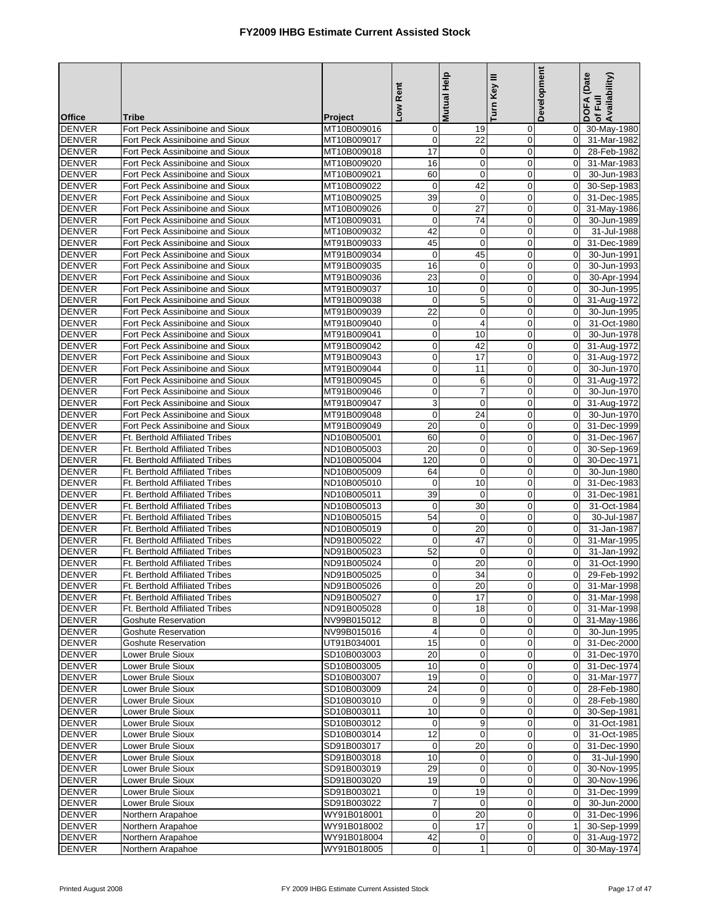|                                |                                                                    |                            | -ow Rent          | <b>Mutual Help</b>          | Turn Key III                  | Development                   | DOFA (Date<br>Availability)<br>of Full |
|--------------------------------|--------------------------------------------------------------------|----------------------------|-------------------|-----------------------------|-------------------------------|-------------------------------|----------------------------------------|
| <b>Office</b>                  | <b>Tribe</b>                                                       | Project                    |                   |                             |                               |                               |                                        |
| <b>DENVER</b>                  | Fort Peck Assiniboine and Sioux                                    | MT10B009016                | $\mathbf 0$       | 19                          | 0                             | 0                             | 30-May-1980                            |
| <b>DENVER</b>                  | Fort Peck Assiniboine and Sioux                                    | MT10B009017                | $\mathbf 0$       | 22                          | $\pmb{0}$                     | $\mathbf 0$                   | 31-Mar-1982                            |
| <b>DENVER</b>                  | Fort Peck Assiniboine and Sioux                                    | MT10B009018                | 17                | $\mathbf 0$                 | $\mathbf 0$                   | $\mathbf 0$                   | 28-Feb-1982                            |
| <b>DENVER</b>                  | Fort Peck Assiniboine and Sioux                                    | MT10B009020                | 16                | $\mathbf 0$                 | $\overline{0}$                | $\Omega$                      | 31-Mar-1983                            |
| <b>DENVER</b><br><b>DENVER</b> | Fort Peck Assiniboine and Sioux<br>Fort Peck Assiniboine and Sioux | MT10B009021                | 60<br>$\mathbf 0$ | $\pmb{0}$<br>42             | $\mathbf 0$<br>$\mathbf 0$    | $\mathbf 0$<br>$\mathbf 0$    | 30-Jun-1983                            |
| <b>DENVER</b>                  | Fort Peck Assiniboine and Sioux                                    | MT10B009022<br>MT10B009025 | 39                | $\mathbf 0$                 | $\mathbf 0$                   | $\Omega$                      | 30-Sep-1983<br>31-Dec-1985             |
| <b>DENVER</b>                  | Fort Peck Assiniboine and Sioux                                    | MT10B009026                | $\mathbf 0$       | 27                          | $\mathbf 0$                   | $\mathbf 0$                   | 31-May-1986                            |
| <b>DENVER</b>                  | Fort Peck Assiniboine and Sioux                                    | MT10B009031                | $\mathbf 0$       | 74                          | $\mathbf 0$                   | $\mathbf 0$                   | 30-Jun-1989                            |
| <b>DENVER</b>                  | Fort Peck Assiniboine and Sioux                                    | MT10B009032                | 42                | $\mathbf 0$                 | $\mathbf 0$                   | $\mathbf 0$                   | 31-Jul-1988                            |
| <b>DENVER</b>                  | Fort Peck Assiniboine and Sioux                                    | MT91B009033                | 45                | $\mathbf 0$                 | $\mathbf 0$                   | $\mathbf 0$                   | 31-Dec-1989                            |
| <b>DENVER</b>                  | Fort Peck Assiniboine and Sioux                                    | MT91B009034                | $\mathbf 0$       | 45                          | $\mathbf 0$                   | $\mathbf 0$                   | 30-Jun-1991                            |
| <b>DENVER</b>                  | Fort Peck Assiniboine and Sioux                                    | MT91B009035                | 16                | $\mathbf 0$                 | $\mathbf 0$                   | $\mathbf 0$                   | 30-Jun-1993                            |
| <b>DENVER</b>                  | Fort Peck Assiniboine and Sioux                                    | MT91B009036                | 23                | $\mathbf 0$                 | $\mathbf 0$                   | $\mathbf 0$                   | 30-Apr-1994                            |
| <b>DENVER</b>                  | Fort Peck Assiniboine and Sioux                                    | MT91B009037                | 10                | $\mathbf 0$                 | $\mathbf 0$                   | $\Omega$                      | 30-Jun-1995                            |
| <b>DENVER</b>                  | Fort Peck Assiniboine and Sioux                                    | MT91B009038                | $\mathbf 0$       | $\mathbf 5$                 | $\mathbf 0$                   | $\mathbf 0$                   | 31-Aug-1972                            |
| <b>DENVER</b>                  | Fort Peck Assiniboine and Sioux                                    | MT91B009039                | $\overline{22}$   | $\mathbf 0$                 | $\overline{0}$                | $\mathbf 0$                   | 30-Jun-1995                            |
| <b>DENVER</b>                  | Fort Peck Assiniboine and Sioux                                    | MT91B009040                | 0                 | 4                           | $\mathbf 0$                   | $\mathbf 0$                   | 31-Oct-1980                            |
| <b>DENVER</b>                  | Fort Peck Assiniboine and Sioux                                    | MT91B009041                | $\mathbf 0$       | 10                          | $\mathbf 0$                   | $\mathbf 0$                   | 30-Jun-1978                            |
| <b>DENVER</b>                  | Fort Peck Assiniboine and Sioux                                    | MT91B009042                | $\pmb{0}$         | 42                          | $\mathbf 0$                   | $\mathbf 0$                   | 31-Aug-1972                            |
| <b>DENVER</b>                  | Fort Peck Assiniboine and Sioux                                    | MT91B009043                | $\pmb{0}$         | 17                          | $\mathbf 0$                   | $\mathbf 0$                   | 31-Aug-1972                            |
| <b>DENVER</b>                  | Fort Peck Assiniboine and Sioux                                    | MT91B009044                | $\mathbf 0$       | $\overline{11}$             | $\mathbf 0$                   | $\mathbf 0$                   | 30-Jun-1970                            |
| <b>DENVER</b>                  | Fort Peck Assiniboine and Sioux                                    | MT91B009045                | $\mathbf 0$       | 6                           | $\mathbf 0$                   | $\mathbf 0$                   | 31-Aug-1972                            |
| <b>DENVER</b>                  | Fort Peck Assiniboine and Sioux                                    | MT91B009046                | $\mathbf 0$       | $\overline{7}$              | $\mathbf 0$                   | $\Omega$                      | 30-Jun-1970                            |
| <b>DENVER</b>                  | Fort Peck Assiniboine and Sioux                                    | MT91B009047                | 3                 | $\mathbf 0$                 | $\mathbf 0$                   | $\mathbf 0$                   | 31-Aug-1972                            |
| <b>DENVER</b>                  | Fort Peck Assiniboine and Sioux                                    | MT91B009048                | $\pmb{0}$         | 24                          | $\mathbf 0$                   | $\mathbf 0$                   | 30-Jun-1970                            |
| <b>DENVER</b><br><b>DENVER</b> | Fort Peck Assiniboine and Sioux<br>Ft. Berthold Affiliated Tribes  | MT91B009049                | 20<br>60          | 0<br>$\mathbf 0$            | $\mathbf 0$<br>$\overline{0}$ | $\mathbf 0$<br>$\mathbf 0$    | 31-Dec-1999                            |
| <b>DENVER</b>                  | Ft. Berthold Affiliated Tribes                                     | ND10B005001<br>ND10B005003 | 20                | $\mathbf 0$                 | $\overline{0}$                | $\Omega$                      | 31-Dec-1967<br>30-Sep-1969             |
| <b>DENVER</b>                  | Ft. Berthold Affiliated Tribes                                     | ND10B005004                | 120               | $\pmb{0}$                   | $\mathbf 0$                   | $\mathbf 0$                   | 30-Dec-1971                            |
| <b>DENVER</b>                  | Ft. Berthold Affiliated Tribes                                     | ND10B005009                | 64                | $\mathbf 0$                 | $\mathbf 0$                   | $\mathbf 0$                   | 30-Jun-1980                            |
| <b>DENVER</b>                  | <b>Ft. Berthold Affiliated Tribes</b>                              | ND10B005010                | 0                 | 10                          | $\mathbf 0$                   | $\Omega$                      | 31-Dec-1983                            |
| <b>DENVER</b>                  | Ft. Berthold Affiliated Tribes                                     | ND10B005011                | 39                | $\mathbf 0$                 | $\mathbf 0$                   | $\mathbf 0$                   | 31-Dec-1981                            |
| <b>DENVER</b>                  | Ft. Berthold Affiliated Tribes                                     | ND10B005013                | $\mathbf 0$       | 30                          | $\mathbf 0$                   | $\mathbf 0$                   | 31-Oct-1984                            |
| <b>DENVER</b>                  | Ft. Berthold Affiliated Tribes                                     | ND10B005015                | 54                | 0                           | $\mathbf 0$                   | $\mathbf 0$                   | 30-Jul-1987                            |
| <b>DENVER</b>                  | Ft. Berthold Affiliated Tribes                                     | ND10B005019                | $\mathbf 0$       | 20                          | $\mathbf 0$                   | $\mathbf 0$                   | 31-Jan-1987                            |
| <b>DENVER</b>                  | Ft. Berthold Affiliated Tribes                                     | ND91B005022                | $\mathbf{0}$      | $\overline{47}$             | $\mathbf 0$                   | $\Omega$                      | 31-Mar-1995                            |
| <b>DENVER</b>                  | <b>Ft. Berthold Affiliated Tribes</b>                              | ND91B005023                | 52                | $\mathbf 0$                 | $\mathbf 0$                   | $\mathbf 0$                   | 31-Jan-1992                            |
| <b>DENVER</b>                  | <b>Ft. Berthold Affiliated Tribes</b>                              | ND91B005024                | $\mathbf 0$       | 20                          | $\mathbf 0$                   | $\Omega$                      | 31-Oct-1990                            |
| <b>DENVER</b>                  | Ft. Berthold Affiliated Tribes                                     | ND91B005025                | 0                 | 34                          | $\overline{0}$                | $\Omega$                      | 29-Feb-1992                            |
| DENVER                         | <b>Ft. Berthold Affiliated Tribes</b>                              | ND91B005026                | $\overline{0}$    | 20                          | $\overline{0}$                | $\overline{0}$                | 31-Mar-1998                            |
| <b>DENVER</b>                  | Ft. Berthold Affiliated Tribes                                     | ND91B005027                | $\mathbf 0$       | 17                          | $\mathbf 0$                   | $\mathbf 0$                   | 31-Mar-1998                            |
| <b>DENVER</b>                  | Ft. Berthold Affiliated Tribes                                     | ND91B005028                | $\mathbf 0$       | 18                          | 0                             | $\overline{0}$                | 31-Mar-1998                            |
| <b>DENVER</b>                  | <b>Goshute Reservation</b>                                         | NV99B015012                | 8                 | 0                           | 0                             | $\mathbf 0$                   | 31-May-1986                            |
| <b>DENVER</b><br><b>DENVER</b> | <b>Goshute Reservation</b><br>Goshute Reservation                  | NV99B015016<br>UT91B034001 | 4<br>15           | 0<br>0                      | 0<br>0                        | $\overline{0}$<br>$\mathbf 0$ | 30-Jun-1995<br>31-Dec-2000             |
| <b>DENVER</b>                  | Lower Brule Sioux                                                  | SD10B003003                | 20                | 0                           | $\mathbf 0$                   | $\overline{0}$                | 31-Dec-1970                            |
| <b>DENVER</b>                  | Lower Brule Sioux                                                  | SD10B003005                | 10                | 0                           | $\mathbf 0$                   | $\mathbf 0$                   | 31-Dec-1974                            |
| <b>DENVER</b>                  | Lower Brule Sioux                                                  | SD10B003007                | 19                | 0                           | 0                             | $\mathbf 0$                   | 31-Mar-1977                            |
| <b>DENVER</b>                  | Lower Brule Sioux                                                  | SD10B003009                | 24                | 0                           | 0                             | 0                             | 28-Feb-1980                            |
| <b>DENVER</b>                  | Lower Brule Sioux                                                  | SD10B003010                | $\mathbf 0$       | 9                           | 0                             | $\mathbf 0$                   | 28-Feb-1980                            |
| <b>DENVER</b>                  | Lower Brule Sioux                                                  | SD10B003011                | 10                | 0                           | 0                             | $\mathbf 0$                   | 30-Sep-1981                            |
| <b>DENVER</b>                  | Lower Brule Sioux                                                  | SD10B003012                | $\mathbf 0$       | 9                           | $\mathbf 0$                   | 0                             | 31-Oct-1981                            |
| <b>DENVER</b>                  | Lower Brule Sioux                                                  | SD10B003014                | 12                | 0                           | 0                             | $\mathbf 0$                   | 31-Oct-1985                            |
| <b>DENVER</b>                  | Lower Brule Sioux                                                  | SD91B003017                | $\mathbf 0$       | 20                          | $\pmb{0}$                     | $\mathbf 0$                   | 31-Dec-1990                            |
| <b>DENVER</b>                  | Lower Brule Sioux                                                  | SD91B003018                | 10                | 0                           | 0                             | $\mathbf 0$                   | 31-Jul-1990                            |
| <b>DENVER</b>                  | Lower Brule Sioux                                                  | SD91B003019                | 29                | 0                           | 0                             | $\mathbf 0$                   | 30-Nov-1995                            |
| <b>DENVER</b>                  | Lower Brule Sioux                                                  | SD91B003020                | 19                | $\mathbf 0$                 | 0                             | $\mathbf 0$                   | 30-Nov-1996                            |
| <b>DENVER</b>                  | Lower Brule Sioux                                                  | SD91B003021                | $\mathbf 0$       | 19                          | 0                             | $\mathbf 0$                   | 31-Dec-1999                            |
| <b>DENVER</b>                  | Lower Brule Sioux                                                  | SD91B003022                | $\overline{7}$    | 0                           | 0                             | 0                             | 30-Jun-2000                            |
| <b>DENVER</b>                  | Northern Arapahoe                                                  | WY91B018001                | $\mathbf 0$       | 20                          | $\mathbf 0$                   | $\overline{0}$                | 31-Dec-1996                            |
| <b>DENVER</b>                  | Northern Arapahoe                                                  | WY91B018002                | $\mathbf 0$       | 17                          | $\boldsymbol{0}$              | $\mathbf{1}$                  | 30-Sep-1999                            |
| <b>DENVER</b>                  | Northern Arapahoe                                                  | WY91B018004                | 42                | $\mathbf 0$<br>$\mathbf{1}$ | 0<br>0                        | $\mathbf 0$                   | 31-Aug-1972                            |
| <b>DENVER</b>                  | Northern Arapahoe                                                  | WY91B018005                | $\pmb{0}$         |                             |                               | 0                             | 30-May-1974                            |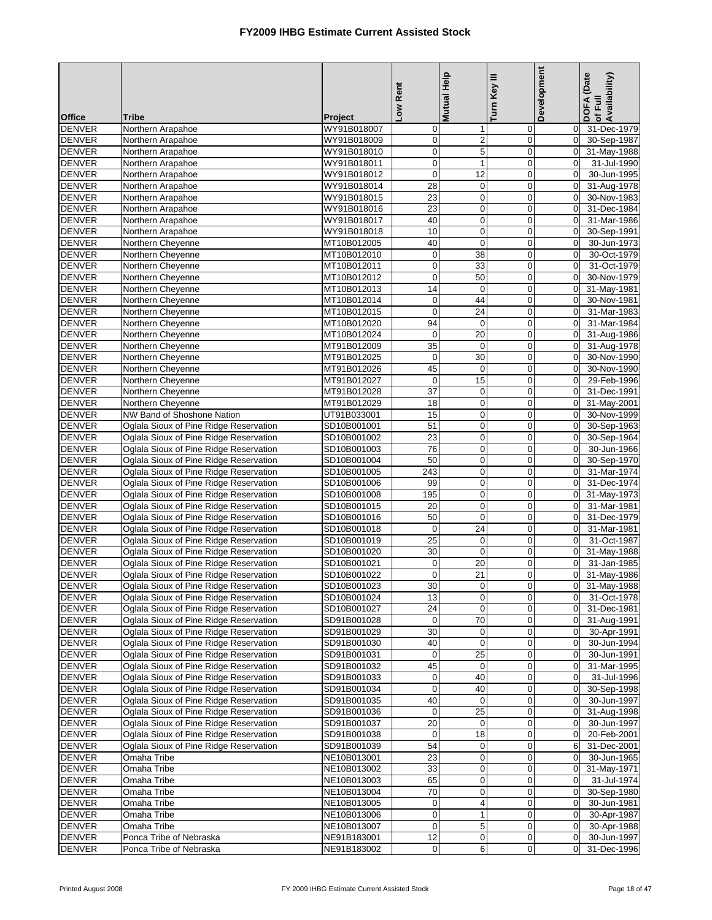|                                |                                                                                  |                            | Low Rent                      | Mutual Help                | Turn Key III               | Development                      | DOFA (Date<br>of Full<br>Availability) |
|--------------------------------|----------------------------------------------------------------------------------|----------------------------|-------------------------------|----------------------------|----------------------------|----------------------------------|----------------------------------------|
| <b>Office</b><br><b>DENVER</b> | <b>Tribe</b><br>Northern Arapahoe                                                | Project<br>WY91B018007     | $\overline{0}$                | $\mathbf 1$                | $\mathbf 0$                | $\overline{0}$                   | 31-Dec-1979                            |
| <b>DENVER</b>                  | Northern Arapahoe                                                                | WY91B018009                | $\overline{0}$                | $\mathbf 2$                | $\pmb{0}$                  | $\overline{0}$                   | 30-Sep-1987                            |
| <b>DENVER</b>                  | Northern Arapahoe                                                                | WY91B018010                | $\mathbf 0$                   | $\overline{5}$             | $\mathbf 0$                | $\mathbf 0$                      | 31-May-1988                            |
| <b>DENVER</b>                  | Northern Arapahoe                                                                | WY91B018011                | $\mathbf 0$                   | $\mathbf{1}$               | $\mathbf 0$                | $\mathbf 0$                      | 31-Jul-1990                            |
| <b>DENVER</b>                  | Northern Arapahoe                                                                | WY91B018012                | $\overline{0}$                | 12                         | $\mathbf 0$                | $\overline{0}$                   | 30-Jun-1995                            |
| <b>DENVER</b>                  | Northern Arapahoe                                                                | WY91B018014                | 28                            | $\mathbf 0$                | $\mathbf 0$                | $\mathbf 0$                      | 31-Aug-1978                            |
| <b>DENVER</b>                  | Northern Arapahoe                                                                | WY91B018015                | 23                            | $\mathbf 0$                | $\mathbf 0$                | $\overline{0}$                   | 30-Nov-1983                            |
| <b>DENVER</b>                  | Northern Arapahoe                                                                | WY91B018016                | $\overline{23}$               | $\pmb{0}$                  | $\mathbf 0$                | $\mathbf 0$                      | 31-Dec-1984                            |
| <b>DENVER</b>                  | Northern Arapahoe                                                                | WY91B018017                | 40                            | $\mathbf 0$                | $\mathbf 0$                | $\Omega$                         | 31-Mar-1986                            |
| <b>DENVER</b>                  | Northern Arapahoe                                                                | WY91B018018                | 10                            | $\mathbf 0$                | $\mathbf 0$                | $\overline{0}$                   | 30-Sep-1991                            |
| <b>DENVER</b>                  | Northern Cheyenne                                                                | MT10B012005                | 40                            | $\mathbf 0$                | $\mathbf 0$                | $\mathbf 0$                      | 30-Jun-1973                            |
| <b>DENVER</b>                  | Northern Cheyenne                                                                | MT10B012010                | $\mathbf 0$                   | 38                         | $\mathbf 0$                | $\overline{0}$                   | 30-Oct-1979                            |
| <b>DENVER</b>                  | Northern Cheyenne                                                                | MT10B012011                | $\pmb{0}$                     | 33                         | 0                          | $\overline{0}$                   | 31-Oct-1979                            |
| <b>DENVER</b>                  | Northern Cheyenne                                                                | MT10B012012                | $\mathbf 0$<br>14             | 50                         | $\mathbf 0$<br>$\mathbf 0$ | $\Omega$<br>$\overline{0}$       | 30-Nov-1979                            |
| <b>DENVER</b><br><b>DENVER</b> | Northern Cheyenne<br>Northern Cheyenne                                           | MT10B012013<br>MT10B012014 | $\mathbf 0$                   | $\mathbf 0$<br>44          | $\mathbf 0$                | $\overline{0}$                   | 31-May-1981<br>30-Nov-1981             |
| <b>DENVER</b>                  | Northern Cheyenne                                                                | MT10B012015                | $\mathbf 0$                   | 24                         | $\mathbf 0$                | $\mathbf 0$                      | 31-Mar-1983                            |
| <b>DENVER</b>                  | Northern Cheyenne                                                                | MT10B012020                | 94                            | $\mathbf 0$                | $\mathbf 0$                | $\overline{0}$                   | 31-Mar-1984                            |
| <b>DENVER</b>                  | Northern Cheyenne                                                                | MT10B012024                | $\mathbf 0$                   | $\overline{20}$            | $\mathbf 0$                | $\overline{0}$                   | 31-Aug-1986                            |
| <b>DENVER</b>                  | Northern Cheyenne                                                                | MT91B012009                | 35                            | $\mathbf 0$                | $\mathbf 0$                | $\Omega$                         | 31-Aug-1978                            |
| <b>DENVER</b>                  | Northern Cheyenne                                                                | MT91B012025                | $\mathbf 0$                   | 30                         | $\mathbf 0$                | $\overline{0}$                   | 30-Nov-1990                            |
| <b>DENVER</b>                  | Northern Cheyenne                                                                | MT91B012026                | 45                            | $\mathbf 0$                | $\mathbf 0$                | $\overline{0}$                   | 30-Nov-1990                            |
| <b>DENVER</b>                  | Northern Cheyenne                                                                | MT91B012027                | $\mathbf 0$                   | 15                         | $\mathbf 0$                | $\Omega$                         | 29-Feb-1996                            |
| <b>DENVER</b>                  | Northern Chevenne                                                                | MT91B012028                | 37                            | $\mathbf 0$                | $\mathbf 0$                | $\overline{0}$                   | 31-Dec-1991                            |
| <b>DENVER</b>                  | Northern Cheyenne                                                                | MT91B012029                | $\overline{18}$               | $\mathbf 0$                | $\mathbf 0$                | $\mathbf 0$                      | 31-May-2001                            |
| <b>DENVER</b>                  | NW Band of Shoshone Nation                                                       | UT91B033001                | 15                            | $\mathbf 0$                | $\mathbf 0$                | $\overline{0}$                   | 30-Nov-1999                            |
| <b>DENVER</b>                  | Oglala Sioux of Pine Ridge Reservation                                           | SD10B001001                | 51                            | $\pmb{0}$                  | $\mathbf 0$                | $\overline{0}$                   | 30-Sep-1963                            |
| <b>DENVER</b>                  | Oglala Sioux of Pine Ridge Reservation                                           | SD10B001002                | 23                            | $\mathbf 0$                | $\overline{0}$             | $\mathbf 0$                      | 30-Sep-1964                            |
| <b>DENVER</b>                  | Oglala Sioux of Pine Ridge Reservation                                           | SD10B001003                | 76                            | 0                          | $\boldsymbol{0}$           | $\overline{0}$                   | 30-Jun-1966                            |
| <b>DENVER</b>                  | Oglala Sioux of Pine Ridge Reservation                                           | SD10B001004                | 50                            | $\pmb{0}$                  | $\mathbf 0$                | $\overline{0}$                   | 30-Sep-1970                            |
| <b>DENVER</b><br><b>DENVER</b> | Oglala Sioux of Pine Ridge Reservation                                           | SD10B001005                | 243                           | $\mathbf 0$<br>$\mathbf 0$ | $\mathbf 0$<br>$\mathbf 0$ | $\Omega$<br>$\overline{0}$       | 31-Mar-1974<br>31-Dec-1974             |
| <b>DENVER</b>                  | Oglala Sioux of Pine Ridge Reservation<br>Oglala Sioux of Pine Ridge Reservation | SD10B001006<br>SD10B001008 | 99<br>195                     | $\mathbf 0$                | $\mathbf 0$                | $\overline{0}$                   |                                        |
| <b>DENVER</b>                  | Oglala Sioux of Pine Ridge Reservation                                           | SD10B001015                | 20                            | $\mathbf 0$                | $\mathbf 0$                | $\Omega$                         | 31-May-1973<br>31-Mar-1981             |
| <b>DENVER</b>                  | Oglala Sioux of Pine Ridge Reservation                                           | SD10B001016                | 50                            | $\mathbf 0$                | $\mathbf 0$                | $\overline{0}$                   | 31-Dec-1979                            |
| <b>DENVER</b>                  | Oglala Sioux of Pine Ridge Reservation                                           | SD10B001018                | $\mathbf 0$                   | $\overline{24}$            | $\mathbf 0$                | $\mathbf 0$                      | 31-Mar-1981                            |
| <b>DENVER</b>                  | Oglala Sioux of Pine Ridge Reservation                                           | SD10B001019                | $\overline{25}$               | $\mathbf 0$                | $\mathbf 0$                | $\mathbf 0$                      | 31-Oct-1987                            |
| <b>DENVER</b>                  | Oglala Sioux of Pine Ridge Reservation                                           | SD10B001020                | 30                            | $\mathbf 0$                | $\mathbf 0$                | $\mathbf 0$                      | 31-May-1988                            |
| <b>DENVER</b>                  | Oglala Sioux of Pine Ridge Reservation                                           | SD10B001021                | $\mathbf 0$                   | 20                         | $\mathbf 0$                | $\mathbf 0$                      | 31-Jan-1985                            |
| <b>DENVER</b>                  | Oglala Sioux of Pine Ridge Reservation                                           | SD10B001022                | $\mathbf 0$                   | 21                         | 0                          | $\overline{0}$                   | 31-May-1986                            |
| DENVER                         | Oglala Sioux of Pine Ridge Reservation                                           | SD10B001023                | 30                            | $\sigma$                   | $\sigma$                   |                                  | 0 31-May-1988                          |
| <b>DENVER</b>                  | Oglala Sioux of Pine Ridge Reservation                                           | SD10B001024                | 13                            | $\mathbf 0$                | $\mathbf 0$                | $\overline{0}$                   | 31-Oct-1978                            |
| <b>DENVER</b>                  | Oglala Sioux of Pine Ridge Reservation                                           | SD10B001027                | 24                            | $\mathbf 0$                | 0                          | $\overline{0}$                   | 31-Dec-1981                            |
| <b>DENVER</b>                  | Oglala Sioux of Pine Ridge Reservation                                           | SD91B001028                | $\overline{0}$                | $70\,$                     | $\pmb{0}$                  | $\overline{0}$                   | 31-Aug-1991                            |
| <b>DENVER</b>                  | Oglala Sioux of Pine Ridge Reservation                                           | SD91B001029                | 30                            | $\mathbf 0$                | $\mathbf 0$                | $\Omega$                         | 30-Apr-1991                            |
| <b>DENVER</b><br><b>DENVER</b> | Oglala Sioux of Pine Ridge Reservation<br>Oglala Sioux of Pine Ridge Reservation | SD91B001030                | 40<br>$\overline{0}$          | $\mathbf 0$<br>25          | $\mathbf 0$<br>$\mathbf 0$ | $\mathbf 0$<br>$\overline{0}$    | 30-Jun-1994<br>30-Jun-1991             |
| <b>DENVER</b>                  | Oglala Sioux of Pine Ridge Reservation                                           | SD91B001031<br>SD91B001032 | 45                            | $\mathbf 0$                | $\mathbf 0$                | $\overline{0}$                   | 31-Mar-1995                            |
| <b>DENVER</b>                  | Oglala Sioux of Pine Ridge Reservation                                           | SD91B001033                | $\overline{0}$                | 40                         | 0                          | $\mathbf 0$                      | 31-Jul-1996                            |
| <b>DENVER</b>                  | Oglala Sioux of Pine Ridge Reservation                                           | SD91B001034                | $\mathbf 0$                   | 40                         | $\pmb{0}$                  | $\mathbf 0$                      | 30-Sep-1998                            |
| <b>DENVER</b>                  | Oglala Sioux of Pine Ridge Reservation                                           | SD91B001035                | 40                            | $\mathbf 0$                | 0                          | $\overline{0}$                   | 30-Jun-1997                            |
| <b>DENVER</b>                  | Oglala Sioux of Pine Ridge Reservation                                           | SD91B001036                | $\overline{0}$                | 25                         | 0                          | $\overline{0}$                   | 31-Aug-1998                            |
| <b>DENVER</b>                  | Oglala Sioux of Pine Ridge Reservation                                           | SD91B001037                | 20                            | $\mathbf 0$                | $\mathbf 0$                | $\overline{0}$                   | 30-Jun-1997                            |
| <b>DENVER</b>                  | Oglala Sioux of Pine Ridge Reservation                                           | SD91B001038                | $\mathbf 0$                   | 18                         | $\mathbf 0$                | $\overline{0}$                   | 20-Feb-2001                            |
| <b>DENVER</b>                  | Oglala Sioux of Pine Ridge Reservation                                           | SD91B001039                | 54                            | 0                          | 0                          | 6                                | 31-Dec-2001                            |
| <b>DENVER</b>                  | Omaha Tribe                                                                      | NE10B013001                | 23                            | $\mathbf 0$                | $\mathbf 0$                | $\overline{0}$                   | 30-Jun-1965                            |
| <b>DENVER</b>                  | Omaha Tribe                                                                      | NE10B013002                | 33                            | $\mathbf 0$                | 0                          | $\mathbf 0$                      | 31-May-1971                            |
| <b>DENVER</b>                  | Omaha Tribe                                                                      | NE10B013003                | 65                            | $\pmb{0}$                  | $\mathbf 0$                | $\mathbf 0$                      | 31-Jul-1974                            |
| <b>DENVER</b>                  | Omaha Tribe                                                                      | NE10B013004                | $70\,$                        | $\pmb{0}$                  | 0                          | $\overline{0}$                   | 30-Sep-1980                            |
| <b>DENVER</b>                  | Omaha Tribe                                                                      | NE10B013005                | $\mathbf 0$                   | 4                          | 0                          | $\overline{0}$                   | 30-Jun-1981                            |
| <b>DENVER</b><br><b>DENVER</b> | Omaha Tribe<br>Omaha Tribe                                                       | NE10B013006<br>NE10B013007 | $\overline{0}$<br>$\mathbf 0$ | $\mathbf{1}$               | $\mathbf 0$<br>0           | $\overline{0}$<br>$\overline{0}$ | 30-Apr-1987<br>30-Apr-1988             |
| <b>DENVER</b>                  | Ponca Tribe of Nebraska                                                          | NE91B183001                | 12                            | 5<br>0                     | 0                          | $\mathbf 0$                      | 30-Jun-1997                            |
| <b>DENVER</b>                  | Ponca Tribe of Nebraska                                                          | NE91B183002                | $\overline{0}$                | 6                          | $\pmb{0}$                  | $\overline{0}$                   | 31-Dec-1996                            |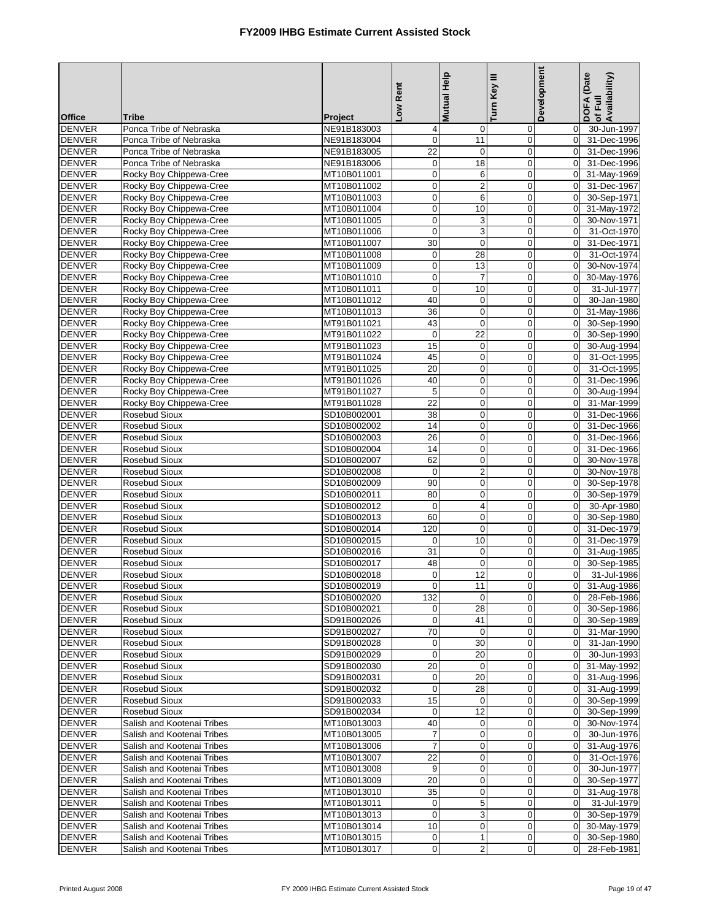|                                |                                                          |                            | Low Rent                             | <b>Mutual Help</b>         | Turn Key III                  | Development                   | DOFA (Date<br>Availability)<br>of Full |
|--------------------------------|----------------------------------------------------------|----------------------------|--------------------------------------|----------------------------|-------------------------------|-------------------------------|----------------------------------------|
| <b>Office</b>                  | <b>Tribe</b>                                             | Project                    |                                      |                            |                               |                               |                                        |
| <b>DENVER</b>                  | Ponca Tribe of Nebraska                                  | NE91B183003                | $\overline{\mathbf{4}}$              | 0                          | 0                             | $\mathbf 0$                   | 30-Jun-1997                            |
| <b>DENVER</b>                  | Ponca Tribe of Nebraska                                  | NE91B183004                | $\mathbf 0$                          | 11                         | 0                             | $\mathbf 0$                   | 31-Dec-1996                            |
| <b>DENVER</b>                  | Ponca Tribe of Nebraska                                  | NE91B183005                | $\overline{22}$                      | $\mathbf 0$                | $\mathbf 0$                   | $\mathbf 0$                   | 31-Dec-1996                            |
| <b>DENVER</b>                  | Ponca Tribe of Nebraska                                  | NE91B183006                | $\mathbf 0$                          | 18                         | $\mathbf 0$                   | $\Omega$                      | 31-Dec-1996                            |
| <b>DENVER</b><br><b>DENVER</b> | Rocky Boy Chippewa-Cree<br>Rocky Boy Chippewa-Cree       | MT10B011001<br>MT10B011002 | $\overline{\mathbf{0}}$<br>$\pmb{0}$ | 6<br>$\overline{c}$        | $\pmb{0}$<br>$\mathbf 0$      | $\mathbf 0$<br>$\mathbf 0$    | 31-May-1969<br>31-Dec-1967             |
| <b>DENVER</b>                  | Rocky Boy Chippewa-Cree                                  | MT10B011003                | $\mathbf 0$                          | 6                          | $\mathbf 0$                   | $\Omega$                      | 30-Sep-1971                            |
| <b>DENVER</b>                  | Rocky Boy Chippewa-Cree                                  | MT10B011004                | $\mathbf 0$                          | 10                         | $\mathbf 0$                   | $\mathbf 0$                   | 31-May-1972                            |
| <b>DENVER</b>                  | Rocky Boy Chippewa-Cree                                  | MT10B011005                | $\pmb{0}$                            | 3                          | $\mathbf 0$                   | $\mathbf 0$                   | 30-Nov-1971                            |
| <b>DENVER</b>                  | Rocky Boy Chippewa-Cree                                  | MT10B011006                | $\pmb{0}$                            | 3                          | $\mathbf 0$                   | $\mathbf 0$                   | 31-Oct-1970                            |
| <b>DENVER</b>                  | Rocky Boy Chippewa-Cree                                  | MT10B011007                | 30                                   | $\mathbf 0$                | $\mathbf 0$                   | $\mathbf 0$                   | 31-Dec-1971                            |
| <b>DENVER</b>                  | Rocky Boy Chippewa-Cree                                  | MT10B011008                | $\mathbf 0$                          | 28                         | $\mathbf 0$                   | $\Omega$                      | 31-Oct-1974                            |
| <b>DENVER</b>                  | Rocky Boy Chippewa-Cree                                  | MT10B011009                | $\pmb{0}$                            | 13                         | $\mathbf 0$                   | $\mathbf 0$                   | 30-Nov-1974                            |
| <b>DENVER</b>                  | Rocky Boy Chippewa-Cree                                  | MT10B011010                | $\mathbf 0$                          | $\overline{7}$             | $\mathbf 0$                   | $\mathbf 0$                   | 30-May-1976                            |
| <b>DENVER</b>                  | Rocky Boy Chippewa-Cree                                  | MT10B011011                | $\pmb{0}$                            | 10                         | $\mathbf 0$                   | $\mathbf 0$                   | 31-Jul-1977                            |
| <b>DENVER</b>                  | Rocky Boy Chippewa-Cree                                  | MT10B011012                | 40                                   | $\pmb{0}$                  | $\pmb{0}$                     | $\mathbf 0$                   | 30-Jan-1980                            |
| <b>DENVER</b>                  | Rocky Boy Chippewa-Cree                                  | MT10B011013                | 36                                   | $\mathbf 0$                | $\mathbf 0$                   | $\mathbf 0$                   | 31-May-1986                            |
| <b>DENVER</b>                  | Rocky Boy Chippewa-Cree                                  | MT91B011021                | 43                                   | $\mathbf 0$                | $\mathbf 0$                   | 0                             | 30-Sep-1990                            |
| <b>DENVER</b>                  | Rocky Boy Chippewa-Cree                                  | MT91B011022                | $\mathbf 0$                          | 22                         | $\mathbf 0$                   | $\mathbf 0$                   | 30-Sep-1990                            |
| <b>DENVER</b>                  | Rocky Boy Chippewa-Cree                                  | MT91B011023                | 15                                   | $\mathbf 0$                | $\mathbf 0$                   | $\pmb{0}$                     | 30-Aug-1994                            |
| <b>DENVER</b>                  | Rocky Boy Chippewa-Cree                                  | MT91B011024                | 45<br>$\overline{20}$                | $\pmb{0}$<br>0             | $\mathbf 0$<br>$\mathbf 0$    | $\mathbf 0$<br>$\mathbf 0$    | 31-Oct-1995                            |
| <b>DENVER</b><br><b>DENVER</b> | Rocky Boy Chippewa-Cree<br>Rocky Boy Chippewa-Cree       | MT91B011025<br>MT91B011026 | 40                                   | $\pmb{0}$                  | $\mathbf 0$                   | $\Omega$                      | 31-Oct-1995<br>31-Dec-1996             |
| <b>DENVER</b>                  | Rocky Boy Chippewa-Cree                                  | MT91B011027                | $\mathbf 5$                          | $\mathbf 0$                | $\mathbf 0$                   | $\mathbf 0$                   | 30-Aug-1994                            |
| <b>DENVER</b>                  | Rocky Boy Chippewa-Cree                                  | MT91B011028                | 22                                   | $\mathbf 0$                | $\mathbf 0$                   | $\mathbf 0$                   | 31-Mar-1999                            |
| <b>DENVER</b>                  | Rosebud Sioux                                            | SD10B002001                | 38                                   | $\pmb{0}$                  | $\mathbf 0$                   | $\mathbf 0$                   | 31-Dec-1966                            |
| <b>DENVER</b>                  | Rosebud Sioux                                            | SD10B002002                | 14                                   | 0                          | $\pmb{0}$                     | $\mathbf 0$                   | 31-Dec-1966                            |
| <b>DENVER</b>                  | Rosebud Sioux                                            | SD10B002003                | 26                                   | $\mathbf 0$                | $\overline{0}$                | $\mathbf 0$                   | 31-Dec-1966                            |
| <b>DENVER</b>                  | Rosebud Sioux                                            | SD10B002004                | 14                                   | 0                          | $\mathbf 0$                   | $\Omega$                      | 31-Dec-1966                            |
| <b>DENVER</b>                  | Rosebud Sioux                                            | SD10B002007                | 62                                   | $\mathbf 0$                | $\pmb{0}$                     | $\mathbf 0$                   | 30-Nov-1978                            |
| <b>DENVER</b>                  | Rosebud Sioux                                            | SD10B002008                | $\mathbf 0$                          | $\overline{2}$             | $\mathbf 0$                   | $\mathbf 0$                   | 30-Nov-1978                            |
| <b>DENVER</b>                  | Rosebud Sioux                                            | SD10B002009                | 90                                   | $\pmb{0}$                  | $\mathbf 0$                   | $\Omega$                      | 30-Sep-1978                            |
| <b>DENVER</b>                  | Rosebud Sioux                                            | SD10B002011                | 80                                   | $\pmb{0}$                  | $\mathbf 0$                   | $\mathbf 0$                   | 30-Sep-1979                            |
| <b>DENVER</b>                  | Rosebud Sioux                                            | SD10B002012                | $\mathbf 0$                          | 4                          | $\mathbf 0$                   | $\mathbf 0$                   | 30-Apr-1980                            |
| <b>DENVER</b>                  | Rosebud Sioux                                            | SD10B002013                | 60                                   | 0                          | $\mathbf 0$                   | $\mathbf 0$                   | 30-Sep-1980                            |
| <b>DENVER</b>                  | Rosebud Sioux                                            | SD10B002014                | 120                                  | $\mathbf 0$                | $\mathbf 0$                   | $\mathbf 0$                   | 31-Dec-1979                            |
| <b>DENVER</b>                  | Rosebud Sioux                                            | SD10B002015                | $\mathbf 0$                          | 10                         | $\pmb{0}$                     | $\mathbf 0$                   | 31-Dec-1979                            |
| <b>DENVER</b><br><b>DENVER</b> | Rosebud Sioux<br>Rosebud Sioux                           | SD10B002016<br>SD10B002017 | 31<br>48                             | $\pmb{0}$<br>$\mathbf 0$   | $\mathbf 0$<br>$\overline{0}$ | $\mathbf 0$<br>$\mathbf 0$    | 31-Aug-1985<br>30-Sep-1985             |
| <b>DENVER</b>                  | Rosebud Sioux                                            | SD10B002018                | $\mathbf 0$                          | 12                         | $\overline{0}$                | 0                             | 31-Jul-1986                            |
| DENVER                         | Rosebud Sioux                                            | SD10B002019                | 0                                    | 11                         | $\mathbf 0$                   | $\overline{0}$                | 31-Aug-1986                            |
| <b>DENVER</b>                  | Rosebud Sioux                                            | SD10B002020                | 132                                  | $\mathbf 0$                | $\mathbf 0$                   | $\mathbf 0$                   | 28-Feb-1986                            |
| <b>DENVER</b>                  | Rosebud Sioux                                            | SD10B002021                | $\overline{0}$                       | 28                         | 0                             | $\mathbf 0$                   | 30-Sep-1986                            |
| <b>DENVER</b>                  | Rosebud Sioux                                            | SD91B002026                | $\mathbf 0$                          | 41                         | 0                             | $\mathbf 0$                   | 30-Sep-1989                            |
| <b>DENVER</b>                  | Rosebud Sioux                                            | SD91B002027                | 70                                   | $\mathbf 0$                | 0                             | $\mathbf 0$                   | 31-Mar-1990                            |
| <b>DENVER</b>                  | Rosebud Sioux                                            | SD91B002028                | $\boldsymbol{0}$                     | 30                         | $\mathbf 0$                   | $\mathbf 0$                   | 31-Jan-1990                            |
| <b>DENVER</b>                  | Rosebud Sioux                                            | SD91B002029                | $\mathbf 0$                          | 20                         | $\mathbf 0$                   | $\overline{0}$                | 30-Jun-1993                            |
| <b>DENVER</b>                  | Rosebud Sioux                                            | SD91B002030                | 20                                   | 0                          | $\mathbf 0$                   | $\overline{0}$                | 31-May-1992                            |
| <b>DENVER</b>                  | Rosebud Sioux                                            | SD91B002031                | $\mathbf 0$                          | 20                         | $\mathbf 0$                   | $\mathbf 0$                   | 31-Aug-1996                            |
| <b>DENVER</b>                  | Rosebud Sioux                                            | SD91B002032                | $\mathbf 0$                          | 28                         | 0                             | $\mathbf 0$                   | 31-Aug-1999                            |
| <b>DENVER</b>                  | Rosebud Sioux                                            | SD91B002033                | 15                                   | $\mathbf 0$                | $\mathbf 0$                   | $\mathbf 0$                   | 30-Sep-1999                            |
| <b>DENVER</b>                  | Rosebud Sioux                                            | SD91B002034                | $\mathbf 0$                          | 12                         | 0                             | $\mathbf 0$                   | 30-Sep-1999                            |
| <b>DENVER</b><br><b>DENVER</b> | Salish and Kootenai Tribes<br>Salish and Kootenai Tribes | MT10B013003<br>MT10B013005 | 40<br>$\overline{7}$                 | $\mathbf 0$<br>$\mathbf 0$ | $\mathbf 0$<br>$\mathbf 0$    | $\mathbf 0$<br>$\overline{0}$ | 30-Nov-1974<br>30-Jun-1976             |
| <b>DENVER</b>                  | Salish and Kootenai Tribes                               | MT10B013006                | $\overline{7}$                       | $\pmb{0}$                  | $\pmb{0}$                     | $\mathbf 0$                   | 31-Aug-1976                            |
| <b>DENVER</b>                  | Salish and Kootenai Tribes                               | MT10B013007                | 22                                   | $\pmb{0}$                  | $\mathbf 0$                   | $\mathbf 0$                   | 31-Oct-1976                            |
| <b>DENVER</b>                  | Salish and Kootenai Tribes                               | MT10B013008                | 9                                    | 0                          | $\mathbf 0$                   | $\mathbf 0$                   | 30-Jun-1977                            |
| <b>DENVER</b>                  | Salish and Kootenai Tribes                               | MT10B013009                | 20                                   | $\mathbf 0$                | $\boldsymbol{0}$              | $\mathbf 0$                   | 30-Sep-1977                            |
| <b>DENVER</b>                  | Salish and Kootenai Tribes                               | MT10B013010                | 35                                   | $\mathbf 0$                | 0                             | $\overline{0}$                | 31-Aug-1978                            |
| <b>DENVER</b>                  | Salish and Kootenai Tribes                               | MT10B013011                | $\mathbf 0$                          | 5                          | $\mathbf 0$                   | $\mathbf 0$                   | 31-Jul-1979                            |
| <b>DENVER</b>                  | Salish and Kootenai Tribes                               | MT10B013013                | $\mathbf 0$                          | 3                          | $\mathbf 0$                   | $\mathbf 0$                   | 30-Sep-1979                            |
| <b>DENVER</b>                  | Salish and Kootenai Tribes                               | MT10B013014                | 10                                   | $\pmb{0}$                  | $\boldsymbol{0}$              | $\overline{0}$                | 30-May-1979                            |
| <b>DENVER</b>                  | Salish and Kootenai Tribes                               | MT10B013015                | $\mathbf 0$                          | 1                          | 0                             | $\mathbf 0$                   | 30-Sep-1980                            |
| <b>DENVER</b>                  | Salish and Kootenai Tribes                               | MT10B013017                | $\mathbf 0$                          | $\overline{\mathbf{c}}$    | 0                             | $\mathbf 0$                   | 28-Feb-1981                            |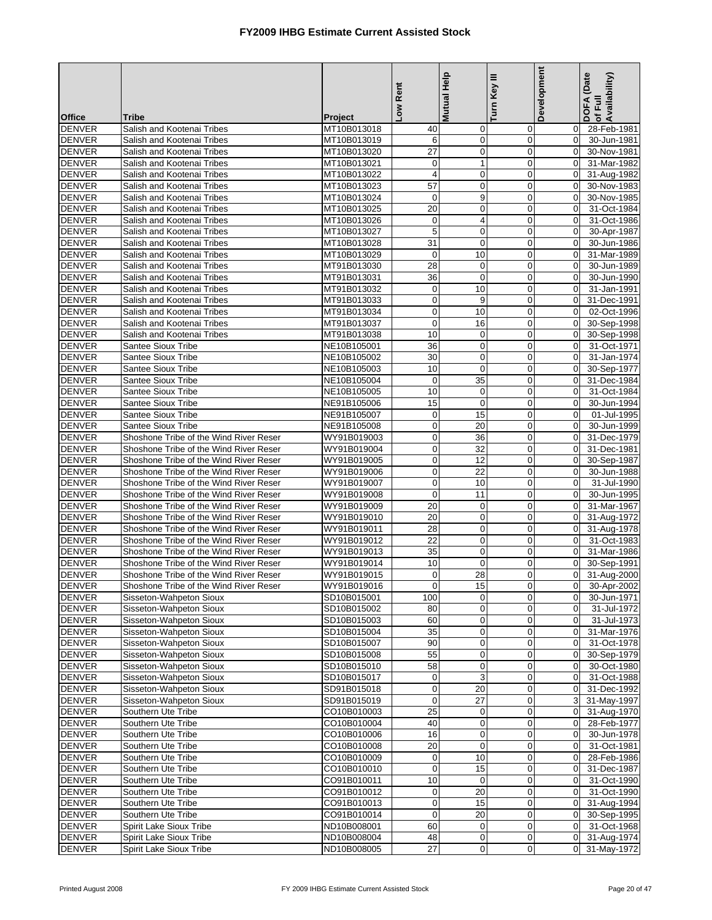|                                |                                                          |                            | Low Rent          | Mutual Help                | Turn Key III               | Development                      | DOFA (Date<br>of Full<br>Availability) |
|--------------------------------|----------------------------------------------------------|----------------------------|-------------------|----------------------------|----------------------------|----------------------------------|----------------------------------------|
| <b>Office</b>                  | Tribe                                                    | <b>Project</b>             |                   |                            |                            |                                  |                                        |
| <b>DENVER</b>                  | Salish and Kootenai Tribes                               | MT10B013018                | 40                | 0                          | $\mathbf 0$                | $\overline{0}$<br>$\Omega$       | 28-Feb-1981                            |
| <b>DENVER</b><br><b>DENVER</b> | Salish and Kootenai Tribes<br>Salish and Kootenai Tribes | MT10B013019<br>MT10B013020 | 6<br>27           | $\mathbf 0$<br>0           | $\mathbf 0$<br>0           | $\Omega$                         | 30-Jun-1981<br>30-Nov-1981             |
| <b>DENVER</b>                  | Salish and Kootenai Tribes                               | MT10B013021                | 0                 | $\mathbf{1}$               | $\mathbf 0$                | $\overline{0}$                   | 31-Mar-1982                            |
| <b>DENVER</b>                  | Salish and Kootenai Tribes                               | MT10B013022                | $\overline{4}$    | $\mathbf 0$                | $\overline{0}$             | $\overline{0}$                   | 31-Aug-1982                            |
| <b>DENVER</b>                  | Salish and Kootenai Tribes                               | MT10B013023                | 57                | 0                          | $\mathbf 0$                | $\Omega$                         | 30-Nov-1983                            |
| <b>DENVER</b>                  | Salish and Kootenai Tribes                               | MT10B013024                | $\mathbf 0$       | $\boldsymbol{9}$           | $\mathbf 0$                | $\overline{0}$                   | 30-Nov-1985                            |
| <b>DENVER</b>                  | Salish and Kootenai Tribes                               | MT10B013025                | 20                | 0                          | $\overline{0}$             | $\overline{0}$                   | 31-Oct-1984                            |
| <b>DENVER</b>                  | Salish and Kootenai Tribes                               | MT10B013026                | $\mathbf 0$       | 4                          | $\mathbf 0$                | $\overline{0}$                   | 31-Oct-1986                            |
| <b>DENVER</b>                  | Salish and Kootenai Tribes                               | MT10B013027                | 5                 | $\mathbf 0$                | $\mathbf 0$                | $\overline{0}$                   | 30-Apr-1987                            |
| <b>DENVER</b>                  | Salish and Kootenai Tribes                               | MT10B013028                | 31                | 0                          | $\mathbf 0$                | $\Omega$                         | 30-Jun-1986                            |
| <b>DENVER</b>                  | Salish and Kootenai Tribes                               | MT10B013029                | $\mathbf 0$       | 10                         | $\mathbf 0$                | $\Omega$                         | 31-Mar-1989                            |
| <b>DENVER</b>                  | Salish and Kootenai Tribes                               | MT91B013030                | 28                | $\mathbf 0$                | $\mathbf 0$                | $\overline{0}$                   | 30-Jun-1989                            |
| <b>DENVER</b>                  | Salish and Kootenai Tribes                               | MT91B013031                | 36                | $\mathbf 0$                | $\mathbf 0$                | $\Omega$                         | 30-Jun-1990                            |
| <b>DENVER</b>                  | Salish and Kootenai Tribes                               | MT91B013032                | $\mathbf 0$       | 10                         | 0                          | $\overline{0}$                   | 31-Jan-1991                            |
| <b>DENVER</b>                  | Salish and Kootenai Tribes                               | MT91B013033                | $\mathbf 0$       | 9                          | $\mathbf 0$                | $\overline{0}$                   | 31-Dec-1991                            |
| <b>DENVER</b>                  | Salish and Kootenai Tribes                               | MT91B013034                | $\pmb{0}$         | 10                         | $\mathbf 0$                | $\Omega$                         | 02-Oct-1996                            |
| <b>DENVER</b>                  | Salish and Kootenai Tribes                               | MT91B013037                | $\mathbf 0$       | 16                         | $\mathbf 0$                | $\overline{0}$                   | 30-Sep-1998                            |
| <b>DENVER</b>                  | Salish and Kootenai Tribes                               | MT91B013038                | 10                | $\mathbf 0$                | $\overline{0}$             | $\overline{0}$                   | 30-Sep-1998                            |
| <b>DENVER</b>                  | Santee Sioux Tribe                                       | NE10B105001                | 36                | 0                          | $\mathbf 0$                | $\mathbf{0}$                     | 31-Oct-1971                            |
| <b>DENVER</b>                  | Santee Sioux Tribe                                       | NE10B105002                | 30                | $\mathbf 0$                | $\mathbf 0$                | $\overline{0}$                   | 31-Jan-1974                            |
| <b>DENVER</b>                  | <b>Santee Sioux Tribe</b>                                | NE10B105003                | 10                | $\mathbf 0$                | $\overline{0}$             | $\overline{0}$                   | 30-Sep-1977                            |
| <b>DENVER</b>                  | Santee Sioux Tribe                                       | NE10B105004                | $\mathbf 0$<br>10 | 35                         | $\mathbf 0$<br>$\mathbf 0$ | $\overline{0}$                   | 31-Dec-1984                            |
| <b>DENVER</b><br><b>DENVER</b> | <b>Santee Sioux Tribe</b><br><b>Santee Sioux Tribe</b>   | NE10B105005<br>NE91B105006 | 15                | $\mathbf 0$<br>$\mathbf 0$ | $\mathbf 0$                | $\overline{0}$<br>$\Omega$       | 31-Oct-1984<br>30-Jun-1994             |
| <b>DENVER</b>                  | Santee Sioux Tribe                                       | NE91B105007                | $\mathbf 0$       | 15                         | $\mathbf 0$                | $\Omega$                         | 01-Jul-1995                            |
| <b>DENVER</b>                  | <b>Santee Sioux Tribe</b>                                | NE91B105008                | $\mathbf 0$       | 20                         | $\mathbf 0$                | $\overline{0}$                   | 30-Jun-1999                            |
| <b>DENVER</b>                  | Shoshone Tribe of the Wind River Reser                   | WY91B019003                | $\pmb{0}$         | 36                         | $\mathbf 0$                | $\Omega$                         | 31-Dec-1979                            |
| <b>DENVER</b>                  | Shoshone Tribe of the Wind River Reser                   | WY91B019004                | $\mathbf 0$       | 32                         | $\mathbf 0$                | $\overline{0}$                   | 31-Dec-1981                            |
| <b>DENVER</b>                  | Shoshone Tribe of the Wind River Reser                   | WY91B019005                | $\mathbf 0$       | 12                         | $\mathbf 0$                | $\overline{0}$                   | 30-Sep-1987                            |
| <b>DENVER</b>                  | Shoshone Tribe of the Wind River Reser                   | WY91B019006                | $\pmb{0}$         | 22                         | $\mathbf 0$                | $\overline{0}$                   | 30-Jun-1988                            |
| <b>DENVER</b>                  | Shoshone Tribe of the Wind River Reser                   | WY91B019007                | $\mathbf 0$       | 10                         | $\mathbf 0$                | $\overline{0}$                   | 31-Jul-1990                            |
| <b>DENVER</b>                  | Shoshone Tribe of the Wind River Reser                   | WY91B019008                | $\mathbf 0$       | 11                         | $\overline{0}$             | $\Omega$                         | 30-Jun-1995                            |
| <b>DENVER</b>                  | Shoshone Tribe of the Wind River Reser                   | WY91B019009                | 20                | 0                          | $\mathbf 0$                | $\Omega$                         | 31-Mar-1967                            |
| <b>DENVER</b>                  | Shoshone Tribe of the Wind River Reser                   | WY91B019010                | 20                | $\mathbf 0$                | $\mathbf 0$                | $\overline{0}$                   | 31-Aug-1972                            |
| <b>DENVER</b>                  | Shoshone Tribe of the Wind River Reser                   | WY91B019011                | 28                | 0                          | $\mathbf 0$                | $\overline{0}$                   | 31-Aug-1978                            |
| <b>DENVER</b>                  | Shoshone Tribe of the Wind River Reser                   | WY91B019012                | 22                | $\mathbf 0$                | $\mathbf 0$                | $\overline{0}$                   | 31-Oct-1983                            |
| <b>DENVER</b>                  | Shoshone Tribe of the Wind River Reser                   | WY91B019013                | 35                | $\mathbf 0$                | $\mathbf 0$                | $\overline{0}$                   | 31-Mar-1986                            |
| <b>DENVER</b>                  | Shoshone Tribe of the Wind River Reser                   | WY91B019014                | 10                | $\mathbf 0$                | $\mathbf 0$                | $\Omega$                         | 30-Sep-1991                            |
| <b>DENVER</b>                  | Shoshone Tribe of the Wind River Reser                   | WY91B019015                | $\mathbf 0$       | 28                         | $\mathbf 0$                | $\overline{0}$                   | 31-Aug-2000                            |
| <b>DENVER</b>                  | Shoshone Tribe of the Wind River Reser                   | WY91B019016                | $\overline{0}$    | 15                         | $\mathsf{o}$               |                                  | 0 30-Apr-2002                          |
| <b>DENVER</b>                  | Sisseton-Wahpeton Sioux                                  | SD10B015001                | 100               | 0                          | 0                          | $\overline{0}$                   | 30-Jun-1971                            |
| <b>DENVER</b><br><b>DENVER</b> | Sisseton-Wahpeton Sioux<br>Sisseton-Wahpeton Sioux       | SD10B015002<br>SD10B015003 | 80<br>60          | 0<br>0                     | 0<br>$\mathbf 0$           | $\overline{0}$<br>$\overline{0}$ | 31-Jul-1972<br>31-Jul-1973             |
| <b>DENVER</b>                  | Sisseton-Wahpeton Sioux                                  | SD10B015004                | 35                | 0                          | $\mathbf 0$                | $\overline{0}$                   | 31-Mar-1976                            |
| <b>DENVER</b>                  | Sisseton-Wahpeton Sioux                                  | SD10B015007                | $90\,$            | $\pmb{0}$                  | $\pmb{0}$                  | $\overline{0}$                   | 31-Oct-1978                            |
| <b>DENVER</b>                  | Sisseton-Wahpeton Sioux                                  | SD10B015008                | 55                | 0                          | $\mathbf 0$                | $\overline{0}$                   | 30-Sep-1979                            |
| <b>DENVER</b>                  | Sisseton-Wahpeton Sioux                                  | SD10B015010                | 58                | 0                          | $\mathbf 0$                | $\overline{0}$                   | 30-Oct-1980                            |
| <b>DENVER</b>                  | Sisseton-Wahpeton Sioux                                  | SD10B015017                | $\boldsymbol{0}$  | 3                          | $\pmb{0}$                  | $\overline{0}$                   | $31-Oct-1988$                          |
| <b>DENVER</b>                  | Sisseton-Wahpeton Sioux                                  | SD91B015018                | $\pmb{0}$         | 20                         | $\mathbf 0$                | $\overline{0}$                   | 31-Dec-1992                            |
| <b>DENVER</b>                  | Sisseton-Wahpeton Sioux                                  | SD91B015019                | $\mathbf 0$       | 27                         | $\mathbf 0$                | $\overline{3}$                   | 31-May-1997                            |
| <b>DENVER</b>                  | Southern Ute Tribe                                       | CO10B010003                | 25                | $\mathbf 0$                | 0                          |                                  | 0 31-Aug-1970                          |
| <b>DENVER</b>                  | Southern Ute Tribe                                       | CO10B010004                | 40                | 0                          | 0                          | $\overline{0}$                   | 28-Feb-1977                            |
| <b>DENVER</b>                  | Southern Ute Tribe                                       | CO10B010006                | 16                | $\pmb{0}$                  | 0                          | $\overline{0}$                   | 30-Jun-1978                            |
| <b>DENVER</b>                  | Southern Ute Tribe                                       | CO10B010008                | $\overline{20}$   | $\mathbf 0$                | $\mathbf 0$                | $\overline{0}$                   | $\overline{31}$ -Oct-1981              |
| <b>DENVER</b>                  | Southern Ute Tribe                                       | CO10B010009                | $\pmb{0}$         | 10                         | 0                          | $\overline{0}$                   | 28-Feb-1986                            |
| <b>DENVER</b>                  | Southern Ute Tribe                                       | CO10B010010                | $\overline{0}$    | 15                         | $\pmb{0}$                  | $\overline{0}$                   | 31-Dec-1987                            |
| <b>DENVER</b>                  | Southern Ute Tribe                                       | CO91B010011                | 10                | $\mathbf 0$                | $\mathbf 0$                | $\mathbf 0$                      | 31-Oct-1990                            |
| <b>DENVER</b>                  | Southern Ute Tribe                                       | CO91B010012                | $\boldsymbol{0}$  | 20                         | $\mathbf 0$                | $\overline{0}$                   | 31-Oct-1990                            |
| <b>DENVER</b>                  | Southern Ute Tribe                                       | CO91B010013                | $\pmb{0}$         | 15                         | $\pmb{0}$                  | $\overline{0}$                   | 31-Aug-1994                            |
| <b>DENVER</b>                  | Southern Ute Tribe                                       | CO91B010014                | $\pmb{0}$         | 20                         | $\mathbf 0$                | $\overline{0}$                   | 30-Sep-1995                            |
| <b>DENVER</b>                  | Spirit Lake Sioux Tribe                                  | ND10B008001                | 60                | $\boldsymbol{0}$           | $\mathbf 0$                | $\overline{0}$                   | 31-Oct-1968                            |
| <b>DENVER</b>                  | Spirit Lake Sioux Tribe                                  | ND10B008004                | 48                | $\boldsymbol{0}$           | 0                          |                                  | 0 31-Aug-1974                          |
| <b>DENVER</b>                  | Spirit Lake Sioux Tribe                                  | ND10B008005                | $\overline{27}$   | $\pmb{0}$                  | $\pmb{0}$                  |                                  | 0 31-May-1972                          |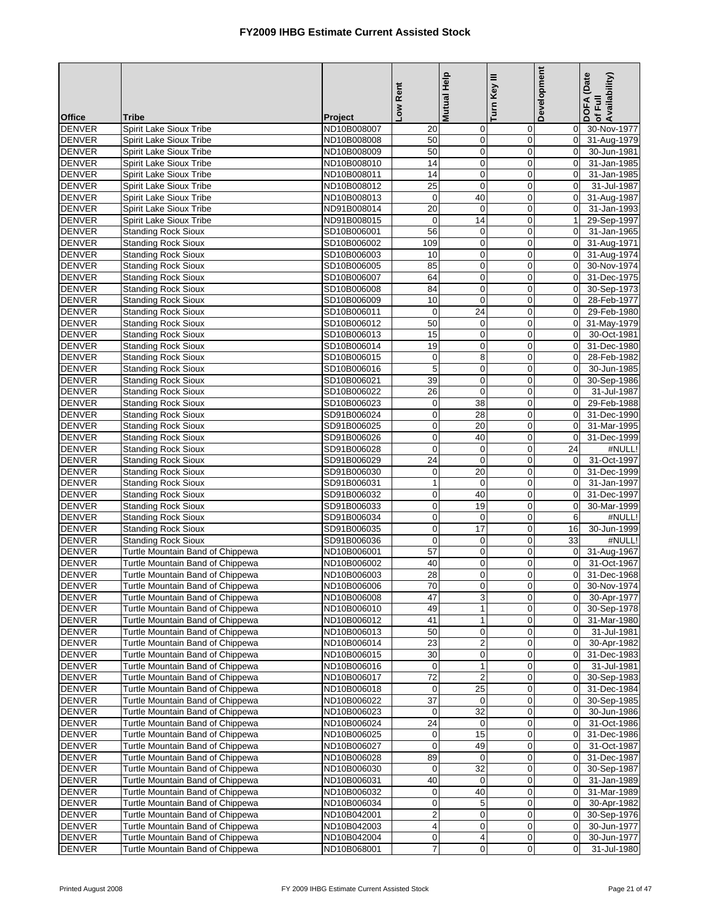|                                |                                                                      |                            | Low Rent                | Mutual Help      | Turn Key III               | Development                      | DOFA (Date<br>of Full<br>Availability) |
|--------------------------------|----------------------------------------------------------------------|----------------------------|-------------------------|------------------|----------------------------|----------------------------------|----------------------------------------|
| <b>Office</b>                  | <b>Tribe</b>                                                         | Project                    |                         |                  |                            |                                  |                                        |
| <b>DENVER</b>                  | Spirit Lake Sioux Tribe                                              | ND10B008007                | 20                      | 0                | $\mathbf 0$                | $\overline{0}$                   | 30-Nov-1977                            |
| <b>DENVER</b>                  | Spirit Lake Sioux Tribe                                              | ND10B008008                | 50                      | $\pmb{0}$        | $\pmb{0}$                  | $\overline{0}$                   | 31-Aug-1979                            |
| <b>DENVER</b>                  | Spirit Lake Sioux Tribe                                              | ND10B008009                | 50                      | $\pmb{0}$        | $\mathbf 0$                | $\overline{0}$                   | 30-Jun-1981                            |
| <b>DENVER</b>                  | Spirit Lake Sioux Tribe                                              | ND10B008010                | 14                      | $\pmb{0}$        | $\mathbf 0$                | $\overline{0}$                   | 31-Jan-1985                            |
| <b>DENVER</b><br><b>DENVER</b> | Spirit Lake Sioux Tribe<br>Spirit Lake Sioux Tribe                   | ND10B008011<br>ND10B008012 | 14<br>$\overline{25}$   | 0<br>$\pmb{0}$   | $\mathbf 0$<br>$\mathbf 0$ | $\overline{0}$<br>$\Omega$       | 31-Jan-1985<br>31-Jul-1987             |
| <b>DENVER</b>                  | Spirit Lake Sioux Tribe                                              | ND10B008013                | $\mathbf 0$             | 40               | $\mathbf 0$                | $\mathbf 0$                      | 31-Aug-1987                            |
| <b>DENVER</b>                  | Spirit Lake Sioux Tribe                                              | ND91B008014                | $\overline{20}$         | $\pmb{0}$        | $\mathbf 0$                | $\overline{0}$                   | 31-Jan-1993                            |
| <b>DENVER</b>                  | Spirit Lake Sioux Tribe                                              | ND91B008015                | $\mathbf 0$             | $\overline{14}$  | $\mathbf 0$                | 1                                | 29-Sep-1997                            |
| <b>DENVER</b>                  | <b>Standing Rock Sioux</b>                                           | SD10B006001                | 56                      | 0                | $\mathbf 0$                | $\overline{0}$                   | 31-Jan-1965                            |
| <b>DENVER</b>                  | <b>Standing Rock Sioux</b>                                           | SD10B006002                | 109                     | $\pmb{0}$        | $\mathbf 0$                | $\overline{0}$                   | 31-Aug-1971                            |
| <b>DENVER</b>                  | <b>Standing Rock Sioux</b>                                           | SD10B006003                | 10                      | 0                | $\mathbf 0$                | $\overline{0}$                   | 31-Aug-1974                            |
| <b>DENVER</b>                  | <b>Standing Rock Sioux</b>                                           | SD10B006005                | 85                      | $\mathbf 0$      | $\pmb{0}$                  | $\overline{0}$                   | 30-Nov-1974                            |
| <b>DENVER</b>                  | <b>Standing Rock Sioux</b>                                           | SD10B006007                | 64                      | $\pmb{0}$        | $\mathbf 0$                | $\mathbf 0$                      | 31-Dec-1975                            |
| <b>DENVER</b>                  | <b>Standing Rock Sioux</b>                                           | SD10B006008                | 84                      | $\pmb{0}$        | $\mathbf 0$                | $\overline{0}$                   | 30-Sep-1973                            |
| <b>DENVER</b>                  | <b>Standing Rock Sioux</b>                                           | SD10B006009                | 10                      | $\pmb{0}$        | $\mathbf 0$                | $\overline{0}$                   | 28-Feb-1977                            |
| <b>DENVER</b><br><b>DENVER</b> | <b>Standing Rock Sioux</b><br><b>Standing Rock Sioux</b>             | SD10B006011                | $\mathbf 0$<br>50       | 24               | $\mathbf 0$                | $\Omega$<br>$\overline{0}$       | 29-Feb-1980                            |
| <b>DENVER</b>                  | <b>Standing Rock Sioux</b>                                           | SD10B006012<br>SD10B006013 | 15                      | $\mathbf 0$<br>0 | $\mathbf 0$<br>$\mathbf 0$ | $\overline{0}$                   | 31-May-1979<br>30-Oct-1981             |
| <b>DENVER</b>                  | <b>Standing Rock Sioux</b>                                           | SD10B006014                | 19                      | $\pmb{0}$        | $\mathbf 0$                | $\Omega$                         | 31-Dec-1980                            |
| <b>DENVER</b>                  | <b>Standing Rock Sioux</b>                                           | SD10B006015                | $\boldsymbol{0}$        | 8                | $\mathbf 0$                | $\overline{0}$                   | 28-Feb-1982                            |
| <b>DENVER</b>                  | <b>Standing Rock Sioux</b>                                           | SD10B006016                | $\overline{5}$          | $\pmb{0}$        | $\mathbf 0$                | $\mathbf 0$                      | 30-Jun-1985                            |
| <b>DENVER</b>                  | <b>Standing Rock Sioux</b>                                           | SD10B006021                | 39                      | 0                | $\mathbf 0$                | $\overline{0}$                   | 30-Sep-1986                            |
| <b>DENVER</b>                  | <b>Standing Rock Sioux</b>                                           | SD10B006022                | 26                      | $\boldsymbol{0}$ | $\pmb{0}$                  | $\overline{0}$                   | 31-Jul-1987                            |
| <b>DENVER</b>                  | <b>Standing Rock Sioux</b>                                           | SD10B006023                | $\mathbf 0$             | 38               | $\mathbf 0$                | $\overline{0}$                   | 29-Feb-1988                            |
| <b>DENVER</b>                  | <b>Standing Rock Sioux</b>                                           | SD91B006024                | $\boldsymbol{0}$        | 28               | $\mathbf 0$                | $\overline{0}$                   | 31-Dec-1990                            |
| <b>DENVER</b>                  | <b>Standing Rock Sioux</b>                                           | SD91B006025                | $\pmb{0}$               | 20               | $\mathbf 0$                | $\overline{0}$                   | 31-Mar-1995                            |
| <b>DENVER</b>                  | <b>Standing Rock Sioux</b>                                           | SD91B006026                | $\mathbf 0$             | 40               | $\mathbf 0$                | $\mathbf 0$                      | 31-Dec-1999                            |
| <b>DENVER</b>                  | <b>Standing Rock Sioux</b>                                           | SD91B006028                | $\mathbf 0$             | $\mathbf 0$      | $\mathbf 0$                | 24                               | #NULL!                                 |
| <b>DENVER</b><br><b>DENVER</b> | <b>Standing Rock Sioux</b><br><b>Standing Rock Sioux</b>             | SD91B006029<br>SD91B006030 | 24<br>$\mathbf 0$       | $\pmb{0}$<br>20  | $\mathbf 0$<br>$\mathbf 0$ | $\overline{0}$<br>$\Omega$       | 31-Oct-1997<br>31-Dec-1999             |
| <b>DENVER</b>                  | <b>Standing Rock Sioux</b>                                           | SD91B006031                | $\mathbf{1}$            | 0                | $\mathbf 0$                | $\overline{0}$                   | 31-Jan-1997                            |
| <b>DENVER</b>                  | <b>Standing Rock Sioux</b>                                           | SD91B006032                | $\pmb{0}$               | 40               | $\mathbf 0$                | $\mathbf 0$                      | 31-Dec-1997                            |
| <b>DENVER</b>                  | <b>Standing Rock Sioux</b>                                           | SD91B006033                | $\pmb{0}$               | 19               | $\mathbf 0$                | $\overline{0}$                   | 30-Mar-1999                            |
| <b>DENVER</b>                  | <b>Standing Rock Sioux</b>                                           | SD91B006034                | $\pmb{0}$               | $\pmb{0}$        | $\pmb{0}$                  | 6                                | #NULL!                                 |
| <b>DENVER</b>                  | <b>Standing Rock Sioux</b>                                           | SD91B006035                | $\mathbf 0$             | $\overline{17}$  | $\mathbf 0$                | 16                               | 30-Jun-1999                            |
| <b>DENVER</b>                  | <b>Standing Rock Sioux</b>                                           | SD91B006036                | $\pmb{0}$               | $\pmb{0}$        | $\mathbf 0$                | 33                               | #NULL!                                 |
| <b>DENVER</b>                  | Turtle Mountain Band of Chippewa                                     | ND10B006001                | 57                      | $\overline{0}$   | $\pmb{0}$                  | $\overline{0}$                   | 31-Aug-1967                            |
| <b>DENVER</b>                  | Turtle Mountain Band of Chippewa                                     | ND10B006002                | 40                      | 0                | $\mathbf 0$                | $\mathbf 0$                      | 31-Oct-1967                            |
| <b>DENVER</b>                  | Turtle Mountain Band of Chippewa                                     | ND10B006003                | 28                      | 0                | $\overline{0}$             | $\Omega$                         | 31-Dec-1968                            |
| <b>DENVER</b>                  | Turtle Mountain Band of Chippewa                                     | ND10B006006                | 70<br>$\overline{47}$   | $\mathbf{0}$     | $\cup$<br>$\mathbf 0$      | $\mathbf{U}$<br>$\Omega$         | 30-Nov-1974                            |
| <b>DENVER</b><br><b>DENVER</b> | Turtle Mountain Band of Chippewa<br>Turtle Mountain Band of Chippewa | ND10B006008<br>ND10B006010 | 49                      | 3<br>1           | 0                          | $\overline{0}$                   | 30-Apr-1977<br>30-Sep-1978             |
| <b>DENVER</b>                  | Turtle Mountain Band of Chippewa                                     | ND10B006012                | 41                      | $\mathbf{1}$     | 0                          | $\overline{0}$                   | 31-Mar-1980                            |
| <b>DENVER</b>                  | Turtle Mountain Band of Chippewa                                     | ND10B006013                | 50                      | 0                | $\pmb{0}$                  | $\overline{0}$                   | 31-Jul-1981                            |
| <b>DENVER</b>                  | Turtle Mountain Band of Chippewa                                     | ND10B006014                | 23                      | 2                | $\mathbf 0$                | $\mathbf 0$                      | 30-Apr-1982                            |
| <b>DENVER</b>                  | Turtle Mountain Band of Chippewa                                     | ND10B006015                | 30                      | $\pmb{0}$        | $\mathbf 0$                | $\overline{0}$                   | 31-Dec-1983                            |
| <b>DENVER</b>                  | Turtle Mountain Band of Chippewa                                     | ND10B006016                | $\pmb{0}$               | $\mathbf{1}$     | $\mathbf 0$                | $\overline{0}$                   | 31-Jul-1981                            |
| <b>DENVER</b>                  | Turtle Mountain Band of Chippewa                                     | ND10B006017                | 72                      | $\boldsymbol{2}$ | $\pmb{0}$                  | $\overline{0}$                   | 30-Sep-1983                            |
| <b>DENVER</b>                  | Turtle Mountain Band of Chippewa                                     | ND10B006018                | $\mathbf 0$             | 25               | $\mathbf 0$                | $\overline{0}$                   | 31-Dec-1984                            |
| <b>DENVER</b>                  | Turtle Mountain Band of Chippewa                                     | ND10B006022                | 37                      | $\mathbf 0$      | $\mathbf 0$                | $\overline{0}$                   | 30-Sep-1985                            |
| <b>DENVER</b>                  | Turtle Mountain Band of Chippewa                                     | ND10B006023                | $\pmb{0}$               | 32               | $\pmb{0}$                  | $\overline{0}$                   | 30-Jun-1986                            |
| <b>DENVER</b>                  | Turtle Mountain Band of Chippewa                                     | ND10B006024                | 24                      | $\mathbf 0$      | $\mathbf 0$                | $\overline{0}$                   | 31-Oct-1986                            |
| <b>DENVER</b><br><b>DENVER</b> | Turtle Mountain Band of Chippewa<br>Turtle Mountain Band of Chippewa | ND10B006025<br>ND10B006027 | $\pmb{0}$<br>$\pmb{0}$  | 15<br>49         | $\mathbf 0$<br>$\pmb{0}$   | $\overline{0}$<br>$\overline{0}$ | 31-Dec-1986<br>31-Oct-1987             |
| <b>DENVER</b>                  | Turtle Mountain Band of Chippewa                                     | ND10B006028                | 89                      | $\pmb{0}$        | $\mathbf 0$                | $\overline{0}$                   | 31-Dec-1987                            |
| <b>DENVER</b>                  | Turtle Mountain Band of Chippewa                                     | ND10B006030                | 0                       | 32               | $\mathbf 0$                | $\overline{0}$                   | 30-Sep-1987                            |
| <b>DENVER</b>                  | Turtle Mountain Band of Chippewa                                     | ND10B006031                | 40                      | 0                | $\mathbf 0$                | $\overline{0}$                   | 31-Jan-1989                            |
| <b>DENVER</b>                  | Turtle Mountain Band of Chippewa                                     | ND10B006032                | $\pmb{0}$               | 40               | $\mathbf 0$                | $\overline{0}$                   | 31-Mar-1989                            |
| <b>DENVER</b>                  | Turtle Mountain Band of Chippewa                                     | ND10B006034                | $\pmb{0}$               | 5                | $\mathbf 0$                | $\mathbf 0$                      | 30-Apr-1982                            |
| <b>DENVER</b>                  | Turtle Mountain Band of Chippewa                                     | ND10B042001                | $\mathbf 2$             | 0                | $\mathbf 0$                | $\overline{0}$                   | 30-Sep-1976                            |
| <b>DENVER</b>                  | Turtle Mountain Band of Chippewa                                     | ND10B042003                | $\overline{\mathbf{4}}$ | $\pmb{0}$        | 0                          | $\overline{0}$                   | 30-Jun-1977                            |
| <b>DENVER</b>                  | Turtle Mountain Band of Chippewa                                     | ND10B042004                | $\pmb{0}$               | 4                | $\pmb{0}$                  | $\overline{0}$                   | 30-Jun-1977                            |
| <b>DENVER</b>                  | Turtle Mountain Band of Chippewa                                     | ND10B068001                | $\overline{7}$          | 0                | $\mathbf 0$                | $\mathbf 0$                      | 31-Jul-1980                            |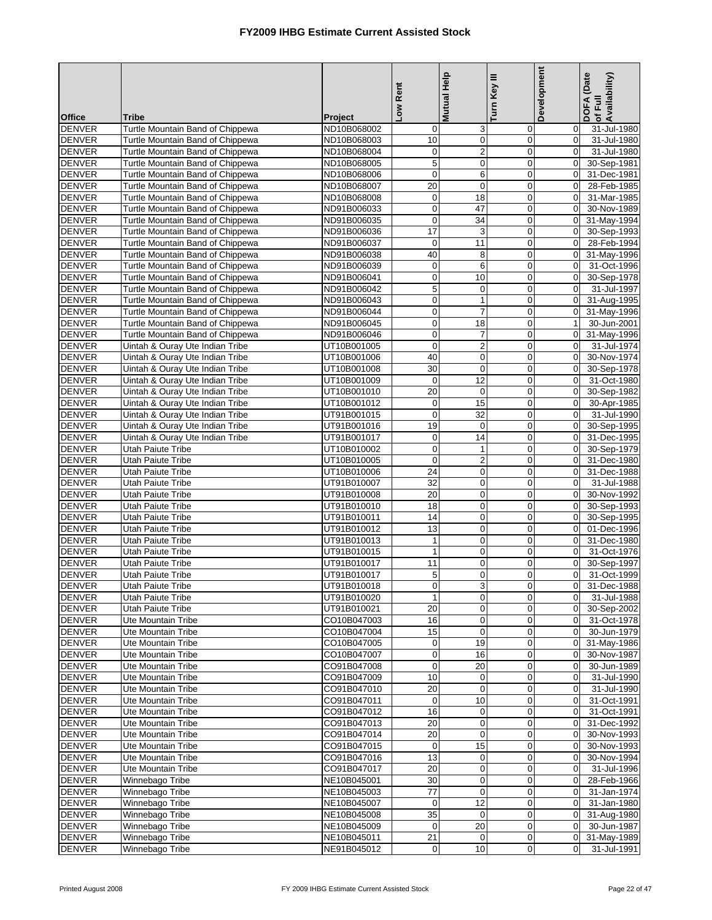| <b>Office</b>                  | <b>Tribe</b>                                                         | Project                    | Low Rent                 | Mutual Help                | Turn Key III               | Development                   | DOFA (Date<br>Availability)<br>of Full |
|--------------------------------|----------------------------------------------------------------------|----------------------------|--------------------------|----------------------------|----------------------------|-------------------------------|----------------------------------------|
| <b>DENVER</b>                  | Turtle Mountain Band of Chippewa                                     | ND10B068002                | 0                        | 3                          | $\mathbf 0$                | $\mathbf 0$                   | 31-Jul-1980                            |
| <b>DENVER</b>                  | Turtle Mountain Band of Chippewa                                     | ND10B068003                | 10                       | $\mathbf 0$                | $\mathbf 0$                | $\mathbf 0$                   | 31-Jul-1980                            |
| <b>DENVER</b>                  | Turtle Mountain Band of Chippewa                                     | ND10B068004                | $\mathbf 0$              | $\overline{2}$             | $\mathbf 0$                | $\mathbf 0$                   | 31-Jul-1980                            |
| <b>DENVER</b>                  | Turtle Mountain Band of Chippewa                                     | ND10B068005                | 5                        | $\mathbf 0$                | 0                          | $\mathbf 0$                   | 30-Sep-1981                            |
| <b>DENVER</b>                  | Turtle Mountain Band of Chippewa                                     | ND10B068006                | $\boldsymbol{0}$         | 6                          | $\boldsymbol{0}$           | $\mathbf 0$                   | 31-Dec-1981                            |
| <b>DENVER</b>                  | Turtle Mountain Band of Chippewa                                     | ND10B068007                | 20                       | $\mathbf 0$                | $\overline{0}$             | $\mathbf 0$                   | 28-Feb-1985                            |
| <b>DENVER</b>                  | Turtle Mountain Band of Chippewa                                     | ND10B068008                | $\mathbf 0$              | 18                         | $\mathbf 0$                | $\mathbf 0$                   | 31-Mar-1985                            |
| <b>DENVER</b>                  | Turtle Mountain Band of Chippewa                                     | ND91B006033                | $\pmb{0}$                | 47                         | $\mathbf 0$                | $\mathbf 0$                   | 30-Nov-1989                            |
| <b>DENVER</b>                  | Turtle Mountain Band of Chippewa                                     | ND91B006035                | $\mathbf 0$              | 34                         | $\mathbf 0$                | $\mathbf 0$                   | 31-May-1994                            |
| <b>DENVER</b>                  | Turtle Mountain Band of Chippewa                                     | ND91B006036                | 17                       | 3                          | $\mathbf 0$                | $\overline{0}$                | 30-Sep-1993                            |
| <b>DENVER</b>                  | Turtle Mountain Band of Chippewa                                     | ND91B006037                | $\boldsymbol{0}$         | $\overline{11}$            | $\mathbf 0$                | $\mathbf 0$                   | 28-Feb-1994                            |
| <b>DENVER</b>                  | Turtle Mountain Band of Chippewa                                     | ND91B006038                | 40                       | 8                          | $\mathbf 0$                | $\overline{0}$                | 31-May-1996                            |
| <b>DENVER</b>                  | Turtle Mountain Band of Chippewa                                     | ND91B006039                | $\mathbf 0$              | 6                          | $\mathbf 0$                | $\mathbf 0$                   | 31-Oct-1996                            |
| <b>DENVER</b>                  | Turtle Mountain Band of Chippewa                                     | ND91B006041                | $\mathbf 0$              | 10                         | 0                          | $\mathbf 0$                   | 30-Sep-1978                            |
| <b>DENVER</b>                  | Turtle Mountain Band of Chippewa                                     | ND91B006042                | 5                        | $\mathbf 0$                | $\overline{0}$             | $\mathbf 0$                   | 31-Jul-1997                            |
| <b>DENVER</b>                  | Turtle Mountain Band of Chippewa                                     | ND91B006043                | $\boldsymbol{0}$         | $\mathbf{1}$               | $\mathbf 0$                | $\overline{0}$                | 31-Aug-1995                            |
| <b>DENVER</b><br><b>DENVER</b> | Turtle Mountain Band of Chippewa                                     | ND91B006044                | $\mathbf 0$<br>$\pmb{0}$ | $\overline{7}$             | $\overline{0}$<br>0        | $\mathbf 0$<br>$\mathbf{1}$   | 31-May-1996                            |
| <b>DENVER</b>                  | Turtle Mountain Band of Chippewa<br>Turtle Mountain Band of Chippewa | ND91B006045<br>ND91B006046 | $\boldsymbol{0}$         | 18<br>$\overline{7}$       | $\pmb{0}$                  | $\mathbf 0$                   | 30-Jun-2001<br>31-May-1996             |
| <b>DENVER</b>                  | Uintah & Ouray Ute Indian Tribe                                      | UT10B001005                | $\mathbf 0$              | $\overline{2}$             | $\overline{0}$             | $\mathbf 0$                   | 31-Jul-1974                            |
| <b>DENVER</b>                  | Uintah & Ouray Ute Indian Tribe                                      | UT10B001006                | 40                       | $\mathbf 0$                | 0                          | $\mathbf 0$                   | 30-Nov-1974                            |
| <b>DENVER</b>                  | Uintah & Ouray Ute Indian Tribe                                      | UT10B001008                | 30                       | $\mathbf 0$                | $\mathbf 0$                | $\mathbf 0$                   | 30-Sep-1978                            |
| <b>DENVER</b>                  | Uintah & Ouray Ute Indian Tribe                                      | UT10B001009                | $\mathbf 0$              | 12                         | $\mathbf 0$                | $\overline{0}$                | 31-Oct-1980                            |
| <b>DENVER</b>                  | Uintah & Ouray Ute Indian Tribe                                      | UT10B001010                | 20                       | $\mathbf 0$                | $\mathbf 0$                | $\mathbf 0$                   | 30-Sep-1982                            |
| <b>DENVER</b>                  | Uintah & Ouray Ute Indian Tribe                                      | UT10B001012                | $\mathbf 0$              | 15                         | $\mathbf 0$                | $\mathbf 0$                   | 30-Apr-1985                            |
| <b>DENVER</b>                  | Uintah & Ouray Ute Indian Tribe                                      | UT91B001015                | $\mathbf 0$              | 32                         | $\mathbf 0$                | $\mathbf 0$                   | 31-Jul-1990                            |
| <b>DENVER</b>                  | Uintah & Ouray Ute Indian Tribe                                      | UT91B001016                | 19                       | $\mathbf 0$                | $\mathbf 0$                | $\overline{0}$                | 30-Sep-1995                            |
| <b>DENVER</b>                  | Uintah & Ouray Ute Indian Tribe                                      | UT91B001017                | $\mathbf 0$              | $\overline{14}$            | $\mathbf 0$                | $\mathbf 0$                   | 31-Dec-1995                            |
| <b>DENVER</b>                  | Utah Paiute Tribe                                                    | UT10B010002                | $\mathbf 0$              | $\mathbf{1}$               | $\overline{0}$             | $\overline{0}$                | 30-Sep-1979                            |
| <b>DENVER</b>                  | <b>Utah Paiute Tribe</b>                                             | UT10B010005                | $\mathbf 0$              | $\overline{\mathbf{c}}$    | $\boldsymbol{0}$           | $\mathbf 0$                   | 31-Dec-1980                            |
| <b>DENVER</b>                  | <b>Utah Paiute Tribe</b>                                             | UT10B010006                | $\overline{24}$          | $\mathbf 0$                | $\overline{0}$             | $\mathbf 0$                   | 31-Dec-1988                            |
| <b>DENVER</b>                  | Utah Paiute Tribe                                                    | UT91B010007                | 32                       | $\mathbf 0$                | $\mathbf 0$                | $\mathbf 0$                   | 31-Jul-1988                            |
| <b>DENVER</b>                  | Utah Paiute Tribe                                                    | UT91B010008                | 20                       | $\pmb{0}$                  | $\mathbf 0$                | $\mathbf 0$                   | 30-Nov-1992                            |
| <b>DENVER</b>                  | Utah Paiute Tribe                                                    | UT91B010010                | $\overline{18}$          | $\mathbf 0$                | $\overline{0}$             | $\mathbf 0$                   | 30-Sep-1993                            |
| <b>DENVER</b>                  | Utah Paiute Tribe                                                    | UT91B010011                | 14                       | $\mathbf 0$                | 0                          | $\overline{0}$                | 30-Sep-1995                            |
| <b>DENVER</b>                  | <b>Utah Paiute Tribe</b>                                             | UT91B010012                | 13                       | $\mathbf 0$                | $\mathbf 0$                | $\mathbf 0$                   | 01-Dec-1996                            |
| <b>DENVER</b>                  | Utah Paiute Tribe                                                    | UT91B010013<br>UT91B010015 | $\mathbf{1}$             | $\mathbf 0$                | 0                          | $\mathbf 0$                   | 31-Dec-1980<br>31-Oct-1976             |
| <b>DENVER</b><br><b>DENVER</b> | <b>Utah Paiute Tribe</b><br>Utah Paiute Tribe                        | UT91B010017                | $\mathbf{1}$<br>11       | $\mathbf 0$<br>$\mathbf 0$ | 0<br>$\mathbf 0$           | $\mathbf 0$<br>0              | 30-Sep-1997                            |
| <b>DENVER</b>                  | Utah Paiute Tribe                                                    | UT91B010017                | 5                        | $\mathbf 0$                | 0                          | $\overline{0}$                | 31-Oct-1999                            |
| DENVER                         | Utah Paiute Tribe                                                    | UT91B010018                | $\overline{0}$           | 3                          | $\mathbf{0}$               | 0                             | 31-Dec-1988                            |
| <b>DENVER</b>                  | Utah Paiute Tribe                                                    | UT91B010020                | $\mathbf{1}$             | $\mathbf 0$                | $\mathbf 0$                | $\overline{0}$                | 31-Jul-1988                            |
| <b>DENVER</b>                  | Utah Paiute Tribe                                                    | UT91B010021                | 20                       | $\mathbf 0$                | 0                          | $\overline{0}$                | 30-Sep-2002                            |
| <b>DENVER</b>                  | Ute Mountain Tribe                                                   | CO10B047003                | 16                       | $\pmb{0}$                  | $\pmb{0}$                  | $\overline{0}$                | 31-Oct-1978                            |
| <b>DENVER</b>                  | Ute Mountain Tribe                                                   | CO10B047004                | 15                       | $\mathbf 0$                | 0                          | $\overline{0}$                | 30-Jun-1979                            |
| <b>DENVER</b>                  | Ute Mountain Tribe                                                   | CO10B047005                | $\pmb{0}$                | 19                         | $\mathbf 0$                | $\overline{0}$                | 31-May-1986                            |
| <b>DENVER</b>                  | Ute Mountain Tribe                                                   | CO10B047007                | 0                        | 16                         | 0                          | $\overline{0}$                | 30-Nov-1987                            |
| <b>DENVER</b>                  | Ute Mountain Tribe                                                   | CO91B047008                | $\mathbf 0$              | 20                         | 0                          | $\mathbf 0$                   | 30-Jun-1989                            |
| <b>DENVER</b>                  | Ute Mountain Tribe                                                   | CO91B047009                | 10                       | $\mathbf 0$                | $\mathbf 0$                | $\mathbf 0$                   | 31-Jul-1990                            |
| <b>DENVER</b>                  | Ute Mountain Tribe                                                   | CO91B047010                | 20                       | $\mathbf 0$                | $\mathbf 0$                | $\overline{0}$                | 31-Jul-1990                            |
| <b>DENVER</b>                  | Ute Mountain Tribe                                                   | CO91B047011                | $\boldsymbol{0}$         | 10                         | $\mathbf 0$                | $\overline{0}$                | 31-Oct-1991                            |
| <b>DENVER</b>                  | Ute Mountain Tribe                                                   | CO91B047012                | 16                       | $\mathbf 0$                | 0                          | $\mathbf 0$                   | 31-Oct-1991                            |
| <b>DENVER</b>                  | Ute Mountain Tribe                                                   | CO91B047013                | 20                       | $\mathbf 0$                | $\mathbf 0$                | $\overline{0}$                | 31-Dec-1992                            |
| <b>DENVER</b>                  | Ute Mountain Tribe                                                   | CO91B047014                | 20                       | $\mathbf 0$                | 0                          | $\overline{0}$                | 30-Nov-1993                            |
| <b>DENVER</b>                  | Ute Mountain Tribe                                                   | CO91B047015                | 0                        | 15                         | 0                          | $\overline{0}$                | 30-Nov-1993                            |
| <b>DENVER</b>                  | <b>Ute Mountain Tribe</b>                                            | CO91B047016                | 13                       | $\mathbf 0$                | 0                          | $\overline{0}$                | 30-Nov-1994                            |
| <b>DENVER</b>                  | Ute Mountain Tribe                                                   | CO91B047017                | 20                       | $\mathbf 0$                | $\mathbf 0$<br>$\mathbf 0$ | $\mathbf 0$                   | 31-Jul-1996                            |
| <b>DENVER</b><br><b>DENVER</b> | Winnebago Tribe<br>Winnebago Tribe                                   | NE10B045001<br>NE10B045003 | 30<br>77                 | $\pmb{0}$<br>$\mathbf 0$   | 0                          | $\overline{0}$<br>$\mathbf 0$ | 28-Feb-1966<br>31-Jan-1974             |
| <b>DENVER</b>                  | Winnebago Tribe                                                      | NE10B045007                | 0                        | 12                         | $\mathbf 0$                | $\overline{0}$                | 31-Jan-1980                            |
| <b>DENVER</b>                  | Winnebago Tribe                                                      | NE10B045008                | 35                       | $\mathbf 0$                | $\mathbf 0$                | $\overline{0}$                | 31-Aug-1980                            |
| <b>DENVER</b>                  | Winnebago Tribe                                                      | NE10B045009                | $\mathbf 0$              | 20                         | $\mathbf 0$                | $\overline{0}$                | 30-Jun-1987                            |
| <b>DENVER</b>                  | Winnebago Tribe                                                      | NE10B045011                | 21                       | 0                          | 0                          | $\mathbf 0$                   | 31-May-1989                            |
| <b>DENVER</b>                  | Winnebago Tribe                                                      | NE91B045012                | $\pmb{0}$                | 10                         | 0                          | $\mathbf 0$                   | 31-Jul-1991                            |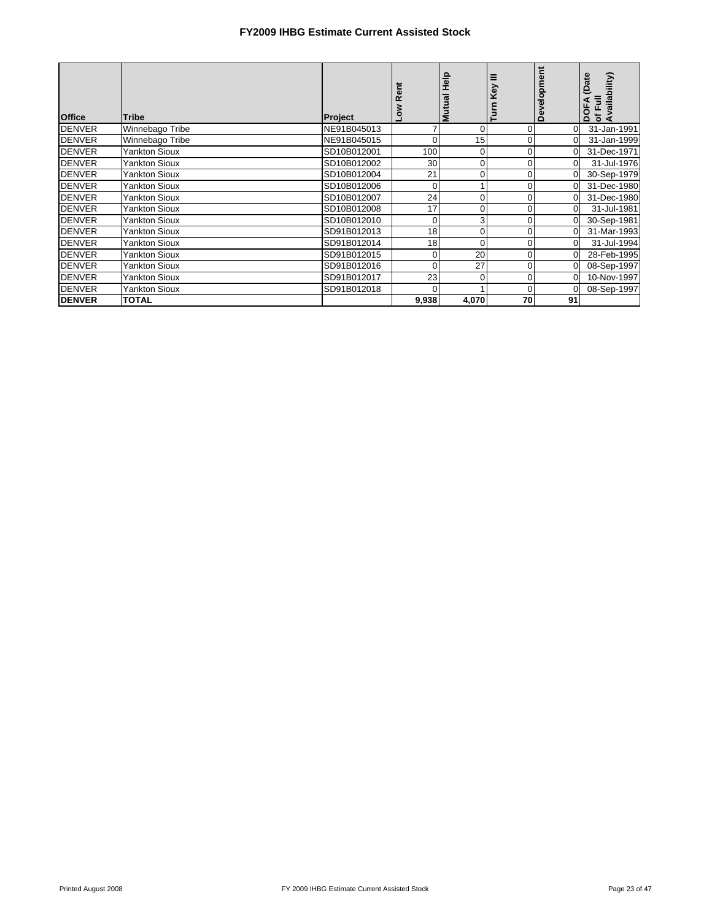| <b>Office</b> | Tribe                | Project     |                | 을<br>Mutual    | Ξ<br>Key<br>Turn | Development | (Date<br>bility)<br>Ē<br>DOF,<br>등<br>⋖ |
|---------------|----------------------|-------------|----------------|----------------|------------------|-------------|-----------------------------------------|
| <b>DENVER</b> | Winnebago Tribe      | NE91B045013 |                | 0              | 0                | $\Omega$    | 31-Jan-1991                             |
| <b>DENVER</b> | Winnebago Tribe      | NE91B045015 | $\overline{0}$ | 15             | 0                | $\Omega$    | 31-Jan-1999                             |
| <b>DENVER</b> | <b>Yankton Sioux</b> | SD10B012001 | 100            | 0              | 0                | $\Omega$    | 31-Dec-1971                             |
| <b>DENVER</b> | Yankton Sioux        | SD10B012002 | 30             | 0              | 0                | $\Omega$    | 31-Jul-1976                             |
| <b>DENVER</b> | Yankton Sioux        | SD10B012004 | 21             | 0              | 0                |             | 30-Sep-1979                             |
| <b>DENVER</b> | <b>Yankton Sioux</b> | SD10B012006 | $\overline{0}$ |                | 0                | $\Omega$    | 31-Dec-1980                             |
| <b>DENVER</b> | <b>Yankton Sioux</b> | SD10B012007 | 24             | 0              | 0                | $\Omega$    | 31-Dec-1980                             |
| <b>DENVER</b> | Yankton Sioux        | SD10B012008 | 17             | 0              | 0                | $\Omega$    | 31-Jul-1981                             |
| <b>DENVER</b> | Yankton Sioux        | SD10B012010 | $\overline{0}$ | 3 <sub>l</sub> | 0                |             | 30-Sep-1981                             |
| <b>DENVER</b> | <b>Yankton Sioux</b> | SD91B012013 | 18             | 0              | 0                | $\Omega$    | 31-Mar-1993                             |
| <b>DENVER</b> | <b>Yankton Sioux</b> | SD91B012014 | 18             | 0              | 0                | $\Omega$    | 31-Jul-1994                             |
| <b>DENVER</b> | Yankton Sioux        | SD91B012015 | $\overline{0}$ | 20             | $\Omega$         | $\Omega$    | 28-Feb-1995                             |
| <b>DENVER</b> | Yankton Sioux        | SD91B012016 | $\Omega$       | 27             | 0                |             | 08-Sep-1997                             |
| <b>DENVER</b> | <b>Yankton Sioux</b> | SD91B012017 | 23             | 0              | 0                | $\Omega$    | 10-Nov-1997                             |
| <b>DENVER</b> | <b>Yankton Sioux</b> | SD91B012018 | 0              |                | 0                |             | 08-Sep-1997                             |
| <b>DENVER</b> | <b>TOTAL</b>         |             | 9,938          | 4,070          | 70               | 91          |                                         |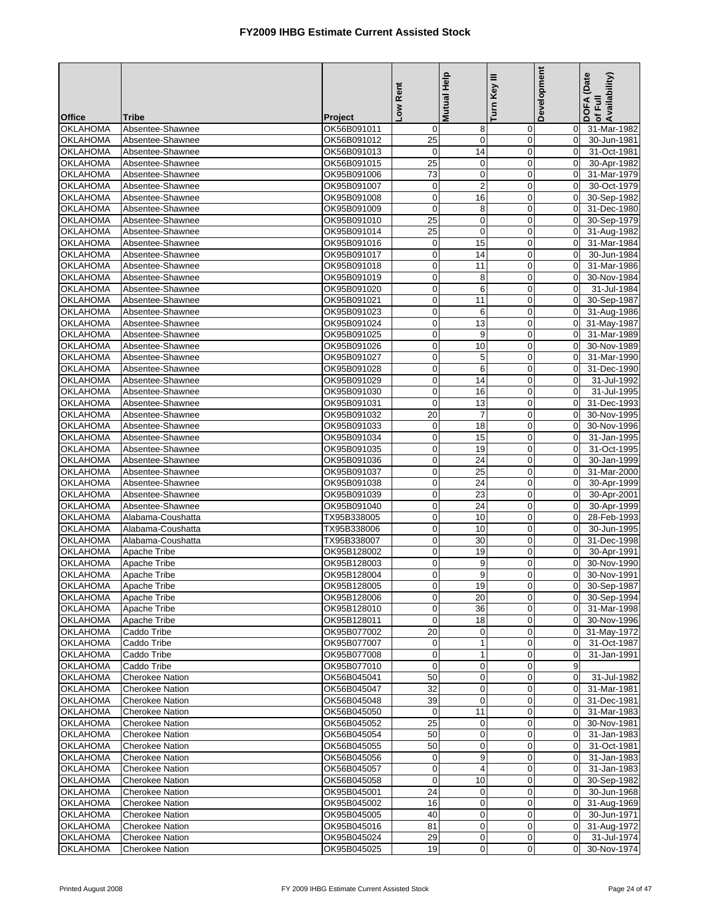|                                    |                                       |                            | Low Rent                        | <b>Mutual Help</b>         | Turn Key III               | Development      | DOFA (Date<br>Availability) |
|------------------------------------|---------------------------------------|----------------------------|---------------------------------|----------------------------|----------------------------|------------------|-----------------------------|
|                                    |                                       |                            |                                 |                            |                            |                  | of Full                     |
| <b>Office</b><br><b>OKLAHOMA</b>   | <b>Tribe</b><br>Absentee-Shawnee      | Project<br>OK56B091011     | 0                               | 8                          | 0                          | 0                | 31-Mar-1982                 |
| <b>OKLAHOMA</b>                    | Absentee-Shawnee                      | OK56B091012                | 25                              | $\mathbf 0$                | 0                          | $\mathbf 0$      | 30-Jun-1981                 |
| <b>OKLAHOMA</b>                    | Absentee-Shawnee                      | OK56B091013                | $\mathbf 0$                     | 14                         | 0                          | $\mathbf 0$      | 31-Oct-1981                 |
| <b>OKLAHOMA</b>                    | Absentee-Shawnee                      | OK56B091015                | 25                              | $\mathbf 0$                | 0                          | $\mathbf 0$      | 30-Apr-1982                 |
| <b>OKLAHOMA</b>                    | Absentee-Shawnee                      | OK95B091006                | 73                              | $\pmb{0}$                  | $\mathbf 0$                | $\mathbf 0$      | 31-Mar-1979                 |
| <b>OKLAHOMA</b>                    | Absentee-Shawnee                      | OK95B091007                | $\mathbf 0$                     | $\overline{\mathbf{c}}$    | 0                          | $\mathbf 0$      | 30-Oct-1979                 |
| <b>OKLAHOMA</b>                    | Absentee-Shawnee                      | OK95B091008                | $\pmb{0}$                       | 16                         | $\mathbf 0$                | $\mathbf 0$      | 30-Sep-1982                 |
| <b>OKLAHOMA</b>                    | Absentee-Shawnee                      | OK95B091009                | $\boldsymbol{0}$                | 8                          | $\mathbf 0$                | $\mathbf 0$      | 31-Dec-1980                 |
| <b>OKLAHOMA</b>                    | Absentee-Shawnee                      | OK95B091010                | 25                              | $\mathbf 0$                | 0                          | $\mathbf 0$      | 30-Sep-1979                 |
| <b>OKLAHOMA</b>                    | Absentee-Shawnee                      | OK95B091014                | 25                              | $\mathbf 0$                | $\mathbf 0$                | $\mathbf 0$      | 31-Aug-1982                 |
| <b>OKLAHOMA</b>                    | Absentee-Shawnee                      | OK95B091016                | $\mathbf 0$                     | 15                         | $\mathbf 0$                | 0                | 31-Mar-1984                 |
| <b>OKLAHOMA</b>                    | Absentee-Shawnee                      | OK95B091017                | $\pmb{0}$                       | 14                         | $\mathbf 0$                | $\mathbf 0$      | 30-Jun-1984                 |
| <b>OKLAHOMA</b>                    | Absentee-Shawnee                      | OK95B091018                | $\boldsymbol{0}$                | 11                         | $\mathbf 0$                | $\mathbf 0$      | 31-Mar-1986                 |
| <b>OKLAHOMA</b>                    | Absentee-Shawnee                      | OK95B091019                | $\mathbf 0$                     | 8                          | $\mathbf 0$                | $\mathbf 0$      | 30-Nov-1984                 |
| <b>OKLAHOMA</b>                    | Absentee-Shawnee                      | OK95B091020                | $\pmb{0}$                       | 6                          | 0                          | $\mathbf 0$      | 31-Jul-1984                 |
| <b>OKLAHOMA</b>                    | Absentee-Shawnee                      | OK95B091021                | $\pmb{0}$                       | 11                         | $\mathbf 0$                | $\mathbf 0$      | 30-Sep-1987                 |
| <b>OKLAHOMA</b>                    | Absentee-Shawnee                      | OK95B091023                | $\mathbf 0$                     | 6                          | $\overline{0}$             | $\mathbf 0$      | 31-Aug-1986                 |
| <b>OKLAHOMA</b>                    | Absentee-Shawnee                      | OK95B091024                | $\pmb{0}$                       | 13                         | 0                          | 0                | 31-May-1987                 |
| <b>OKLAHOMA</b>                    | Absentee-Shawnee                      | OK95B091025                | $\pmb{0}$                       | 9                          | $\mathbf 0$                | $\mathbf 0$      | 31-Mar-1989                 |
| <b>OKLAHOMA</b>                    | Absentee-Shawnee                      | OK95B091026                | $\mathbf 0$                     | 10                         | 0                          | $\mathbf 0$      | 30-Nov-1989                 |
| <b>OKLAHOMA</b>                    | Absentee-Shawnee                      | OK95B091027                | $\pmb{0}$                       | 5                          | $\mathbf 0$                | $\mathbf 0$      | 31-Mar-1990                 |
| <b>OKLAHOMA</b>                    | Absentee-Shawnee                      | OK95B091028<br>OK95B091029 | $\pmb{0}$<br>$\pmb{0}$          | 6<br>14                    | $\mathbf 0$<br>$\mathbf 0$ | 0<br>$\mathbf 0$ | 31-Dec-1990                 |
| <b>OKLAHOMA</b>                    | Absentee-Shawnee                      | OK95B091030                |                                 |                            |                            | $\Omega$         | 31-Jul-1992                 |
| OKLAHOMA                           | Absentee-Shawnee                      |                            | $\mathbf 0$<br>$\mathbf 0$      | 16<br>13                   | $\mathbf 0$<br>$\mathbf 0$ |                  | 31-Jul-1995                 |
| <b>OKLAHOMA</b><br><b>OKLAHOMA</b> | Absentee-Shawnee<br>Absentee-Shawnee  | OK95B091031<br>OK95B091032 | 20                              | $\overline{7}$             | $\mathbf 0$                | 0<br>$\Omega$    | 31-Dec-1993<br>30-Nov-1995  |
| <b>OKLAHOMA</b>                    | Absentee-Shawnee                      | OK95B091033                | $\pmb{0}$                       | 18                         | $\pmb{0}$                  | $\mathbf 0$      | 30-Nov-1996                 |
| <b>OKLAHOMA</b>                    | Absentee-Shawnee                      | OK95B091034                | $\mathbf 0$                     | 15                         | $\mathbf 0$                | $\mathbf 0$      | 31-Jan-1995                 |
| <b>OKLAHOMA</b>                    | Absentee-Shawnee                      | OK95B091035                | $\mathbf 0$                     | 19                         | 0                          | $\mathbf 0$      | 31-Oct-1995                 |
| <b>OKLAHOMA</b>                    | Absentee-Shawnee                      | OK95B091036                | $\pmb{0}$                       | 24                         | 0                          | $\boldsymbol{0}$ | 30-Jan-1999                 |
| OKLAHOMA                           | Absentee-Shawnee                      | OK95B091037                | $\mathbf 0$                     | $\overline{25}$            | 0                          | $\mathbf 0$      | 31-Mar-2000                 |
| <b>OKLAHOMA</b>                    | Absentee-Shawnee                      | OK95B091038                | $\pmb{0}$                       | 24                         | $\mathbf 0$                | $\mathbf 0$      | 30-Apr-1999                 |
| <b>OKLAHOMA</b>                    | Absentee-Shawnee                      | OK95B091039                | $\boldsymbol{0}$                | 23                         | $\mathbf 0$                | $\mathbf 0$      | 30-Apr-2001                 |
| <b>OKLAHOMA</b>                    | Absentee-Shawnee                      | OK95B091040                | $\mathbf 0$                     | 24                         | $\mathbf 0$                | $\mathbf 0$      | 30-Apr-1999                 |
| <b>OKLAHOMA</b>                    | Alabama-Coushatta                     | TX95B338005                | $\mathbf 0$                     | 10                         | $\mathbf 0$                | $\mathbf 0$      | 28-Feb-1993                 |
| <b>OKLAHOMA</b>                    | Alabama-Coushatta                     | TX95B338006                | $\mathbf 0$                     | 10                         | $\mathbf 0$                | $\mathbf 0$      | 30-Jun-1995                 |
| <b>OKLAHOMA</b>                    | Alabama-Coushatta                     | TX95B338007                | $\pmb{0}$                       | 30                         | $\mathbf 0$                | $\mathbf 0$      | 31-Dec-1998                 |
| <b>OKLAHOMA</b>                    | Apache Tribe                          | OK95B128002                | $\boldsymbol{0}$                | 19                         | $\mathbf 0$                | $\mathbf 0$      | 30-Apr-1991                 |
| OKLAHOMA                           | Apache Tribe                          | OK95B128003                | $\mathbf 0$                     | 9                          | $\mathbf 0$                | $\mathbf 0$      | 30-Nov-1990                 |
| <b>OKLAHOMA</b>                    | Apache Tribe                          | OK95B128004                | 0                               | 9                          | 0                          | $\overline{0}$   | 30-Nov-1991                 |
| OKLAHOMA                           | Apache Tribe                          | OK95B128005                | $\overline{0}$                  | 19                         | $\mathbf{0}$               |                  | 0 30-Sep-1987               |
| <b>OKLAHOMA</b>                    | Apache Tribe                          | OK95B128006                | $\mathbf 0$                     | 20                         | $\mathbf 0$                | $\mathbf 0$      | 30-Sep-1994                 |
| <b>OKLAHOMA</b>                    | Apache Tribe                          | OK95B128010                | $\mathbf 0$                     | 36                         | 0                          | $\overline{0}$   | 31-Mar-1998                 |
| <b>OKLAHOMA</b>                    | Apache Tribe                          | OK95B128011                | 0                               | 18                         | 0                          | $\overline{0}$   | 30-Nov-1996                 |
| <b>OKLAHOMA</b>                    | Caddo Tribe                           | OK95B077002                | 20                              | 0                          | $\mathbf 0$                | $\mathbf 0$      | 31-May-1972                 |
| <b>OKLAHOMA</b>                    | Caddo Tribe                           | OK95B077007                | 0                               | $\mathbf 1$                | 0                          | $\mathbf 0$      | 31-Oct-1987                 |
| OKLAHOMA                           | Caddo Tribe                           | OK95B077008<br>OK95B077010 | $\boldsymbol{0}$<br>$\mathbf 0$ | $\mathbf{1}$               | $\mathbf 0$                | $\mathbf 0$      | 31-Jan-1991                 |
| <b>OKLAHOMA</b><br>OKLAHOMA        | Caddo Tribe<br><b>Cherokee Nation</b> | OK56B045041                | 50                              | $\mathbf 0$<br>$\mathbf 0$ | 0<br>$\mathbf 0$           | 9<br>$\mathbf 0$ | 31-Jul-1982                 |
| <b>OKLAHOMA</b>                    | <b>Cherokee Nation</b>                | OK56B045047                | 32                              | $\mathbf 0$                | 0                          | $\overline{0}$   | 31-Mar-1981                 |
| <b>OKLAHOMA</b>                    | <b>Cherokee Nation</b>                | OK56B045048                | 39                              | $\mathbf 0$                | 0                          | $\overline{0}$   | 31-Dec-1981                 |
| <b>OKLAHOMA</b>                    | Cherokee Nation                       | OK56B045050                | 0                               | 11                         | 0                          | $\mathbf 0$      | 31-Mar-1983                 |
| <b>OKLAHOMA</b>                    | <b>Cherokee Nation</b>                | OK56B045052                | 25                              | $\mathbf 0$                | $\mathbf 0$                | $\mathbf 0$      | 30-Nov-1981                 |
| <b>OKLAHOMA</b>                    | <b>Cherokee Nation</b>                | OK56B045054                | 50                              | $\mathbf 0$                | 0                          | $\mathbf 0$      | 31-Jan-1983                 |
| <b>OKLAHOMA</b>                    | <b>Cherokee Nation</b>                | OK56B045055                | 50                              | $\pmb{0}$                  | 0                          | $\mathbf 0$      | 31-Oct-1981                 |
| <b>OKLAHOMA</b>                    | <b>Cherokee Nation</b>                | OK56B045056                | $\boldsymbol{0}$                | 9                          | $\mathbf 0$                | $\mathbf 0$      | 31-Jan-1983                 |
| <b>OKLAHOMA</b>                    | <b>Cherokee Nation</b>                | OK56B045057                | $\boldsymbol{0}$                | 4                          | 0                          | $\mathbf 0$      | 31-Jan-1983                 |
| <b>OKLAHOMA</b>                    | <b>Cherokee Nation</b>                | OK56B045058                | 0                               | 10                         | 0                          | $\mathbf 0$      | 30-Sep-1982                 |
| OKLAHOMA                           | <b>Cherokee Nation</b>                | OK95B045001                | 24                              | 0                          | 0                          | $\mathbf 0$      | 30-Jun-1968                 |
| OKLAHOMA                           | <b>Cherokee Nation</b>                | OK95B045002                | 16                              | $\mathbf 0$                | 0                          | $\mathbf 0$      | 31-Aug-1969                 |
| <b>OKLAHOMA</b>                    | <b>Cherokee Nation</b>                | OK95B045005                | 40                              | $\mathbf 0$                | 0                          | $\mathbf 0$      | 30-Jun-1971                 |
| <b>OKLAHOMA</b>                    | <b>Cherokee Nation</b>                | OK95B045016                | 81                              | $\mathbf 0$                | 0                          | $\overline{0}$   | 31-Aug-1972                 |
| <b>OKLAHOMA</b>                    | <b>Cherokee Nation</b>                | OK95B045024                | 29                              | 0                          | 0                          | $\mathbf 0$      | 31-Jul-1974                 |
| <b>OKLAHOMA</b>                    | <b>Cherokee Nation</b>                | OK95B045025                | 19                              | $\mathbf 0$                | 0                          | $\Omega$         | 30-Nov-1974                 |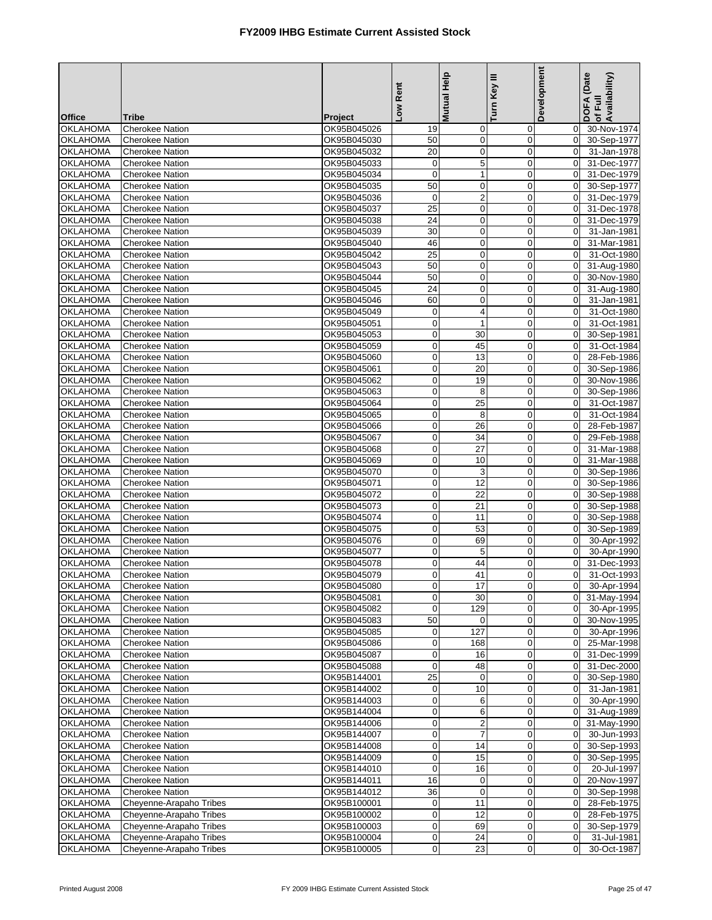|                                    |                                                  |                            | Low Rent                      | Mutual Help             | Turn Key III               | Development                      | DOFA (Date<br>of Full<br>Availability) |
|------------------------------------|--------------------------------------------------|----------------------------|-------------------------------|-------------------------|----------------------------|----------------------------------|----------------------------------------|
| <b>Office</b>                      | <b>Tribe</b>                                     | Project                    |                               |                         |                            |                                  |                                        |
| <b>OKLAHOMA</b>                    | <b>Cherokee Nation</b>                           | OK95B045026                | 19                            | 0                       | $\mathbf 0$                | $\overline{0}$                   | 30-Nov-1974                            |
| OKLAHOMA                           | <b>Cherokee Nation</b>                           | OK95B045030                | 50                            | $\pmb{0}$               | $\mathbf 0$                | $\overline{0}$                   | 30-Sep-1977                            |
| <b>OKLAHOMA</b>                    | <b>Cherokee Nation</b>                           | OK95B045032                | 20                            | 0                       | $\mathbf 0$                | $\overline{0}$                   | 31-Jan-1978                            |
| <b>OKLAHOMA</b>                    | <b>Cherokee Nation</b>                           | OK95B045033                | $\pmb{0}$                     | 5                       | $\mathbf 0$                | $\Omega$                         | 31-Dec-1977                            |
| <b>OKLAHOMA</b>                    | <b>Cherokee Nation</b>                           | OK95B045034                | $\mathbf 0$                   | $\mathbf{1}$            | 0                          | $\overline{0}$                   | 31-Dec-1979                            |
| <b>OKLAHOMA</b>                    | <b>Cherokee Nation</b>                           | OK95B045035                | 50                            | $\mathbf 0$             | $\mathbf 0$                | $\mathbf 0$                      | 30-Sep-1977                            |
| <b>OKLAHOMA</b>                    | <b>Cherokee Nation</b>                           | OK95B045036                | 0                             | $\overline{\mathbf{c}}$ | $\mathbf 0$                | $\Omega$                         | 31-Dec-1979                            |
| <b>OKLAHOMA</b>                    | Cherokee Nation                                  | OK95B045037                | 25                            | $\pmb{0}$               | $\mathbf 0$                | $\overline{0}$                   | 31-Dec-1978                            |
| <b>OKLAHOMA</b>                    | <b>Cherokee Nation</b>                           | OK95B045038                | 24                            | 0                       | $\mathbf 0$                | $\overline{0}$                   | 31-Dec-1979                            |
| <b>OKLAHOMA</b>                    | <b>Cherokee Nation</b>                           | OK95B045039                | 30                            | 0                       | $\mathbf 0$                | $\overline{0}$                   | 31-Jan-1981                            |
| <b>OKLAHOMA</b>                    | <b>Cherokee Nation</b>                           | OK95B045040                | 46                            | 0                       | $\mathbf 0$                | $\mathbf 0$                      | 31-Mar-1981                            |
| <b>OKLAHOMA</b>                    | <b>Cherokee Nation</b>                           | OK95B045042                | $\overline{25}$               | $\pmb{0}$               | $\mathbf 0$                | $\Omega$                         | 31-Oct-1980                            |
| <b>OKLAHOMA</b>                    | <b>Cherokee Nation</b>                           | OK95B045043                | 50<br>50                      | $\mathbf 0$             | $\mathbf 0$                | $\overline{0}$                   | 31-Aug-1980                            |
| <b>OKLAHOMA</b><br><b>OKLAHOMA</b> | <b>Cherokee Nation</b><br><b>Cherokee Nation</b> | OK95B045044<br>OK95B045045 | 24                            | $\mathbf 0$<br>0        | $\mathbf 0$<br>$\mathbf 0$ | $\overline{0}$<br>$\overline{0}$ | 30-Nov-1980                            |
| <b>OKLAHOMA</b>                    | <b>Cherokee Nation</b>                           | OK95B045046                | 60                            | $\pmb{0}$               | $\mathbf 0$                | $\mathbf 0$                      | 31-Aug-1980<br>31-Jan-1981             |
| <b>OKLAHOMA</b>                    | <b>Cherokee Nation</b>                           | OK95B045049                | $\mathbf 0$                   | 4                       | $\mathbf 0$                | $\overline{0}$                   | 31-Oct-1980                            |
| <b>OKLAHOMA</b>                    | <b>Cherokee Nation</b>                           | OK95B045051                | $\pmb{0}$                     | $\mathbf{1}$            | $\mathbf 0$                | $\overline{0}$                   | 31-Oct-1981                            |
| <b>OKLAHOMA</b>                    | <b>Cherokee Nation</b>                           | OK95B045053                | $\mathbf 0$                   | 30                      | $\mathbf 0$                | $\mathbf 0$                      | 30-Sep-1981                            |
| <b>OKLAHOMA</b>                    | <b>Cherokee Nation</b>                           | OK95B045059                | $\pmb{0}$                     | 45                      | $\mathbf 0$                | $\overline{0}$                   | 31-Oct-1984                            |
| OKLAHOMA                           | <b>Cherokee Nation</b>                           | OK95B045060                | $\mathbf 0$                   | 13                      | $\mathbf 0$                | $\Omega$                         | 28-Feb-1986                            |
| <b>OKLAHOMA</b>                    | <b>Cherokee Nation</b>                           | OK95B045061                | $\mathbf 0$                   | 20                      | $\mathbf 0$                | $\overline{0}$                   | 30-Sep-1986                            |
| <b>OKLAHOMA</b>                    | <b>Cherokee Nation</b>                           | OK95B045062                | $\mathbf 0$                   | 19                      | $\mathbf 0$                | $\Omega$                         | 30-Nov-1986                            |
| OKLAHOMA                           | <b>Cherokee Nation</b>                           | OK95B045063                | $\mathbf 0$                   | 8                       | $\mathbf 0$                | $\overline{0}$                   | 30-Sep-1986                            |
| OKLAHOMA                           | <b>Cherokee Nation</b>                           | OK95B045064                | $\pmb{0}$                     | 25                      | $\mathbf 0$                | $\overline{0}$                   | 31-Oct-1987                            |
| <b>OKLAHOMA</b>                    | <b>Cherokee Nation</b>                           | OK95B045065                | $\mathbf 0$                   | 8                       | $\mathbf 0$                | $\overline{0}$                   | 31-Oct-1984                            |
| <b>OKLAHOMA</b>                    | <b>Cherokee Nation</b>                           | OK95B045066                | $\mathbf 0$                   | 26                      | $\mathbf 0$                | $\overline{0}$                   | 28-Feb-1987                            |
| <b>OKLAHOMA</b>                    | <b>Cherokee Nation</b>                           | OK95B045067                | $\mathbf 0$                   | 34                      | $\overline{0}$             | $\mathbf 0$                      | 29-Feb-1988                            |
| <b>OKLAHOMA</b>                    | <b>Cherokee Nation</b>                           | OK95B045068                | $\pmb{0}$                     | 27                      | $\mathbf 0$                | $\Omega$                         | 31-Mar-1988                            |
| <b>OKLAHOMA</b>                    | <b>Cherokee Nation</b>                           | OK95B045069                | $\pmb{0}$                     | 10                      | 0                          | $\overline{0}$                   | 31-Mar-1988                            |
| OKLAHOMA                           | <b>Cherokee Nation</b>                           | OK95B045070                | $\mathbf 0$                   | 3                       | $\mathbf 0$                | $\mathbf 0$                      | 30-Sep-1986                            |
| <b>OKLAHOMA</b>                    | <b>Cherokee Nation</b>                           | OK95B045071                | $\mathbf 0$                   | 12                      | $\mathbf 0$                | $\Omega$                         | 30-Sep-1986                            |
| <b>OKLAHOMA</b>                    | <b>Cherokee Nation</b>                           | OK95B045072                | $\mathbf 0$                   | 22                      | $\mathbf 0$                | $\overline{0}$                   | 30-Sep-1988                            |
| <b>OKLAHOMA</b><br><b>OKLAHOMA</b> | <b>Cherokee Nation</b>                           | OK95B045073                | $\pmb{0}$                     | 21                      | $\mathbf 0$                | $\overline{0}$                   | 30-Sep-1988<br>30-Sep-1988             |
| OKLAHOMA                           | <b>Cherokee Nation</b><br><b>Cherokee Nation</b> | OK95B045074<br>OK95B045075 | $\mathbf 0$<br>$\pmb{0}$      | 11<br>53                | $\mathbf 0$<br>$\mathbf 0$ | $\overline{0}$<br>$\overline{0}$ | 30-Sep-1989                            |
| <b>OKLAHOMA</b>                    | <b>Cherokee Nation</b>                           | OK95B045076                | $\mathbf 0$                   | 69                      | $\mathbf 0$                | $\mathbf 0$                      | 30-Apr-1992                            |
| <b>OKLAHOMA</b>                    | <b>Cherokee Nation</b>                           | OK95B045077                | $\pmb{0}$                     | 5                       | $\mathbf 0$                | $\overline{0}$                   | 30-Apr-1990                            |
| OKLAHOMA                           | <b>Cherokee Nation</b>                           | OK95B045078                | $\mathbf 0$                   | 44                      | $\overline{0}$             | $\Omega$                         | 31-Dec-1993                            |
| <b>OKLAHOMA</b>                    | <b>Cherokee Nation</b>                           | OK95B045079                | $\mathbf 0$                   | 41                      | $\overline{0}$             | $\overline{0}$                   | 31-Oct-1993                            |
| OKLAHOMA                           | <b>Cherokee Nation</b>                           | OK95B045080                | $\overline{0}$                | 17                      | $\overline{0}$             | 0                                | 30-Apr-1994                            |
| OKLAHOMA                           | <b>Cherokee Nation</b>                           | OK95B045081                | $\overline{0}$                | 30                      | $\mathbf 0$                | $\overline{0}$                   | 31-May-1994                            |
| <b>OKLAHOMA</b>                    | <b>Cherokee Nation</b>                           | OK95B045082                | $\mathbf 0$                   | 129                     | 0                          | $\overline{0}$                   | 30-Apr-1995                            |
| <b>OKLAHOMA</b>                    | <b>Cherokee Nation</b>                           | OK95B045083                | 50                            | 0                       | $\boldsymbol{0}$           | $\overline{0}$                   | 30-Nov-1995                            |
| <b>OKLAHOMA</b>                    | <b>Cherokee Nation</b>                           | OK95B045085                | $\mathbf 0$                   | 127                     | $\mathbf 0$                | $\overline{0}$                   | 30-Apr-1996                            |
| <b>OKLAHOMA</b>                    | <b>Cherokee Nation</b>                           | OK95B045086                | $\mathbf 0$                   | 168                     | 0                          | $\overline{0}$                   | 25-Mar-1998                            |
| <b>OKLAHOMA</b>                    | Cherokee Nation                                  | OK95B045087                | $\mathbf 0$                   | 16                      | 0                          | $\mathbf 0$                      | 31-Dec-1999                            |
| OKLAHOMA                           | <b>Cherokee Nation</b>                           | OK95B045088                | $\mathbf 0$                   | 48                      | 0                          | $\overline{0}$                   | 31-Dec-2000                            |
| OKLAHOMA                           | <b>Cherokee Nation</b>                           | OK95B144001                | 25                            | $\mathbf 0$             | $\mathbf 0$                | $\overline{0}$                   | 30-Sep-1980                            |
| <b>OKLAHOMA</b>                    | <b>Cherokee Nation</b>                           | OK95B144002                | $\mathbf 0$                   | 10                      | $\mathbf 0$                | $\overline{0}$                   | 31-Jan-1981                            |
| <b>OKLAHOMA</b>                    | <b>Cherokee Nation</b>                           | OK95B144003                | $\mathbf 0$                   | 6                       | $\mathbf 0$                | $\overline{0}$                   | 30-Apr-1990                            |
| OKLAHOMA                           | <b>Cherokee Nation</b>                           | OK95B144004                | $\boldsymbol{0}$              | 6                       | 0                          | $\mathbf 0$                      | 31-Aug-1989                            |
| <b>OKLAHOMA</b>                    | <b>Cherokee Nation</b>                           | OK95B144006                | $\mathbf 0$                   | $\overline{c}$          | $\mathbf 0$                | $\mathbf 0$                      | 31-May-1990                            |
| <b>OKLAHOMA</b>                    | <b>Cherokee Nation</b>                           | OK95B144007                | $\pmb{0}$                     | 7                       | $\mathbf 0$                | $\overline{0}$                   | 30-Jun-1993                            |
| <b>OKLAHOMA</b><br><b>OKLAHOMA</b> | <b>Cherokee Nation</b><br><b>Cherokee Nation</b> | OK95B144008<br>OK95B144009 | $\overline{0}$<br>$\mathbf 0$ | 14<br>15                | $\boldsymbol{0}$<br>0      | $\overline{0}$<br>$\overline{0}$ | 30-Sep-1993<br>30-Sep-1995             |
| <b>OKLAHOMA</b>                    | <b>Cherokee Nation</b>                           | OK95B144010                | $\mathbf 0$                   | 16                      | 0                          | $\overline{0}$                   | 20-Jul-1997                            |
| <b>OKLAHOMA</b>                    | <b>Cherokee Nation</b>                           | OK95B144011                | 16                            | 0                       | 0                          | $\overline{0}$                   | 20-Nov-1997                            |
| <b>OKLAHOMA</b>                    | <b>Cherokee Nation</b>                           | OK95B144012                | 36                            | $\mathbf 0$             | $\mathbf 0$                | $\overline{0}$                   | 30-Sep-1998                            |
| <b>OKLAHOMA</b>                    | Cheyenne-Arapaho Tribes                          | OK95B100001                | $\mathbf 0$                   | 11                      | $\mathbf 0$                | $\mathbf 0$                      | 28-Feb-1975                            |
| <b>OKLAHOMA</b>                    | Cheyenne-Arapaho Tribes                          | OK95B100002                | $\mathbf 0$                   | 12                      | $\mathbf 0$                | $\overline{0}$                   | 28-Feb-1975                            |
| <b>OKLAHOMA</b>                    | Cheyenne-Arapaho Tribes                          | OK95B100003                | $\pmb{0}$                     | 69                      | 0                          | $\overline{0}$                   | 30-Sep-1979                            |
| <b>OKLAHOMA</b>                    | Cheyenne-Arapaho Tribes                          | OK95B100004                | $\pmb{0}$                     | 24                      | $\mathbf 0$                | $\overline{0}$                   | 31-Jul-1981                            |
| OKLAHOMA                           | Cheyenne-Arapaho Tribes                          | OK95B100005                | $\mathbf 0$                   | $\overline{23}$         | 0                          | $\overline{0}$                   | 30-Oct-1987                            |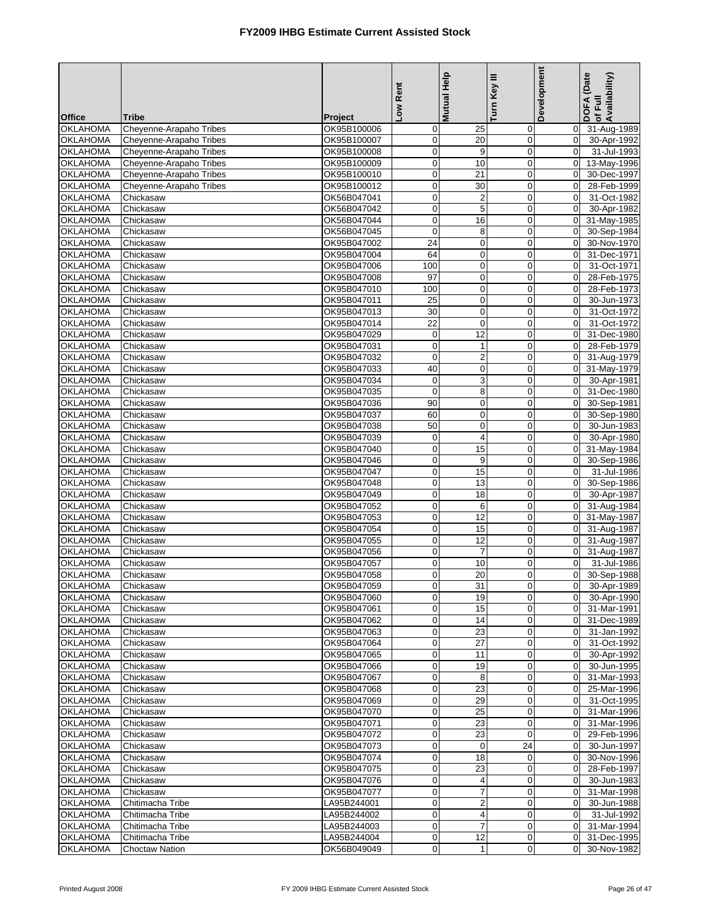|                                    |                         |                            | Low Rent          | <b>Mutual Help</b>         | Turn Key III               | Development                | DOFA (Date<br>Availability)<br>of Full |
|------------------------------------|-------------------------|----------------------------|-------------------|----------------------------|----------------------------|----------------------------|----------------------------------------|
| <b>Office</b>                      | <b>Tribe</b>            | Project                    |                   |                            |                            |                            |                                        |
| <b>OKLAHOMA</b>                    | Cheyenne-Arapaho Tribes | OK95B100006                | 0                 | 25                         | 0                          | 0                          | 31-Aug-1989                            |
| <b>OKLAHOMA</b>                    | Cheyenne-Arapaho Tribes | OK95B100007                | $\mathbf 0$       | 20                         | 0                          | 0                          | 30-Apr-1992                            |
| <b>OKLAHOMA</b>                    | Cheyenne-Arapaho Tribes | OK95B100008                | 0                 | 9                          | $\mathbf 0$                | $\mathbf 0$                | 31-Jul-1993                            |
| <b>OKLAHOMA</b>                    | Cheyenne-Arapaho Tribes | OK95B100009                | 0                 | 10                         | $\mathbf 0$                | $\mathbf 0$                | 13-May-1996                            |
| <b>OKLAHOMA</b>                    | Cheyenne-Arapaho Tribes | OK95B100010                | $\boldsymbol{0}$  | 21                         | $\boldsymbol{0}$           | $\mathbf 0$                | 30-Dec-1997                            |
| <b>OKLAHOMA</b>                    | Cheyenne-Arapaho Tribes | OK95B100012                | $\mathbf 0$       | 30                         | $\mathbf 0$                | $\mathbf 0$                | 28-Feb-1999                            |
| <b>OKLAHOMA</b>                    | Chickasaw               | OK56B047041                | $\mathbf 0$       | $\overline{\mathbf{c}}$    | $\mathbf 0$                | $\Omega$                   | 31-Oct-1982                            |
| <b>OKLAHOMA</b>                    | Chickasaw               | OK56B047042                | $\mathbf 0$       | 5                          | 0                          | $\mathbf 0$                | 30-Apr-1982                            |
| <b>OKLAHOMA</b>                    | Chickasaw               | OK56B047044                | 0                 | 16                         | 0                          | $\mathbf 0$                | 31-May-1985                            |
| <b>OKLAHOMA</b><br><b>OKLAHOMA</b> | Chickasaw               | OK56B047045                | $\mathbf 0$<br>24 | 8                          | 0                          | $\mathbf 0$                | 30-Sep-1984                            |
| <b>OKLAHOMA</b>                    | Chickasaw               | OK95B047002<br>OK95B047004 | 64                | $\mathbf 0$                | $\mathbf 0$                | $\mathbf 0$                | 30-Nov-1970<br>31-Dec-1971             |
| <b>OKLAHOMA</b>                    | Chickasaw<br>Chickasaw  | OK95B047006                | 100               | $\mathbf 0$<br>$\mathbf 0$ | $\mathbf 0$<br>$\mathbf 0$ | $\mathbf 0$<br>$\mathbf 0$ | 31-Oct-1971                            |
| <b>OKLAHOMA</b>                    | Chickasaw               | OK95B047008                | 97                | $\mathbf 0$                | $\mathbf 0$                | $\mathbf 0$                | 28-Feb-1975                            |
| <b>OKLAHOMA</b>                    | Chickasaw               | OK95B047010                | 100               | $\mathbf 0$                | $\mathbf 0$                | $\mathbf 0$                | 28-Feb-1973                            |
| <b>OKLAHOMA</b>                    | Chickasaw               | OK95B047011                | 25                | $\mathbf 0$                | $\mathbf 0$                | $\mathbf 0$                | 30-Jun-1973                            |
| <b>OKLAHOMA</b>                    | Chickasaw               | OK95B047013                | 30                | $\mathbf 0$                | $\overline{0}$             | $\mathbf 0$                | 31-Oct-1972                            |
| <b>OKLAHOMA</b>                    | Chickasaw               | OK95B047014                | 22                | $\mathbf 0$                | $\mathbf 0$                | $\mathbf 0$                | 31-Oct-1972                            |
| <b>OKLAHOMA</b>                    | Chickasaw               | OK95B047029                | 0                 | 12                         | 0                          | 0                          | 31-Dec-1980                            |
| <b>OKLAHOMA</b>                    | Chickasaw               | OK95B047031                | $\mathbf 0$       | $\mathbf{1}$               | $\mathbf 0$                | $\mathbf 0$                | 28-Feb-1979                            |
| <b>OKLAHOMA</b>                    | Chickasaw               | OK95B047032                | $\mathbf 0$       | $\overline{c}$             | $\mathbf 0$                | $\mathbf 0$                | 31-Aug-1979                            |
| <b>OKLAHOMA</b>                    | Chickasaw               | OK95B047033                | 40                | $\mathbf 0$                | $\mathbf 0$                | $\mathbf 0$                | 31-May-1979                            |
| <b>OKLAHOMA</b>                    | Chickasaw               | OK95B047034                | $\boldsymbol{0}$  | 3                          | $\mathbf 0$                | $\mathbf 0$                | 30-Apr-1981                            |
| <b>OKLAHOMA</b>                    | Chickasaw               | OK95B047035                | $\mathbf 0$       | 8                          | $\mathbf 0$                | $\mathbf 0$                | 31-Dec-1980                            |
| OKLAHOMA                           | Chickasaw               | OK95B047036                | 90                | $\mathbf 0$                | $\mathbf 0$                | $\mathbf 0$                | 30-Sep-1981                            |
| <b>OKLAHOMA</b>                    | Chickasaw               | OK95B047037                | 60                | $\mathbf 0$                | 0                          | $\mathbf 0$                | 30-Sep-1980                            |
| <b>OKLAHOMA</b>                    | Chickasaw               | OK95B047038                | 50                | $\mathbf 0$                | 0                          | $\mathbf 0$                | 30-Jun-1983                            |
| OKLAHOMA                           | Chickasaw               | OK95B047039                | $\mathbf 0$       | $\overline{4}$             | $\overline{0}$             | $\mathbf 0$                | 30-Apr-1980                            |
| <b>OKLAHOMA</b>                    | Chickasaw               | OK95B047040                | 0                 | 15                         | $\mathbf 0$                | $\mathbf 0$                | 31-May-1984                            |
| <b>OKLAHOMA</b>                    | Chickasaw               | OK95B047046                | $\mathbf 0$       | 9                          | $\pmb{0}$                  | $\mathbf 0$                | 30-Sep-1986                            |
| <b>OKLAHOMA</b>                    | Chickasaw               | OK95B047047                | 0                 | 15                         | $\mathbf 0$                | $\mathbf 0$                | 31-Jul-1986                            |
| <b>OKLAHOMA</b>                    | Chickasaw               | OK95B047048                | $\mathbf 0$       | 13                         | $\mathbf 0$                | $\Omega$                   | 30-Sep-1986                            |
| <b>OKLAHOMA</b>                    | Chickasaw               | OK95B047049                | $\pmb{0}$         | 18                         | 0                          | $\mathbf 0$                | 30-Apr-1987                            |
| <b>OKLAHOMA</b>                    | Chickasaw               | OK95B047052                | 0                 | 6                          | 0                          | $\mathbf 0$                | 31-Aug-1984                            |
| <b>OKLAHOMA</b>                    | Chickasaw               | OK95B047053                | $\mathbf 0$       | 12                         | $\mathbf 0$                | $\mathbf 0$                | 31-May-1987                            |
| <b>OKLAHOMA</b>                    | Chickasaw               | OK95B047054                | 0                 | 15                         | $\mathbf 0$                | $\mathbf 0$                | 31-Aug-1987                            |
| <b>OKLAHOMA</b>                    | Chickasaw               | OK95B047055                | $\pmb{0}$         | 12                         | $\mathbf 0$                | $\mathbf 0$                | 31-Aug-1987                            |
| <b>OKLAHOMA</b>                    | Chickasaw               | OK95B047056                | $\pmb{0}$         | $\overline{7}$             | $\mathbf 0$                | $\mathbf 0$                | 31-Aug-1987                            |
| <b>OKLAHOMA</b>                    | Chickasaw               | OK95B047057                | $\mathbf 0$       | 10                         | $\overline{0}$             | $\mathbf 0$                | 31-Jul-1986                            |
| <b>OKLAHOMA</b>                    | Chickasaw               | OK95B047058                | 0                 | 20                         | 0                          | $\overline{0}$             | 30-Sep-1988                            |
| OKLAHOMA                           | Chickasaw               | OK95B047059                | $\overline{0}$    | 31                         | 0                          | $\overline{0}$             | 30-Apr-1989                            |
| <b>OKLAHOMA</b>                    | Chickasaw               | OK95B047060                | $\mathbf 0$       | 19                         | $\mathbf 0$                | $\mathbf 0$                | 30-Apr-1990                            |
| <b>OKLAHOMA</b><br><b>OKLAHOMA</b> | Chickasaw               | OK95B047061<br>OK95B047062 | 0                 | 15<br>14                   | 0                          | $\overline{0}$             | 31-Mar-1991<br>31-Dec-1989             |
| <b>OKLAHOMA</b>                    | Chickasaw               |                            | 0<br>$\pmb{0}$    | 23                         | 0<br>$\mathbf 0$           | $\mathbf 0$                | 31-Jan-1992                            |
| <b>OKLAHOMA</b>                    | Chickasaw<br>Chickasaw  | OK95B047063<br>OK95B047064 | $\mathbf 0$       | 27                         | 0                          | $\mathbf 0$<br>$\mathbf 0$ | 31-Oct-1992                            |
| <b>OKLAHOMA</b>                    | Chickasaw               | OK95B047065                | $\pmb{0}$         | 11                         | $\mathbf 0$                | $\overline{0}$             | 30-Apr-1992                            |
| <b>OKLAHOMA</b>                    | Chickasaw               | OK95B047066                | $\mathbf 0$       | 19                         | 0                          | $\overline{0}$             | 30-Jun-1995                            |
| <b>OKLAHOMA</b>                    | Chickasaw               | OK95B047067                | 0                 | 8                          | 0                          | $\mathbf 0$                | 31-Mar-1993                            |
| <b>OKLAHOMA</b>                    | Chickasaw               | OK95B047068                | 0                 | 23                         | 0                          | $\overline{0}$             | 25-Mar-1996                            |
| <b>OKLAHOMA</b>                    | Chickasaw               | OK95B047069                | $\mathbf 0$       | 29                         | 0                          | $\overline{0}$             | 31-Oct-1995                            |
| <b>OKLAHOMA</b>                    | Chickasaw               | OK95B047070                | 0                 | 25                         | 0                          | $\mathbf 0$                | 31-Mar-1996                            |
| <b>OKLAHOMA</b>                    | Chickasaw               | OK95B047071                | 0                 | 23                         | $\mathbf 0$                | $\mathbf 0$                | 31-Mar-1996                            |
| <b>OKLAHOMA</b>                    | Chickasaw               | OK95B047072                | 0                 | 23                         | $\mathbf 0$                | $\overline{0}$             | 29-Feb-1996                            |
| <b>OKLAHOMA</b>                    | Chickasaw               | OK95B047073                | $\pmb{0}$         | 0                          | 24                         | $\overline{0}$             | 30-Jun-1997                            |
| <b>OKLAHOMA</b>                    | Chickasaw               | OK95B047074                | $\pmb{0}$         | 18                         | 0                          | $\mathbf 0$                | 30-Nov-1996                            |
| <b>OKLAHOMA</b>                    | Chickasaw               | OK95B047075                | $\mathbf 0$       | 23                         | 0                          | $\overline{0}$             | 28-Feb-1997                            |
| <b>OKLAHOMA</b>                    | Chickasaw               | OK95B047076                | 0                 | 4                          | 0                          | $\mathbf 0$                | 30-Jun-1983                            |
| <b>OKLAHOMA</b>                    | Chickasaw               | OK95B047077                | 0                 | 7                          | 0                          | $\overline{0}$             | 31-Mar-1998                            |
| <b>OKLAHOMA</b>                    | Chitimacha Tribe        | LA95B244001                | $\mathbf 0$       | $\overline{\mathbf{c}}$    | 0                          | 0                          | 30-Jun-1988                            |
| <b>OKLAHOMA</b>                    | Chitimacha Tribe        | LA95B244002                | 0                 | $\overline{\mathbf{4}}$    | 0                          | $\mathbf 0$                | 31-Jul-1992                            |
| <b>OKLAHOMA</b>                    | Chitimacha Tribe        | LA95B244003                | $\pmb{0}$         | $\overline{7}$             | 0                          | $\mathbf 0$                | 31-Mar-1994                            |
| <b>OKLAHOMA</b>                    | Chitimacha Tribe        | LA95B244004                | $\mathbf 0$       | 12                         | 0                          | $\mathbf 0$                | 31-Dec-1995                            |
| <b>OKLAHOMA</b>                    | <b>Choctaw Nation</b>   | OK56B049049                | $\pmb{0}$         | $\mathbf{1}$               | $\mathbf 0$                | $\Omega$                   | 30-Nov-1982                            |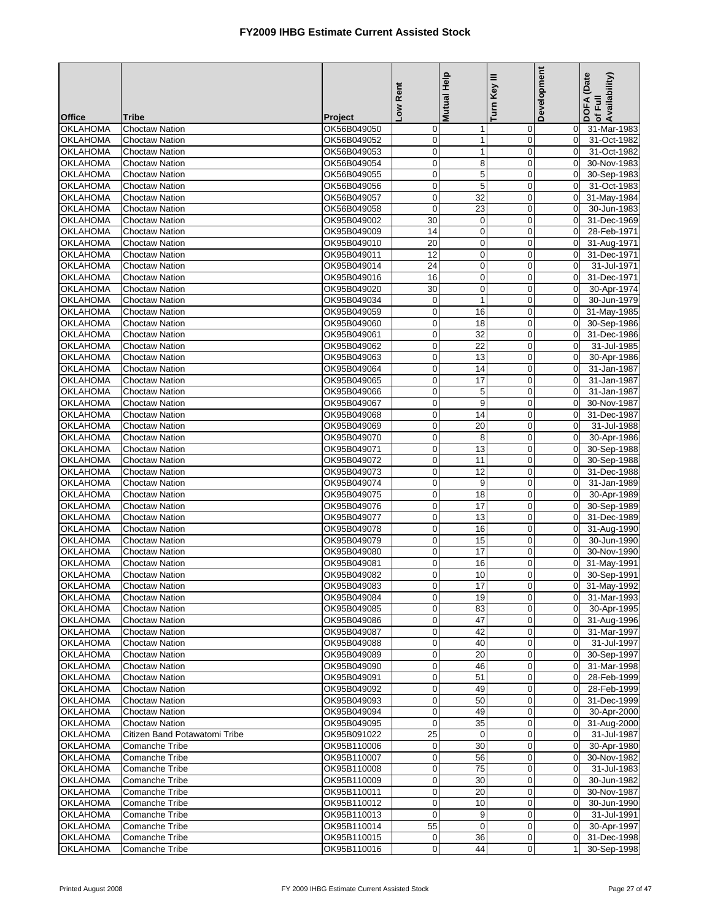|                                    |                                                |                            | Low Rent                        | Mutual Help                 | Turn Key III               | Development                      | DOFA (Date<br>of Full<br>Availability) |
|------------------------------------|------------------------------------------------|----------------------------|---------------------------------|-----------------------------|----------------------------|----------------------------------|----------------------------------------|
|                                    |                                                |                            |                                 |                             |                            |                                  |                                        |
| <b>Office</b><br><b>OKLAHOMA</b>   | <b>Tribe</b><br><b>Choctaw Nation</b>          | Project<br>OK56B049050     | $\mathbf 0$                     |                             | $\mathbf 0$                | $\overline{0}$                   | 31-Mar-1983                            |
| <b>OKLAHOMA</b>                    | <b>Choctaw Nation</b>                          | OK56B049052                | $\boldsymbol{0}$                | $\mathbf 1$<br>$\mathbf{1}$ | $\mathbf 0$                | $\mathbf 0$                      | 31-Oct-1982                            |
| <b>OKLAHOMA</b>                    | <b>Choctaw Nation</b>                          | OK56B049053                | $\mathbf 0$                     | $\mathbf{1}$                | $\mathbf 0$                | $\overline{0}$                   | 31-Oct-1982                            |
| <b>OKLAHOMA</b>                    | Choctaw Nation                                 | OK56B049054                | $\mathbf 0$                     | 8                           | $\mathbf 0$                | $\Omega$                         | 30-Nov-1983                            |
| <b>OKLAHOMA</b>                    | <b>Choctaw Nation</b>                          | OK56B049055                | $\mathbf 0$                     | $\mathbf 5$                 | 0                          | $\mathbf 0$                      | 30-Sep-1983                            |
| <b>OKLAHOMA</b>                    | <b>Choctaw Nation</b>                          | OK56B049056                | $\mathbf 0$                     | 5                           | $\mathbf 0$                | $\Omega$                         | 31-Oct-1983                            |
| <b>OKLAHOMA</b>                    | <b>Choctaw Nation</b>                          | OK56B049057                | $\pmb{0}$                       | 32                          | $\mathbf 0$                | $\overline{0}$                   | 31-May-1984                            |
| <b>OKLAHOMA</b>                    | Choctaw Nation                                 | OK56B049058                | $\mathbf 0$                     | 23                          | $\mathbf 0$                | $\overline{0}$                   | 30-Jun-1983                            |
| <b>OKLAHOMA</b>                    | <b>Choctaw Nation</b>                          | OK95B049002                | 30                              | $\mathbf 0$                 | $\mathbf 0$                | $\overline{0}$                   | 31-Dec-1969                            |
| <b>OKLAHOMA</b>                    | <b>Choctaw Nation</b>                          | OK95B049009                | 14                              | $\mathbf 0$                 | $\mathbf 0$                | $\overline{0}$                   | 28-Feb-1971                            |
| <b>OKLAHOMA</b>                    | <b>Choctaw Nation</b>                          | OK95B049010                | 20                              | 0                           | $\mathbf 0$                | $\overline{0}$                   | 31-Aug-1971                            |
| <b>OKLAHOMA</b><br><b>OKLAHOMA</b> | <b>Choctaw Nation</b><br><b>Choctaw Nation</b> | OK95B049011                | $\overline{12}$<br>24           | $\pmb{0}$<br>$\mathbf 0$    | $\mathbf 0$<br>$\mathbf 0$ | $\Omega$<br>$\mathbf 0$          | 31-Dec-1971<br>31-Jul-1971             |
| <b>OKLAHOMA</b>                    | <b>Choctaw Nation</b>                          | OK95B049014<br>OK95B049016 | 16                              | $\mathbf 0$                 | $\mathbf 0$                | $\overline{0}$                   | 31-Dec-1971                            |
| <b>OKLAHOMA</b>                    | <b>Choctaw Nation</b>                          | OK95B049020                | 30                              | 0                           | $\mathbf 0$                | $\overline{0}$                   | 30-Apr-1974                            |
| <b>OKLAHOMA</b>                    | <b>Choctaw Nation</b>                          | OK95B049034                | $\mathbf 0$                     | $\mathbf{1}$                | $\mathbf 0$                | $\mathbf 0$                      | 30-Jun-1979                            |
| <b>OKLAHOMA</b>                    | <b>Choctaw Nation</b>                          | OK95B049059                | $\mathbf 0$                     | 16                          | $\overline{0}$             | $\overline{0}$                   | 31-May-1985                            |
| <b>OKLAHOMA</b>                    | <b>Choctaw Nation</b>                          | OK95B049060                | $\pmb{0}$                       | 18                          | 0                          | $\overline{0}$                   | 30-Sep-1986                            |
| <b>OKLAHOMA</b>                    | <b>Choctaw Nation</b>                          | OK95B049061                | $\mathbf 0$                     | 32                          | $\mathbf 0$                | $\mathbf 0$                      | 31-Dec-1986                            |
| <b>OKLAHOMA</b>                    | <b>Choctaw Nation</b>                          | OK95B049062                | $\pmb{0}$                       | 22                          | $\mathbf 0$                | $\mathbf 0$                      | 31-Jul-1985                            |
| <b>OKLAHOMA</b>                    | <b>Choctaw Nation</b>                          | OK95B049063                | $\mathbf 0$                     | 13                          | $\mathbf 0$                | $\mathbf 0$                      | 30-Apr-1986                            |
| <b>OKLAHOMA</b>                    | <b>Choctaw Nation</b>                          | OK95B049064                | $\mathbf 0$                     | 14                          | $\mathbf 0$                | $\mathbf 0$                      | 31-Jan-1987                            |
| <b>OKLAHOMA</b>                    | <b>Choctaw Nation</b>                          | OK95B049065                | $\mathbf{0}$                    | 17                          | $\mathbf 0$                | $\Omega$                         | 31-Jan-1987                            |
| <b>OKLAHOMA</b>                    | <b>Choctaw Nation</b>                          | OK95B049066                | $\mathbf 0$                     | 5                           | $\mathbf 0$                | $\mathbf 0$                      | 31-Jan-1987                            |
| <b>OKLAHOMA</b>                    | <b>Choctaw Nation</b>                          | OK95B049067                | $\pmb{0}$                       | 9                           | $\mathbf 0$                | $\overline{0}$                   | 30-Nov-1987                            |
| <b>OKLAHOMA</b>                    | <b>Choctaw Nation</b>                          | OK95B049068                | $\mathbf 0$                     | 14                          | $\mathbf 0$                | $\overline{0}$                   | 31-Dec-1987                            |
| <b>OKLAHOMA</b>                    | <b>Choctaw Nation</b>                          | OK95B049069                | $\mathbf 0$                     | 20                          | $\mathbf 0$                | $\mathbf 0$                      | 31-Jul-1988                            |
| <b>OKLAHOMA</b>                    | <b>Choctaw Nation</b>                          | OK95B049070                | $\mathbf 0$                     | 8                           | $\overline{0}$             | $\overline{0}$                   | 30-Apr-1986                            |
| <b>OKLAHOMA</b>                    | <b>Choctaw Nation</b>                          | OK95B049071                | $\pmb{0}$                       | 13                          | $\mathbf 0$                | $\overline{0}$                   | 30-Sep-1988                            |
| <b>OKLAHOMA</b><br><b>OKLAHOMA</b> | <b>Choctaw Nation</b><br><b>Choctaw Nation</b> | OK95B049072<br>OK95B049073 | $\pmb{0}$<br>$\mathbf 0$        | 11<br>12                    | 0<br>$\mathbf 0$           | $\mathbf 0$<br>$\mathbf 0$       | 30-Sep-1988<br>31-Dec-1988             |
| <b>OKLAHOMA</b>                    | <b>Choctaw Nation</b>                          | OK95B049074                | $\mathbf 0$                     | 9                           | $\mathbf 0$                | $\Omega$                         | 31-Jan-1989                            |
| <b>OKLAHOMA</b>                    | Choctaw Nation                                 | OK95B049075                | $\mathbf 0$                     | 18                          | $\mathbf 0$                | $\overline{0}$                   | 30-Apr-1989                            |
| <b>OKLAHOMA</b>                    | <b>Choctaw Nation</b>                          | OK95B049076                | $\pmb{0}$                       | 17                          | $\mathbf 0$                | $\Omega$                         | 30-Sep-1989                            |
| <b>OKLAHOMA</b>                    | <b>Choctaw Nation</b>                          | OK95B049077                | $\mathbf 0$                     | 13                          | $\mathbf 0$                | $\overline{0}$                   | 31-Dec-1989                            |
| <b>OKLAHOMA</b>                    | <b>Choctaw Nation</b>                          | OK95B049078                | $\pmb{0}$                       | 16                          | $\mathbf 0$                | $\overline{0}$                   | 31-Aug-1990                            |
| <b>OKLAHOMA</b>                    | <b>Choctaw Nation</b>                          | OK95B049079                | $\mathbf 0$                     | 15                          | 0                          | $\Omega$                         | 30-Jun-1990                            |
| <b>OKLAHOMA</b>                    | <b>Choctaw Nation</b>                          | OK95B049080                | $\pmb{0}$                       | 17                          | $\mathbf 0$                | $\mathbf 0$                      | 30-Nov-1990                            |
| <b>OKLAHOMA</b>                    | <b>Choctaw Nation</b>                          | OK95B049081                | $\mathbf 0$                     | 16                          | $\overline{0}$             | $\overline{0}$                   | 31-May-1991                            |
| <b>OKLAHOMA</b>                    | <b>Choctaw Nation</b>                          | OK95B049082                | $\mathbf 0$                     | 10                          | $\overline{0}$             | $\overline{0}$                   | 30-Sep-1991                            |
| OKLAHOMA                           | <b>Choctaw Nation</b>                          | OK95B049083                | 0                               | 17                          | $\overline{0}$             |                                  | 0 31-May-1992                          |
| <b>OKLAHOMA</b>                    | <b>Choctaw Nation</b>                          | OK95B049084                | $\overline{0}$                  | 19                          | $\mathbf 0$                | $\mathbf 0$                      | 31-Mar-1993                            |
| <b>OKLAHOMA</b>                    | <b>Choctaw Nation</b>                          | OK95B049085                | $\mathbf 0$                     | 83                          | 0                          | $\overline{0}$                   | 30-Apr-1995                            |
| <b>OKLAHOMA</b>                    | <b>Choctaw Nation</b>                          | OK95B049086                | $\boldsymbol{0}$<br>$\mathbf 0$ | 47                          | $\boldsymbol{0}$           |                                  | 0 31-Aug-1996<br>31-Mar-1997           |
| <b>OKLAHOMA</b><br><b>OKLAHOMA</b> | <b>Choctaw Nation</b><br><b>Choctaw Nation</b> | OK95B049087<br>OK95B049088 | $\mathbf 0$                     | 42<br>40                    | $\mathbf 0$<br>0           | $\overline{0}$<br>$\overline{0}$ | 31-Jul-1997                            |
| <b>OKLAHOMA</b>                    | <b>Choctaw Nation</b>                          | OK95B049089                | $\mathbf 0$                     | 20                          | 0                          | $\overline{0}$                   | 30-Sep-1997                            |
| <b>OKLAHOMA</b>                    | <b>Choctaw Nation</b>                          | OK95B049090                | $\mathbf 0$                     | 46                          | 0                          | $\overline{0}$                   | 31-Mar-1998                            |
| <b>OKLAHOMA</b>                    | <b>Choctaw Nation</b>                          | OK95B049091                | $\mathbf 0$                     | 51                          | $\mathbf 0$                | $\overline{0}$                   | 28-Feb-1999                            |
| <b>OKLAHOMA</b>                    | <b>Choctaw Nation</b>                          | OK95B049092                | $\mathbf 0$                     | 49                          | $\mathbf 0$                | $\overline{0}$                   | 28-Feb-1999                            |
| <b>OKLAHOMA</b>                    | <b>Choctaw Nation</b>                          | OK95B049093                | $\mathbf 0$                     | 50                          | $\mathbf 0$                | $\overline{0}$                   | 31-Dec-1999                            |
| OKLAHOMA                           | <b>Choctaw Nation</b>                          | OK95B049094                | $\mathbf 0$                     | 49                          | 0                          | $\mathbf 0$                      | 30-Apr-2000                            |
| <b>OKLAHOMA</b>                    | <b>Choctaw Nation</b>                          | OK95B049095                | $\mathbf 0$                     | 35                          | $\mathbf 0$                | $\mathbf 0$                      | 31-Aug-2000                            |
| <b>OKLAHOMA</b>                    | Citizen Band Potawatomi Tribe                  | OK95B091022                | 25                              | 0                           | $\mathbf 0$                | $\overline{0}$                   | 31-Jul-1987                            |
| <b>OKLAHOMA</b>                    | Comanche Tribe                                 | OK95B110006                | $\mathbf 0$                     | 30                          | $\boldsymbol{0}$           | $\overline{0}$                   | 30-Apr-1980                            |
| <b>OKLAHOMA</b>                    | <b>Comanche Tribe</b>                          | OK95B110007                | $\pmb{0}$                       | 56                          | $\mathbf 0$                | $\overline{0}$                   | 30-Nov-1982                            |
| <b>OKLAHOMA</b>                    | Comanche Tribe                                 | OK95B110008                | $\mathbf 0$                     | 75                          | 0                          | $\overline{0}$                   | 31-Jul-1983                            |
| <b>OKLAHOMA</b>                    | Comanche Tribe                                 | OK95B110009                | $\mathbf 0$                     | 30                          | 0                          | $\overline{0}$                   | 30-Jun-1982                            |
| <b>OKLAHOMA</b>                    | Comanche Tribe                                 | OK95B110011                | $\mathbf 0$                     | 20                          | $\mathbf 0$                | $\overline{0}$                   | 30-Nov-1987                            |
| OKLAHOMA<br><b>OKLAHOMA</b>        | Comanche Tribe                                 | OK95B110012                | $\mathbf 0$<br>$\mathbf 0$      | 10<br>9                     | $\mathbf 0$<br>$\mathbf 0$ | $\overline{0}$<br>$\overline{0}$ | 30-Jun-1990<br>31-Jul-1991             |
| <b>OKLAHOMA</b>                    | Comanche Tribe<br>Comanche Tribe               | OK95B110013<br>OK95B110014 | 55                              | $\boldsymbol{0}$            | 0                          | $\overline{0}$                   | 30-Apr-1997                            |
| <b>OKLAHOMA</b>                    | Comanche Tribe                                 | OK95B110015                | $\mathbf 0$                     | 36                          | $\mathbf 0$                | $\overline{0}$                   | 31-Dec-1998                            |
| <b>OKLAHOMA</b>                    | Comanche Tribe                                 | OK95B110016                | $\mathbf 0$                     | 44                          | 0                          | $\mathbf{1}$                     | 30-Sep-1998                            |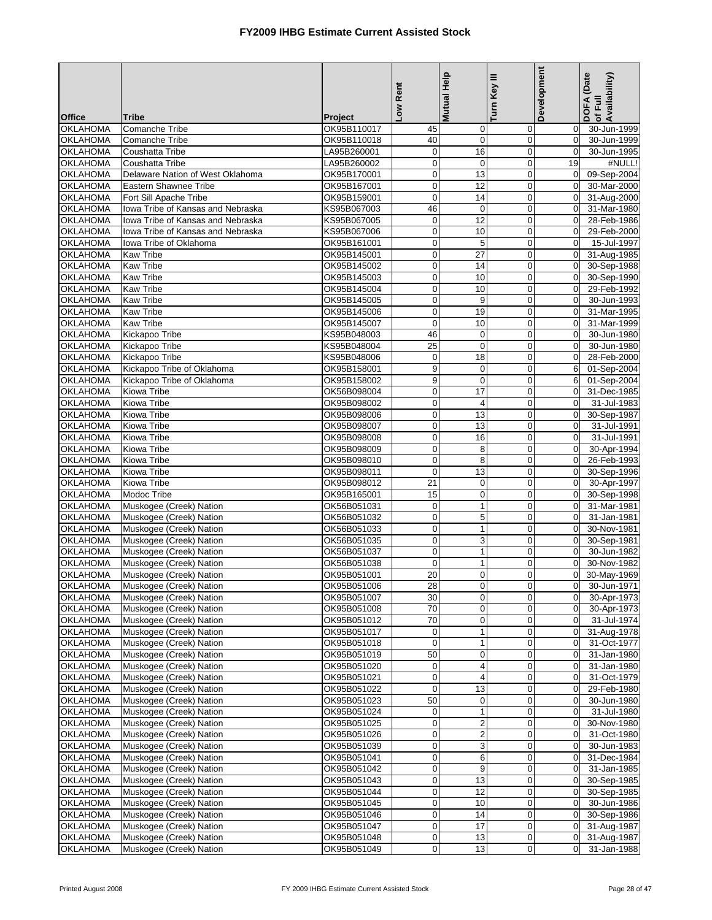| <b>Office</b>                      | <b>Tribe</b>                                       | Project                    | Low Rent                   | Mutual Help                 | Turn Key III               | <b>Development</b>         | DOFA (Date<br>Availability)<br>of Full |
|------------------------------------|----------------------------------------------------|----------------------------|----------------------------|-----------------------------|----------------------------|----------------------------|----------------------------------------|
| <b>OKLAHOMA</b>                    | Comanche Tribe                                     | OK95B110017                | 45                         | $\mathbf 0$                 | 0                          | 0                          | 30-Jun-1999                            |
| <b>OKLAHOMA</b>                    | <b>Comanche Tribe</b>                              | OK95B110018                | 40                         | $\mathbf 0$                 | 0                          | $\mathbf 0$                | 30-Jun-1999                            |
| <b>OKLAHOMA</b>                    | Coushatta Tribe                                    | LA95B260001                | $\pmb{0}$                  | 16                          | $\mathbf 0$                | $\mathbf 0$                | 30-Jun-1995                            |
| <b>OKLAHOMA</b>                    | Coushatta Tribe                                    | LA95B260002                | $\pmb{0}$                  | $\mathbf 0$                 | $\mathbf 0$                | 19                         | #NULL!                                 |
| <b>OKLAHOMA</b>                    | Delaware Nation of West Oklahoma                   | OK95B170001                | $\circ$                    | 13                          | $\boldsymbol{0}$           | $\mathbf 0$                | 09-Sep-2004                            |
| <b>OKLAHOMA</b>                    | <b>Eastern Shawnee Tribe</b>                       | OK95B167001                | $\mathbf 0$                | $\overline{12}$             | $\mathbf 0$                | $\mathbf 0$                | 30-Mar-2000                            |
| <b>OKLAHOMA</b>                    | Fort Sill Apache Tribe                             | OK95B159001                | $\pmb{0}$                  | 14                          | $\mathbf 0$                | $\Omega$                   | 31-Aug-2000                            |
| <b>OKLAHOMA</b>                    | Iowa Tribe of Kansas and Nebraska                  | KS95B067003                | 46                         | $\mathbf 0$                 | 0                          | $\mathbf 0$                | 31-Mar-1980                            |
| <b>OKLAHOMA</b>                    | Iowa Tribe of Kansas and Nebraska                  | KS95B067005                | $\pmb{0}$                  | 12                          | $\mathbf 0$                | $\mathbf 0$                | 28-Feb-1986                            |
| <b>OKLAHOMA</b>                    | Iowa Tribe of Kansas and Nebraska                  | KS95B067006                | $\mathbf 0$                | 10                          | $\mathbf 0$                | $\mathbf 0$                | 29-Feb-2000                            |
| <b>OKLAHOMA</b>                    | Iowa Tribe of Oklahoma                             | OK95B161001                | $\pmb{0}$                  | 5                           | $\mathbf 0$                | $\mathbf 0$                | 15-Jul-1997                            |
| <b>OKLAHOMA</b>                    | <b>Kaw Tribe</b>                                   | OK95B145001                | $\mathbf 0$                | $\overline{27}$             | $\mathbf 0$                | $\Omega$                   | 31-Aug-1985                            |
| <b>OKLAHOMA</b>                    | <b>Kaw Tribe</b>                                   | OK95B145002                | $\mathbf 0$                | 14                          | 0                          | $\mathbf 0$                | 30-Sep-1988                            |
| <b>OKLAHOMA</b>                    | <b>Kaw Tribe</b>                                   | OK95B145003                | $\mathbf 0$                | 10                          | $\mathbf 0$                | $\mathbf 0$                | 30-Sep-1990                            |
| <b>OKLAHOMA</b>                    | <b>Kaw Tribe</b>                                   | OK95B145004                | $\pmb{0}$                  | 10                          | $\mathbf 0$                | $\mathbf 0$                | 29-Feb-1992                            |
| <b>OKLAHOMA</b>                    | <b>Kaw Tribe</b>                                   | OK95B145005                | $\mathbf 0$                | 9                           | $\pmb{0}$                  | $\mathbf 0$                | 30-Jun-1993                            |
| <b>OKLAHOMA</b>                    | <b>Kaw Tribe</b>                                   | OK95B145006                | $\mathbf 0$                | 19                          | $\mathbf 0$                | $\mathbf 0$                | 31-Mar-1995                            |
| <b>OKLAHOMA</b>                    | <b>Kaw Tribe</b>                                   | OK95B145007                | $\pmb{0}$                  | 10                          | $\mathbf 0$                | $\mathbf 0$                | 31-Mar-1999                            |
| <b>OKLAHOMA</b>                    | Kickapoo Tribe                                     | KS95B048003                | 46                         | $\mathbf 0$                 | 0                          | $\mathbf 0$                | 30-Jun-1980                            |
| <b>OKLAHOMA</b>                    | Kickapoo Tribe                                     | KS95B048004                | 25                         | $\mathbf 0$                 | $\mathbf 0$                | $\mathbf 0$                | 30-Jun-1980                            |
| <b>OKLAHOMA</b>                    | Kickapoo Tribe                                     | KS95B048006                | $\mathbf 0$                | 18                          | $\mathbf 0$                | $\Omega$                   | 28-Feb-2000                            |
| <b>OKLAHOMA</b>                    | Kickapoo Tribe of Oklahoma                         | OK95B158001                | 9                          | $\mathbf 0$                 | $\mathbf 0$                | 6                          | 01-Sep-2004                            |
| <b>OKLAHOMA</b>                    | Kickapoo Tribe of Oklahoma                         | OK95B158002                | 9                          | $\mathbf 0$                 | $\mathbf 0$                | 6                          | 01-Sep-2004                            |
| <b>OKLAHOMA</b>                    | Kiowa Tribe                                        | OK56B098004                | $\mathbf 0$                | 17                          | $\mathbf 0$                | $\mathbf 0$                | 31-Dec-1985                            |
| <b>OKLAHOMA</b>                    | Kiowa Tribe                                        | OK95B098002                | $\pmb{0}$                  | 4                           | $\mathbf 0$                | $\mathbf 0$                | 31-Jul-1983                            |
| <b>OKLAHOMA</b>                    | Kiowa Tribe                                        | OK95B098006                | $\mathbf 0$                | 13                          | $\mathbf 0$                | $\mathbf 0$                | 30-Sep-1987                            |
| <b>OKLAHOMA</b>                    | Kiowa Tribe                                        | OK95B098007                | $\mathbf 0$                | 13                          | $\boldsymbol{0}$           | $\mathbf 0$                | 31-Jul-1991                            |
| <b>OKLAHOMA</b>                    | Kiowa Tribe                                        | OK95B098008                | $\mathbf 0$                | 16                          | $\mathbf 0$                | $\mathbf 0$                | 31-Jul-1991                            |
| <b>OKLAHOMA</b>                    | Kiowa Tribe                                        | OK95B098009                | $\pmb{0}$                  | 8                           | $\mathbf 0$                | $\mathbf 0$                | 30-Apr-1994                            |
| <b>OKLAHOMA</b>                    | Kiowa Tribe                                        | OK95B098010                | $\mathbf 0$<br>$\mathbf 0$ | 8                           | $\pmb{0}$                  | $\mathbf 0$                | 26-Feb-1993                            |
| <b>OKLAHOMA</b><br><b>OKLAHOMA</b> | Kiowa Tribe<br>Kiowa Tribe                         | OK95B098011                | 21                         | 13<br>$\mathbf 0$           | $\mathbf 0$<br>$\mathbf 0$ | $\mathbf 0$<br>$\Omega$    | 30-Sep-1996                            |
|                                    | Modoc Tribe                                        | OK95B098012                | 15                         |                             |                            |                            | 30-Apr-1997                            |
| <b>OKLAHOMA</b><br><b>OKLAHOMA</b> |                                                    | OK95B165001<br>OK56B051031 | $\pmb{0}$                  | $\mathbf 0$<br>$\mathbf{1}$ | $\mathbf 0$<br>$\mathbf 0$ | $\mathbf 0$<br>$\mathbf 0$ | 30-Sep-1998<br>31-Mar-1981             |
| <b>OKLAHOMA</b>                    | Muskogee (Creek) Nation<br>Muskogee (Creek) Nation | OK56B051032                | $\mathbf 0$                | 5                           | 0                          | $\mathbf 0$                | 31-Jan-1981                            |
| <b>OKLAHOMA</b>                    | Muskogee (Creek) Nation                            | OK56B051033                | $\pmb{0}$                  | $\mathbf{1}$                | $\mathbf 0$                | $\mathbf 0$                | 30-Nov-1981                            |
| <b>OKLAHOMA</b>                    | Muskogee (Creek) Nation                            | OK56B051035                | $\mathbf 0$                | 3                           | $\pmb{0}$                  | $\mathbf 0$                | 30-Sep-1981                            |
| <b>OKLAHOMA</b>                    | Muskogee (Creek) Nation                            | OK56B051037                | $\mathbf 0$                | $\mathbf{1}$                | $\mathbf 0$                | $\mathbf 0$                | 30-Jun-1982                            |
| <b>OKLAHOMA</b>                    | Muskogee (Creek) Nation                            | OK56B051038                | $\mathbf 0$                | $\mathbf{1}$                | $\mathbf 0$                | $\Omega$                   | 30-Nov-1982                            |
| <b>OKLAHOMA</b>                    | Muskogee (Creek) Nation                            | OK95B051001                | 20                         | $\mathbf 0$                 | $\overline{0}$             | $\mathbf 0$                | 30-May-1969                            |
| OKLAHOMA                           | Muskogee (Creek) Nation                            | OK95B051006                | 28                         | 0                           | $\mathbf{0}$               | 0                          | 30-Jun-1971                            |
| <b>OKLAHOMA</b>                    | Muskogee (Creek) Nation                            | OK95B051007                | 30                         | 0                           | $\mathbf 0$                | $\mathbf 0$                | 30-Apr-1973                            |
| <b>OKLAHOMA</b>                    | Muskogee (Creek) Nation                            | OK95B051008                | 70                         | 0                           | 0                          | $\overline{0}$             | 30-Apr-1973                            |
| <b>OKLAHOMA</b>                    | Muskogee (Creek) Nation                            | OK95B051012                | 70                         | 0                           | $\boldsymbol{0}$           | $\mathbf 0$                | 31-Jul-1974                            |
| <b>OKLAHOMA</b>                    | Muskogee (Creek) Nation                            | OK95B051017                | $\mathbf 0$                | $\mathbf{1}$                | 0                          | $\mathbf 0$                | 31-Aug-1978                            |
| <b>OKLAHOMA</b>                    | Muskogee (Creek) Nation                            | OK95B051018                | $\mathbf 0$                | $\mathbf{1}$                | 0                          | $\mathbf 0$                | 31-Oct-1977                            |
| <b>OKLAHOMA</b>                    | Muskogee (Creek) Nation                            | OK95B051019                | 50                         | 0                           | 0                          | $\mathbf 0$                | 31-Jan-1980                            |
| <b>OKLAHOMA</b>                    | Muskogee (Creek) Nation                            | OK95B051020                | $\boldsymbol{0}$           | 4                           | 0                          | $\mathbf 0$                | 31-Jan-1980                            |
| <b>OKLAHOMA</b>                    | Muskogee (Creek) Nation                            | OK95B051021                | $\mathbf 0$                | 4                           | 0                          | $\mathbf 0$                | 31-Oct-1979                            |
| <b>OKLAHOMA</b>                    | Muskogee (Creek) Nation                            | OK95B051022                | $\mathbf 0$                | 13                          | 0                          | 0                          | 29-Feb-1980                            |
| <b>OKLAHOMA</b>                    | Muskogee (Creek) Nation                            | OK95B051023                | 50                         | $\pmb{0}$                   | 0                          | $\overline{0}$             | 30-Jun-1980                            |
| <b>OKLAHOMA</b>                    | Muskogee (Creek) Nation                            | OK95B051024                | $\mathbf 0$                | $\mathbf 1$                 | 0                          | $\mathbf 0$                | 31-Jul-1980                            |
| <b>OKLAHOMA</b>                    | Muskogee (Creek) Nation                            | OK95B051025                | $\mathbf 0$                | $\overline{\mathbf{c}}$     | $\mathbf 0$                | 0                          | 30-Nov-1980                            |
| <b>OKLAHOMA</b>                    | Muskogee (Creek) Nation                            | OK95B051026                | $\mathbf 0$                | $\overline{\mathbf{c}}$     | $\mathbf 0$                | $\overline{0}$             | 31-Oct-1980                            |
| <b>OKLAHOMA</b>                    | Muskogee (Creek) Nation                            | OK95B051039                | $\overline{0}$             | 3                           | $\pmb{0}$                  | $\mathbf 0$                | 30-Jun-1983                            |
| <b>OKLAHOMA</b>                    | Muskogee (Creek) Nation                            | OK95B051041                | $\mathbf 0$                | 6                           | $\mathbf 0$                | $\mathbf 0$                | 31-Dec-1984                            |
| <b>OKLAHOMA</b>                    | Muskogee (Creek) Nation                            | OK95B051042                | $\boldsymbol{0}$           | 9                           | 0                          | $\overline{0}$             | 31-Jan-1985                            |
| <b>OKLAHOMA</b>                    | Muskogee (Creek) Nation                            | OK95B051043                | $\boldsymbol{0}$           | 13                          | 0                          | $\mathbf 0$                | 30-Sep-1985                            |
| <b>OKLAHOMA</b>                    | Muskogee (Creek) Nation                            | OK95B051044                | $\mathbf 0$                | 12                          | 0                          | $\mathbf 0$                | 30-Sep-1985                            |
| <b>OKLAHOMA</b>                    | Muskogee (Creek) Nation                            | OK95B051045                | $\mathbf 0$                | 10                          | 0                          | $\mathbf 0$                | 30-Jun-1986                            |
| <b>OKLAHOMA</b>                    | Muskogee (Creek) Nation                            | OK95B051046                | $\mathbf 0$                | 14                          | 0                          | $\overline{0}$             | 30-Sep-1986                            |
| <b>OKLAHOMA</b>                    | Muskogee (Creek) Nation                            | OK95B051047                | $\mathbf{0}$               | 17                          | 0                          | $\overline{0}$             | 31-Aug-1987                            |
| <b>OKLAHOMA</b>                    | Muskogee (Creek) Nation                            | OK95B051048                | $\boldsymbol{0}$           | 13                          | 0                          | $\mathbf 0$                | 31-Aug-1987                            |
| <b>OKLAHOMA</b>                    | Muskogee (Creek) Nation                            | OK95B051049                | $\mathbf 0$                | 13                          | 0                          | $\mathbf 0$                | 31-Jan-1988                            |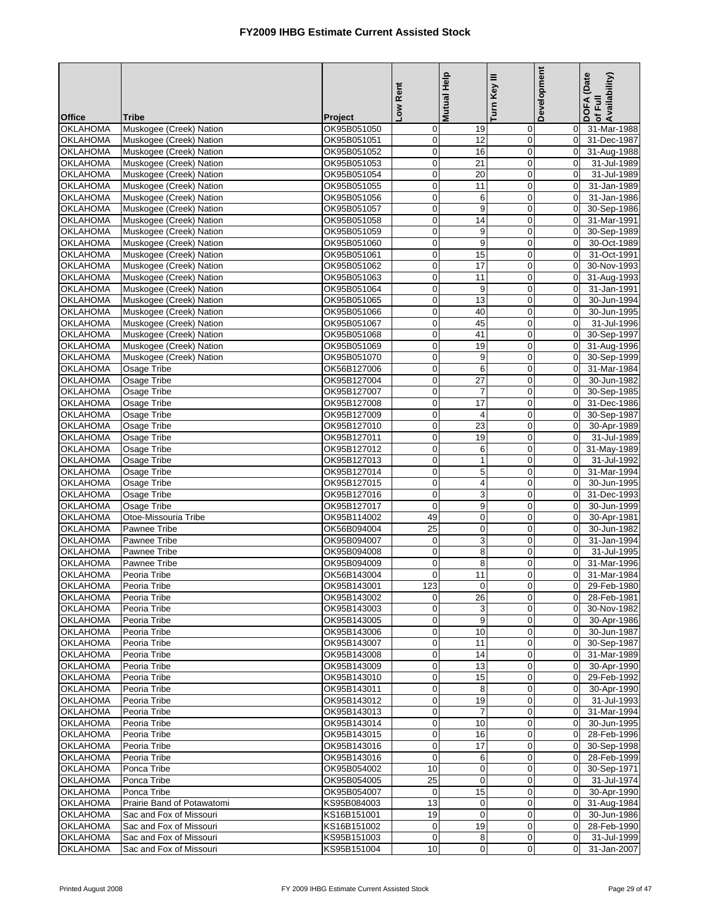| <b>Office</b>                      | Tribe                                              | Project                    | Low Rent                    | Mutual Help         | Turn Key III     | Development                      | DOFA (Date<br>of Full<br>Availability) |
|------------------------------------|----------------------------------------------------|----------------------------|-----------------------------|---------------------|------------------|----------------------------------|----------------------------------------|
| <b>OKLAHOMA</b>                    | Muskogee (Creek) Nation                            | OK95B051050                | $\mathbf 0$                 | 19                  | 0                | $\mathbf 0$                      | 31-Mar-1988                            |
| <b>OKLAHOMA</b>                    | Muskogee (Creek) Nation                            | OK95B051051                | $\mathbf{0}$                | 12                  | $\mathbf 0$      | $\overline{0}$                   | 31-Dec-1987                            |
| <b>OKLAHOMA</b>                    | Muskogee (Creek) Nation                            | OK95B051052                | $\mathbf 0$                 | 16                  | $\mathbf 0$      |                                  | 0 31-Aug-1988                          |
| <b>OKLAHOMA</b>                    | Muskogee (Creek) Nation                            | OK95B051053                | $\mathbf 0$                 | 21                  | $\mathbf 0$      | $\mathbf 0$                      | 31-Jul-1989                            |
| <b>OKLAHOMA</b>                    | Muskogee (Creek) Nation                            | OK95B051054                | $\mathbf 0$                 | 20                  | $\mathbf 0$      | $\overline{0}$                   | 31-Jul-1989                            |
| <b>OKLAHOMA</b>                    | Muskogee (Creek) Nation                            | OK95B051055                | $\mathbf 0$                 | 11                  | $\mathbf 0$      | $\overline{0}$                   | 31-Jan-1989                            |
| <b>OKLAHOMA</b>                    | Muskogee (Creek) Nation                            | OK95B051056                | $\pmb{0}$                   | 6                   | 0                | $\overline{0}$                   | 31-Jan-1986                            |
| <b>OKLAHOMA</b>                    | Muskogee (Creek) Nation                            | OK95B051057                | $\mathbf 0$                 | 9                   | $\mathbf 0$      | $\overline{0}$                   | 30-Sep-1986                            |
| <b>OKLAHOMA</b>                    | Muskogee (Creek) Nation                            | OK95B051058                | $\mathbf 0$                 | 14                  | $\mathbf 0$      | $\overline{0}$                   | 31-Mar-1991                            |
| <b>OKLAHOMA</b>                    | Muskogee (Creek) Nation                            | OK95B051059                | $\mathbf 0$                 | 9                   | $\mathbf 0$      | $\mathbf 0$                      | 30-Sep-1989                            |
| <b>OKLAHOMA</b>                    | Muskogee (Creek) Nation                            | OK95B051060                | $\mathbf 0$                 | 9                   | 0                | $\overline{0}$                   | 30-Oct-1989                            |
| <b>OKLAHOMA</b>                    | Muskogee (Creek) Nation                            | OK95B051061                | $\mathbf 0$                 | 15                  | $\mathbf 0$      | $\Omega$                         | 31-Oct-1991                            |
| <b>OKLAHOMA</b>                    | Muskogee (Creek) Nation                            | OK95B051062                | $\mathbf 0$                 | 17                  | $\mathbf 0$      | $\overline{0}$                   | 30-Nov-1993                            |
| <b>OKLAHOMA</b>                    | Muskogee (Creek) Nation                            | OK95B051063                | $\mathbf 0$                 | 11                  | $\mathbf 0$      | $\Omega$                         | 31-Aug-1993                            |
| <b>OKLAHOMA</b>                    | Muskogee (Creek) Nation                            | OK95B051064                | $\mathbf 0$                 | 9                   | $\mathbf 0$      | $\overline{0}$                   | 31-Jan-1991                            |
| <b>OKLAHOMA</b>                    | Muskogee (Creek) Nation                            | OK95B051065                | $\mathbf 0$                 | 13                  | $\mathbf 0$      | $\mathbf{0}$                     | 30-Jun-1994                            |
| <b>OKLAHOMA</b>                    | Muskogee (Creek) Nation                            | OK95B051066                | $\mathbf 0$                 | 40                  | $\mathbf 0$      | $\overline{0}$                   | 30-Jun-1995                            |
| <b>OKLAHOMA</b><br><b>OKLAHOMA</b> | Muskogee (Creek) Nation                            | OK95B051067<br>OK95B051068 | $\pmb{0}$<br>$\mathbf 0$    | 45<br>41            | 0<br>$\mathbf 0$ | $\overline{0}$<br>$\overline{0}$ | 31-Jul-1996<br>30-Sep-1997             |
| <b>OKLAHOMA</b>                    | Muskogee (Creek) Nation                            |                            | $\mathbf 0$                 | 19                  | $\mathbf 0$      | $\overline{0}$                   |                                        |
| <b>OKLAHOMA</b>                    | Muskogee (Creek) Nation<br>Muskogee (Creek) Nation | OK95B051069<br>OK95B051070 | $\overline{\mathbf{0}}$     | 9                   | 0                | $\overline{0}$                   | 31-Aug-1996                            |
| <b>OKLAHOMA</b>                    | Osage Tribe                                        | OK56B127006                | $\mathbf 0$                 | 6                   | $\mathbf 0$      | $\mathbf{0}$                     | 30-Sep-1999<br>31-Mar-1984             |
| <b>OKLAHOMA</b>                    | Osage Tribe                                        | OK95B127004                | $\mathbf 0$                 | 27                  | $\mathbf 0$      | $\Omega$                         | 30-Jun-1982                            |
| <b>OKLAHOMA</b>                    | Osage Tribe                                        | OK95B127007                | $\mathbf 0$                 | $\overline{7}$      | $\mathbf 0$      | $\overline{0}$                   | 30-Sep-1985                            |
| <b>OKLAHOMA</b>                    | Osage Tribe                                        | OK95B127008                | $\pmb{0}$                   | 17                  | $\mathbf 0$      | $\Omega$                         | 31-Dec-1986                            |
| <b>OKLAHOMA</b>                    | Osage Tribe                                        | OK95B127009                | $\mathbf 0$                 | 4                   | $\mathbf 0$      | $\overline{0}$                   | 30-Sep-1987                            |
| <b>OKLAHOMA</b>                    | Osage Tribe                                        | OK95B127010                | $\mathbf 0$                 | 23                  | $\mathbf 0$      | $\overline{0}$                   | 30-Apr-1989                            |
| <b>OKLAHOMA</b>                    | Osage Tribe                                        | OK95B127011                | $\mathbf 0$                 | 19                  | $\mathbf 0$      | $\Omega$                         | 31-Jul-1989                            |
| <b>OKLAHOMA</b>                    | Osage Tribe                                        | OK95B127012                | $\mathbf 0$                 | 6                   | $\mathbf 0$      | $\overline{0}$                   | 31-May-1989                            |
| <b>OKLAHOMA</b>                    | Osage Tribe                                        | OK95B127013                | $\overline{\mathbf{0}}$     | $\mathbf{1}$        | $\mathbf 0$      | $\Omega$                         | 31-Jul-1992                            |
| <b>OKLAHOMA</b>                    | Osage Tribe                                        | OK95B127014                | $\mathbf 0$                 | 5                   | $\mathbf 0$      | $\Omega$                         | 31-Mar-1994                            |
| <b>OKLAHOMA</b>                    | Osage Tribe                                        | OK95B127015                | $\overline{\mathbf{0}}$     | $\overline{4}$      | 0                | $\overline{0}$                   | 30-Jun-1995                            |
| <b>OKLAHOMA</b>                    | Osage Tribe                                        | OK95B127016                | $\mathbf 0$                 | 3                   | $\mathbf 0$      | $\overline{0}$                   | 31-Dec-1993                            |
| <b>OKLAHOMA</b>                    | Osage Tribe                                        | OK95B127017                | $\mathbf 0$                 | 9                   | $\mathbf 0$      | $\overline{0}$                   | 30-Jun-1999                            |
| <b>OKLAHOMA</b>                    | Otoe-Missouria Tribe                               | OK95B114002                | 49                          | $\pmb{0}$           | $\pmb{0}$        | $\overline{0}$                   | 30-Apr-1981                            |
| <b>OKLAHOMA</b>                    | Pawnee Tribe                                       | OK56B094004                | 25                          | $\pmb{0}$           | $\mathbf 0$      | $\Omega$                         | 30-Jun-1982                            |
| <b>OKLAHOMA</b>                    | Pawnee Tribe                                       | OK95B094007                | $\mathbf 0$                 | 3                   | $\mathbf 0$      | $\mathbf{0}$                     | 31-Jan-1994                            |
| <b>OKLAHOMA</b>                    | Pawnee Tribe                                       | OK95B094008                | $\mathbf 0$                 | 8                   | $\mathbf 0$      | $\overline{0}$                   | 31-Jul-1995                            |
| <b>OKLAHOMA</b>                    | Pawnee Tribe                                       | OK95B094009                | $\mathbf 0$                 | 8                   | $\mathbf 0$      | $\Omega$                         | 31-Mar-1996                            |
| <b>OKLAHOMA</b>                    | Peoria Tribe                                       | OK56B143004                | $\mathbf{0}$                | 11                  | $\mathbf 0$      | $\mathbf 0$                      | 31-Mar-1984                            |
| <b>OKLAHOMA</b>                    | Peoria Tribe                                       | OK95B143001                | 123                         | $\mathsf{O}\xspace$ | $\overline{0}$   |                                  | 0 29-Feb-1980                          |
| <b>OKLAHOMA</b>                    | Peoria Tribe                                       | OK95B143002                | $\overline{0}$              | 26                  | $\mathbf 0$      |                                  | 0 28-Feb-1981                          |
| <b>OKLAHOMA</b><br><b>OKLAHOMA</b> | Peoria Tribe<br>Peoria Tribe                       | OK95B143003<br>OK95B143005 | $\mathbf 0$<br>$\mathbf{0}$ | 3<br>9              | 0<br>0           | $\overline{0}$<br>$\overline{0}$ | 30-Nov-1982<br>30-Apr-1986             |
| <b>OKLAHOMA</b>                    | Peoria Tribe                                       | OK95B143006                | $\pmb{0}$                   | 10                  | 0                | $\overline{0}$                   | 30-Jun-1987                            |
| <b>OKLAHOMA</b>                    | Peoria Tribe                                       | OK95B143007                | $\overline{0}$              | 11                  | 0                |                                  | 0 30-Sep-1987                          |
| <b>OKLAHOMA</b>                    | Peoria Tribe                                       | OK95B143008                | $\mathbf 0$                 | 14                  | $\mathbf 0$      | $\overline{0}$                   | 31-Mar-1989                            |
| <b>OKLAHOMA</b>                    | Peoria Tribe                                       | OK95B143009                | $\mathbf 0$                 | 13                  | 0                | $\overline{0}$                   | 30-Apr-1990                            |
| <b>OKLAHOMA</b>                    | Peoria Tribe                                       | OK95B143010                | $\pmb{0}$                   | 15                  | 0                | $\overline{0}$                   | 29-Feb-1992                            |
| <b>OKLAHOMA</b>                    | Peoria Tribe                                       | OK95B143011                | $\mathbf 0$                 | 8                   | 0                | $\overline{0}$                   | 30-Apr-1990                            |
| <b>OKLAHOMA</b>                    | Peoria Tribe                                       | OK95B143012                | $\mathbf 0$                 | 19                  | 0                | $\overline{0}$                   | 31-Jul-1993                            |
| <b>OKLAHOMA</b>                    | Peoria Tribe                                       | OK95B143013                | $\mathbf 0$                 | 7                   | 0                | $\overline{0}$                   | $\overline{31}$ -Mar-1994              |
| <b>OKLAHOMA</b>                    | Peoria Tribe                                       | OK95B143014                | $\mathbf 0$                 | 10                  | 0                | $\overline{0}$                   | 30-Jun-1995                            |
| <b>OKLAHOMA</b>                    | Peoria Tribe                                       | OK95B143015                | $\mathbf 0$                 | 16                  | 0                | $\overline{0}$                   | 28-Feb-1996                            |
| <b>OKLAHOMA</b>                    | Peoria Tribe                                       | OK95B143016                | $\mathbf 0$                 | 17                  | $\mathbf 0$      | $\overline{0}$                   | 30-Sep-1998                            |
| <b>OKLAHOMA</b>                    | Peoria Tribe                                       | OK95B143016                | $\mathbf 0$                 | 6                   | 0                | $\overline{0}$                   | 28-Feb-1999                            |
| <b>OKLAHOMA</b>                    | Ponca Tribe                                        | OK95B054002                | 10                          | $\pmb{0}$           | 0                | $\overline{0}$                   | 30-Sep-1971                            |
| <b>OKLAHOMA</b>                    | Ponca Tribe                                        | OK95B054005                | 25                          | $\mathbf 0$         | $\mathbf 0$      | $\overline{0}$                   | 31-Jul-1974                            |
| <b>OKLAHOMA</b>                    | Ponca Tribe                                        | OK95B054007                | $\mathbf 0$                 | 15                  | 0                | $\overline{0}$                   | 30-Apr-1990                            |
| <b>OKLAHOMA</b>                    | Prairie Band of Potawatomi                         | KS95B084003                | 13                          | 0                   | 0                | $\overline{0}$                   | 31-Aug-1984                            |
| <b>OKLAHOMA</b>                    | Sac and Fox of Missouri                            | KS16B151001                | 19                          | $\mathbf 0$         | 0                | $\overline{0}$                   | 30-Jun-1986                            |
| <b>OKLAHOMA</b>                    | Sac and Fox of Missouri                            | KS16B151002                | $\mathbf 0$                 | 19                  | 0                | $\overline{0}$                   | 28-Feb-1990                            |
| <b>OKLAHOMA</b>                    | Sac and Fox of Missouri                            | KS95B151003                | $\overline{0}$              | 8                   | 0                | $\overline{0}$                   | 31-Jul-1999                            |
| <b>OKLAHOMA</b>                    | Sac and Fox of Missouri                            | KS95B151004                | 10                          | $\pmb{0}$           | 0                | $\Omega$                         | 31-Jan-2007                            |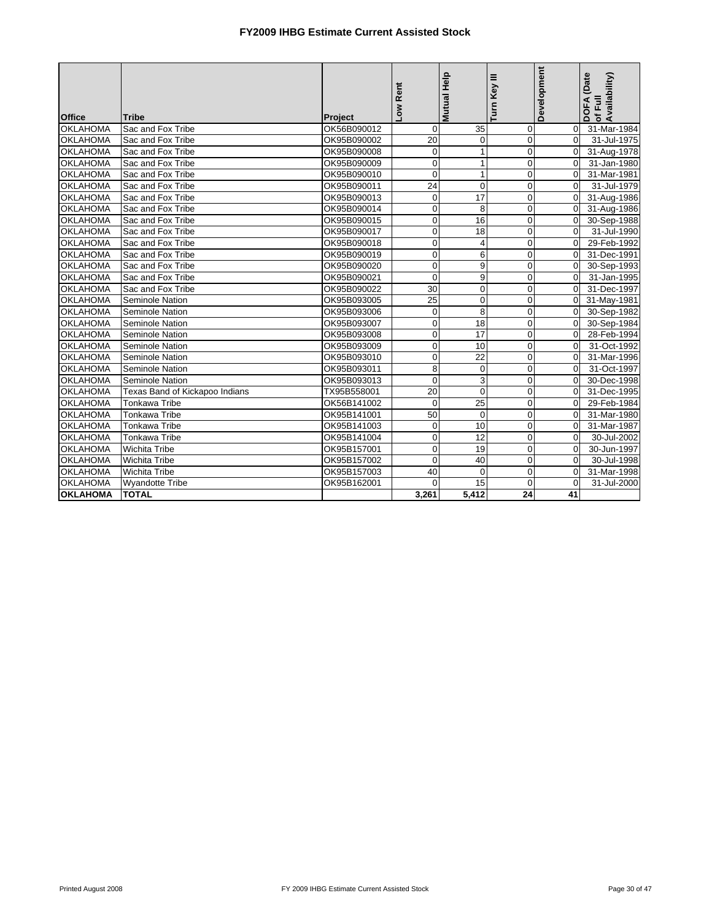|                 |                                |             |                |              |                | Development    | DOFA (Date<br>of Full |
|-----------------|--------------------------------|-------------|----------------|--------------|----------------|----------------|-----------------------|
| <b>Office</b>   | <b>Tribe</b>                   | Project     | Low Rent       | Mutual Help  | Turn Key III   |                | Availability)         |
| <b>OKLAHOMA</b> | Sac and Fox Tribe              | OK56B090012 | $\overline{0}$ | 35           | $\mathbf 0$    | $\overline{0}$ | 31-Mar-1984           |
| <b>OKLAHOMA</b> | Sac and Fox Tribe              | OK95B090002 | 20             | $\mathbf 0$  | $\mathbf 0$    | $\Omega$       | 31-Jul-1975           |
| <b>OKLAHOMA</b> | Sac and Fox Tribe              | OK95B090008 | $\mathbf 0$    | $\mathbf{1}$ | $\mathbf 0$    | $\overline{0}$ | 31-Aug-1978           |
| <b>OKLAHOMA</b> | Sac and Fox Tribe              | OK95B090009 | $\pmb{0}$      | 1            | $\mathbf 0$    | $\Omega$       | 31-Jan-1980           |
| <b>OKLAHOMA</b> | Sac and Fox Tribe              | OK95B090010 | $\mathbf 0$    | $\mathbf 1$  | $\mathbf 0$    | $\Omega$       | 31-Mar-1981           |
| <b>OKLAHOMA</b> | Sac and Fox Tribe              | OK95B090011 | 24             | $\mathbf 0$  | $\overline{0}$ | $\Omega$       | 31-Jul-1979           |
| <b>OKLAHOMA</b> | Sac and Fox Tribe              | OK95B090013 | $\mathbf 0$    | 17           | $\mathbf 0$    | $\Omega$       | 31-Aug-1986           |
| <b>OKLAHOMA</b> | Sac and Fox Tribe              | OK95B090014 | $\mathbf 0$    | 8            | $\mathbf 0$    | $\overline{0}$ | 31-Aug-1986           |
| <b>OKLAHOMA</b> | Sac and Fox Tribe              | OK95B090015 | $\mathbf 0$    | 16           | $\mathbf 0$    | $\overline{0}$ | 30-Sep-1988           |
| <b>OKLAHOMA</b> | Sac and Fox Tribe              | OK95B090017 | $\mathbf 0$    | 18           | $\mathbf 0$    | $\overline{0}$ | 31-Jul-1990           |
| <b>OKLAHOMA</b> | Sac and Fox Tribe              | OK95B090018 | $\mathbf 0$    | 4            | $\overline{0}$ | $\Omega$       | 29-Feb-1992           |
| <b>OKLAHOMA</b> | Sac and Fox Tribe              | OK95B090019 | $\mathbf 0$    | 6            | $\overline{0}$ | $\Omega$       | 31-Dec-1991           |
| <b>OKLAHOMA</b> | Sac and Fox Tribe              | OK95B090020 | $\pmb{0}$      | 9            | $\mathbf 0$    | $\overline{0}$ | 30-Sep-1993           |
| <b>OKLAHOMA</b> | Sac and Fox Tribe              | OK95B090021 | $\Omega$       | 9            | $\mathbf 0$    | $\Omega$       | 31-Jan-1995           |
| <b>OKLAHOMA</b> | Sac and Fox Tribe              | OK95B090022 | 30             | $\mathbf 0$  | $\overline{0}$ | $\Omega$       | 31-Dec-1997           |
| <b>OKLAHOMA</b> | <b>Seminole Nation</b>         | OK95B093005 | 25             | $\mathbf 0$  | $\overline{0}$ | $\overline{0}$ | 31-May-1981           |
| <b>OKLAHOMA</b> | Seminole Nation                | OK95B093006 | $\mathbf 0$    | 8            | $\overline{0}$ | $\Omega$       | 30-Sep-1982           |
| <b>OKLAHOMA</b> | Seminole Nation                | OK95B093007 | $\mathbf{0}$   | 18           | $\mathbf 0$    | $\Omega$       | 30-Sep-1984           |
| <b>OKLAHOMA</b> | <b>Seminole Nation</b>         | OK95B093008 | $\mathbf{0}$   | 17           | $\mathbf 0$    | $\Omega$       | 28-Feb-1994           |
| <b>OKLAHOMA</b> | <b>Seminole Nation</b>         | OK95B093009 | $\mathbf 0$    | 10           | $\overline{0}$ | $\Omega$       | 31-Oct-1992           |
| <b>OKLAHOMA</b> | Seminole Nation                | OK95B093010 | $\mathbf 0$    | 22           | $\overline{0}$ | $\Omega$       | 31-Mar-1996           |
| <b>OKLAHOMA</b> | Seminole Nation                | OK95B093011 | 8              | $\mathbf 0$  | $\mathbf 0$    | $\Omega$       | 31-Oct-1997           |
| <b>OKLAHOMA</b> | Seminole Nation                | OK95B093013 | $\mathbf 0$    | 3            | $\mathbf 0$    | $\Omega$       | 30-Dec-1998           |
| OKLAHOMA        | Texas Band of Kickapoo Indians | TX95B558001 | 20             | $\mathbf 0$  | $\mathbf 0$    | $\Omega$       | 31-Dec-1995           |
| <b>OKLAHOMA</b> | <b>Tonkawa Tribe</b>           | OK56B141002 | $\Omega$       | 25           | $\mathbf 0$    | $\Omega$       | 29-Feb-1984           |
| <b>OKLAHOMA</b> | <b>Tonkawa Tribe</b>           | OK95B141001 | 50             | $\Omega$     | $\mathbf 0$    | $\Omega$       | 31-Mar-1980           |
| <b>OKLAHOMA</b> | <b>Tonkawa Tribe</b>           | OK95B141003 | $\mathbf 0$    | 10           | $\overline{0}$ | $\overline{0}$ | 31-Mar-1987           |
| <b>OKLAHOMA</b> | <b>Tonkawa Tribe</b>           | OK95B141004 | $\Omega$       | 12           | $\mathbf 0$    | $\Omega$       | 30-Jul-2002           |
| <b>OKLAHOMA</b> | <b>Wichita Tribe</b>           | OK95B157001 | $\mathbf 0$    | 19           | $\mathbf 0$    | $\mathbf 0$    | 30-Jun-1997           |
| <b>OKLAHOMA</b> | <b>Wichita Tribe</b>           | OK95B157002 | $\mathbf{0}$   | 40           | $\mathbf 0$    | $\overline{0}$ | 30-Jul-1998           |
| <b>OKLAHOMA</b> | <b>Wichita Tribe</b>           | OK95B157003 | 40             | $\mathbf 0$  | $\mathbf 0$    | $\overline{0}$ | 31-Mar-1998           |
| <b>OKLAHOMA</b> | <b>Wyandotte Tribe</b>         | OK95B162001 | 0              | 15           | $\mathbf 0$    | $\mathbf 0$    | 31-Jul-2000           |
| <b>OKLAHOMA</b> | <b>TOTAL</b>                   |             | 3.261          | 5.412        | 24             | 41             |                       |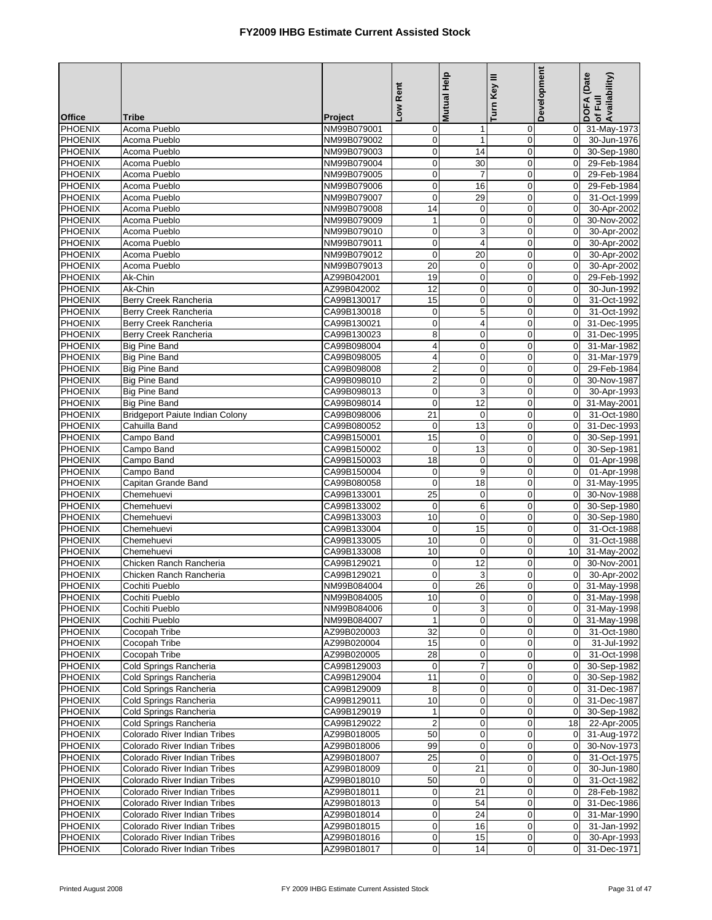|                                  |                                                              |                            | Low Rent                       | Mutual Help                | Turn Key III               | Development                      | DOFA (Date<br>of Full<br>Availability) |
|----------------------------------|--------------------------------------------------------------|----------------------------|--------------------------------|----------------------------|----------------------------|----------------------------------|----------------------------------------|
| <b>Office</b>                    | <b>Tribe</b>                                                 | Project                    |                                |                            |                            |                                  |                                        |
| <b>PHOENIX</b>                   | Acoma Pueblo                                                 | NM99B079001                | $\overline{0}$                 | $\mathbf 1$                | 0                          | $\mathbf 0$                      | 31-May-1973                            |
| <b>PHOENIX</b>                   | Acoma Pueblo                                                 | NM99B079002                | $\overline{0}$                 | $\mathbf{1}$               | $\pmb{0}$                  | $\overline{0}$                   | 30-Jun-1976                            |
| <b>PHOENIX</b>                   | Acoma Pueblo                                                 | NM99B079003                | $\mathbf 0$                    | 14                         | $\mathbf 0$                | $\mathbf 0$                      | 30-Sep-1980                            |
| <b>PHOENIX</b>                   | Acoma Pueblo                                                 | NM99B079004                | $\mathbf 0$                    | 30                         | $\mathbf 0$                | $\Omega$                         | 29-Feb-1984                            |
| <b>PHOENIX</b>                   | Acoma Pueblo                                                 | NM99B079005                | $\overline{0}$                 | $\overline{7}$             | $\mathbf 0$                | $\overline{0}$                   | 29-Feb-1984                            |
| <b>PHOENIX</b>                   | Acoma Pueblo                                                 | NM99B079006                | $\mathbf 0$                    | 16                         | $\mathbf 0$                | $\mathbf 0$                      | 29-Feb-1984                            |
| PHOENIX                          | Acoma Pueblo<br>Acoma Pueblo                                 | NM99B079007                | $\mathbf 0$<br>14              | 29<br>$\boldsymbol{0}$     | $\mathbf 0$<br>$\mathbf 0$ | $\overline{0}$<br>$\overline{0}$ | 31-Oct-1999<br>30-Apr-2002             |
| PHOENIX<br>PHOENIX               | Acoma Pueblo                                                 | NM99B079008<br>NM99B079009 | $\mathbf{1}$                   | $\mathbf 0$                | $\mathbf 0$                | $\Omega$                         | 30-Nov-2002                            |
| <b>PHOENIX</b>                   | Acoma Pueblo                                                 | NM99B079010                | $\mathbf 0$                    | 3                          | $\mathbf 0$                | $\overline{0}$                   | 30-Apr-2002                            |
| PHOENIX                          | Acoma Pueblo                                                 | NM99B079011                | $\mathbf 0$                    | 4                          | $\mathbf 0$                | $\overline{0}$                   | 30-Apr-2002                            |
| <b>PHOENIX</b>                   | Acoma Pueblo                                                 | NM99B079012                | $\mathbf 0$                    | 20                         | $\mathbf 0$                | $\Omega$                         | 30-Apr-2002                            |
| <b>PHOENIX</b>                   | Acoma Pueblo                                                 | NM99B079013                | 20                             | $\mathbf 0$                | $\mathbf 0$                | $\overline{0}$                   | 30-Apr-2002                            |
| <b>PHOENIX</b>                   | Ak-Chin                                                      | AZ99B042001                | 19                             | $\mathbf 0$                | $\mathbf 0$                | $\mathbf 0$                      | 29-Feb-1992                            |
| PHOENIX                          | Ak-Chin                                                      | AZ99B042002                | $\overline{12}$                | $\mathbf 0$                | $\mathbf 0$                | $\overline{0}$                   | 30-Jun-1992                            |
| PHOENIX                          | Berry Creek Rancheria                                        | CA99B130017                | 15                             | $\pmb{0}$                  | $\mathbf 0$                | $\mathbf 0$                      | 31-Oct-1992                            |
| <b>PHOENIX</b>                   | Berry Creek Rancheria                                        | CA99B130018                | $\mathbf 0$                    | $\mathbf 5$                | $\mathbf 0$                | $\Omega$                         | 31-Oct-1992                            |
| PHOENIX                          | Berry Creek Rancheria                                        | CA99B130021                | $\mathbf 0$                    | 4                          | $\mathbf 0$                | $\overline{0}$                   | 31-Dec-1995                            |
| PHOENIX<br><b>PHOENIX</b>        | Berry Creek Rancheria                                        | CA99B130023<br>CA99B098004 | $\bf8$                         | $\pmb{0}$                  | $\mathbf 0$                | $\overline{0}$<br>$\mathbf 0$    | 31-Dec-1995<br>31-Mar-1982             |
| <b>PHOENIX</b>                   | <b>Big Pine Band</b><br><b>Big Pine Band</b>                 | CA99B098005                | 4<br>4                         | $\mathbf 0$<br>$\mathbf 0$ | $\mathbf 0$<br>$\mathbf 0$ | $\Omega$                         | 31-Mar-1979                            |
| PHOENIX                          | <b>Big Pine Band</b>                                         | CA99B098008                | $\mathbf{p}$                   | $\pmb{0}$                  | $\mathbf 0$                | $\overline{0}$                   | 29-Feb-1984                            |
| <b>PHOENIX</b>                   | <b>Big Pine Band</b>                                         | CA99B098010                | $\overline{2}$                 | $\mathbf 0$                | $\mathbf 0$                | $\Omega$                         | 30-Nov-1987                            |
| <b>PHOENIX</b>                   | <b>Big Pine Band</b>                                         | CA99B098013                | $\mathbf 0$                    | 3                          | $\mathbf 0$                | $\overline{0}$                   | 30-Apr-1993                            |
| <b>PHOENIX</b>                   | <b>Big Pine Band</b>                                         | CA99B098014                | $\mathbf 0$                    | $\overline{12}$            | $\mathbf 0$                | $\overline{0}$                   | 31-May-2001                            |
| <b>PHOENIX</b>                   | Bridgeport Paiute Indian Colony                              | CA99B098006                | $\overline{21}$                | $\mathbf 0$                | $\mathbf 0$                | $\Omega$                         | 31-Oct-1980                            |
| <b>PHOENIX</b>                   | Cahuilla Band                                                | CA99B080052                | $\boldsymbol{0}$               | 13                         | $\mathbf 0$                | $\overline{0}$                   | 31-Dec-1993                            |
| <b>PHOENIX</b>                   | Campo Band                                                   | CA99B150001                | 15                             | $\mathbf 0$                | $\mathbf 0$                | $\overline{0}$                   | 30-Sep-1991                            |
| <b>PHOENIX</b>                   | Campo Band                                                   | CA99B150002                | $\mathbf 0$                    | 13                         | $\mathbf 0$                | $\overline{0}$                   | 30-Sep-1981                            |
| <b>PHOENIX</b>                   | Campo Band                                                   | CA99B150003                | 18                             | $\pmb{0}$                  | $\pmb{0}$                  | $\mathbf 0$                      | 01-Apr-1998                            |
| <b>PHOENIX</b><br><b>PHOENIX</b> | Campo Band<br>Capitan Grande Band                            | CA99B150004<br>CA99B080058 | $\mathbf 0$<br>$\mathbf 0$     | 9<br>18                    | $\mathbf 0$<br>$\mathbf 0$ | $\Omega$<br>$\Omega$             | 01-Apr-1998<br>31-May-1995             |
| PHOENIX                          | Chemehuevi                                                   | CA99B133001                | 25                             | $\pmb{0}$                  | $\mathbf 0$                | $\overline{0}$                   | 30-Nov-1988                            |
| <b>PHOENIX</b>                   | Chemehuevi                                                   | CA99B133002                | $\mathbf 0$                    | 6                          | $\mathbf 0$                | $\Omega$                         | 30-Sep-1980                            |
| <b>PHOENIX</b>                   | Chemehuevi                                                   | CA99B133003                | 10                             | $\mathbf 0$                | $\mathbf 0$                | $\overline{0}$                   | 30-Sep-1980                            |
| PHOENIX                          | Chemehuevi                                                   | CA99B133004                | $\mathbf 0$                    | 15                         | $\mathbf 0$                | $\overline{0}$                   | 31-Oct-1988                            |
| <b>PHOENIX</b>                   | Chemehuevi                                                   | CA99B133005                | 10                             | $\pmb{0}$                  | $\mathbf 0$                | $\Omega$                         | 31-Oct-1988                            |
| <b>PHOENIX</b>                   | Chemehuevi                                                   | CA99B133008                | 10                             | $\mathbf 0$                | $\mathbf 0$                | 10                               | 31-May-2002                            |
| <b>PHOENIX</b>                   | Chicken Ranch Rancheria                                      | CA99B129021                | $\mathbf 0$                    | $\overline{12}$            | $\mathbf 0$                | $\overline{0}$                   | 30-Nov-2001                            |
| <b>PHOENIX</b>                   | Chicken Ranch Rancheria                                      | CA99B129021                | $\mathbf 0$                    | 3                          | $\mathbf 0$                | $\overline{0}$                   | 30-Apr-2002                            |
| <b>PHOENIX</b>                   | Cochiti Pueblo                                               | NM99B084004                | 0                              | 26                         | $\mathbf{0}$               |                                  | 0 31-May-1998                          |
| <b>PHOENIX</b>                   | Cochiti Pueblo                                               | NM99B084005                | 10                             | $\mathbf 0$                | $\mathbf 0$                |                                  | 0 31-May-1998                          |
| <b>PHOENIX</b><br>PHOENIX        | Cochiti Pueblo<br>Cochiti Pueblo                             | NM99B084006<br>NM99B084007 | $\overline{0}$<br>$\mathbf{1}$ | 3<br>$\pmb{0}$             | $\mathbf 0$<br>0           |                                  | 0 31-May-1998<br>0 31-May-1998         |
| <b>PHOENIX</b>                   | Cocopah Tribe                                                | AZ99B020003                | 32                             | $\pmb{0}$                  | $\mathbf 0$                | $\overline{0}$                   | 31-Oct-1980                            |
| <b>PHOENIX</b>                   | Cocopah Tribe                                                | AZ99B020004                | 15                             | $\pmb{0}$                  | $\mathbf 0$                | $\overline{0}$                   | 31-Jul-1992                            |
| PHOENIX                          | Cocopah Tribe                                                | AZ99B020005                | 28                             | $\pmb{0}$                  | $\mathbf 0$                | $\overline{0}$                   | 31-Oct-1998                            |
| <b>PHOENIX</b>                   | Cold Springs Rancheria                                       | CA99B129003                | $\mathbf 0$                    | $\overline{7}$             | $\mathbf 0$                | $\overline{0}$                   | 30-Sep-1982                            |
| <b>PHOENIX</b>                   | Cold Springs Rancheria                                       | CA99B129004                | 11                             | $\mathbf 0$                | 0                          | $\overline{0}$                   | 30-Sep-1982                            |
| <b>PHOENIX</b>                   | Cold Springs Rancheria                                       | CA99B129009                | 8                              | $\pmb{0}$                  | $\pmb{0}$                  | $\overline{0}$                   | 31-Dec-1987                            |
| <b>PHOENIX</b>                   | Cold Springs Rancheria                                       | CA99B129011                | 10                             | $\mathbf 0$                | $\mathbf 0$                | $\overline{0}$                   | 31-Dec-1987                            |
| PHOENIX                          | Cold Springs Rancheria                                       | CA99B129019                | $\mathbf{1}$                   | 0                          | 0                          | $\mathbf 0$                      | 30-Sep-1982                            |
| <b>PHOENIX</b>                   | Cold Springs Rancheria                                       | CA99B129022                | $\overline{a}$                 | $\mathbf 0$                | $\mathbf 0$                | 18                               | 22-Apr-2005                            |
| <b>PHOENIX</b>                   | Colorado River Indian Tribes                                 | AZ99B018005                | 50                             | $\pmb{0}$                  | $\mathbf 0$                | $\overline{0}$                   | 31-Aug-1972                            |
| <b>PHOENIX</b><br><b>PHOENIX</b> | Colorado River Indian Tribes<br>Colorado River Indian Tribes | AZ99B018006<br>AZ99B018007 | 99<br>25                       | $\pmb{0}$<br>$\mathbf 0$   | 0<br>$\mathbf 0$           | $\overline{0}$<br>$\overline{0}$ | 30-Nov-1973<br>31-Oct-1975             |
| <b>PHOENIX</b>                   | Colorado River Indian Tribes                                 | AZ99B018009                | $\overline{0}$                 | 21                         | $\mathbf 0$                | $\overline{0}$                   | 30-Jun-1980                            |
| PHOENIX                          | Colorado River Indian Tribes                                 | AZ99B018010                | 50                             | $\mathbf 0$                | 0                          | $\overline{0}$                   | 31-Oct-1982                            |
| <b>PHOENIX</b>                   | Colorado River Indian Tribes                                 | AZ99B018011                | $\mathbf 0$                    | 21                         | $\mathbf 0$                | $\overline{0}$                   | 28-Feb-1982                            |
| <b>PHOENIX</b>                   | Colorado River Indian Tribes                                 | AZ99B018013                | $\mathbf 0$                    | 54                         | $\mathbf 0$                | $\overline{0}$                   | 31-Dec-1986                            |
| <b>PHOENIX</b>                   | Colorado River Indian Tribes                                 | AZ99B018014                | $\overline{0}$                 | 24                         | $\mathbf 0$                | $\overline{0}$                   | 31-Mar-1990                            |
| <b>PHOENIX</b>                   | Colorado River Indian Tribes                                 | AZ99B018015                | $\overline{0}$                 | 16                         | $\mathbf 0$                | $\Omega$                         | 31-Jan-1992                            |
| <b>PHOENIX</b>                   | Colorado River Indian Tribes                                 | AZ99B018016                | $\mathbf 0$                    | 15                         | 0                          | $\overline{0}$                   | 30-Apr-1993                            |
| <b>PHOENIX</b>                   | Colorado River Indian Tribes                                 | AZ99B018017                | $\overline{0}$                 | 14                         | $\pmb{0}$                  | $\Omega$                         | 31-Dec-1971                            |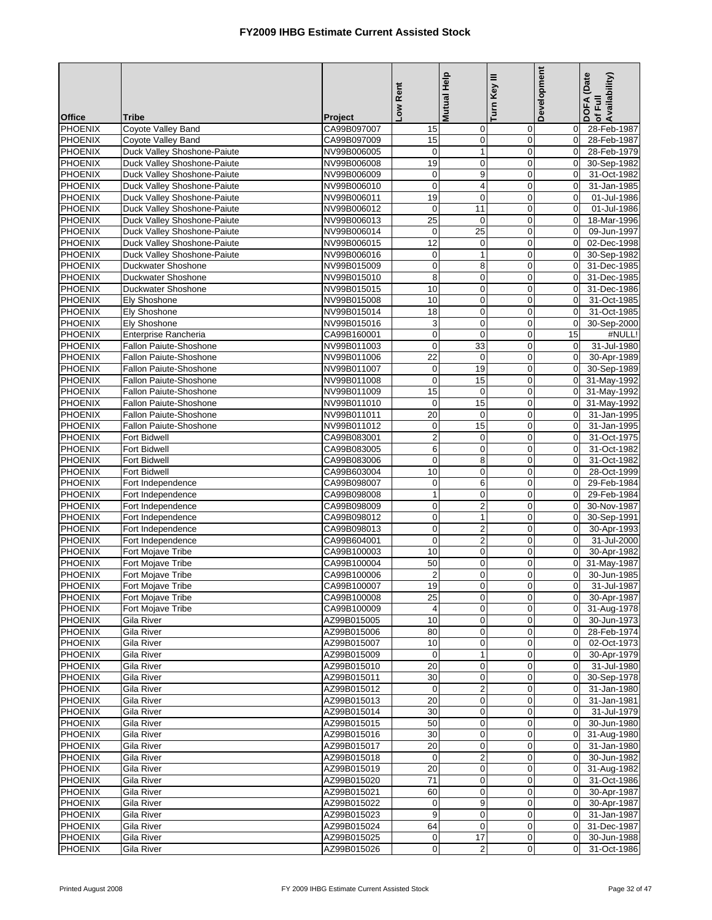| <b>Office</b>                    | <b>Tribe</b>                           | Project                    | Low Rent                 | Mutual Help                               | Turn Key III                  | Development                   | DOFA (Date<br>Availability)<br>of Full |
|----------------------------------|----------------------------------------|----------------------------|--------------------------|-------------------------------------------|-------------------------------|-------------------------------|----------------------------------------|
| <b>PHOENIX</b>                   | Coyote Valley Band                     | CA99B097007                | 15                       | $\mathbf 0$                               | 0                             | $\overline{0}$                | 28-Feb-1987                            |
| <b>PHOENIX</b>                   | Coyote Valley Band                     | CA99B097009                | 15                       | $\pmb{0}$                                 | $\boldsymbol{0}$              | $\mathbf 0$                   | 28-Feb-1987                            |
| <b>PHOENIX</b>                   | Duck Valley Shoshone-Paiute            | NV99B006005                | $\mathbf 0$              | $\mathbf{1}$                              | $\mathbf 0$                   | $\mathbf 0$                   | 28-Feb-1979                            |
| <b>PHOENIX</b>                   | Duck Valley Shoshone-Paiute            | NV99B006008                | 19                       | $\mathbf 0$                               | 0                             | $\mathbf 0$                   | 30-Sep-1982                            |
| <b>PHOENIX</b>                   | Duck Valley Shoshone-Paiute            | NV99B006009                | 0                        | $\boldsymbol{9}$                          | $\mathbf 0$                   | $\mathbf 0$                   | 31-Oct-1982                            |
| <b>PHOENIX</b>                   | Duck Valley Shoshone-Paiute            | NV99B006010                | $\mathbf 0$              | 4                                         | $\mathbf 0$                   | $\mathbf 0$                   | 31-Jan-1985                            |
| <b>PHOENIX</b>                   | Duck Valley Shoshone-Paiute            | NV99B006011                | 19                       | $\mathbf 0$                               | $\mathbf 0$                   | $\mathbf 0$                   | 01-Jul-1986                            |
| PHOENIX                          | Duck Valley Shoshone-Paiute            | NV99B006012                | 0                        | 11                                        | $\mathbf 0$                   | $\overline{0}$                | 01-Jul-1986                            |
| <b>PHOENIX</b>                   | Duck Valley Shoshone-Paiute            | NV99B006013                | 25                       | $\mathbf 0$                               | $\mathbf 0$                   | $\mathbf 0$                   | 18-Mar-1996                            |
| <b>PHOENIX</b>                   | Duck Valley Shoshone-Paiute            | NV99B006014                | $\mathbf 0$              | 25                                        | $\mathbf 0$                   | $\mathbf 0$                   | 09-Jun-1997                            |
| <b>PHOENIX</b>                   | Duck Valley Shoshone-Paiute            | NV99B006015                | $\overline{12}$          | $\mathbf 0$                               | $\mathbf 0$                   | $\mathbf 0$                   | 02-Dec-1998                            |
| <b>PHOENIX</b>                   | Duck Valley Shoshone-Paiute            | NV99B006016                | $\boldsymbol{0}$         | $\mathbf{1}$                              | $\mathbf 0$                   | $\mathbf 0$                   | 30-Sep-1982                            |
| <b>PHOENIX</b>                   | Duckwater Shoshone                     | NV99B015009                | $\mathbf 0$              | 8                                         | $\mathbf 0$                   | $\overline{0}$                | 31-Dec-1985                            |
| <b>PHOENIX</b>                   | Duckwater Shoshone                     | NV99B015010                | 8                        | $\mathbf 0$                               | $\mathbf 0$                   | $\mathbf 0$                   | 31-Dec-1985                            |
| <b>PHOENIX</b>                   | Duckwater Shoshone                     | NV99B015015                | 10                       | $\mathbf 0$                               | $\mathbf 0$                   | $\mathbf 0$                   | 31-Dec-1986                            |
| <b>PHOENIX</b><br><b>PHOENIX</b> | Ely Shoshone<br><b>Ely Shoshone</b>    | NV99B015008                | 10<br>18                 | $\mathbf 0$                               | $\mathbf 0$<br>$\overline{0}$ | $\mathbf 0$                   | 31-Oct-1985                            |
| <b>PHOENIX</b>                   | <b>Ely Shoshone</b>                    | NV99B015014<br>NV99B015016 | 3                        | $\mathbf 0$<br>$\mathbf 0$                | $\mathbf 0$                   | $\mathbf 0$<br>$\mathbf 0$    | 31-Oct-1985<br>30-Sep-2000             |
| PHOENIX                          | Enterprise Rancheria                   | CA99B160001                | $\pmb{0}$                | $\mathbf 0$                               | $\mathbf 0$                   | 15                            | #NULL!                                 |
| <b>PHOENIX</b>                   | Fallon Paiute-Shoshone                 | NV99B011003                | $\mathbf 0$              | 33                                        | $\mathbf 0$                   | $\mathbf 0$                   | 31-Jul-1980                            |
| <b>PHOENIX</b>                   | Fallon Paiute-Shoshone                 | NV99B011006                | 22                       | $\mathbf 0$                               | $\mathbf 0$                   | $\Omega$                      | 30-Apr-1989                            |
| <b>PHOENIX</b>                   | <b>Fallon Paiute-Shoshone</b>          | NV99B011007                | $\boldsymbol{0}$         | 19                                        | $\mathbf 0$                   | $\mathbf 0$                   | 30-Sep-1989                            |
| <b>PHOENIX</b>                   | Fallon Paiute-Shoshone                 | NV99B011008                | $\boldsymbol{0}$         | 15                                        | $\mathbf 0$                   | $\mathbf 0$                   | 31-May-1992                            |
| <b>PHOENIX</b>                   | Fallon Paiute-Shoshone                 | NV99B011009                | 15                       | $\mathbf 0$                               | $\mathbf 0$                   | $\mathbf 0$                   | 31-May-1992                            |
| <b>PHOENIX</b>                   | <b>Fallon Paiute-Shoshone</b>          | NV99B011010                | $\mathbf 0$              | 15                                        | 0                             | $\mathbf 0$                   | 31-May-1992                            |
| <b>PHOENIX</b>                   | Fallon Paiute-Shoshone                 | NV99B011011                | 20                       | $\mathbf 0$                               | 0                             | $\mathbf 0$                   | 31-Jan-1995                            |
| <b>PHOENIX</b>                   | <b>Fallon Paiute-Shoshone</b>          | NV99B011012                | $\pmb{0}$                | 15                                        | $\boldsymbol{0}$              | $\mathbf 0$                   | 31-Jan-1995                            |
| PHOENIX                          | Fort Bidwell                           | CA99B083001                | $\overline{2}$           | $\mathbf 0$                               | $\overline{0}$                | $\mathbf 0$                   | 31-Oct-1975                            |
| <b>PHOENIX</b>                   | Fort Bidwell                           | CA99B083005                | 6                        | $\mathbf 0$                               | $\mathbf 0$                   | $\mathbf 0$                   | 31-Oct-1982                            |
| <b>PHOENIX</b>                   | <b>Fort Bidwell</b>                    | CA99B083006                | $\boldsymbol{0}$         | 8                                         | $\mathbf 0$                   | $\mathbf 0$                   | 31-Oct-1982                            |
| <b>PHOENIX</b>                   | Fort Bidwell                           | CA99B603004                | 10                       | $\mathbf 0$                               | $\mathbf 0$                   | $\mathbf 0$                   | 28-Oct-1999                            |
| <b>PHOENIX</b>                   | Fort Independence                      | CA99B098007                | $\pmb{0}$                | 6                                         | $\mathbf 0$                   | $\mathbf 0$                   | 29-Feb-1984                            |
| PHOENIX                          | Fort Independence                      | CA99B098008                | $\mathbf{1}$             | $\mathbf 0$                               | $\mathbf 0$                   | $\overline{0}$                | 29-Feb-1984                            |
| <b>PHOENIX</b>                   | Fort Independence                      | CA99B098009                | $\mathbf 0$              | $\overline{c}$                            | $\mathbf 0$                   | $\mathbf 0$                   | 30-Nov-1987                            |
| <b>PHOENIX</b>                   | Fort Independence                      | CA99B098012                | $\mathbf 0$              | $\mathbf{1}$                              | $\mathbf 0$                   | $\mathbf 0$                   | 30-Sep-1991                            |
| PHOENIX<br><b>PHOENIX</b>        | Fort Independence<br>Fort Independence | CA99B098013<br>CA99B604001 | $\mathbf 0$<br>$\pmb{0}$ | $\overline{\mathbf{c}}$<br>$\overline{2}$ | $\mathbf 0$<br>$\mathbf 0$    | $\mathbf 0$<br>$\mathbf 0$    | 30-Apr-1993<br>31-Jul-2000             |
| <b>PHOENIX</b>                   | Fort Mojave Tribe                      | CA99B100003                | 10                       | $\mathbf 0$                               | $\mathbf 0$                   | $\mathbf 0$                   | 30-Apr-1982                            |
| <b>PHOENIX</b>                   | Fort Mojave Tribe                      | CA99B100004                | 50                       | $\mathbf 0$                               | $\overline{0}$                | $\mathbf 0$                   | 31-May-1987                            |
| <b>PHOENIX</b>                   | Fort Mojave Tribe                      | CA99B100006                | $\overline{\mathbf{c}}$  | $\overline{0}$                            | 0                             | $\overline{0}$                | 30-Jun-1985                            |
| PHOENIX                          | Fort Mojave Tribe                      | CA99B100007                | 19                       | $\overline{0}$                            | $\overline{0}$                | 0                             | 31-Jul-1987                            |
| <b>PHOENIX</b>                   | Fort Mojave Tribe                      | CA99B100008                | 25                       | $\mathbf 0$                               | $\mathbf 0$                   | $\overline{0}$                | 30-Apr-1987                            |
| <b>PHOENIX</b>                   | Fort Mojave Tribe                      | CA99B100009                | 4                        | 0                                         | 0                             | $\overline{0}$                | 31-Aug-1978                            |
| PHOENIX                          | Gila River                             | AZ99B015005                | 10                       | $\pmb{0}$                                 | $\boldsymbol{0}$              | $\overline{0}$                | 30-Jun-1973                            |
| <b>PHOENIX</b>                   | Gila River                             | AZ99B015006                | 80                       | $\pmb{0}$                                 | 0                             | $\overline{0}$                | 28-Feb-1974                            |
| <b>PHOENIX</b>                   | Gila River                             | AZ99B015007                | 10                       | $\pmb{0}$                                 | 0                             | $\mathbf 0$                   | 02-Oct-1973                            |
| <b>PHOENIX</b>                   | Gila River                             | AZ99B015009                | 0                        | $\mathbf{1}$                              | $\mathbf 0$                   | $\overline{0}$                | 30-Apr-1979                            |
| <b>PHOENIX</b>                   | Gila River                             | AZ99B015010                | 20                       | $\mathbf 0$                               | $\mathbf 0$                   | $\overline{0}$                | 31-Jul-1980                            |
| <b>PHOENIX</b>                   | Gila River                             | AZ99B015011                | 30                       | $\pmb{0}$                                 | $\mathbf 0$                   | $\overline{0}$                | 30-Sep-1978                            |
| <b>PHOENIX</b>                   | Gila River                             | AZ99B015012                | $\mathbf 0$              | $\overline{2}$                            | $\mathbf 0$                   | $\mathbf 0$                   | 31-Jan-1980                            |
| <b>PHOENIX</b>                   | Gila River                             | AZ99B015013                | 20                       | $\mathbf 0$                               | 0                             | $\mathbf 0$                   | 31-Jan-1981                            |
| <b>PHOENIX</b>                   | Gila River                             | AZ99B015014                | 30                       | $\pmb{0}$                                 | 0                             | $\overline{0}$                | 31-Jul-1979                            |
| <b>PHOENIX</b>                   | Gila River                             | AZ99B015015<br>AZ99B015016 | 50                       | $\mathbf 0$<br>$\mathbf 0$                | $\mathbf 0$                   | $\mathbf 0$<br>$\overline{0}$ | 30-Jun-1980                            |
| <b>PHOENIX</b><br><b>PHOENIX</b> | Gila River<br>Gila River               | AZ99B015017                | 30<br>20                 | $\pmb{0}$                                 | $\mathbf 0$<br>$\pmb{0}$      | $\overline{0}$                | 31-Aug-1980<br>31-Jan-1980             |
| <b>PHOENIX</b>                   | Gila River                             | AZ99B015018                | $\mathbf 0$              | $\overline{2}$                            | 0                             | $\overline{0}$                | 30-Jun-1982                            |
| <b>PHOENIX</b>                   | Gila River                             | AZ99B015019                | 20                       | $\pmb{0}$                                 | $\mathbf 0$                   | $\overline{0}$                | 31-Aug-1982                            |
| <b>PHOENIX</b>                   | Gila River                             | AZ99B015020                | 71                       | $\pmb{0}$                                 | 0                             | $\overline{0}$                | 31-Oct-1986                            |
| <b>PHOENIX</b>                   | Gila River                             | AZ99B015021                | 60                       | $\mathbf 0$                               | 0                             | $\overline{0}$                | 30-Apr-1987                            |
| <b>PHOENIX</b>                   | Gila River                             | AZ99B015022                | $\mathbf 0$              | 9                                         | 0                             | $\mathbf 0$                   | 30-Apr-1987                            |
| <b>PHOENIX</b>                   | Gila River                             | AZ99B015023                | 9                        | $\mathbf 0$                               | $\mathbf 0$                   | $\mathbf 0$                   | 31-Jan-1987                            |
| <b>PHOENIX</b>                   | Gila River                             | AZ99B015024                | 64                       | $\mathbf 0$                               | $\mathbf 0$                   | $\overline{0}$                | 31-Dec-1987                            |
| <b>PHOENIX</b>                   | Gila River                             | AZ99B015025                | $\mathbf 0$              | 17                                        | 0                             | $\overline{0}$                | 30-Jun-1988                            |
| PHOENIX                          | Gila River                             | AZ99B015026                | $\overline{0}$           | $\boldsymbol{2}$                          | $\pmb{0}$                     | $\overline{0}$                | 31-Oct-1986                            |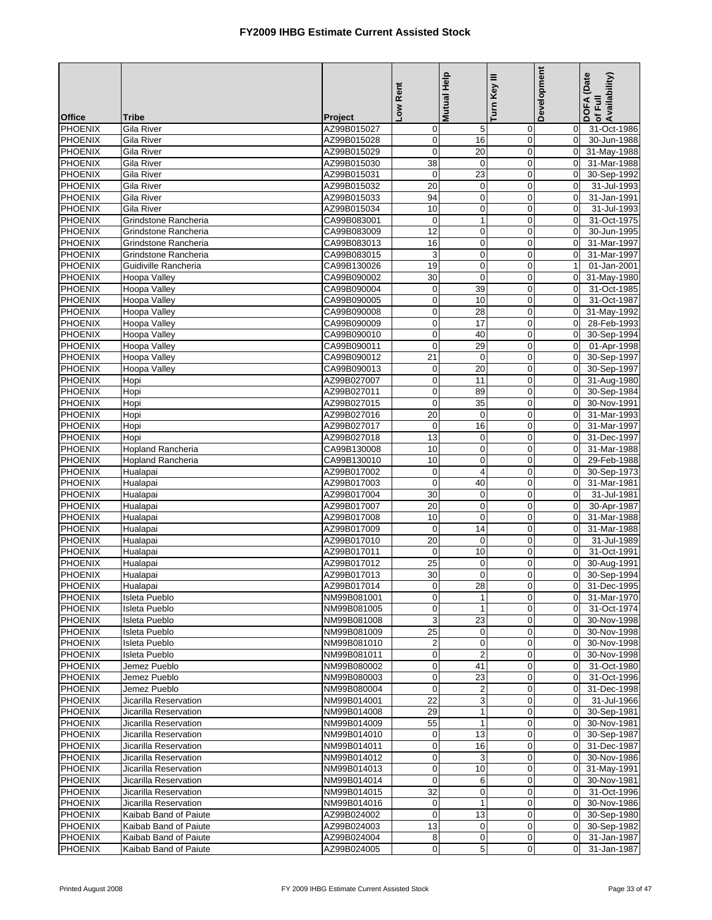|                                  |                                                |                            | Low Rent                  | Mutual Help             | Turn Key III               | Development                      | DOFA (Date<br>of Full<br>Availability) |
|----------------------------------|------------------------------------------------|----------------------------|---------------------------|-------------------------|----------------------------|----------------------------------|----------------------------------------|
| <b>Office</b>                    | <b>Tribe</b>                                   | Project                    |                           |                         |                            |                                  |                                        |
| <b>PHOENIX</b>                   | Gila River                                     | AZ99B015027                | $\mathbf 0$               | 5                       | $\mathbf 0$                | $\overline{0}$                   | 31-Oct-1986                            |
| <b>PHOENIX</b>                   | Gila River                                     | AZ99B015028                | $\mathbf 0$               | 16                      | $\mathbf 0$                | $\overline{0}$                   | 30-Jun-1988                            |
| <b>PHOENIX</b>                   | Gila River                                     | AZ99B015029                | $\mathbf 0$               | 20                      | $\mathbf 0$                | $\overline{0}$                   | 31-May-1988                            |
| <b>PHOENIX</b>                   | Gila River                                     | AZ99B015030                | 38                        | $\mathbf 0$             | $\mathbf 0$                | $\overline{0}$                   | 31-Mar-1988                            |
| <b>PHOENIX</b>                   | Gila River                                     | AZ99B015031<br>AZ99B015032 | $\pmb{0}$                 | $\overline{23}$         | $\mathbf 0$                | $\overline{0}$                   | 30-Sep-1992                            |
| <b>PHOENIX</b><br><b>PHOENIX</b> | Gila River                                     |                            | $\overline{20}$<br>94     | $\mathbf 0$<br>0        | $\mathbf 0$<br>$\mathbf 0$ | $\Omega$<br>$\mathbf 0$          | 31-Jul-1993                            |
|                                  | Gila River                                     | AZ99B015033                | 10                        |                         | $\mathbf 0$                | $\mathbf 0$                      | 31-Jan-1991<br>31-Jul-1993             |
| <b>PHOENIX</b><br><b>PHOENIX</b> | Gila River<br>Grindstone Rancheria             | AZ99B015034<br>CA99B083001 | $\mathbf 0$               | 0<br>$\mathbf{1}$       | $\mathbf 0$                | $\mathbf 0$                      | 31-Oct-1975                            |
| <b>PHOENIX</b>                   | Grindstone Rancheria                           | CA99B083009                | 12                        | $\pmb{0}$               | $\mathbf 0$                | $\overline{0}$                   | 30-Jun-1995                            |
| <b>PHOENIX</b>                   | Grindstone Rancheria                           | CA99B083013                | 16                        | 0                       | $\overline{0}$             | $\Omega$                         | 31-Mar-1997                            |
| <b>PHOENIX</b>                   | Grindstone Rancheria                           | CA99B083015                | $\ensuremath{\mathsf{3}}$ | 0                       | $\mathbf 0$                | $\overline{0}$                   | 31-Mar-1997                            |
| <b>PHOENIX</b>                   | Guidiville Rancheria                           | CA99B130026                | 19                        | $\mathbf 0$             | $\pmb{0}$                  | $\mathbf{1}$                     | 01-Jan-2001                            |
| <b>PHOENIX</b>                   | Hoopa Valley                                   | CA99B090002                | 30                        | $\mathbf 0$             | $\mathbf 0$                | $\overline{0}$                   | 31-May-1980                            |
| PHOENIX                          | Hoopa Valley                                   | CA99B090004                | 0                         | 39                      | $\mathbf 0$                | $\overline{0}$                   | 31-Oct-1985                            |
| <b>PHOENIX</b>                   | Hoopa Valley                                   | CA99B090005                | $\pmb{0}$                 | 10                      | $\mathbf 0$                | $\mathbf{0}$                     | 31-Oct-1987                            |
| <b>PHOENIX</b>                   | Hoopa Valley                                   | CA99B090008                | $\mathbf 0$               | 28                      | $\mathbf 0$                | $\mathbf{0}$                     | 31-May-1992                            |
| <b>PHOENIX</b>                   | Hoopa Valley                                   | CA99B090009                | $\mathbf 0$               | 17                      | $\mathbf 0$                | $\overline{0}$                   | 28-Feb-1993                            |
| <b>PHOENIX</b>                   | Hoopa Valley                                   | CA99B090010                | $\pmb{0}$                 | 40                      | $\mathbf 0$                | $\overline{0}$                   | 30-Sep-1994                            |
| <b>PHOENIX</b>                   | Hoopa Valley                                   | CA99B090011                | $\mathbf 0$               | 29                      | $\mathbf 0$                | $\Omega$                         | 01-Apr-1998                            |
| PHOENIX                          | Hoopa Vallev                                   | CA99B090012                | 21                        | $\mathbf 0$             | $\mathbf 0$                | $\overline{0}$                   | 30-Sep-1997                            |
| <b>PHOENIX</b>                   | Hoopa Valley                                   | CA99B090013                | $\pmb{0}$                 | $\overline{20}$         | $\overline{0}$             | $\mathbf{0}$                     | 30-Sep-1997                            |
| PHOENIX                          | Hopi                                           | AZ99B027007                | $\pmb{0}$                 | 11                      | $\mathbf 0$                | $\Omega$                         | 31-Aug-1980                            |
| PHOENIX                          | Hopi                                           | AZ99B027011                | $\pmb{0}$                 | 89                      | $\mathbf 0$                | $\mathbf{0}$                     | 30-Sep-1984                            |
| <b>PHOENIX</b>                   | Hopi                                           | AZ99B027015                | $\mathbf 0$               | 35                      | $\mathbf 0$                | $\overline{0}$                   | 30-Nov-1991                            |
| <b>PHOENIX</b>                   | Hopi                                           | AZ99B027016                | 20                        | $\mathbf 0$             | $\mathbf 0$                | $\mathbf 0$                      | 31-Mar-1993                            |
| <b>PHOENIX</b>                   | Hopi                                           | AZ99B027017                | $\pmb{0}$                 | 16                      | $\mathbf 0$                | $\overline{0}$                   | 31-Mar-1997                            |
| <b>PHOENIX</b>                   | Hopi                                           | AZ99B027018                | 13                        | $\mathbf 0$             | $\mathbf 0$                | $\mathbf 0$                      | 31-Dec-1997                            |
| <b>PHOENIX</b>                   | <b>Hopland Rancheria</b>                       | CA99B130008                | 10                        | $\mathbf 0$             | $\mathbf 0$                | $\overline{0}$                   | 31-Mar-1988                            |
| <b>PHOENIX</b>                   | Hopland Rancheria                              | CA99B130010                | 10                        | $\mathbf 0$             | $\mathbf 0$                | $\overline{0}$                   | 29-Feb-1988                            |
| <b>PHOENIX</b>                   | Hualapai                                       | AZ99B017002                | $\pmb{0}$                 | 4                       | $\mathbf 0$                | $\Omega$                         | 30-Sep-1973                            |
| <b>PHOENIX</b>                   | Hualapai                                       | AZ99B017003                | $\pmb{0}$                 | 40                      | $\mathbf 0$                | $\mathbf 0$                      | 31-Mar-1981                            |
| <b>PHOENIX</b>                   | Hualapai                                       | AZ99B017004                | 30                        | 0                       | $\mathbf 0$                | $\mathbf 0$                      | 31-Jul-1981                            |
| <b>PHOENIX</b>                   | Hualapai                                       | AZ99B017007                | 20                        | 0                       | $\mathbf 0$                | $\overline{0}$                   | 30-Apr-1987                            |
| PHOENIX<br><b>PHOENIX</b>        | Hualapai<br>Hualapai                           | AZ99B017008<br>AZ99B017009 | 10<br>$\mathbf 0$         | $\mathbf 0$<br>14       | $\mathbf 0$<br>$\mathbf 0$ | $\overline{0}$<br>$\mathbf 0$    | 31-Mar-1988<br>31-Mar-1988             |
| PHOENIX                          | Hualapai                                       | AZ99B017010                | $\overline{20}$           | 0                       | $\mathbf 0$                | $\mathbf 0$                      | 31-Jul-1989                            |
| <b>PHOENIX</b>                   | Hualapai                                       | AZ99B017011                | $\pmb{0}$                 | 10                      | $\pmb{0}$                  | $\mathbf 0$                      | 31-Oct-1991                            |
| <b>PHOENIX</b>                   | Hualapai                                       | AZ99B017012                | $\overline{25}$           | $\mathbf 0$             | $\mathbf 0$                | $\Omega$                         | 30-Aug-1991                            |
| <b>PHOENIX</b>                   | Hualapai                                       | AZ99B017013                | 30                        | $\overline{0}$          | $\overline{0}$             | $\Omega$                         | 30-Sep-1994                            |
| PHOENIX                          | Hualapai                                       | AZ99B017014                | $\sigma$                  | 28                      | $\cup$                     |                                  | 0 31-Dec-1995                          |
| <b>PHOENIX</b>                   | Isleta Pueblo                                  | NM99B081001                | 0                         | $\mathbf{1}$            | $\mathbf 0$                |                                  | 0 31-Mar-1970                          |
| <b>PHOENIX</b>                   | Isleta Pueblo                                  | NM99B081005                | $\mathbf 0$               | 1                       | 0                          | $\overline{0}$                   | 31-Oct-1974                            |
| PHOENIX                          | Isleta Pueblo                                  | NM99B081008                | 3                         | 23                      | 0                          |                                  | 0 30-Nov-1998                          |
| PHOENIX                          | Isleta Pueblo                                  | NM99B081009                | 25                        | $\mathbf 0$             | 0                          | $\overline{0}$                   | 30-Nov-1998                            |
| PHOENIX                          | Isleta Pueblo                                  | NM99B081010                | $\overline{2}$            | $\mathbf 0$             | $\mathbf 0$                | $\overline{0}$                   | 30-Nov-1998                            |
| PHOENIX                          | Isleta Pueblo                                  | NM99B081011                | $\mathbf 0$               | $\overline{2}$          | $\mathbf 0$                | $\overline{0}$                   | 30-Nov-1998                            |
| PHOENIX                          | Jemez Pueblo                                   | NM99B080002                | $\mathbf 0$               | 41                      | $\mathbf 0$                | $\overline{0}$                   | 31-Oct-1980                            |
| PHOENIX                          | Jemez Pueblo                                   | NM99B080003                | $\pmb{0}$                 | 23                      | $\pmb{0}$                  | $\overline{0}$                   | 31-Oct-1996                            |
| <b>PHOENIX</b>                   | Jemez Pueblo                                   | NM99B080004                | $\mathbf 0$               | $\overline{\mathbf{c}}$ | $\mathbf 0$                | $\mathbf 0$                      | 31-Dec-1998                            |
| PHOENIX                          | Jicarilla Reservation                          | NM99B014001                | 22                        | 3                       | $\mathbf 0$                | $\overline{0}$                   | 31-Jul-1966                            |
| PHOENIX                          | Jicarilla Reservation                          | NM99B014008                | 29                        | $\mathbf{1}$            | $\pmb{0}$                  | $\overline{0}$                   | 30-Sep-1981                            |
| <b>PHOENIX</b>                   | Jicarilla Reservation                          | NM99B014009                | 55                        | $\mathbf{1}$            | $\mathbf 0$                | $\overline{0}$                   | 30-Nov-1981                            |
| PHOENIX                          | Jicarilla Reservation                          | NM99B014010                | $\mathbf 0$               | 13                      | 0                          | $\overline{0}$                   | 30-Sep-1987                            |
| PHOENIX                          | Jicarilla Reservation                          | NM99B014011                | $\mathbf 0$               | 16                      | 0                          |                                  | 0 31-Dec-1987                          |
| PHOENIX                          | Jicarilla Reservation                          | NM99B014012                | $\mathbf 0$               | 3                       | 0                          | $\overline{0}$                   | 30-Nov-1986                            |
| <b>PHOENIX</b>                   | Jicarilla Reservation                          | NM99B014013                | $\mathbf 0$               | 10                      | 0                          | $\overline{0}$                   | 31-May-1991                            |
| <b>PHOENIX</b>                   | Jicarilla Reservation                          | NM99B014014                | $\mathbf 0$               | 6                       | $\mathbf 0$                |                                  | 0 30-Nov-1981                          |
| PHOENIX                          | Jicarilla Reservation                          | NM99B014015                | 32                        | 0                       | $\mathbf 0$                | $\overline{0}$                   | 31-Oct-1996                            |
| <b>PHOENIX</b><br>PHOENIX        | Jicarilla Reservation<br>Kaibab Band of Paiute | NM99B014016<br>AZ99B024002 | $\mathbf 0$<br>$\pmb{0}$  | $\mathbf 1$<br>13       | 0<br>$\mathbf 0$           | $\overline{0}$<br>$\overline{0}$ | 30-Nov-1986<br>30-Sep-1980             |
| PHOENIX                          | Kaibab Band of Paiute                          | AZ99B024003                | 13                        | $\mathbf 0$             | 0                          | $\overline{0}$                   | 30-Sep-1982                            |
| PHOENIX                          | Kaibab Band of Paiute                          | AZ99B024004                | 8                         | $\boldsymbol{0}$        | 0                          | $\overline{0}$                   | 31-Jan-1987                            |
| PHOENIX                          | Kaibab Band of Paiute                          | AZ99B024005                | $\overline{0}$            | 5                       | $\pmb{0}$                  | $\Omega$                         | 31-Jan-1987                            |
|                                  |                                                |                            |                           |                         |                            |                                  |                                        |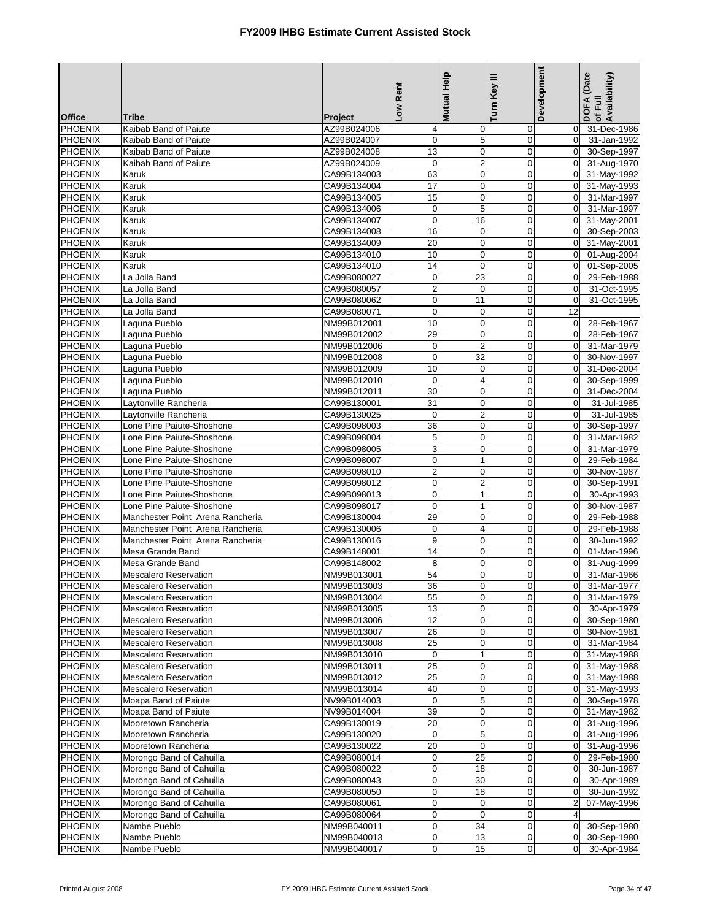|                                  |                                                        |                            | Low Rent                    | <b>Mutual Help</b>          | Turn Key III               | Development                      | DOFA (Date<br> of Full<br> Availability) |
|----------------------------------|--------------------------------------------------------|----------------------------|-----------------------------|-----------------------------|----------------------------|----------------------------------|------------------------------------------|
| <b>Office</b>                    | <b>Tribe</b>                                           | Project                    |                             |                             |                            |                                  |                                          |
| <b>PHOENIX</b>                   | Kaibab Band of Paiute                                  | AZ99B024006                | $\overline{4}$              | $\mathbf 0$                 | 0                          | $\mathbf 0$                      | 31-Dec-1986                              |
| PHOENIX                          | Kaibab Band of Paiute                                  | AZ99B024007                | $\overline{0}$              | 5                           | $\mathbf 0$                | $\overline{0}$                   | 31-Jan-1992                              |
| <b>PHOENIX</b>                   | Kaibab Band of Paiute                                  | AZ99B024008                | 13                          | $\mathbf 0$                 | $\mathbf 0$                | $\Omega$                         | 30-Sep-1997                              |
| <b>PHOENIX</b>                   | Kaibab Band of Paiute                                  | AZ99B024009                | $\mathbf 0$                 | $\overline{2}$              | $\mathbf 0$                | $\overline{0}$                   | 31-Aug-1970                              |
| PHOENIX                          | Karuk                                                  | CA99B134003                | 63                          | $\mathbf 0$                 | $\mathbf 0$                | $\overline{0}$                   | 31-May-1992                              |
| <b>PHOENIX</b>                   | Karuk                                                  | CA99B134004                | $\overline{17}$             | $\mathbf 0$                 | $\mathbf 0$                | $\overline{0}$                   | 31-May-1993                              |
| <b>PHOENIX</b>                   | Karuk                                                  | CA99B134005                | 15                          | $\pmb{0}$                   | $\mathbf 0$                | $\overline{0}$                   | 31-Mar-1997                              |
| <b>PHOENIX</b>                   | Karuk                                                  | CA99B134006                | $\mathbf 0$                 | $\overline{5}$              | $\mathbf 0$                | $\Omega$                         | 31-Mar-1997                              |
| PHOENIX<br><b>PHOENIX</b>        | Karuk                                                  | CA99B134007<br>CA99B134008 | $\mathbf 0$<br>16           | 16<br>$\boldsymbol{0}$      | $\mathbf 0$<br>$\mathbf 0$ | $\overline{0}$<br>$\overline{0}$ | 31-May-2001                              |
| <b>PHOENIX</b>                   | Karuk<br>Karuk                                         | CA99B134009                | 20                          | $\mathbf 0$                 | $\mathbf 0$                | $\overline{0}$                   | 30-Sep-2003<br>31-May-2001               |
| PHOENIX                          | Karuk                                                  | CA99B134010                | 10                          | $\mathbf 0$                 | $\mathbf 0$                | $\Omega$                         | 01-Aug-2004                              |
| <b>PHOENIX</b>                   | Karuk                                                  | CA99B134010                | 14                          | $\pmb{0}$                   | $\mathbf 0$                | $\overline{0}$                   | 01-Sep-2005                              |
| <b>PHOENIX</b>                   | La Jolla Band                                          | CA99B080027                | $\mathbf 0$                 | 23                          | $\mathbf 0$                | $\Omega$                         | 29-Feb-1988                              |
| <b>PHOENIX</b>                   | La Jolla Band                                          | CA99B080057                | $\overline{a}$              | $\mathbf 0$                 | $\mathbf 0$                | $\overline{0}$                   | 31-Oct-1995                              |
| PHOENIX                          | La Jolla Band                                          | CA99B080062                | $\overline{0}$              | 11                          | $\mathbf 0$                | $\overline{0}$                   | 31-Oct-1995                              |
| <b>PHOENIX</b>                   | La Jolla Band                                          | CA99B080071                | $\mathbf 0$                 | $\mathbf 0$                 | $\mathbf 0$                | 12                               |                                          |
| <b>PHOENIX</b>                   | Laguna Pueblo                                          | NM99B012001                | 10                          | $\mathbf 0$                 | $\mathbf 0$                | $\mathbf 0$                      | 28-Feb-1967                              |
| PHOENIX                          | Laguna Pueblo                                          | NM99B012002                | 29                          | $\mathbf 0$                 | $\mathbf 0$                | $\Omega$                         | 28-Feb-1967                              |
| <b>PHOENIX</b>                   | Laguna Pueblo                                          | NM99B012006                | $\mathbf 0$                 | $\overline{2}$              | $\mathbf 0$                | $\Omega$                         | 31-Mar-1979                              |
| PHOENIX                          | Laguna Pueblo                                          | NM99B012008                | $\mathbf 0$                 | 32                          | $\mathbf 0$                | $\overline{0}$                   | 30-Nov-1997                              |
| <b>PHOENIX</b>                   | Laguna Pueblo                                          | NM99B012009                | 10                          | $\mathbf 0$                 | $\mathbf 0$                | $\overline{0}$                   | 31-Dec-2004                              |
| PHOENIX                          | Laguna Pueblo                                          | NM99B012010                | $\mathbf{0}$                | 4                           | $\mathbf 0$                | $\Omega$                         | 30-Sep-1999                              |
| PHOENIX                          | Laguna Pueblo                                          | NM99B012011                | 30                          | $\pmb{0}$                   | $\pmb{0}$                  | $\overline{0}$                   | 31-Dec-2004                              |
| <b>PHOENIX</b>                   | Laytonville Rancheria                                  | CA99B130001                | 31                          | $\mathbf 0$                 | $\mathbf 0$                | $\mathbf 0$                      | 31-Jul-1985                              |
| PHOENIX                          | Laytonville Rancheria                                  | CA99B130025                | $\mathbf 0$                 | $\mathbf 2$                 | $\mathbf 0$                | $\Omega$                         | 31-Jul-1985                              |
| PHOENIX                          | Lone Pine Paiute-Shoshone                              | CA99B098003                | $\overline{36}$             | $\pmb{0}$                   | $\mathbf 0$                | $\overline{0}$                   | 30-Sep-1997                              |
| <b>PHOENIX</b>                   | Lone Pine Paiute-Shoshone                              | CA99B098004                | 5                           | $\mathbf 0$                 | $\mathbf 0$                | $\Omega$                         | 31-Mar-1982                              |
| <b>PHOENIX</b>                   | Lone Pine Paiute-Shoshone                              | CA99B098005                | 3                           | $\mathbf 0$                 | $\mathbf 0$                | $\overline{0}$                   | 31-Mar-1979                              |
| PHOENIX<br><b>PHOENIX</b>        | Lone Pine Paiute-Shoshone                              | CA99B098007                | $\pmb{0}$<br>$\overline{2}$ | $\mathbf{1}$<br>$\mathbf 0$ | $\mathbf 0$<br>$\mathbf 0$ | $\overline{0}$<br>$\Omega$       | 29-Feb-1984<br>30-Nov-1987               |
| PHOENIX                          | Lone Pine Paiute-Shoshone<br>Lone Pine Paiute-Shoshone | CA99B098010<br>CA99B098012 | $\overline{0}$              | $\boldsymbol{2}$            | 0                          | $\overline{0}$                   | 30-Sep-1991                              |
| PHOENIX                          | Lone Pine Paiute-Shoshone                              | CA99B098013                | $\mathbf 0$                 | $\mathbf{1}$                | $\overline{0}$             | $\Omega$                         | 30-Apr-1993                              |
| <b>PHOENIX</b>                   | Lone Pine Paiute-Shoshone                              | CA99B098017                | $\mathbf 0$                 | $\mathbf{1}$                | $\mathbf 0$                | $\Omega$                         | 30-Nov-1987                              |
| <b>PHOENIX</b>                   | Manchester Point Arena Rancheria                       | CA99B130004                | 29                          | $\pmb{0}$                   | $\pmb{0}$                  | $\overline{0}$                   | 29-Feb-1988                              |
| <b>PHOENIX</b>                   | Manchester Point Arena Rancheria                       | CA99B130006                | $\mathbf 0$                 | 4                           | $\mathbf 0$                | $\Omega$                         | 29-Feb-1988                              |
| PHOENIX                          | Manchester Point Arena Rancheria                       | CA99B130016                | 9                           | 0                           | $\mathbf 0$                | $\Omega$                         | 30-Jun-1992                              |
| <b>PHOENIX</b>                   | Mesa Grande Band                                       | CA99B148001                | $\overline{14}$             | $\pmb{0}$                   | $\mathbf 0$                | $\overline{0}$                   | 01-Mar-1996                              |
| <b>PHOENIX</b>                   | Mesa Grande Band                                       | CA99B148002                | 8                           | $\mathbf 0$                 | $\mathbf 0$                | $\Omega$                         | 31-Aug-1999                              |
| <b>PHOENIX</b>                   | <b>Mescalero Reservation</b>                           | NM99B013001                | 54                          | $\mathbf 0$                 | $\mathbf 0$                | $\Omega$                         | 31-Mar-1966                              |
| PHOENIX                          | Mescalero Reservation                                  | NM99B013003                | 36                          | <sub>U</sub>                | $\pmb{0}$                  |                                  | 0 31-Mar-1977                            |
| <b>PHOENIX</b>                   | Mescalero Reservation                                  | NM99B013004                | 55                          | $\mathbf 0$                 | $\mathbf 0$                |                                  | 0 31-Mar-1979                            |
| <b>PHOENIX</b>                   | <b>Mescalero Reservation</b>                           | NM99B013005                | 13                          | $\mathbf 0$                 | 0                          | $\overline{0}$                   | 30-Apr-1979                              |
| <b>PHOENIX</b>                   | Mescalero Reservation                                  | NM99B013006                | 12                          | $\mathbf 0$                 | $\mathbf 0$                |                                  | 0 30-Sep-1980                            |
| <b>PHOENIX</b>                   | <b>Mescalero Reservation</b>                           | NM99B013007                | 26                          | $\pmb{0}$                   | 0                          |                                  | 0 30-Nov-1981                            |
| <b>PHOENIX</b>                   | <b>Mescalero Reservation</b>                           | NM99B013008                | 25                          | 0                           | 0                          | $\overline{0}$                   | 31-Mar-1984                              |
| <b>PHOENIX</b>                   | <b>Mescalero Reservation</b>                           | NM99B013010                | $\mathbf{0}$                | $\mathbf{1}$                | $\mathbf 0$                | $\overline{0}$                   | 31-May-1988                              |
| <b>PHOENIX</b><br><b>PHOENIX</b> | Mescalero Reservation<br><b>Mescalero Reservation</b>  | NM99B013011<br>NM99B013012 | 25<br>25                    | $\mathbf 0$<br>$\pmb{0}$    | $\mathbf 0$                |                                  | 0 31-May-1988                            |
| <b>PHOENIX</b>                   | <b>Mescalero Reservation</b>                           | NM99B013014                | 40                          | $\mathbf 0$                 | 0<br>$\mathbf 0$           |                                  | 0 31-May-1988<br>0 31-May-1993           |
| <b>PHOENIX</b>                   | Moapa Band of Paiute                                   | NV99B014003                | $\mathbf 0$                 | $\,$ 5 $\,$                 | 0                          |                                  | 0 30-Sep-1978                            |
| PHOENIX                          | Moapa Band of Paiute                                   | NV99B014004                | 39                          | $\pmb{0}$                   | $\mathbf 0$                |                                  | 0 31-May-1982                            |
| <b>PHOENIX</b>                   | Mooretown Rancheria                                    | CA99B130019                | 20                          | $\mathbf 0$                 | $\mathbf 0$                |                                  | 0 31-Aug-1996                            |
| <b>PHOENIX</b>                   | Mooretown Rancheria                                    | CA99B130020                | $\mathbf 0$                 | 5                           | $\mathbf 0$                | $\overline{0}$                   | 31-Aug-1996                              |
| <b>PHOENIX</b>                   | Mooretown Rancheria                                    | CA99B130022                | 20                          | $\mathbf 0$                 | 0                          | $\overline{0}$                   | 31-Aug-1996                              |
| <b>PHOENIX</b>                   | Morongo Band of Cahuilla                               | CA99B080014                | $\mathbf 0$                 | 25                          | $\mathbf 0$                | $\overline{0}$                   | 29-Feb-1980                              |
| <b>PHOENIX</b>                   | Morongo Band of Cahuilla                               | CA99B080022                | $\mathbf 0$                 | 18                          | 0                          | $\overline{0}$                   | 30-Jun-1987                              |
| <b>PHOENIX</b>                   | Morongo Band of Cahuilla                               | CA99B080043                | $\overline{0}$              | 30                          | $\mathbf 0$                | $\overline{0}$                   | 30-Apr-1989                              |
| <b>PHOENIX</b>                   | Morongo Band of Cahuilla                               | CA99B080050                | $\mathbf 0$                 | 18                          | 0                          | $\overline{0}$                   | 30-Jun-1992                              |
| <b>PHOENIX</b>                   | Morongo Band of Cahuilla                               | CA99B080061                | $\overline{0}$              | 0                           | 0                          | $\overline{2}$                   | 07-May-1996                              |
| <b>PHOENIX</b>                   | Morongo Band of Cahuilla                               | CA99B080064                | $\overline{0}$              | $\mathbf 0$                 | $\mathbf 0$                | $\overline{4}$                   |                                          |
| <b>PHOENIX</b>                   | Nambe Pueblo                                           | NM99B040011                | $\overline{0}$              | 34                          | 0                          | $\overline{0}$                   | 30-Sep-1980                              |
| PHOENIX                          | Nambe Pueblo                                           | NM99B040013                | $\mathbf 0$                 | 13                          | 0                          | $\overline{0}$                   | 30-Sep-1980                              |
| <b>PHOENIX</b>                   | Nambe Pueblo                                           | NM99B040017                | $\mathbf 0$                 | 15                          | 0                          | $\Omega$                         | 30-Apr-1984                              |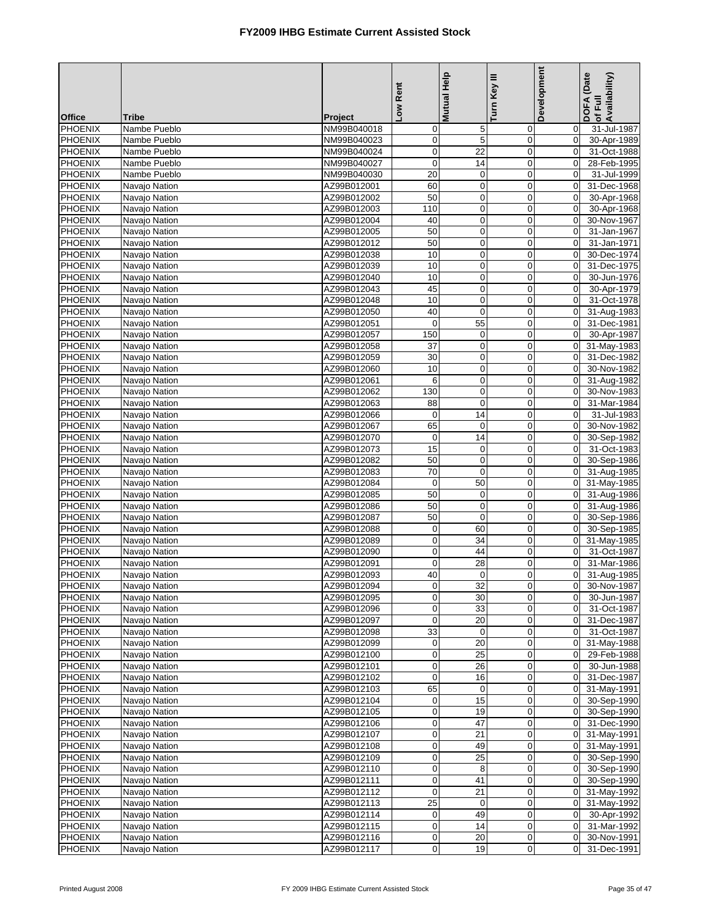|                                  |                                |                            | Low Rent                      | Mutual Help      | Turn Key III     | Development                | DOFA (Date<br>Availability)<br>of Full |
|----------------------------------|--------------------------------|----------------------------|-------------------------------|------------------|------------------|----------------------------|----------------------------------------|
| <b>Office</b>                    | Tribe                          | Project                    |                               |                  |                  |                            |                                        |
| PHOENIX                          | Nambe Pueblo                   | NM99B040018                | $\mathbf 0$                   | 5                | 0                | $\mathbf 0$                | 31-Jul-1987                            |
| PHOENIX<br><b>PHOENIX</b>        | Nambe Pueblo<br>Nambe Pueblo   | NM99B040023<br>NM99B040024 | $\boldsymbol{0}$<br>$\pmb{0}$ | 5<br>22          | 0<br>$\mathbf 0$ | $\mathbf 0$<br>$\mathbf 0$ | 30-Apr-1989<br>31-Oct-1988             |
| <b>PHOENIX</b>                   | Nambe Pueblo                   | NM99B040027                | $\pmb{0}$                     | 14               | $\mathbf 0$      | $\mathbf 0$                | 28-Feb-1995                            |
| <b>PHOENIX</b>                   | Nambe Pueblo                   | NM99B040030                | 20                            | $\pmb{0}$        | $\pmb{0}$        | $\boldsymbol{0}$           | 31-Jul-1999                            |
| PHOENIX                          | Navajo Nation                  | AZ99B012001                | 60                            | $\mathbf 0$      | $\mathbf 0$      | $\mathbf 0$                | 31-Dec-1968                            |
| PHOENIX                          | Navajo Nation                  | AZ99B012002                | 50                            | $\mathbf 0$      | $\pmb{0}$        | $\mathbf 0$                | 30-Apr-1968                            |
| <b>PHOENIX</b>                   | Navajo Nation                  | AZ99B012003                | 110                           | 0                | 0                | $\mathbf 0$                | 30-Apr-1968                            |
| <b>PHOENIX</b>                   | Navajo Nation                  | AZ99B012004                | 40                            | $\mathbf 0$      | $\mathbf 0$      | $\mathbf 0$                | 30-Nov-1967                            |
| <b>PHOENIX</b>                   | Navaio Nation                  | AZ99B012005                | 50                            | $\mathbf 0$      | $\mathbf 0$      | $\mathbf 0$                | 31-Jan-1967                            |
| PHOENIX                          | Navajo Nation                  | AZ99B012012                | 50                            | $\mathbf 0$      | $\mathbf 0$      | $\mathbf 0$                | 31-Jan-1971                            |
| PHOENIX                          | Navajo Nation                  | AZ99B012038                | 10                            | $\mathbf 0$      | $\mathbf 0$      | $\Omega$                   | 30-Dec-1974                            |
| PHOENIX                          | Navajo Nation                  | AZ99B012039                | 10                            | 0                | 0                | $\mathbf 0$                | 31-Dec-1975                            |
| <b>PHOENIX</b>                   | Navajo Nation                  | AZ99B012040                | 10                            | $\mathbf 0$      | $\mathbf 0$      | $\mathbf 0$                | 30-Jun-1976                            |
| <b>PHOENIX</b>                   | Navajo Nation                  | AZ99B012043                | 45                            | $\mathbf 0$      | $\mathbf 0$      | $\mathbf 0$                | 30-Apr-1979                            |
| <b>PHOENIX</b>                   | Navajo Nation                  | AZ99B012048                | 10                            | $\mathbf 0$      | $\pmb{0}$        | $\boldsymbol{0}$           | 31-Oct-1978                            |
| <b>PHOENIX</b>                   | Navajo Nation                  | AZ99B012050                | 40                            | $\mathbf 0$      | $\mathbf 0$      | $\mathbf 0$<br>$\mathbf 0$ | 31-Aug-1983                            |
| PHOENIX<br><b>PHOENIX</b>        | Navajo Nation<br>Navajo Nation | AZ99B012051<br>AZ99B012057 | $\mathbf 0$<br>150            | 55<br>$\pmb{0}$  | 0<br>0           | $\mathbf 0$                | 31-Dec-1981<br>30-Apr-1987             |
| <b>PHOENIX</b>                   | Navajo Nation                  | AZ99B012058                | 37                            | $\mathbf 0$      | $\mathbf 0$      | $\mathbf 0$                | 31-May-1983                            |
| PHOENIX                          | Navajo Nation                  | AZ99B012059                | 30                            | 0                | $\mathbf 0$      | $\mathbf 0$                | 31-Dec-1982                            |
| PHOENIX                          | Navajo Nation                  | AZ99B012060                | 10                            | $\mathbf 0$      | $\mathbf 0$      | $\mathbf 0$                | 30-Nov-1982                            |
| <b>PHOENIX</b>                   | Navajo Nation                  | AZ99B012061                | 6                             | $\mathbf 0$      | $\mathbf 0$      | $\mathbf 0$                | 31-Aug-1982                            |
| PHOENIX                          | Navajo Nation                  | AZ99B012062                | 130                           | $\mathbf 0$      | $\mathbf 0$      | $\mathbf 0$                | 30-Nov-1983                            |
| <b>PHOENIX</b>                   | Navajo Nation                  | AZ99B012063                | 88                            | $\mathbf 0$      | $\mathbf 0$      | $\mathbf 0$                | 31-Mar-1984                            |
| <b>PHOENIX</b>                   | Navajo Nation                  | AZ99B012066                | $\pmb{0}$                     | 14               | $\mathbf 0$      | $\mathbf 0$                | 31-Jul-1983                            |
| <b>PHOENIX</b>                   | Navajo Nation                  | AZ99B012067                | 65                            | $\mathbf 0$      | 0                | $\mathbf 0$                | 30-Nov-1982                            |
| <b>PHOENIX</b>                   | Navajo Nation                  | AZ99B012070                | $\mathbf 0$                   | 14               | $\mathbf 0$      | $\mathbf 0$                | 30-Sep-1982                            |
| <b>PHOENIX</b>                   | Navajo Nation                  | AZ99B012073                | 15                            | $\mathbf 0$      | $\mathbf 0$      | $\mathbf 0$                | 31-Oct-1983                            |
| PHOENIX                          | Navajo Nation                  | AZ99B012082                | 50                            | $\pmb{0}$        | $\pmb{0}$        | $\boldsymbol{0}$           | 30-Sep-1986                            |
| PHOENIX                          | Navajo Nation                  | AZ99B012083                | $\overline{70}$               | $\overline{0}$   | $\mathbf 0$      | $\mathbf 0$                | 31-Aug-1985                            |
| <b>PHOENIX</b>                   | Navajo Nation                  | AZ99B012084                | $\boldsymbol{0}$              | 50               | $\mathbf 0$      | $\Omega$                   | 31-May-1985                            |
| <b>PHOENIX</b>                   | Navajo Nation                  | AZ99B012085                | 50                            | $\mathbf 0$      | 0                | $\mathbf 0$                | 31-Aug-1986                            |
| PHOENIX<br>PHOENIX               | Navajo Nation<br>Navajo Nation | AZ99B012086<br>AZ99B012087 | 50<br>50                      | $\mathbf 0$<br>0 | $\mathbf 0$<br>0 | $\mathbf 0$<br>$\mathbf 0$ | 31-Aug-1986<br>30-Sep-1986             |
| <b>PHOENIX</b>                   | Navajo Nation                  | AZ99B012088                | $\pmb{0}$                     | 60               | $\mathbf 0$      | $\mathbf 0$                | 30-Sep-1985                            |
| PHOENIX                          | Navajo Nation                  | AZ99B012089                | $\mathbf 0$                   | $\overline{34}$  | $\mathbf 0$      | $\mathbf 0$                | 31-May-1985                            |
| PHOENIX                          | Navajo Nation                  | AZ99B012090                | $\mathbf 0$                   | 44               | $\mathbf 0$      | $\mathbf 0$                | 31-Oct-1987                            |
| <b>PHOENIX</b>                   | Navajo Nation                  | AZ99B012091                | $\mathbf 0$                   | 28               | $\mathbf 0$      | $\mathbf 0$                | 31-Mar-1986                            |
| <b>PHOENIX</b>                   | Navajo Nation                  | AZ99B012093                | 40                            | $\mathbf 0$      | $\overline{0}$   | $\mathbf 0$                | 31-Aug-1985                            |
| PHOENIX                          | Navajo Nation                  | AZ99B012094                | $\overline{0}$                | 32               | $\mathbf{0}$     | $\overline{0}$             | 30-Nov-1987                            |
| <b>PHOENIX</b>                   | Navajo Nation                  | AZ99B012095                | $\overline{0}$                | 30               | 0                | 0                          | 30-Jun-1987                            |
| <b>PHOENIX</b>                   | Navajo Nation                  | AZ99B012096                | $\mathbf 0$                   | 33               | 0                | $\mathbf 0$                | 31-Oct-1987                            |
| PHOENIX                          | Navajo Nation                  | AZ99B012097                | $\boldsymbol{0}$              | 20               | $\boldsymbol{0}$ | $\mathbf 0$                | 31-Dec-1987                            |
| PHOENIX                          | Navajo Nation                  | AZ99B012098                | 33                            | $\mathbf 0$      | 0                | $\mathbf 0$                | 31-Oct-1987                            |
| PHOENIX                          | Navajo Nation                  | AZ99B012099                | $\boldsymbol{0}$              | 20               | 0                | $\mathbf 0$                | 31-May-1988                            |
| PHOENIX                          | Navajo Nation                  | AZ99B012100                | $\pmb{0}$                     | 25               | $\pmb{0}$        | $\mathbf 0$                | 29-Feb-1988                            |
| PHOENIX                          | Navajo Nation                  | AZ99B012101                | $\pmb{0}$                     | 26               | 0                | $\mathbf 0$                | 30-Jun-1988                            |
| <b>PHOENIX</b><br><b>PHOENIX</b> | Navaio Nation<br>Navajo Nation | AZ99B012102<br>AZ99B012103 | $\mathbf 0$<br>65             | 16<br>0          | 0<br>$\pmb{0}$   | $\mathbf 0$<br>$\mathbf 0$ | 31-Dec-1987<br>31-May-1991             |
| PHOENIX                          | Navajo Nation                  | AZ99B012104                | $\boldsymbol{0}$              | 15               | 0                | $\mathbf 0$                | 30-Sep-1990                            |
| PHOENIX                          | Navajo Nation                  | AZ99B012105                | $\boldsymbol{0}$              | 19               | 0                | $\mathbf 0$                | 30-Sep-1990                            |
| PHOENIX                          | Navajo Nation                  | AZ99B012106                | $\pmb{0}$                     | 47               | $\mathbf 0$      | $\mathbf 0$                | 31-Dec-1990                            |
| PHOENIX                          | Navajo Nation                  | AZ99B012107                | $\pmb{0}$                     | 21               | $\mathbf 0$      | $\overline{0}$             | 31-May-1991                            |
| PHOENIX                          | Navajo Nation                  | AZ99B012108                | $\overline{0}$                | 49               | $\pmb{0}$        | $\mathbf 0$                | 31-May-1991                            |
| <b>PHOENIX</b>                   | Navajo Nation                  | AZ99B012109                | $\mathbf 0$                   | 25               | $\mathbf 0$      | $\mathbf 0$                | 30-Sep-1990                            |
| PHOENIX                          | Navajo Nation                  | AZ99B012110                | $\pmb{0}$                     | 8                | 0                | $\mathbf 0$                | 30-Sep-1990                            |
| PHOENIX                          | Navajo Nation                  | AZ99B012111                | $\boldsymbol{0}$              | 41               | 0                | $\mathbf 0$                | 30-Sep-1990                            |
| PHOENIX                          | Navajo Nation                  | AZ99B012112                | $\mathbf 0$                   | 21               | 0                | $\overline{0}$             | 31-May-1992                            |
| PHOENIX                          | Navajo Nation                  | AZ99B012113                | 25                            | 0                | 0                | $\mathbf 0$                | 31-May-1992                            |
| PHOENIX                          | Navajo Nation                  | AZ99B012114                | $\mathbf 0$                   | 49               | $\mathbf 0$      | $\mathbf 0$                | 30-Apr-1992                            |
| <b>PHOENIX</b>                   | Navajo Nation                  | AZ99B012115                | $\mathbf 0$                   | 14               | $\pmb{0}$        | $\Omega$                   | 31-Mar-1992                            |
| <b>PHOENIX</b>                   | Navajo Nation                  | AZ99B012116                | $\pmb{0}$                     | 20               | 0                | $\mathbf 0$                | 30-Nov-1991                            |
| PHOENIX                          | Navajo Nation                  | AZ99B012117                | $\overline{0}$                | 19               | $\pmb{0}$        | $\mathbf 0$                | 31-Dec-1991                            |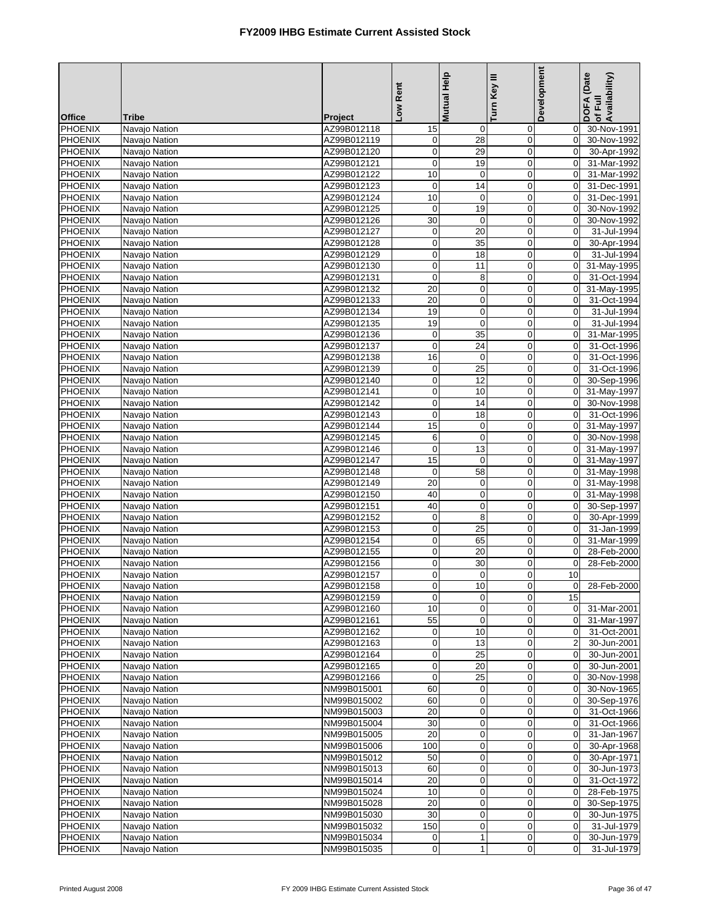|                                  |                                |                            | Low Rent                   | <b>Mutual Help</b>    | Turn Key III               | Development             | DOFA (Date<br>of Full<br>Availability) |
|----------------------------------|--------------------------------|----------------------------|----------------------------|-----------------------|----------------------------|-------------------------|----------------------------------------|
| <b>Office</b>                    | Tribe                          | Project                    |                            |                       |                            |                         |                                        |
| <b>PHOENIX</b><br><b>PHOENIX</b> | Navajo Nation<br>Navajo Nation | AZ99B012118<br>AZ99B012119 | 15<br>$\boldsymbol{0}$     | 0<br>28               | 0<br>0                     | 0<br>$\mathbf 0$        | 30-Nov-1991<br>30-Nov-1992             |
| PHOENIX                          | Navajo Nation                  | AZ99B012120                | 0                          | 29                    | $\mathbf 0$                | $\mathbf 0$             | 30-Apr-1992                            |
| <b>PHOENIX</b>                   | Navajo Nation                  | AZ99B012121                | 0                          | 19                    | $\mathbf 0$                | $\mathbf 0$             | 31-Mar-1992                            |
| <b>PHOENIX</b>                   | Navajo Nation                  | AZ99B012122                | 10                         | $\mathbf 0$           | $\pmb{0}$                  | $\mathbf 0$             | 31-Mar-1992                            |
| <b>PHOENIX</b>                   | Navajo Nation                  | AZ99B012123                | $\mathbf 0$                | 14                    | $\mathbf 0$                | $\mathbf 0$             | 31-Dec-1991                            |
| <b>PHOENIX</b>                   | Navajo Nation                  | AZ99B012124                | 10                         | $\mathbf 0$           | $\mathbf 0$                | $\mathbf 0$             | 31-Dec-1991                            |
| PHOENIX                          | Navajo Nation                  | AZ99B012125                | $\mathbf 0$                | 19                    | $\mathbf 0$                | $\mathbf 0$             | 30-Nov-1992                            |
| <b>PHOENIX</b>                   | Navajo Nation                  | AZ99B012126                | 30                         | $\mathbf 0$           | $\mathbf 0$                | $\mathbf 0$             | 30-Nov-1992                            |
| PHOENIX                          | Navajo Nation                  | AZ99B012127                | 0                          | 20                    | $\mathbf 0$                | $\mathbf 0$             | 31-Jul-1994                            |
| <b>PHOENIX</b>                   | Navajo Nation                  | AZ99B012128                | $\pmb{0}$                  | 35                    | $\mathbf 0$                | $\mathbf 0$             | 30-Apr-1994                            |
| <b>PHOENIX</b>                   | Navajo Nation                  | AZ99B012129                | $\mathbf 0$                | 18                    | $\mathbf 0$                | $\Omega$                | 31-Jul-1994                            |
| <b>PHOENIX</b>                   | Navajo Nation                  | AZ99B012130                | $\pmb{0}$                  | 11                    | $\mathbf 0$                | $\mathbf 0$             | 31-May-1995                            |
| <b>PHOENIX</b>                   | Navajo Nation                  | AZ99B012131                | $\mathbf 0$                | 8                     | $\mathbf 0$                | $\mathbf 0$             | 31-Oct-1994                            |
| <b>PHOENIX</b>                   | Navajo Nation                  | AZ99B012132                | 20                         | 0                     | $\mathbf 0$                | $\mathbf 0$             | 31-May-1995                            |
| <b>PHOENIX</b>                   | Navajo Nation                  | AZ99B012133                | 20                         | $\mathbf 0$           | $\pmb{0}$                  | $\mathbf 0$             | 31-Oct-1994                            |
| PHOENIX                          | Navajo Nation                  | AZ99B012134                | 19                         | $\mathbf 0$           | $\overline{0}$             | $\mathbf 0$             | 31-Jul-1994                            |
| <b>PHOENIX</b>                   | Navajo Nation                  | AZ99B012135                | 19                         | $\mathbf 0$           | $\mathbf 0$                | 0                       | 31-Jul-1994                            |
| PHOENIX                          | Navajo Nation                  | AZ99B012136                | $\boldsymbol{0}$           | 35                    | $\mathbf 0$                | $\mathbf 0$             | 31-Mar-1995                            |
| <b>PHOENIX</b>                   | Navajo Nation                  | AZ99B012137                | 0                          | 24                    | $\mathbf 0$                | $\mathbf 0$             | 31-Oct-1996                            |
| <b>PHOENIX</b>                   | Navajo Nation                  | AZ99B012138                | 16                         | $\mathbf 0$           | $\mathbf 0$                | $\mathbf 0$             | 31-Oct-1996                            |
| <b>PHOENIX</b><br><b>PHOENIX</b> | Navajo Nation                  | AZ99B012139<br>AZ99B012140 | $\mathbf 0$<br>$\mathbf 0$ | $\overline{25}$<br>12 | $\mathbf 0$<br>$\mathbf 0$ | $\mathbf 0$<br>$\Omega$ | 31-Oct-1996                            |
| <b>PHOENIX</b>                   | Navajo Nation<br>Navajo Nation | AZ99B012141                | $\pmb{0}$                  | 10                    | $\mathbf 0$                | $\mathbf 0$             | 30-Sep-1996<br>31-May-1997             |
| <b>PHOENIX</b>                   | Navajo Nation                  | AZ99B012142                | $\pmb{0}$                  | 14                    | $\mathbf 0$                | $\mathbf 0$             | 30-Nov-1998                            |
| PHOENIX                          | Navajo Nation                  | AZ99B012143                | $\mathbf 0$                | 18                    | $\mathbf 0$                | $\mathbf 0$             | 31-Oct-1996                            |
| <b>PHOENIX</b>                   | Navajo Nation                  | AZ99B012144                | 15                         | 0                     | $\pmb{0}$                  | 0                       | 31-May-1997                            |
| PHOENIX                          | Navajo Nation                  | AZ99B012145                | 6                          | $\mathbf 0$           | $\mathbf 0$                | $\mathbf 0$             | 30-Nov-1998                            |
| <b>PHOENIX</b>                   | Navajo Nation                  | AZ99B012146                | 0                          | 13                    | $\mathbf 0$                | 0                       | 31-May-1997                            |
| <b>PHOENIX</b>                   | Navajo Nation                  | AZ99B012147                | 15                         | $\mathbf 0$           | $\pmb{0}$                  | $\mathbf 0$             | 31-May-1997                            |
| <b>PHOENIX</b>                   | Navajo Nation                  | AZ99B012148                | $\mathbf 0$                | 58                    | $\mathbf 0$                | $\mathbf 0$             | 31-May-1998                            |
| <b>PHOENIX</b>                   | Navajo Nation                  | AZ99B012149                | 20                         | 0                     | $\mathbf 0$                | $\mathbf 0$             | 31-May-1998                            |
| PHOENIX                          | Navajo Nation                  | AZ99B012150                | 40                         | $\pmb{0}$             | $\mathbf 0$                | $\mathbf 0$             | 31-May-1998                            |
| <b>PHOENIX</b>                   | Navajo Nation                  | AZ99B012151                | 40                         | $\mathbf 0$           | $\mathbf 0$                | $\mathbf 0$             | 30-Sep-1997                            |
| PHOENIX                          | Navajo Nation                  | AZ99B012152                | $\mathbf 0$                | 8                     | $\mathbf 0$                | $\mathbf 0$             | 30-Apr-1999                            |
| <b>PHOENIX</b>                   | Navajo Nation                  | AZ99B012153                | $\pmb{0}$                  | 25                    | $\mathbf 0$                | $\mathbf 0$             | 31-Jan-1999                            |
| <b>PHOENIX</b>                   | Navajo Nation                  | AZ99B012154                | $\mathbf 0$                | 65                    | $\pmb{0}$                  | $\mathbf 0$             | 31-Mar-1999                            |
| <b>PHOENIX</b>                   | Navajo Nation                  | AZ99B012155                | $\pmb{0}$                  | 20                    | $\mathbf 0$                | $\boldsymbol{0}$        | 28-Feb-2000                            |
| <b>PHOENIX</b>                   | Navajo Nation                  | AZ99B012156                | $\pmb{0}$                  | 30                    | $\mathbf 0$                | $\mathbf 0$             | 28-Feb-2000                            |
| <b>PHOENIX</b>                   | Navajo Nation                  | AZ99B012157                | $\mathbf 0$                | 0                     | $\overline{0}$             | 10                      |                                        |
| <b>PHOENIX</b>                   | Navajo Nation                  | AZ99B012158                | $\overline{0}$             | 10                    | $\overline{0}$             | $\overline{0}$          | 28-Feb-2000                            |
| <b>PHOENIX</b><br><b>PHOENIX</b> | Navajo Nation<br>Navajo Nation | AZ99B012159<br>AZ99B012160 | $\mathbf 0$<br>10          | 0<br>0                | 0<br>0                     | 15<br>0                 | 31-Mar-2001                            |
| PHOENIX                          | Navajo Nation                  | AZ99B012161                | 55                         | 0                     | 0                          | 0                       | 31-Mar-1997                            |
| <b>PHOENIX</b>                   | Navajo Nation                  | AZ99B012162                | $\pmb{0}$                  | 10                    | 0                          | $\mathbf 0$             | 31-Oct-2001                            |
| PHOENIX                          | Navajo Nation                  | AZ99B012163                | $\pmb{0}$                  | 13                    | 0                          | $\sqrt{2}$              | 30-Jun-2001                            |
| PHOENIX                          | Navajo Nation                  | AZ99B012164                | $\mathbf 0$                | 25                    | $\mathbf 0$                | $\mathbf 0$             | 30-Jun-2001                            |
| <b>PHOENIX</b>                   | Navajo Nation                  | AZ99B012165                | $\pmb{0}$                  | 20                    | $\mathbf 0$                | $\mathbf 0$             | 30-Jun-2001                            |
| <b>PHOENIX</b>                   | Navajo Nation                  | AZ99B012166                | $\mathbf 0$                | 25                    | 0                          | $\mathbf 0$             | 30-Nov-1998                            |
| <b>PHOENIX</b>                   | Navajo Nation                  | NM99B015001                | 60                         | 0                     | 0                          | 0                       | 30-Nov-1965                            |
| <b>PHOENIX</b>                   | Navajo Nation                  | NM99B015002                | 60                         | 0                     | 0                          | $\overline{0}$          | 30-Sep-1976                            |
| <b>PHOENIX</b>                   | Navajo Nation                  | NM99B015003                | 20                         | 0                     | 0                          | $\mathbf 0$             | 31-Oct-1966                            |
| PHOENIX                          | Navajo Nation                  | NM99B015004                | 30                         | $\mathbf 0$           | $\mathbf 0$                | $\mathbf 0$             | 31-Oct-1966                            |
| PHOENIX                          | Navajo Nation                  | NM99B015005                | 20                         | 0                     | $\mathbf 0$                | $\mathbf 0$             | 31-Jan-1967                            |
| <b>PHOENIX</b>                   | Navajo Nation                  | NM99B015006                | 100                        | $\pmb{0}$             | $\pmb{0}$                  | $\mathbf 0$             | 30-Apr-1968                            |
| <b>PHOENIX</b>                   | Navajo Nation                  | NM99B015012                | 50                         | 0                     | $\mathbf 0$                | $\mathbf 0$             | 30-Apr-1971                            |
| <b>PHOENIX</b>                   | Navajo Nation                  | NM99B015013                | 60                         | 0                     | 0                          | $\mathbf 0$             | 30-Jun-1973                            |
| <b>PHOENIX</b>                   | Navajo Nation                  | NM99B015014                | 20                         | $\pmb{0}$             | $\pmb{0}$                  | $\mathbf 0$             | 31-Oct-1972                            |
| <b>PHOENIX</b>                   | Navajo Nation                  | NM99B015024                | 10                         | $\mathbf 0$           | 0                          | $\mathbf 0$             | 28-Feb-1975                            |
| <b>PHOENIX</b><br><b>PHOENIX</b> | Navajo Nation                  | NM99B015028                | 20<br>30                   | 0<br>0                | 0<br>$\mathbf 0$           | 0<br>$\mathbf 0$        | 30-Sep-1975                            |
| <b>PHOENIX</b>                   | Navajo Nation<br>Navajo Nation | NM99B015030<br>NM99B015032 | 150                        | $\pmb{0}$             | $\pmb{0}$                  | $\mathbf 0$             | 30-Jun-1975<br>31-Jul-1979             |
| <b>PHOENIX</b>                   | Navajo Nation                  | NM99B015034                | $\mathbf 0$                | $\mathbf 1$           | 0                          | $\mathbf 0$             | 30-Jun-1979                            |
| PHOENIX                          | Navajo Nation                  | NM99B015035                | $\pmb{0}$                  | $\mathbf{1}$          | 0                          | $\mathbf 0$             | 31-Jul-1979                            |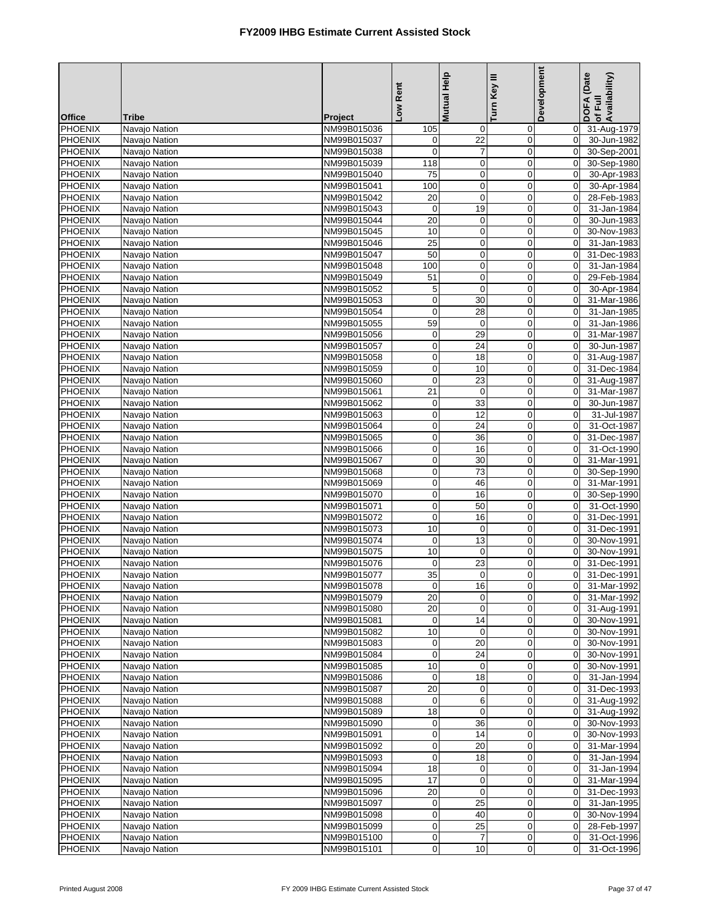|                                  |                                |                            | Low Rent                         | Mutual Help       | Turn Key III               | Development                   | DOFA (Date<br>Availability)<br>of Full |
|----------------------------------|--------------------------------|----------------------------|----------------------------------|-------------------|----------------------------|-------------------------------|----------------------------------------|
| <b>Office</b><br><b>PHOENIX</b>  | Tribe                          | Project                    |                                  |                   |                            |                               |                                        |
| <b>PHOENIX</b>                   | Navajo Nation                  | NM99B015036                | 105                              | 0<br>22           | 0<br>$\boldsymbol{0}$      | $\overline{0}$<br>$\mathbf 0$ | 31-Aug-1979                            |
| <b>PHOENIX</b>                   | Navajo Nation<br>Navajo Nation | NM99B015037<br>NM99B015038 | 0<br>$\overline{0}$              | $\overline{7}$    | $\mathbf 0$                | $\mathbf 0$                   | 30-Jun-1982<br>30-Sep-2001             |
| <b>PHOENIX</b>                   | Navajo Nation                  | NM99B015039                | 118                              | $\mathbf 0$       | $\mathbf 0$                | $\mathbf 0$                   | 30-Sep-1980                            |
| <b>PHOENIX</b>                   | Navajo Nation                  | NM99B015040                | 75                               | $\pmb{0}$         | $\mathbf 0$                | $\mathbf 0$                   | 30-Apr-1983                            |
| <b>PHOENIX</b>                   | Navajo Nation                  | NM99B015041                | 100                              | $\mathbf 0$       | $\mathbf 0$                | $\mathbf 0$                   | 30-Apr-1984                            |
| <b>PHOENIX</b>                   | Navajo Nation                  | NM99B015042                | 20                               | $\mathbf 0$       | 0                          | $\mathbf 0$                   | 28-Feb-1983                            |
| PHOENIX                          | Navajo Nation                  | NM99B015043                | $\mathbf 0$                      | 19                | $\mathbf 0$                | $\mathbf 0$                   | 31-Jan-1984                            |
| PHOENIX                          | Navajo Nation                  | NM99B015044                | 20                               | $\boldsymbol{0}$  | $\mathbf 0$                | $\mathbf 0$                   | 30-Jun-1983                            |
| <b>PHOENIX</b>                   | Navajo Nation                  | NM99B015045                | 10                               | $\mathbf 0$       | $\mathbf 0$                | $\mathbf 0$                   | 30-Nov-1983                            |
| PHOENIX                          | Navajo Nation                  | NM99B015046                | 25                               | $\mathbf 0$       | 0                          | 0                             | 31-Jan-1983                            |
| <b>PHOENIX</b>                   | Navajo Nation                  | NM99B015047                | 50                               | $\mathbf 0$       | $\mathbf 0$                | $\mathbf 0$                   | 31-Dec-1983                            |
| <b>PHOENIX</b>                   | Navajo Nation                  | NM99B015048                | 100                              | $\mathbf 0$       | $\mathbf 0$                | 0                             | 31-Jan-1984                            |
| <b>PHOENIX</b>                   | Navajo Nation                  | NM99B015049                | 51                               | $\mathbf 0$       | $\mathbf 0$                | $\mathbf 0$                   | 29-Feb-1984                            |
| <b>PHOENIX</b>                   | Navajo Nation                  | NM99B015052                | 5                                | $\mathbf 0$       | $\mathbf 0$                | $\mathbf 0$                   | 30-Apr-1984                            |
| <b>PHOENIX</b>                   | Navajo Nation                  | NM99B015053                | $\boldsymbol{0}$                 | 30                | $\mathbf 0$                | $\mathbf 0$                   | 31-Mar-1986                            |
| <b>PHOENIX</b>                   | Navaio Nation                  | NM99B015054                | $\mathbf 0$                      | 28                | $\overline{0}$             | $\mathbf 0$                   | 31-Jan-1985                            |
| <b>PHOENIX</b><br>PHOENIX        | Navajo Nation<br>Navajo Nation | NM99B015055<br>NM99B015056 | 59                               | $\mathbf 0$<br>29 | $\mathbf 0$<br>$\pmb{0}$   | 0<br>$\mathbf 0$              | 31-Jan-1986<br>31-Mar-1987             |
| <b>PHOENIX</b>                   | Navaio Nation                  | NM99B015057                | $\pmb{0}$<br>$\mathbf 0$         | 24                | $\mathbf 0$                | $\mathbf 0$                   | 30-Jun-1987                            |
| <b>PHOENIX</b>                   | Navajo Nation                  | NM99B015058                | $\mathbf 0$                      | 18                | $\mathbf 0$                | $\mathbf 0$                   | 31-Aug-1987                            |
| <b>PHOENIX</b>                   | Navajo Nation                  | NM99B015059                | $\boldsymbol{0}$                 | 10                | $\mathbf 0$                | $\mathbf 0$                   | 31-Dec-1984                            |
| <b>PHOENIX</b>                   | Navajo Nation                  | NM99B015060                | $\boldsymbol{0}$                 | $\overline{23}$   | 0                          | $\mathbf 0$                   | 31-Aug-1987                            |
| <b>PHOENIX</b>                   | Navaio Nation                  | NM99B015061                | 21                               | $\mathbf 0$       | $\mathbf 0$                | $\mathbf 0$                   | 31-Mar-1987                            |
| <b>PHOENIX</b>                   | Navajo Nation                  | NM99B015062                | $\mathbf 0$                      | 33                | 0                          | $\pmb{0}$                     | 30-Jun-1987                            |
| <b>PHOENIX</b>                   | Navajo Nation                  | NM99B015063                | $\mathbf 0$                      | 12                | 0                          | $\mathbf 0$                   | 31-Jul-1987                            |
| <b>PHOENIX</b>                   | Navajo Nation                  | NM99B015064                | $\pmb{0}$                        | 24                | $\boldsymbol{0}$           | $\mathbf 0$                   | 31-Oct-1987                            |
| PHOENIX                          | Navajo Nation                  | NM99B015065                | $\mathbf 0$                      | 36                | $\mathbf 0$                | $\mathbf 0$                   | 31-Dec-1987                            |
| <b>PHOENIX</b>                   | Navajo Nation                  | NM99B015066                | $\mathbf 0$                      | 16                | $\mathbf 0$                | 0                             | 31-Oct-1990                            |
| <b>PHOENIX</b>                   | Navajo Nation                  | NM99B015067                | $\pmb{0}$                        | 30                | $\mathbf 0$                | $\mathbf 0$                   | 31-Mar-1991                            |
| <b>PHOENIX</b>                   | Navajo Nation                  | NM99B015068                | $\mathbf 0$                      | $\overline{73}$   | $\mathbf 0$                | 0                             | 30-Sep-1990                            |
| <b>PHOENIX</b>                   | Navajo Nation                  | NM99B015069                | $\mathbf 0$                      | 46                | $\boldsymbol{0}$           | $\mathbf 0$                   | 31-Mar-1991                            |
| PHOENIX                          | Navajo Nation                  | NM99B015070                | $\boldsymbol{0}$                 | 16                | $\mathbf 0$                | $\mathbf 0$                   | 30-Sep-1990                            |
| <b>PHOENIX</b><br><b>PHOENIX</b> | Navajo Nation<br>Navaio Nation | NM99B015071                | $\mathbf 0$                      | 50                | $\mathbf 0$<br>$\mathbf 0$ | $\mathbf 0$<br>$\mathbf 0$    | 31-Oct-1990                            |
| <b>PHOENIX</b>                   | Navajo Nation                  | NM99B015072<br>NM99B015073 | $\mathbf 0$<br>10                | 16<br>$\mathbf 0$ | $\mathbf 0$                | 0                             | 31-Dec-1991<br>31-Dec-1991             |
| <b>PHOENIX</b>                   | Navajo Nation                  | NM99B015074                | $\boldsymbol{0}$                 | 13                | $\mathbf 0$                | $\mathbf 0$                   | 30-Nov-1991                            |
| <b>PHOENIX</b>                   | Navajo Nation                  | NM99B015075                | 10                               | $\mathbf 0$       | 0                          | $\mathbf 0$                   | 30-Nov-1991                            |
| <b>PHOENIX</b>                   | Navajo Nation                  | NM99B015076                | $\mathbf 0$                      | $\overline{23}$   | $\mathbf 0$                | $\mathbf 0$                   | 31-Dec-1991                            |
| <b>PHOENIX</b>                   | Navajo Nation                  | NM99B015077                | 35                               | $\mathbf 0$       | 0                          | 0                             | 31-Dec-1991                            |
| <b>PHOENIX</b>                   | Navajo Nation                  | NM99B015078                | $\overline{0}$                   | 16                | $\mathbf{0}$               |                               | 0 31-Mar-1992                          |
| <b>PHOENIX</b>                   | Navajo Nation                  | NM99B015079                | 20                               | $\mathbf 0$       | 0                          | $\overline{0}$                | 31-Mar-1992                            |
| <b>PHOENIX</b>                   | Navajo Nation                  | NM99B015080                | 20                               | 0                 | 0                          | $\mathbf 0$                   | 31-Aug-1991                            |
| <b>PHOENIX</b>                   | Navajo Nation                  | NM99B015081                | 0                                | 14                | 0                          | $\mathbf 0$                   | 30-Nov-1991                            |
| <b>PHOENIX</b>                   | Navajo Nation                  | NM99B015082                | 10                               | 0                 | 0                          | $\mathbf 0$                   | 30-Nov-1991                            |
| <b>PHOENIX</b>                   | Navajo Nation                  | NM99B015083                | $\pmb{0}$                        | 20                | $\mathbf 0$                | $\overline{0}$                | 30-Nov-1991                            |
| PHOENIX                          | Navajo Nation                  | NM99B015084                | $\boldsymbol{0}$                 | 24                | $\mathbf 0$                | $\overline{0}$                | 30-Nov-1991                            |
| <b>PHOENIX</b>                   | Navajo Nation                  | NM99B015085                | $10$                             | $\mathbf 0$       | 0                          | $\overline{0}$                | 30-Nov-1991                            |
| <b>PHOENIX</b><br><b>PHOENIX</b> | Navajo Nation                  | NM99B015086                | 0<br>20                          | 18<br>0           | 0<br>$\mathbf 0$           | $\overline{0}$<br>$\mathbf 0$ | 31-Jan-1994<br>31-Dec-1993             |
| <b>PHOENIX</b>                   | Navajo Nation<br>Navajo Nation | NM99B015087<br>NM99B015088 | 0                                | 6                 | $\mathbf 0$                | $\overline{0}$                | 31-Aug-1992                            |
| <b>PHOENIX</b>                   | Navajo Nation                  | NM99B015089                | 18                               | 0                 | $\mathbf 0$                | $\overline{0}$                | 31-Aug-1992                            |
| <b>PHOENIX</b>                   | Navajo Nation                  | NM99B015090                | $\mathbf 0$                      | 36                | 0                          | $\mathbf 0$                   | 30-Nov-1993                            |
| <b>PHOENIX</b>                   | Navajo Nation                  | NM99B015091                | $\pmb{0}$                        | 14                | 0                          | $\mathbf 0$                   | 30-Nov-1993                            |
| <b>PHOENIX</b>                   | Navajo Nation                  | NM99B015092                | $\overline{0}$                   | 20                | $\pmb{0}$                  | $\overline{0}$                | 31-Mar-1994                            |
| <b>PHOENIX</b>                   | Navajo Nation                  | NM99B015093                | $\mathbf 0$                      | 18                | $\mathbf 0$                | $\mathbf 0$                   | 31-Jan-1994                            |
| <b>PHOENIX</b>                   | Navajo Nation                  | NM99B015094                | 18                               | $\pmb{0}$         | $\boldsymbol{0}$           | $\overline{0}$                | 31-Jan-1994                            |
| <b>PHOENIX</b>                   | Navajo Nation                  | NM99B015095                | 17                               | $\pmb{0}$         | 0                          | $\overline{0}$                | 31-Mar-1994                            |
| <b>PHOENIX</b>                   | Navajo Nation                  | NM99B015096                | 20                               | $\mathbf 0$       | 0                          | $\overline{0}$                | 31-Dec-1993                            |
| <b>PHOENIX</b>                   | Navajo Nation                  | NM99B015097                | $\mathbf 0$                      | 25                | $\mathbf 0$                | $\overline{0}$                | 31-Jan-1995                            |
| <b>PHOENIX</b>                   | Navajo Nation                  | NM99B015098                | $\boldsymbol{0}$                 | 40                | $\mathbf 0$                | $\overline{0}$                | 30-Nov-1994                            |
| <b>PHOENIX</b>                   | Navajo Nation                  | NM99B015099                | $\overline{0}$                   | 25                | $\mathbf 0$                | $\mathbf 0$                   | 28-Feb-1997                            |
| <b>PHOENIX</b><br>PHOENIX        | Navajo Nation<br>Navajo Nation | NM99B015100<br>NM99B015101 | $\overline{0}$<br>$\overline{0}$ | 7<br>10           | 0<br>$\pmb{0}$             | $\overline{0}$<br>$\mathbf 0$ | 31-Oct-1996<br>31-Oct-1996             |
|                                  |                                |                            |                                  |                   |                            |                               |                                        |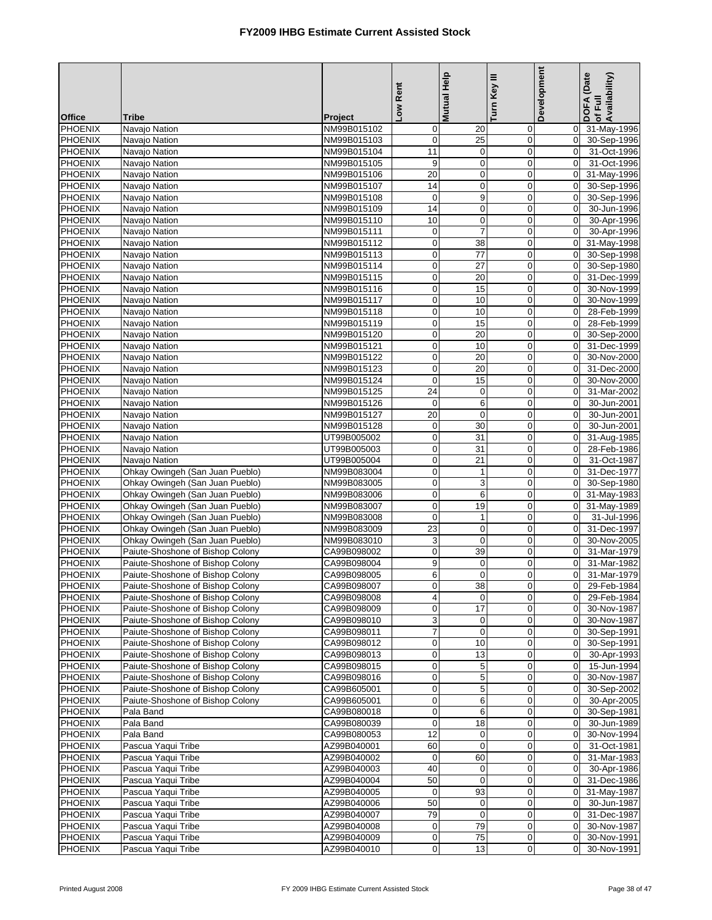|                                  |                                                                      |                            | Low Rent                         | Mutual Help           | Turn Key III     | Development                      | DOFA (Date<br>of Full<br>Availability) |
|----------------------------------|----------------------------------------------------------------------|----------------------------|----------------------------------|-----------------------|------------------|----------------------------------|----------------------------------------|
| <b>Office</b>                    | <b>Tribe</b>                                                         | Project                    |                                  |                       |                  |                                  |                                        |
| <b>PHOENIX</b>                   | Navajo Nation                                                        | NM99B015102                | $\mathbf 0$                      | 20                    | $\mathbf 0$      | $\overline{0}$                   | 31-May-1996                            |
| PHOENIX                          | Navajo Nation                                                        | NM99B015103                | $\overline{0}$                   | $\overline{25}$       | $\pmb{0}$        | $\overline{0}$                   | 30-Sep-1996                            |
| <b>PHOENIX</b>                   | Navajo Nation                                                        | NM99B015104                | 11                               | $\mathbf 0$           | $\mathbf 0$      | $\mathbf 0$                      | 31-Oct-1996                            |
| <b>PHOENIX</b>                   | Navajo Nation                                                        | NM99B015105                | 9                                | $\pmb{0}$             | $\mathbf 0$      | $\Omega$                         | 31-Oct-1996                            |
| PHOENIX                          | Navajo Nation                                                        | NM99B015106                | $\overline{20}$                  | $\pmb{0}$             | $\mathbf 0$      | $\overline{0}$                   | 31-May-1996                            |
| PHOENIX                          | Navajo Nation                                                        | NM99B015107                | 14                               | $\mathbf 0$           | $\mathbf 0$      | $\overline{0}$                   | 30-Sep-1996                            |
| <b>PHOENIX</b>                   | Navajo Nation                                                        | NM99B015108                | $\mathbf 0$                      | 9                     | $\mathbf 0$      | $\overline{0}$                   | 30-Sep-1996                            |
| <b>PHOENIX</b>                   | Navajo Nation                                                        | NM99B015109                | $\overline{14}$                  | $\pmb{0}$             | $\mathbf 0$      | $\mathbf 0$                      | 30-Jun-1996                            |
| <b>PHOENIX</b>                   | Navajo Nation                                                        | NM99B015110                | 10                               | $\mathbf 0$           | $\mathbf 0$      | $\overline{0}$                   | 30-Apr-1996                            |
| <b>PHOENIX</b>                   | Navajo Nation                                                        | NM99B015111                | $\mathbf 0$                      | $\overline{7}$        | $\mathbf 0$      | $\mathbf 0$                      | 30-Apr-1996                            |
| PHOENIX                          | Navajo Nation                                                        | NM99B015112                | $\mathbf 0$                      | 38                    | $\mathbf 0$      | $\overline{0}$                   | 31-May-1998                            |
| PHOENIX                          | Navajo Nation                                                        | NM99B015113                | $\mathbf 0$                      | 77                    | $\mathbf 0$      | $\overline{0}$                   | 30-Sep-1998                            |
| <b>PHOENIX</b><br><b>PHOENIX</b> | Navajo Nation                                                        | NM99B015114                | $\overline{0}$<br>$\mathbf 0$    | 27<br>$\overline{20}$ | 0<br>$\mathbf 0$ | $\overline{0}$<br>$\overline{0}$ | 30-Sep-1980                            |
| PHOENIX                          | Navajo Nation<br>Navajo Nation                                       | NM99B015115<br>NM99B015116 | $\mathbf 0$                      | 15                    | $\mathbf 0$      | $\Omega$                         | 31-Dec-1999<br>30-Nov-1999             |
| <b>PHOENIX</b>                   | Navajo Nation                                                        | NM99B015117                | $\overline{0}$                   | 10                    | $\pmb{0}$        | $\overline{0}$                   | 30-Nov-1999                            |
| <b>PHOENIX</b>                   | Navajo Nation                                                        | NM99B015118                | $\mathbf 0$                      | 10                    | $\mathbf 0$      | $\mathbf 0$                      | 28-Feb-1999                            |
| PHOENIX                          | Navajo Nation                                                        | NM99B015119                | $\mathbf 0$                      | 15                    | $\mathbf 0$      | $\overline{0}$                   | 28-Feb-1999                            |
| <b>PHOENIX</b>                   | Navajo Nation                                                        | NM99B015120                | $\overline{0}$                   | $\overline{20}$       | $\mathbf 0$      | $\overline{0}$                   | 30-Sep-2000                            |
| <b>PHOENIX</b>                   | Navajo Nation                                                        | NM99B015121                | $\mathbf 0$                      | 10                    | $\mathbf 0$      | $\Omega$                         | 31-Dec-1999                            |
| <b>PHOENIX</b>                   | Navajo Nation                                                        | NM99B015122                | $\mathbf 0$                      | 20                    | $\mathbf 0$      | $\overline{0}$                   | 30-Nov-2000                            |
| <b>PHOENIX</b>                   | Navajo Nation                                                        | NM99B015123                | $\mathbf 0$                      | 20                    | $\mathbf 0$      | $\overline{0}$                   | 31-Dec-2000                            |
| PHOENIX                          | Navajo Nation                                                        | NM99B015124                | $\mathbf 0$                      | 15                    | $\mathbf 0$      | $\overline{0}$                   | 30-Nov-2000                            |
| <b>PHOENIX</b>                   | Navajo Nation                                                        | NM99B015125                | 24                               | $\pmb{0}$             | $\mathbf 0$      | $\overline{0}$                   | 31-Mar-2002                            |
| <b>PHOENIX</b>                   | Navajo Nation                                                        | NM99B015126                | $\mathbf 0$                      | 6                     | $\mathbf 0$      | $\mathbf 0$                      | 30-Jun-2001                            |
| PHOENIX                          | Navajo Nation                                                        | NM99B015127                | $\overline{20}$                  | $\mathbf 0$           | $\mathbf 0$      | $\overline{0}$                   | 30-Jun-2001                            |
| <b>PHOENIX</b>                   | Navajo Nation                                                        | NM99B015128                | $\overline{0}$                   | 30                    | $\mathbf 0$      | $\overline{0}$                   | 30-Jun-2001                            |
| <b>PHOENIX</b>                   | Navajo Nation                                                        | UT99B005002                | $\mathbf 0$                      | 31                    | $\mathbf 0$      | $\overline{0}$                   | 31-Aug-1985                            |
| PHOENIX                          | Navajo Nation                                                        | UT99B005003                | $\mathbf 0$                      | 31                    | $\boldsymbol{0}$ | $\overline{0}$                   | 28-Feb-1986                            |
| PHOENIX                          | Navajo Nation                                                        | UT99B005004                | $\overline{0}$                   | 21                    | $\pmb{0}$        | $\overline{0}$                   | 31-Oct-1987                            |
| <b>PHOENIX</b>                   | Ohkay Owingeh (San Juan Pueblo)                                      | NM99B083004                | $\mathbf 0$                      | $\mathbf{1}$          | $\mathbf 0$      | $\Omega$                         | 31-Dec-1977                            |
| <b>PHOENIX</b>                   | Ohkay Owingeh (San Juan Pueblo)                                      | NM99B083005                | $\mathbf 0$                      | 3                     | $\mathbf 0$      | $\overline{0}$                   | 30-Sep-1980                            |
| PHOENIX                          | Ohkay Owingeh (San Juan Pueblo)                                      | NM99B083006                | $\overline{0}$                   | 6                     | $\mathbf 0$      | $\overline{0}$                   | 31-May-1983                            |
| <b>PHOENIX</b>                   | Ohkay Owingeh (San Juan Pueblo)                                      | NM99B083007                | $\mathbf 0$                      | 19                    | $\mathbf 0$      | $\overline{0}$                   | 31-May-1989                            |
| <b>PHOENIX</b>                   | Ohkay Owingeh (San Juan Pueblo)                                      | NM99B083008                | $\mathbf 0$                      | 1                     | $\mathbf 0$      | $\overline{0}$                   | 31-Jul-1996                            |
| <b>PHOENIX</b>                   | Ohkay Owingeh (San Juan Pueblo)                                      | NM99B083009                | $\overline{23}$                  | $\mathbf 0$           | $\mathbf 0$      | $\mathbf 0$                      | 31-Dec-1997                            |
| <b>PHOENIX</b>                   | Ohkay Owingeh (San Juan Pueblo)                                      | NM99B083010                | ω                                | $\mathbf 0$           | $\mathbf 0$      | $\overline{0}$                   | 30-Nov-2005                            |
| <b>PHOENIX</b>                   | Paiute-Shoshone of Bishop Colony                                     | CA99B098002                | $\pmb{0}$                        | 39                    | $\mathbf 0$      | $\overline{0}$                   | 31-Mar-1979                            |
| <b>PHOENIX</b>                   | Paiute-Shoshone of Bishop Colony                                     | CA99B098004                | 9                                | $\mathbf 0$           | $\mathbf 0$      | $\mathbf 0$                      | 31-Mar-1982                            |
| <b>PHOENIX</b>                   | Paiute-Shoshone of Bishop Colony                                     | CA99B098005                | $6 \mid$                         | 0                     | 0                | $\overline{0}$                   | 31-Mar-1979                            |
| PHOENIX                          | Paiute-Shoshone of Bishop Colony                                     | CA99B098007                | $\sigma$                         | 38                    | $\sigma$         |                                  | 0 29-Feb-1984                          |
| <b>PHOENIX</b>                   | Paiute-Shoshone of Bishop Colony                                     | CA99B098008                | $\overline{4}$                   | $\mathbf 0$           | $\mathbf 0$      | $\overline{0}$                   | 29-Feb-1984                            |
| <b>PHOENIX</b>                   | Paiute-Shoshone of Bishop Colony                                     | CA99B098009                | $\overline{0}$                   | 17                    | 0                | $\overline{0}$                   | 30-Nov-1987                            |
| PHOENIX                          | Paiute-Shoshone of Bishop Colony                                     | CA99B098010                | $\overline{3}$                   | 0                     | $\pmb{0}$        | $\overline{0}$                   | 30-Nov-1987                            |
| <b>PHOENIX</b>                   | Paiute-Shoshone of Bishop Colony                                     | CA99B098011                | $\overline{7}$                   | $\mathbf 0$           | $\mathbf 0$      | $\Omega$                         | 30-Sep-1991                            |
| <b>PHOENIX</b>                   | Paiute-Shoshone of Bishop Colony                                     | CA99B098012                | $\pmb{0}$                        | 10                    | $\mathbf 0$      | $\overline{0}$                   | 30-Sep-1991                            |
| PHOENIX                          | Paiute-Shoshone of Bishop Colony                                     | CA99B098013                | $\overline{0}$                   | 13                    | $\mathbf 0$      | $\overline{0}$                   | 30-Apr-1993                            |
| <b>PHOENIX</b><br><b>PHOENIX</b> | Paiute-Shoshone of Bishop Colony<br>Paiute-Shoshone of Bishop Colony | CA99B098015<br>CA99B098016 | $\overline{0}$<br>$\overline{0}$ | 5<br>5                | $\mathbf 0$      | $\overline{0}$<br>$\overline{0}$ | 15-Jun-1994<br>30-Nov-1987             |
| <b>PHOENIX</b>                   | Paiute-Shoshone of Bishop Colony                                     | CA99B605001                | $\overline{0}$                   | $\mathbf 5$           | 0<br>$\mathbf 0$ | $\overline{0}$                   |                                        |
| <b>PHOENIX</b>                   | Paiute-Shoshone of Bishop Colony                                     | CA99B605001                | $\overline{0}$                   | 6                     | $\mathbf 0$      | $\overline{0}$                   | 30-Sep-2002<br>30-Apr-2005             |
| PHOENIX                          | Pala Band                                                            | CA99B080018                | $\overline{0}$                   | 6                     | $\pmb{0}$        | $\overline{0}$                   | 30-Sep-1981                            |
| <b>PHOENIX</b>                   | Pala Band                                                            | CA99B080039                | $\mathbf 0$                      | 18                    | $\mathbf 0$      | $\overline{0}$                   | 30-Jun-1989                            |
| <b>PHOENIX</b>                   | Pala Band                                                            | CA99B080053                | 12                               | $\pmb{0}$             | $\mathbf 0$      | $\overline{0}$                   | 30-Nov-1994                            |
| <b>PHOENIX</b>                   | Pascua Yaqui Tribe                                                   | AZ99B040001                | 60                               | $\boldsymbol{0}$      | 0                | $\mathbf 0$                      | 31-Oct-1981                            |
| <b>PHOENIX</b>                   | Pascua Yaqui Tribe                                                   | AZ99B040002                | $\mathbf 0$                      | 60                    | $\mathbf 0$      | $\overline{0}$                   | 31-Mar-1983                            |
| <b>PHOENIX</b>                   | Pascua Yaqui Tribe                                                   | AZ99B040003                | 40                               | 0                     | 0                | $\mathbf 0$                      | 30-Apr-1986                            |
| PHOENIX                          | Pascua Yaqui Tribe                                                   | AZ99B040004                | 50                               | $\pmb{0}$             | $\mathbf 0$      | $\overline{0}$                   | 31-Dec-1986                            |
| <b>PHOENIX</b>                   | Pascua Yaqui Tribe                                                   | AZ99B040005                | $\mathbf 0$                      | 93                    | $\pmb{0}$        | $\overline{0}$                   | 31-May-1987                            |
| <b>PHOENIX</b>                   | Pascua Yaqui Tribe                                                   | AZ99B040006                | 50                               | 0                     | 0                | $\overline{0}$                   | 30-Jun-1987                            |
| <b>PHOENIX</b>                   | Pascua Yaqui Tribe                                                   | AZ99B040007                | 79                               | $\mathbf 0$           | $\mathbf 0$      | $\overline{0}$                   | 31-Dec-1987                            |
| <b>PHOENIX</b>                   | Pascua Yaqui Tribe                                                   | AZ99B040008                | $\mathbf 0$                      | 79                    | 0                | $\overline{0}$                   | 30-Nov-1987                            |
| <b>PHOENIX</b>                   | Pascua Yaqui Tribe                                                   | AZ99B040009                | $\mathbf 0$                      | 75                    | 0                | $\overline{0}$                   | 30-Nov-1991                            |
| PHOENIX                          | Pascua Yaqui Tribe                                                   | AZ99B040010                | $\overline{0}$                   | 13                    | $\mathbf 0$      | $\Omega$                         | 30-Nov-1991                            |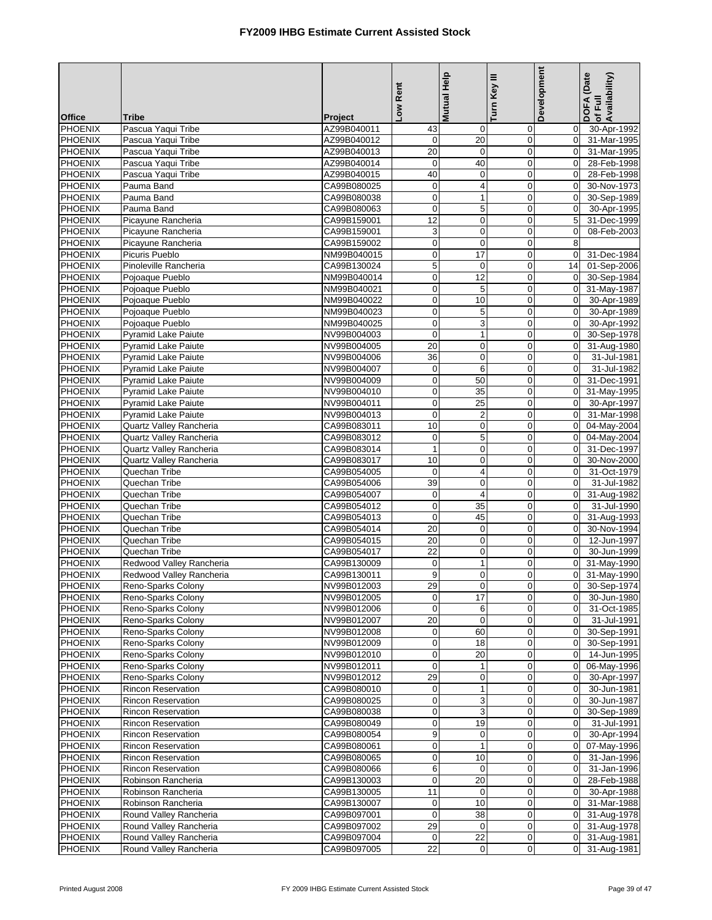|                           |                                                        |                            | Rent                    | <b>Mutual Help</b>        | Turn Key III               | Development                      | DOFA (Date<br>of Full<br>Availability) |
|---------------------------|--------------------------------------------------------|----------------------------|-------------------------|---------------------------|----------------------------|----------------------------------|----------------------------------------|
| <b>Office</b>             | <b>Tribe</b>                                           | Project                    | <b>No</b>               |                           |                            |                                  |                                        |
| <b>PHOENIX</b>            | Pascua Yaqui Tribe                                     | AZ99B040011                | 43                      | 0                         | 0                          | $\overline{0}$                   | 30-Apr-1992                            |
| <b>PHOENIX</b>            | Pascua Yaqui Tribe                                     | AZ99B040012                | $\overline{0}$          | $\overline{20}$           | $\mathbf 0$                | $\overline{0}$                   | 31-Mar-1995                            |
| <b>PHOENIX</b>            | Pascua Yaqui Tribe                                     | AZ99B040013                | 20                      | $\boldsymbol{0}$          | $\mathbf 0$                | $\Omega$                         | 31-Mar-1995                            |
| <b>PHOENIX</b>            | Pascua Yaqui Tribe                                     | AZ99B040014                | $\mathbf 0$             | 40                        | $\mathbf 0$                | $\overline{0}$                   | 28-Feb-1998                            |
| PHOENIX<br><b>PHOENIX</b> | Pascua Yaqui Tribe<br>Pauma Band                       | AZ99B040015<br>CA99B080025 | 40<br>$\mathbf 0$       | $\pmb{0}$<br>4            | $\mathbf 0$<br>$\mathbf 0$ | $\overline{0}$<br>$\Omega$       | 28-Feb-1998<br>30-Nov-1973             |
| PHOENIX                   | Pauma Band                                             | CA99B080038                | $\overline{0}$          | 1                         | 0                          | $\overline{0}$                   | 30-Sep-1989                            |
| <b>PHOENIX</b>            | Pauma Band                                             | CA99B080063                | $\mathbf 0$             | $\overline{5}$            | $\mathbf 0$                | $\mathbf{0}$                     | 30-Apr-1995                            |
| <b>PHOENIX</b>            | Picayune Rancheria                                     | CA99B159001                | 12                      | $\pmb{0}$                 | $\mathbf 0$                | 5 <sup>1</sup>                   | 31-Dec-1999                            |
| <b>PHOENIX</b>            | Picayune Rancheria                                     | CA99B159001                | ω                       | $\overline{0}$            | $\mathbf 0$                | $\mathbf 0$                      | 08-Feb-2003                            |
| <b>PHOENIX</b>            | Picayune Rancheria                                     | CA99B159002                | $\mathbf 0$             | $\mathbf 0$               | $\mathbf 0$                | 8                                |                                        |
| PHOENIX                   | Picuris Pueblo                                         | NM99B040015                | $\mathsf{O}\xspace$     | 17                        | $\boldsymbol{0}$           | $\overline{0}$                   | 31-Dec-1984                            |
| PHOENIX                   | Pinoleville Rancheria                                  | CA99B130024                | 5                       | 0                         | $\pmb{0}$                  | 14                               | 01-Sep-2006                            |
| <b>PHOENIX</b>            | Pojoaque Pueblo                                        | NM99B040014                | $\mathbf 0$             | 12                        | $\mathbf 0$                | $\overline{0}$                   | 30-Sep-1984                            |
| PHOENIX                   | Pojoaque Pueblo                                        | NM99B040021                | $\pmb{0}$               | 5                         | $\mathbf 0$                | $\overline{0}$                   | 31-May-1987                            |
| PHOENIX                   | Pojoaque Pueblo                                        | NM99B040022                | $\overline{0}$          | 10                        | $\mathbf 0$                | $\overline{0}$                   | 30-Apr-1989                            |
| PHOENIX                   | Pojoaque Pueblo                                        | NM99B040023                | $\overline{\mathbf{0}}$ | $\mathbf 5$               | $\mathbf 0$                | $\Omega$                         | 30-Apr-1989                            |
| <b>PHOENIX</b>            | Pojoaque Pueblo                                        | NM99B040025                | $\mathbf 0$             | 3                         | $\mathbf 0$                | $\overline{0}$                   | 30-Apr-1992                            |
| PHOENIX                   | <b>Pyramid Lake Paiute</b>                             | NV99B004003                | $\mathbf 0$             | $\mathbf{1}$              | $\mathbf 0$                | $\mathbf{0}$                     | 30-Sep-1978                            |
| PHOENIX                   | <b>Pyramid Lake Paiute</b>                             | NV99B004005                | 20                      | $\pmb{0}$                 | $\mathbf 0$                | $\overline{0}$                   | 31-Aug-1980                            |
| PHOENIX                   | Pyramid Lake Paiute                                    | NV99B004006                | 36                      | $\pmb{0}$                 | $\pmb{0}$                  | $\overline{0}$                   | 31-Jul-1981                            |
| PHOENIX                   | <b>Pyramid Lake Paiute</b>                             | NV99B004007                | $\mathbf 0$             | 6                         | $\mathbf 0$                | $\overline{0}$                   | 31-Jul-1982                            |
| PHOENIX                   | <b>Pyramid Lake Paiute</b>                             | NV99B004009                | $\mathbf 0$             | 50                        | $\mathbf 0$                | $\Omega$                         | 31-Dec-1991                            |
| PHOENIX                   | <b>Pyramid Lake Paiute</b>                             | NV99B004010                | $\overline{0}$          | 35                        | $\pmb{0}$                  | $\overline{0}$                   | 31-May-1995                            |
| <b>PHOENIX</b>            | <b>Pyramid Lake Paiute</b>                             | NV99B004011                | $\mathbf 0$             | $\overline{25}$           | $\mathbf 0$                | $\Omega$                         | 30-Apr-1997                            |
| PHOENIX                   | <b>Pyramid Lake Paiute</b>                             | NV99B004013                | $\mathbf 0$             | $\overline{2}$            | $\mathbf 0$                | $\Omega$                         | 31-Mar-1998                            |
| <b>PHOENIX</b>            | Quartz Valley Rancheria                                | CA99B083011                | 10                      | $\pmb{0}$                 | $\mathbf 0$                |                                  | 0 04-May-2004                          |
| PHOENIX                   | Quartz Valley Rancheria                                | CA99B083012                | $\mathbf 0$             | $\overline{5}$            | $\mathbf 0$                |                                  | $0$ 04-May-2004                        |
| <b>PHOENIX</b>            | <b>Quartz Valley Rancheria</b>                         | CA99B083014                | $\mathbf{1}$            | $\mathbf 0$               | $\mathbf 0$                | $\overline{0}$                   | 31-Dec-1997                            |
| <b>PHOENIX</b>            | Quartz Valley Rancheria                                | CA99B083017                | 10                      | $\pmb{0}$                 | $\mathbf 0$                | $\overline{0}$<br>$\mathbf{0}$   | 30-Nov-2000                            |
| PHOENIX<br>PHOENIX        | Quechan Tribe<br>Quechan Tribe                         | CA99B054005                | $\mathbf 0$<br>39       | 4<br>$\pmb{0}$            | $\mathbf 0$<br>$\mathbf 0$ | $\overline{0}$                   | 31-Oct-1979<br>31-Jul-1982             |
| PHOENIX                   | Quechan Tribe                                          | CA99B054006<br>CA99B054007 | $\mathbf 0$             | $\overline{4}$            | $\mathbf 0$                | $\overline{0}$                   | 31-Aug-1982                            |
| PHOENIX                   | Quechan Tribe                                          | CA99B054012                | $\mathbf 0$             | 35                        | $\mathbf 0$                | $\overline{0}$                   | 31-Jul-1990                            |
| PHOENIX                   | Quechan Tribe                                          | CA99B054013                | $\overline{0}$          | 45                        | $\pmb{0}$                  | $\overline{0}$                   | 31-Aug-1993                            |
| <b>PHOENIX</b>            | Quechan Tribe                                          | CA99B054014                | 20                      | $\mathbf 0$               | $\mathbf 0$                | $\Omega$                         | 30-Nov-1994                            |
| PHOENIX                   | Quechan Tribe                                          | CA99B054015                | 20                      | $\mathbf 0$               | $\mathbf 0$                | $\Omega$                         | 12-Jun-1997                            |
| <b>PHOENIX</b>            | Quechan Tribe                                          | CA99B054017                | 22                      | $\pmb{0}$                 | $\pmb{0}$                  | $\overline{0}$                   | 30-Jun-1999                            |
| <b>PHOENIX</b>            | Redwood Valley Rancheria                               | CA99B130009                | $\pmb{0}$               | 1                         | $\mathbf 0$                | $\Omega$                         | 31-May-1990                            |
| <b>PHOENIX</b>            | Redwood Valley Rancheria                               | CA99B130011                | $\mathsf g$             | $\mathbf 0$               | $\mathbf 0$                | $\overline{0}$                   | 31-May-1990                            |
| PHOENIX                   | Reno-Sparks Colony                                     | NV99B012003                | 29                      | U.                        | $\pmb{0}$                  |                                  | 0 30-Sep-1974                          |
| PHOENIX                   | Reno-Sparks Colony                                     | NV99B012005                | $\mathbf{0}$            | 17                        | $\mathbf 0$                | $\overline{0}$                   | 30-Jun-1980                            |
| <b>PHOENIX</b>            | Reno-Sparks Colony                                     | NV99B012006                | $\overline{0}$          | 6                         | 0                          | $\overline{0}$                   | 31-Oct-1985                            |
| PHOENIX                   | Reno-Sparks Colony                                     | NV99B012007                | 20                      | $\mathbf 0$               | $\mathbf 0$                | $\overline{0}$                   | 31-Jul-1991                            |
| <b>PHOENIX</b>            | Reno-Sparks Colony                                     | NV99B012008                | $\overline{0}$          | 60                        | $\mathbf 0$                | $\overline{0}$                   | 30-Sep-1991                            |
| <b>PHOENIX</b>            | Reno-Sparks Colony                                     | NV99B012009                | $\mathbf 0$             | 18                        | 0                          | $\overline{0}$                   | 30-Sep-1991                            |
| <b>PHOENIX</b>            | Reno-Sparks Colony                                     | NV99B012010                | $\mathbf 0$             | 20                        | $\mathbf 0$                | $\overline{0}$                   | 14-Jun-1995                            |
| <b>PHOENIX</b>            | Reno-Sparks Colony                                     | NV99B012011                | $\mathbf 0$             | 1                         | $\mathbf 0$                | $\overline{0}$                   | 06-May-1996                            |
| <b>PHOENIX</b>            | Reno-Sparks Colony                                     | NV99B012012                | 29                      | 0                         | 0                          | $\overline{0}$                   | 30-Apr-1997                            |
| <b>PHOENIX</b>            | <b>Rincon Reservation</b>                              | CA99B080010                | $\mathbf 0$             | 1                         | $\mathbf 0$                | $\overline{0}$                   | 30-Jun-1981                            |
| <b>PHOENIX</b>            | <b>Rincon Reservation</b>                              | CA99B080025                | $\mathbf 0$             | 3                         | 0                          | $\overline{0}$                   | 30-Jun-1987                            |
| PHOENIX                   | <b>Rincon Reservation</b>                              | CA99B080038                | $\overline{0}$          | $\ensuremath{\mathsf{3}}$ | $\mathbf 0$                | $\overline{0}$                   | 30-Sep-1989                            |
| <b>PHOENIX</b>            | <b>Rincon Reservation</b>                              | CA99B080049<br>CA99B080054 | $\mathbf 0$             | 19                        | $\mathbf 0$                | $\Omega$                         | 31-Jul-1991                            |
| <b>PHOENIX</b>            | <b>Rincon Reservation</b><br><b>Rincon Reservation</b> |                            | 9<br>$\overline{0}$     | 0<br>$\mathbf{1}$         | $\mathbf 0$<br>$\mathbf 0$ | $\overline{0}$<br>$\overline{0}$ | 30-Apr-1994<br>07-May-1996             |
| PHOENIX<br><b>PHOENIX</b> | <b>Rincon Reservation</b>                              | CA99B080061<br>CA99B080065 | $\overline{0}$          | 10                        | $\mathbf 0$                | $\overline{0}$                   | 31-Jan-1996                            |
| <b>PHOENIX</b>            | <b>Rincon Reservation</b>                              | CA99B080066                | 6                       | 0                         | 0                          | $\mathbf 0$                      | 31-Jan-1996                            |
| <b>PHOENIX</b>            | Robinson Rancheria                                     | CA99B130003                | $\mathbf 0$             | 20                        | $\mathbf 0$                | $\overline{0}$                   | 28-Feb-1988                            |
| <b>PHOENIX</b>            | Robinson Rancheria                                     | CA99B130005                | 11                      | $\mathbf 0$               | 0                          | $\overline{0}$                   | 30-Apr-1988                            |
| <b>PHOENIX</b>            | Robinson Rancheria                                     | CA99B130007                | $\mathbf 0$             | $10$                      | $\pmb{0}$                  | $\overline{0}$                   | 31-Mar-1988                            |
| <b>PHOENIX</b>            | Round Valley Rancheria                                 | CA99B097001                | $\mathbf 0$             | 38                        | $\mathbf 0$                | $\overline{0}$                   | 31-Aug-1978                            |
| <b>PHOENIX</b>            | Round Valley Rancheria                                 | CA99B097002                | 29                      | 0                         | 0                          | $\overline{0}$                   | 31-Aug-1978                            |
| PHOENIX                   | Round Valley Rancheria                                 | CA99B097004                | $\overline{0}$          | 22                        | 0                          | $\overline{0}$                   | 31-Aug-1981                            |
| <b>PHOENIX</b>            | Round Valley Rancheria                                 | CA99B097005                | 22                      | $\pmb{0}$                 | 0                          | $\overline{0}$                   | 31-Aug-1981                            |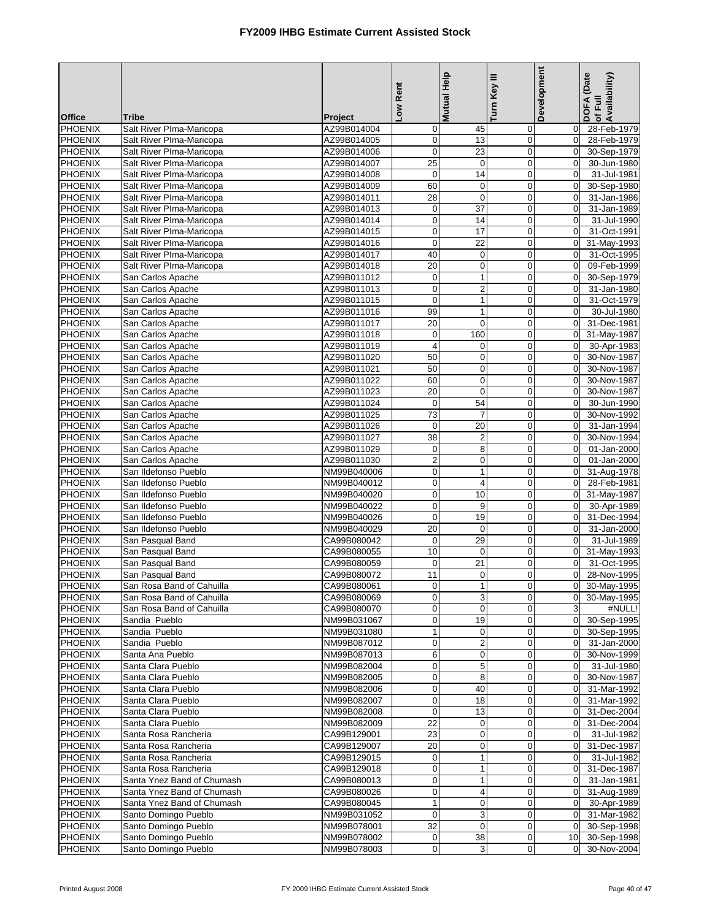|                                  |                                                      |                            | Low Rent                         | <b>Mutual Help</b>             | Turn Key III               | Development                      | DOFA (Date<br>Availability)<br>of Full |
|----------------------------------|------------------------------------------------------|----------------------------|----------------------------------|--------------------------------|----------------------------|----------------------------------|----------------------------------------|
| <b>Office</b>                    | <b>Tribe</b>                                         | Project                    |                                  |                                |                            |                                  |                                        |
| <b>PHOENIX</b>                   | Salt River PIma-Maricopa                             | AZ99B014004                | $\mathbf 0$                      | 45                             | 0                          | 0                                | 28-Feb-1979                            |
| <b>PHOENIX</b>                   | Salt River Plma-Maricopa                             | AZ99B014005                | $\pmb{0}$                        | 13                             | $\pmb{0}$                  | $\mathbf 0$                      | 28-Feb-1979                            |
| <b>PHOENIX</b>                   | Salt River Plma-Maricopa                             | AZ99B014006                | 0                                | 23                             | $\mathbf 0$                | $\mathbf 0$                      | 30-Sep-1979                            |
| <b>PHOENIX</b>                   | Salt River Plma-Maricopa                             | AZ99B014007<br>AZ99B014008 | $\overline{25}$<br>$\mathbf 0$   | $\mathbf 0$<br>$\overline{14}$ | $\mathbf 0$<br>$\mathbf 0$ | $\mathbf 0$<br>$\mathbf 0$       | 30-Jun-1980<br>31-Jul-1981             |
| <b>PHOENIX</b><br><b>PHOENIX</b> | Salt River Plma-Maricopa<br>Salt River PIma-Maricopa | AZ99B014009                | 60                               | $\mathbf 0$                    | $\mathbf 0$                | $\mathbf 0$                      | 30-Sep-1980                            |
| <b>PHOENIX</b>                   | Salt River PIma-Maricopa                             | AZ99B014011                | 28                               | $\mathbf 0$                    | $\mathbf 0$                | $\Omega$                         | 31-Jan-1986                            |
| PHOENIX                          | Salt River Plma-Maricopa                             | AZ99B014013                | $\mathbf 0$                      | 37                             | $\mathbf 0$                | $\mathbf 0$                      | 31-Jan-1989                            |
| PHOENIX                          | Salt River Plma-Maricopa                             | AZ99B014014                | 0                                | 14                             | $\mathbf 0$                | $\mathbf 0$                      | 31-Jul-1990                            |
| PHOENIX                          | Salt River Plma-Maricopa                             | AZ99B014015                | $\pmb{0}$                        | 17                             | $\mathbf 0$                | $\mathbf 0$                      | 31-Oct-1991                            |
| <b>PHOENIX</b>                   | Salt River Plma-Maricopa                             | AZ99B014016                | $\mathbf 0$                      | $\overline{22}$                | $\mathbf 0$                | $\mathbf 0$                      | 31-May-1993                            |
| <b>PHOENIX</b>                   | Salt River Plma-Maricopa                             | AZ99B014017                | 40                               | $\pmb{0}$                      | $\mathbf 0$                | $\mathbf 0$                      | 31-Oct-1995                            |
| <b>PHOENIX</b>                   | Salt River Plma-Maricopa                             | AZ99B014018                | 20                               | $\pmb{0}$                      | $\mathbf 0$                | $\mathbf 0$                      | 09-Feb-1999                            |
| <b>PHOENIX</b>                   | San Carlos Apache                                    | AZ99B011012                | $\mathbf 0$                      | $\mathbf{1}$                   | $\mathbf 0$                | $\mathbf 0$                      | 30-Sep-1979                            |
| <b>PHOENIX</b>                   | San Carlos Apache                                    | AZ99B011013                | $\pmb{0}$                        | $\overline{2}$                 | $\mathbf 0$                | $\mathbf 0$                      | 31-Jan-1980                            |
| <b>PHOENIX</b>                   | San Carlos Apache                                    | AZ99B011015                | $\mathbf 0$                      | $\mathbf{1}$                   | $\mathbf 0$                | $\boldsymbol{0}$                 | 31-Oct-1979                            |
| PHOENIX                          | San Carlos Apache                                    | AZ99B011016                | 99                               | 1                              | $\mathbf 0$                | $\Omega$                         | 30-Jul-1980                            |
| PHOENIX                          | San Carlos Apache                                    | AZ99B011017                | 20                               | $\mathbf 0$                    | $\mathbf 0$                | $\Omega$                         | 31-Dec-1981                            |
| PHOENIX                          | San Carlos Apache                                    | AZ99B011018                | $\mathbf 0$                      | 160                            | $\mathbf 0$                | $\mathbf 0$                      | 31-May-1987                            |
| <b>PHOENIX</b>                   | San Carlos Apache                                    | AZ99B011019                | $\overline{4}$                   | 0                              | $\mathbf 0$                | $\mathbf 0$                      | 30-Apr-1983                            |
| <b>PHOENIX</b>                   | San Carlos Apache                                    | AZ99B011020                | 50                               | $\mathbf 0$                    | $\mathbf 0$                | $\Omega$                         | 30-Nov-1987                            |
| PHOENIX                          | San Carlos Apache                                    | AZ99B011021                | 50                               | 0                              | $\mathbf 0$                | $\mathbf 0$                      | 30-Nov-1987                            |
| <b>PHOENIX</b>                   | San Carlos Apache                                    | AZ99B011022                | 60                               | $\mathbf 0$                    | $\mathbf 0$                | $\Omega$                         | 30-Nov-1987                            |
| <b>PHOENIX</b>                   | San Carlos Apache                                    | AZ99B011023                | 20                               | $\mathbf 0$                    | $\overline{0}$             | $\Omega$                         | 30-Nov-1987                            |
| <b>PHOENIX</b><br>PHOENIX        | San Carlos Apache<br>San Carlos Apache               | AZ99B011024<br>AZ99B011025 | $\pmb{0}$<br>73                  | 54<br>$\overline{7}$           | $\mathbf 0$<br>$\mathbf 0$ | $\mathbf 0$<br>$\Omega$          | 30-Jun-1990<br>30-Nov-1992             |
| PHOENIX                          | San Carlos Apache                                    | AZ99B011026                | $\mathbf 0$                      | 20                             | $\pmb{0}$                  | $\mathbf 0$                      | 31-Jan-1994                            |
| PHOENIX                          | San Carlos Apache                                    | AZ99B011027                | 38                               | $\overline{c}$                 | $\overline{0}$             | $\mathbf 0$                      | 30-Nov-1994                            |
| <b>PHOENIX</b>                   | San Carlos Apache                                    | AZ99B011029                | $\mathbf 0$                      | 8                              | $\overline{0}$             | $\overline{0}$                   | 01-Jan-2000                            |
| <b>PHOENIX</b>                   | San Carlos Apache                                    | AZ99B011030                | $\overline{2}$                   | $\pmb{0}$                      | $\mathbf 0$                | $\mathbf 0$                      | 01-Jan-2000                            |
| <b>PHOENIX</b>                   | San Ildefonso Pueblo                                 | NM99B040006                | $\pmb{0}$                        | $\mathbf{1}$                   | $\mathbf 0$                | $\mathbf 0$                      | 31-Aug-1978                            |
| <b>PHOENIX</b>                   | San Ildefonso Pueblo                                 | NM99B040012                | $\mathbf 0$                      | 4                              | $\mathbf 0$                | $\Omega$                         | 28-Feb-1981                            |
| PHOENIX                          | San Ildefonso Pueblo                                 | NM99B040020                | $\mathbf 0$                      | 10                             | $\mathbf 0$                | $\mathbf 0$                      | 31-May-1987                            |
| PHOENIX                          | San Ildefonso Pueblo                                 | NM99B040022                | 0                                | 9                              | $\mathbf 0$                | $\mathbf 0$                      | 30-Apr-1989                            |
| PHOENIX                          | San Ildefonso Pueblo                                 | NM99B040026                | $\pmb{0}$                        | 19                             | $\mathbf 0$                | $\mathbf 0$                      | 31-Dec-1994                            |
| <b>PHOENIX</b>                   | San Ildefonso Pueblo                                 | NM99B040029                | 20                               | $\mathbf 0$                    | $\mathbf 0$                | $\mathbf 0$                      | 31-Jan-2000                            |
| <b>PHOENIX</b>                   | San Pasqual Band                                     | CA99B080042                | $\mathbf 0$                      | 29                             | $\mathbf 0$                | $\Omega$                         | 31-Jul-1989                            |
| <b>PHOENIX</b>                   | San Pasqual Band                                     | CA99B080055                | 10                               | $\mathbf 0$                    | $\mathbf 0$                | $\mathbf 0$                      | 31-May-1993                            |
| <b>PHOENIX</b>                   | San Pasqual Band                                     | CA99B080059                | $\mathbf 0$                      | $\overline{21}$                | $\overline{0}$             | $\mathbf 0$                      | 31-Oct-1995                            |
| <b>PHOENIX</b>                   | San Pasqual Band                                     | CA99B080072                | 11                               | 0                              | $\overline{0}$             | $\overline{0}$                   | 28-Nov-1995                            |
| <b>PHOENIX</b>                   | San Rosa Band of Cahuilla                            | CA99B080061                | $\overline{0}$                   | 1                              | $\overline{0}$             |                                  | 0 30-May-1995                          |
| <b>PHOENIX</b>                   | San Rosa Band of Cahuilla                            | CA99B080069                | $\mathbf 0$                      | 3                              | $\mathbf 0$                | 0                                | 30-May-1995                            |
| <b>PHOENIX</b>                   | San Rosa Band of Cahuilla                            | CA99B080070                | $\mathbf 0$                      | 0                              | 0                          | $\mathbf{3}$                     | #NULL!                                 |
| PHOENIX<br><b>PHOENIX</b>        | Sandia Pueblo<br>Sandia Pueblo                       | NM99B031067                | $\boldsymbol{0}$<br>$\mathbf{1}$ | 19<br>$\mathbf 0$              | 0<br>0                     | $\overline{0}$<br>$\overline{0}$ | 30-Sep-1995<br>30-Sep-1995             |
| <b>PHOENIX</b>                   | Sandia Pueblo                                        | NM99B031080<br>NM99B087012 | $\pmb{0}$                        | $\overline{\mathbf{c}}$        | $\mathbf 0$                | $\mathbf 0$                      | 31-Jan-2000                            |
| PHOENIX                          | Santa Ana Pueblo                                     | NM99B087013                | 6                                | $\pmb{0}$                      | $\mathbf 0$                | $\overline{0}$                   | 30-Nov-1999                            |
| <b>PHOENIX</b>                   | Santa Clara Pueblo                                   | NM99B082004                | $\mathbf 0$                      | 5                              | $\mathbf 0$                | $\overline{0}$                   | 31-Jul-1980                            |
| <b>PHOENIX</b>                   | Santa Clara Pueblo                                   | NM99B082005                | $\mathbf 0$                      | 8                              | 0                          | $\mathbf 0$                      | 30-Nov-1987                            |
| <b>PHOENIX</b>                   | Santa Clara Pueblo                                   | NM99B082006                | $\pmb{0}$                        | 40                             | 0                          | 0                                | 31-Mar-1992                            |
| PHOENIX                          | Santa Clara Pueblo                                   | NM99B082007                | $\boldsymbol{0}$                 | 18                             | 0                          | $\overline{0}$                   | 31-Mar-1992                            |
| PHOENIX                          | Santa Clara Pueblo                                   | NM99B082008                | $\mathbf 0$                      | 13                             | 0                          | $\mathbf 0$                      | 31-Dec-2004                            |
| <b>PHOENIX</b>                   | Santa Clara Pueblo                                   | NM99B082009                | 22                               | $\mathbf 0$                    | $\mathbf 0$                | 0                                | 31-Dec-2004                            |
| <b>PHOENIX</b>                   | Santa Rosa Rancheria                                 | CA99B129001                | 23                               | 0                              | $\mathbf 0$                | $\mathbf 0$                      | 31-Jul-1982                            |
| PHOENIX                          | Santa Rosa Rancheria                                 | CA99B129007                | 20                               | $\pmb{0}$                      | $\pmb{0}$                  | $\mathbf 0$                      | 31-Dec-1987                            |
| <b>PHOENIX</b>                   | Santa Rosa Rancheria                                 | CA99B129015                | $\pmb{0}$                        | $\mathbf 1$                    | $\mathbf 0$                | $\mathbf 0$                      | 31-Jul-1982                            |
| <b>PHOENIX</b>                   | Santa Rosa Rancheria                                 | CA99B129018                | $\pmb{0}$                        | $\mathbf{1}$                   | 0                          | $\mathbf 0$                      | 31-Dec-1987                            |
| PHOENIX                          | Santa Ynez Band of Chumash                           | CA99B080013                | $\mathbf 0$                      | $\mathbf 1$                    | $\boldsymbol{0}$           | $\mathbf 0$                      | 31-Jan-1981                            |
| <b>PHOENIX</b>                   | Santa Ynez Band of Chumash                           | CA99B080026                | $\pmb{0}$                        | 4                              | 0                          | $\mathbf 0$                      | 31-Aug-1989                            |
| PHOENIX                          | Santa Ynez Band of Chumash                           | CA99B080045                | $\mathbf{1}$                     | 0                              | $\mathbf 0$                | 0                                | 30-Apr-1989                            |
| <b>PHOENIX</b>                   | Santo Domingo Pueblo                                 | NM99B031052                | $\mathbf 0$                      | 3                              | $\mathbf 0$                | $\mathbf 0$                      | $\overline{31}$ -Mar-1982              |
| <b>PHOENIX</b>                   | Santo Domingo Pueblo                                 | NM99B078001                | 32                               | $\pmb{0}$                      | $\boldsymbol{0}$           | $\Omega$                         | 30-Sep-1998                            |
| <b>PHOENIX</b>                   | Santo Domingo Pueblo                                 | NM99B078002                | $\mathbf 0$<br>$\mathbf 0$       | 38                             | 0                          | 10 <sup>1</sup>                  | 30-Sep-1998                            |
| PHOENIX                          | Santo Domingo Pueblo                                 | NM99B078003                |                                  | 3                              | 0                          | $\mathbf 0$                      | 30-Nov-2004                            |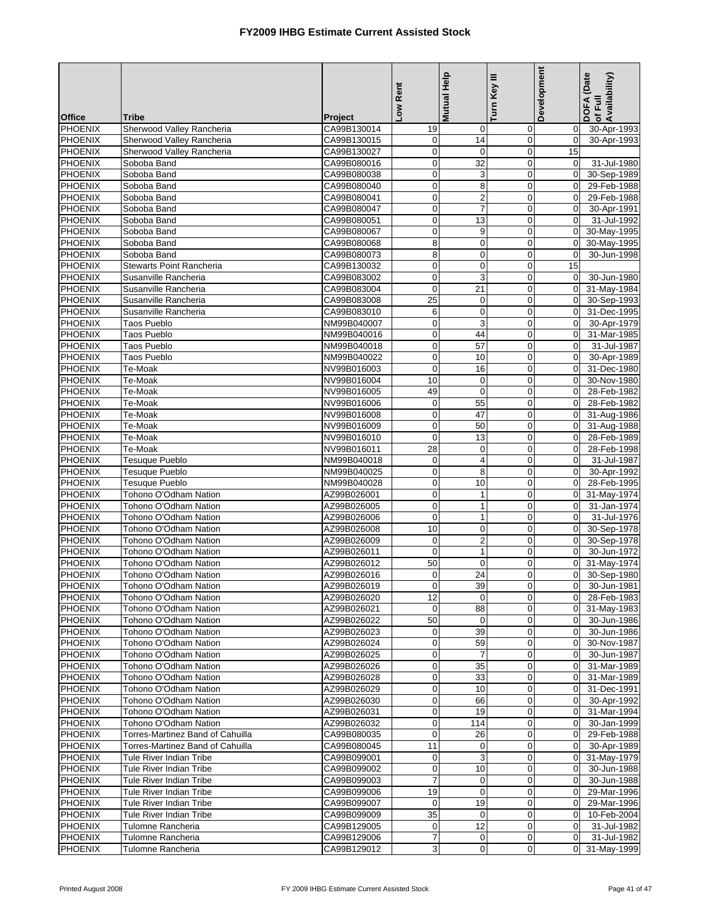|                                  |                                                        |                            | Low Rent                         | Mutual Help             | Turn Key III               | Development                      | DOFA (Date<br>of Full<br>Availability) |
|----------------------------------|--------------------------------------------------------|----------------------------|----------------------------------|-------------------------|----------------------------|----------------------------------|----------------------------------------|
| <b>Office</b><br><b>PHOENIX</b>  | <b>Tribe</b>                                           | Project<br>CA99B130014     |                                  |                         |                            | $\overline{0}$                   |                                        |
| <b>PHOENIX</b>                   | Sherwood Valley Rancheria<br>Sherwood Valley Rancheria | CA99B130015                | 19<br>$\mathbf 0$                | 0<br>14                 | 0<br>$\mathbf 0$           | $\mathbf 0$                      | 30-Apr-1993<br>30-Apr-1993             |
| <b>PHOENIX</b>                   | Sherwood Valley Rancheria                              | CA99B130027                | $\overline{0}$                   | $\mathbf 0$             | $\mathbf 0$                | 15                               |                                        |
| <b>PHOENIX</b>                   | Soboba Band                                            | CA99B080016                | $\mathbf 0$                      | 32                      | $\mathbf 0$                | $\mathbf 0$                      | 31-Jul-1980                            |
| <b>PHOENIX</b>                   | Soboba Band                                            | CA99B080038                | $\pmb{0}$                        | 3                       | $\mathbf 0$                | $\overline{0}$                   | 30-Sep-1989                            |
| <b>PHOENIX</b>                   | Soboba Band                                            | CA99B080040                | $\mathbf 0$                      | 8                       | $\overline{0}$             | $\overline{0}$                   | 29-Feb-1988                            |
| PHOENIX                          | Soboba Band                                            | CA99B080041                | $\mathbf 0$                      | $\overline{\mathbf{c}}$ | $\mathbf 0$                | $\overline{0}$                   | 29-Feb-1988                            |
| <b>PHOENIX</b>                   | Soboba Band                                            | CA99B080047                | $\overline{0}$                   | $\overline{7}$          | $\mathbf 0$                | $\mathbf 0$                      | 30-Apr-1991                            |
| <b>PHOENIX</b>                   | Soboba Band                                            | CA99B080051                | $\mathbf 0$                      | 13                      | $\mathbf 0$                | $\Omega$                         | 31-Jul-1992                            |
| <b>PHOENIX</b>                   | Soboba Band                                            | CA99B080067                | $\mathbf 0$                      | 9                       | $\mathbf 0$                | $\Omega$                         | 30-May-1995                            |
| PHOENIX                          | Soboba Band                                            | CA99B080068                | $\bf8$                           | $\pmb{0}$               | $\mathbf 0$                | $\overline{0}$                   | 30-May-1995                            |
| <b>PHOENIX</b><br><b>PHOENIX</b> | Soboba Band<br><b>Stewarts Point Rancheria</b>         | CA99B080073<br>CA99B130032 | 8                                | $\mathbf 0$             | $\mathbf 0$                | $\Omega$                         | 30-Jun-1998                            |
| <b>PHOENIX</b>                   | Susanville Rancheria                                   | CA99B083002                | $\mathbf 0$<br>$\mathbf 0$       | $\mathbf 0$<br>3        | $\mathbf 0$<br>$\mathbf 0$ | 15<br>$\overline{0}$             | 30-Jun-1980                            |
| <b>PHOENIX</b>                   | Susanville Rancheria                                   | CA99B083004                | $\mathbf 0$                      | 21                      | $\mathbf 0$                | $\overline{0}$                   | 31-May-1984                            |
| <b>PHOENIX</b>                   | Susanville Rancheria                                   | CA99B083008                | 25                               | $\mathbf 0$             | $\mathbf 0$                | $\overline{0}$                   | 30-Sep-1993                            |
| <b>PHOENIX</b>                   | Susanville Rancheria                                   | CA99B083010                | 6                                | $\mathbf 0$             | $\overline{0}$             | $\overline{0}$                   | 31-Dec-1995                            |
| <b>PHOENIX</b>                   | <b>Taos Pueblo</b>                                     | NM99B040007                | $\mathbf 0$                      | 3                       | $\mathbf 0$                | $\overline{0}$                   | 30-Apr-1979                            |
| <b>PHOENIX</b>                   | <b>Taos Pueblo</b>                                     | NM99B040016                | $\overline{0}$                   | 44                      | $\pmb{0}$                  | $\mathbf{0}$                     | 31-Mar-1985                            |
| <b>PHOENIX</b>                   | <b>Taos Pueblo</b>                                     | NM99B040018                | $\mathbf 0$                      | 57                      | $\overline{0}$             | $\mathbf 0$                      | 31-Jul-1987                            |
| <b>PHOENIX</b>                   | <b>Taos Pueblo</b>                                     | NM99B040022                | $\mathbf 0$                      | 10                      | $\mathbf 0$                | $\Omega$                         | 30-Apr-1989                            |
| PHOENIX                          | Te-Moak                                                | NV99B016003                | $\mathbf 0$                      | 16                      | $\mathbf 0$                | $\overline{0}$                   | 31-Dec-1980                            |
| <b>PHOENIX</b>                   | Te-Moak                                                | NV99B016004                | 10                               | $\mathbf 0$             | $\mathbf 0$                | $\Omega$                         | 30-Nov-1980                            |
| <b>PHOENIX</b>                   | Te-Moak                                                | NV99B016005                | 49                               | $\mathbf 0$             | $\mathbf 0$                | $\Omega$                         | 28-Feb-1982                            |
| <b>PHOENIX</b>                   | Te-Moak                                                | NV99B016006                | $\mathbf 0$                      | 55                      | $\mathbf 0$                | $\overline{0}$                   | 28-Feb-1982                            |
| <b>PHOENIX</b>                   | Te-Moak                                                | NV99B016008                | $\mathbf 0$                      | 47                      | $\mathbf 0$                | $\Omega$                         | 31-Aug-1986                            |
| <b>PHOENIX</b>                   | Te-Moak                                                | NV99B016009                | $\mathbf 0$                      | 50                      | $\mathbf 0$                | $\overline{0}$                   | 31-Aug-1988                            |
| PHOENIX                          | Te-Moak                                                | NV99B016010                | $\mathbf 0$                      | 13                      | $\mathbf 0$                | $\mathbf 0$                      | 28-Feb-1989                            |
| <b>PHOENIX</b><br><b>PHOENIX</b> | Te-Moak<br><b>Tesuque Pueblo</b>                       | NV99B016011                | 28                               | $\mathbf 0$             | $\mathbf 0$                | $\overline{0}$<br>$\mathbf 0$    | 28-Feb-1998<br>31-Jul-1987             |
| <b>PHOENIX</b>                   | <b>Tesuque Pueblo</b>                                  | NM99B040018<br>NM99B040025 | $\boldsymbol{0}$<br>$\mathbf 0$  | 4<br>8                  | $\mathbf 0$<br>$\mathbf 0$ | $\Omega$                         | 30-Apr-1992                            |
| <b>PHOENIX</b>                   | <b>Tesuque Pueblo</b>                                  | NM99B040028                | $\mathbf 0$                      | 10                      | $\mathbf 0$                | $\Omega$                         | 28-Feb-1995                            |
| <b>PHOENIX</b>                   | Tohono O'Odham Nation                                  | AZ99B026001                | $\overline{0}$                   | $\mathbf{1}$            | $\mathbf 0$                | $\overline{0}$                   | 31-May-1974                            |
| <b>PHOENIX</b>                   | Tohono O'Odham Nation                                  | AZ99B026005                | $\mathbf 0$                      | $\mathbf{1}$            | $\mathbf 0$                | $\mathbf 0$                      | 31-Jan-1974                            |
| <b>PHOENIX</b>                   | Tohono O'Odham Nation                                  | AZ99B026006                | $\mathbf 0$                      | $\mathbf{1}$            | $\mathbf 0$                | $\Omega$                         | 31-Jul-1976                            |
| PHOENIX                          | Tohono O'Odham Nation                                  | AZ99B026008                | $\overline{10}$                  | $\mathbf 0$             | $\mathbf 0$                | $\overline{0}$                   | 30-Sep-1978                            |
| PHOENIX                          | Tohono O'Odham Nation                                  | AZ99B026009                | $\mathbf 0$                      | $\overline{2}$          | $\mathbf 0$                | $\Omega$                         | 30-Sep-1978                            |
| <b>PHOENIX</b>                   | Tohono O'Odham Nation                                  | AZ99B026011                | $\mathbf 0$                      | $\mathbf{1}$            | $\mathbf 0$                | $\Omega$                         | 30-Jun-1972                            |
| <b>PHOENIX</b>                   | Tohono O'Odham Nation                                  | AZ99B026012                | 50                               | $\mathbf 0$             | $\mathbf 0$                | $\overline{0}$                   | 31-May-1974                            |
| <b>PHOENIX</b>                   | Tohono O'Odham Nation                                  | AZ99B026016                | $\mathbf 0$                      | 24                      | $\overline{0}$             | $\overline{0}$                   | 30-Sep-1980                            |
| PHOENIX                          | Tohono O'Odham Nation                                  | AZ99B026019                | $\overline{0}$                   | 39                      | $\mathbf 0$                |                                  | 0 30-Jun-1981                          |
| <b>PHOENIX</b>                   | Tohono O'Odham Nation                                  | AZ99B026020                | 12                               | $\mathbf 0$             | $\mathbf 0$                | $\overline{0}$                   | 28-Feb-1983                            |
| <b>PHOENIX</b><br>PHOENIX        | Tohono O'Odham Nation<br>Tohono O'Odham Nation         | AZ99B026021<br>AZ99B026022 | $\overline{0}$<br>50             | 88<br>0                 | 0<br>0                     | $\overline{0}$                   | 0 31-May-1983<br>30-Jun-1986           |
| <b>PHOENIX</b>                   | Tohono O'Odham Nation                                  | AZ99B026023                | $\overline{0}$                   | 39                      | $\mathbf 0$                | $\overline{0}$                   | 30-Jun-1986                            |
| <b>PHOENIX</b>                   | Tohono O'Odham Nation                                  | AZ99B026024                | $\overline{0}$                   | 59                      | $\mathbf 0$                | $\overline{0}$                   | 30-Nov-1987                            |
| <b>PHOENIX</b>                   | Tohono O'Odham Nation                                  | AZ99B026025                | $\overline{0}$                   | 7                       | 0                          | $\overline{0}$                   | 30-Jun-1987                            |
| <b>PHOENIX</b>                   | Tohono O'Odham Nation                                  | AZ99B026026                | $\mathbf 0$                      | 35                      | 0                          | $\overline{0}$                   | 31-Mar-1989                            |
| PHOENIX                          | Tohono O'Odham Nation                                  | AZ99B026028                | $\mathbf 0$                      | 33                      | 0                          | $\overline{0}$                   | 31-Mar-1989                            |
| <b>PHOENIX</b>                   | Tohono O'Odham Nation                                  | AZ99B026029                | $\overline{0}$                   | 10                      | $\pmb{0}$                  | $\overline{0}$                   | 31-Dec-1991                            |
| <b>PHOENIX</b>                   | Tohono O'Odham Nation                                  | AZ99B026030                | $\overline{0}$                   | 66                      | 0                          | $\overline{0}$                   | 30-Apr-1992                            |
| <b>PHOENIX</b>                   | Tohono O'Odham Nation                                  | AZ99B026031                | $\overline{0}$                   | 19                      | 0                          | $\overline{0}$                   | 31-Mar-1994                            |
| <b>PHOENIX</b>                   | Tohono O'Odham Nation                                  | AZ99B026032                | $\overline{0}$                   | 114                     | $\mathbf 0$                | $\overline{0}$                   | 30-Jan-1999                            |
| <b>PHOENIX</b>                   | Torres-Martinez Band of Cahuilla                       | CA99B080035                | $\overline{0}$                   | 26                      | 0                          | $\Omega$                         | 29-Feb-1988                            |
| <b>PHOENIX</b>                   | Torres-Martinez Band of Cahuilla                       | CA99B080045                | 11                               | 0                       | 0                          | $\overline{0}$                   | 30-Apr-1989                            |
| <b>PHOENIX</b>                   | Tule River Indian Tribe                                | CA99B099001                | $\mathbf 0$                      | 3                       | $\mathbf 0$                | $\mathbf 0$                      | 31-May-1979                            |
| <b>PHOENIX</b>                   | Tule River Indian Tribe                                | CA99B099002                | $\overline{0}$<br>$\overline{7}$ | 10                      | $\mathbf 0$                | $\overline{0}$                   | 30-Jun-1988                            |
| <b>PHOENIX</b><br><b>PHOENIX</b> | Tule River Indian Tribe<br>Tule River Indian Tribe     | CA99B099003<br>CA99B099006 | 19                               | 0<br>$\pmb{0}$          | 0<br>$\mathbf 0$           | $\overline{0}$<br>$\overline{0}$ | 30-Jun-1988<br>29-Mar-1996             |
| <b>PHOENIX</b>                   | Tule River Indian Tribe                                | CA99B099007                | $\overline{0}$                   | 19                      | 0                          | $\overline{0}$                   | 29-Mar-1996                            |
| <b>PHOENIX</b>                   | Tule River Indian Tribe                                | CA99B099009                | 35                               | 0                       | $\mathbf 0$                | $\overline{0}$                   | 10-Feb-2004                            |
| <b>PHOENIX</b>                   | Tulomne Rancheria                                      | CA99B129005                | $\overline{0}$                   | 12                      | 0                          | $\Omega$                         | 31-Jul-1982                            |
| <b>PHOENIX</b>                   | Tulomne Rancheria                                      | CA99B129006                | $\overline{7}$                   | 0                       | 0                          | $\overline{0}$                   | 31-Jul-1982                            |
| PHOENIX                          | Tulomne Rancheria                                      | CA99B129012                | $\overline{3}$                   | $\mathbf 0$             | $\mathbf 0$                | $\overline{0}$                   | 31-May-1999                            |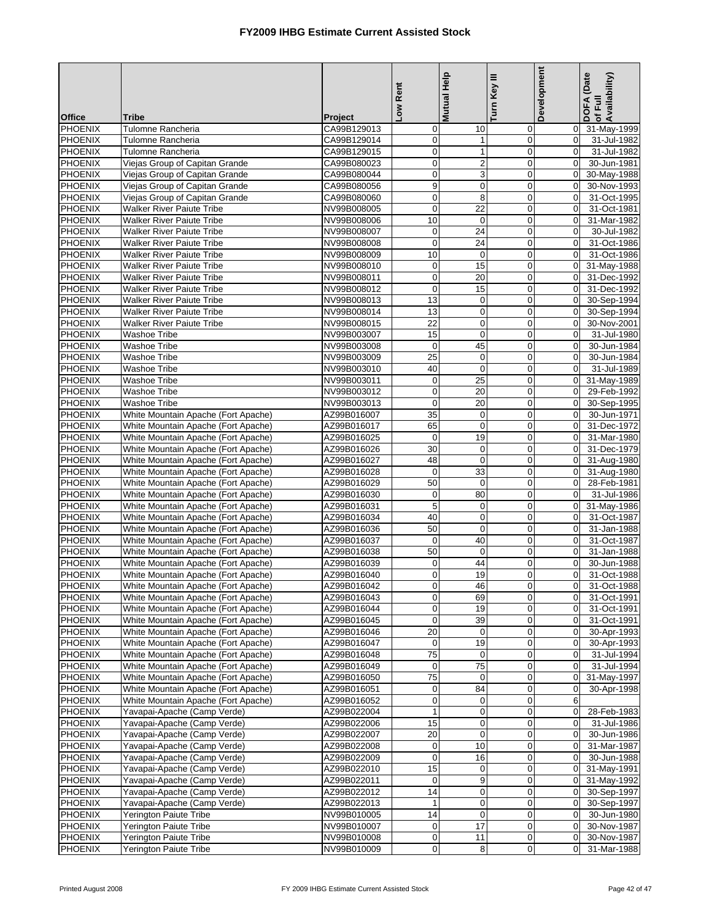|                                  |                                                                            |                            | Low Rent                         | <b>Mutual Help</b>       | Turn Key III                    | Development                | DOFA (Date<br>Availability)<br>of Full |
|----------------------------------|----------------------------------------------------------------------------|----------------------------|----------------------------------|--------------------------|---------------------------------|----------------------------|----------------------------------------|
| <b>Office</b>                    | <b>Tribe</b>                                                               | Project                    |                                  |                          |                                 |                            |                                        |
| <b>PHOENIX</b>                   | Tulomne Rancheria                                                          | CA99B129013                | $\mathbf 0$                      | 10                       | 0                               | 0                          | 31-May-1999                            |
| <b>PHOENIX</b>                   | Tulomne Rancheria                                                          | CA99B129014                | $\boldsymbol{0}$                 | 1                        | 0                               | $\mathbf 0$                | 31-Jul-1982                            |
| <b>PHOENIX</b>                   | Tulomne Rancheria                                                          | CA99B129015                | $\pmb{0}$                        | $\mathbf{1}$             | $\mathbf 0$                     | $\mathbf 0$                | 31-Jul-1982                            |
| <b>PHOENIX</b>                   | Viejas Group of Capitan Grande                                             | CA99B080023                | $\mathbf 0$                      | $\overline{2}$           | $\mathbf 0$                     | $\Omega$                   | 30-Jun-1981                            |
| <b>PHOENIX</b>                   | Viejas Group of Capitan Grande                                             | CA99B080044                | $\mathbf 0$                      | 3                        | $\boldsymbol{0}$                | $\mathbf 0$                | 30-May-1988                            |
| <b>PHOENIX</b><br><b>PHOENIX</b> | Viejas Group of Capitan Grande<br>Viejas Group of Capitan Grande           | CA99B080056<br>CA99B080060 | 9<br>$\pmb{0}$                   | 0                        | $\mathbf 0$<br>$\mathbf 0$      | $\mathbf 0$<br>$\Omega$    | 30-Nov-1993                            |
| <b>PHOENIX</b>                   | <b>Walker River Paiute Tribe</b>                                           | NV99B008005                | $\mathbf 0$                      | 8<br>22                  | $\mathbf 0$                     | $\mathbf 0$                | 31-Oct-1995<br>31-Oct-1981             |
| <b>PHOENIX</b>                   | <b>Walker River Paiute Tribe</b>                                           | NV99B008006                | 10                               | $\mathbf 0$              | $\mathbf 0$                     | $\mathbf 0$                | 31-Mar-1982                            |
| PHOENIX                          | <b>Walker River Paiute Tribe</b>                                           | NV99B008007                | $\mathbf 0$                      | 24                       | $\mathbf 0$                     | $\mathbf 0$                | 30-Jul-1982                            |
| <b>PHOENIX</b>                   | <b>Walker River Paiute Tribe</b>                                           | NV99B008008                | $\mathbf 0$                      | 24                       | $\mathbf 0$                     | $\mathbf 0$                | 31-Oct-1986                            |
| <b>PHOENIX</b>                   | <b>Walker River Paiute Tribe</b>                                           | NV99B008009                | 10                               | $\pmb{0}$                | $\mathbf 0$                     | $\Omega$                   | 31-Oct-1986                            |
| <b>PHOENIX</b>                   | <b>Walker River Paiute Tribe</b>                                           | NV99B008010                | $\mathbf 0$                      | 15                       | $\mathbf 0$                     | $\mathbf 0$                | 31-May-1988                            |
| <b>PHOENIX</b>                   | <b>Walker River Paiute Tribe</b>                                           | NV99B008011                | $\mathbf 0$                      | 20                       | $\mathbf 0$                     | $\mathbf 0$                | 31-Dec-1992                            |
| <b>PHOENIX</b>                   | <b>Walker River Paiute Tribe</b>                                           | NV99B008012                | $\pmb{0}$                        | 15                       | $\mathbf 0$                     | $\Omega$                   | 31-Dec-1992                            |
| <b>PHOENIX</b>                   | <b>Walker River Paiute Tribe</b>                                           | NV99B008013                | 13                               | 0                        | $\pmb{0}$                       | $\mathbf 0$                | 30-Sep-1994                            |
| <b>PHOENIX</b>                   | <b>Walker River Paiute Tribe</b>                                           | NV99B008014                | 13                               | $\mathbf 0$              | $\overline{0}$                  | $\mathbf 0$                | 30-Sep-1994                            |
| <b>PHOENIX</b>                   | <b>Walker River Paiute Tribe</b>                                           | NV99B008015                | 22                               | $\mathbf 0$              | $\mathbf 0$                     | 0                          | 30-Nov-2001                            |
| PHOENIX                          | <b>Washoe Tribe</b>                                                        | NV99B003007                | 15                               | $\pmb{0}$                | $\mathbf 0$                     | $\mathbf 0$                | 31-Jul-1980                            |
| <b>PHOENIX</b>                   | <b>Washoe Tribe</b>                                                        | NV99B003008                | $\mathbf 0$                      | 45                       | $\mathbf 0$                     | $\mathbf 0$                | 30-Jun-1984                            |
| <b>PHOENIX</b>                   | <b>Washoe Tribe</b>                                                        | NV99B003009                | 25<br>40                         | $\pmb{0}$<br>$\mathbf 0$ | $\mathbf 0$<br>$\mathbf 0$      | $\mathbf 0$<br>$\mathbf 0$ | 30-Jun-1984                            |
| <b>PHOENIX</b><br><b>PHOENIX</b> | <b>Washoe Tribe</b><br><b>Washoe Tribe</b>                                 | NV99B003010<br>NV99B003011 | $\mathbf 0$                      | 25                       | $\mathbf 0$                     | $\Omega$                   | 31-Jul-1989<br>31-May-1989             |
| <b>PHOENIX</b>                   | <b>Washoe Tribe</b>                                                        | NV99B003012                | $\mathbf 0$                      | 20                       | $\mathbf 0$                     | $\Omega$                   | 29-Feb-1992                            |
| <b>PHOENIX</b>                   | <b>Washoe Tribe</b>                                                        | NV99B003013                | $\mathbf 0$                      | 20                       | $\mathbf 0$                     | $\mathbf 0$                | 30-Sep-1995                            |
| <b>PHOENIX</b>                   | White Mountain Apache (Fort Apache)                                        | AZ99B016007                | 35                               | $\mathbf 0$              | $\mathbf 0$                     | $\mathbf 0$                | 30-Jun-1971                            |
| <b>PHOENIX</b>                   | White Mountain Apache (Fort Apache)                                        | AZ99B016017                | 65                               | $\mathbf 0$              | $\mathbf 0$                     | $\mathbf 0$                | 31-Dec-1972                            |
| <b>PHOENIX</b>                   | White Mountain Apache (Fort Apache)                                        | AZ99B016025                | $\mathbf 0$                      | 19                       | $\overline{0}$                  | $\Omega$                   | 31-Mar-1980                            |
| <b>PHOENIX</b>                   | White Mountain Apache (Fort Apache)                                        | AZ99B016026                | 30                               | 0                        | $\overline{0}$                  | $\Omega$                   | 31-Dec-1979                            |
| <b>PHOENIX</b>                   | White Mountain Apache (Fort Apache)                                        | AZ99B016027                | 48                               | $\pmb{0}$                | $\boldsymbol{0}$                | $\mathbf 0$                | 31-Aug-1980                            |
| <b>PHOENIX</b>                   | White Mountain Apache (Fort Apache)                                        | AZ99B016028                | $\mathbf 0$                      | 33                       | $\mathbf 0$                     | $\mathbf 0$                | 31-Aug-1980                            |
| <b>PHOENIX</b>                   | White Mountain Apache (Fort Apache)                                        | AZ99B016029                | 50                               | $\mathbf 0$              | $\mathbf 0$                     | $\Omega$                   | 28-Feb-1981                            |
| PHOENIX                          | White Mountain Apache (Fort Apache)                                        | AZ99B016030                | $\mathbf 0$                      | 80                       | $\mathbf 0$                     | $\mathbf 0$                | 31-Jul-1986                            |
| <b>PHOENIX</b>                   | White Mountain Apache (Fort Apache)                                        | AZ99B016031                | 5                                | $\mathbf 0$              | $\mathbf 0$                     | $\mathbf 0$                | 31-May-1986                            |
| PHOENIX                          | White Mountain Apache (Fort Apache)                                        | AZ99B016034                | 40                               | 0                        | $\mathbf 0$                     | $\mathbf 0$                | 31-Oct-1987                            |
| <b>PHOENIX</b><br><b>PHOENIX</b> | White Mountain Apache (Fort Apache)                                        | AZ99B016036<br>AZ99B016037 | 50<br>$\mathbf{0}$               | $\mathbf 0$<br>40        | $\mathbf 0$                     | $\mathbf 0$<br>$\mathbf 0$ | 31-Jan-1988<br>31-Oct-1987             |
| <b>PHOENIX</b>                   | White Mountain Apache (Fort Apache)<br>White Mountain Apache (Fort Apache) | AZ99B016038                | 50                               | $\pmb{0}$                | $\boldsymbol{0}$<br>$\mathbf 0$ | $\mathbf 0$                | 31-Jan-1988                            |
| <b>PHOENIX</b>                   | White Mountain Apache (Fort Apache)                                        | AZ99B016039                | $\mathbf 0$                      | 44                       | $\overline{0}$                  | $\mathbf 0$                | 30-Jun-1988                            |
| <b>PHOENIX</b>                   | White Mountain Apache (Fort Apache)                                        | AZ99B016040                | $\mathbf 0$                      | 19                       | $\overline{0}$                  | $\overline{0}$             | 31-Oct-1988                            |
| <b>PHOENIX</b>                   | White Mountain Apache (Fort Apache)                                        | AZ99B016042                | $\overline{0}$                   | 46                       | $\overline{0}$                  | 0                          | 31-Oct-1988                            |
| <b>PHOENIX</b>                   | White Mountain Apache (Fort Apache)                                        | AZ99B016043                | $\overline{0}$                   | 69                       | $\mathbf 0$                     | $\mathbf 0$                | 31-Oct-1991                            |
| <b>PHOENIX</b>                   | White Mountain Apache (Fort Apache)                                        | AZ99B016044                | $\mathbf 0$                      | 19                       | 0                               | $\mathbf 0$                | 31-Oct-1991                            |
| PHOENIX                          | White Mountain Apache (Fort Apache)                                        | AZ99B016045                | $\mathbf 0$                      | 39                       | 0                               | $\mathbf 0$                | 31-Oct-1991                            |
| <b>PHOENIX</b>                   | White Mountain Apache (Fort Apache)                                        | AZ99B016046                | 20                               | $\mathbf 0$              | 0                               | $\mathbf 0$                | 30-Apr-1993                            |
| <b>PHOENIX</b>                   | White Mountain Apache (Fort Apache)                                        | AZ99B016047                | $\boldsymbol{0}$                 | 19                       | 0                               | $\mathbf 0$                | 30-Apr-1993                            |
| PHOENIX                          | White Mountain Apache (Fort Apache)                                        | AZ99B016048                | 75                               | $\mathbf 0$              | $\mathbf 0$                     | $\mathbf 0$                | 31-Jul-1994                            |
| <b>PHOENIX</b>                   | White Mountain Apache (Fort Apache)                                        | AZ99B016049                | $\mathbf 0$                      | 75                       | 0                               | $\Omega$                   | 31-Jul-1994                            |
| <b>PHOENIX</b>                   | White Mountain Apache (Fort Apache)                                        | AZ99B016050                | 75                               | 0                        | 0                               | 0                          | 31-May-1997                            |
| <b>PHOENIX</b>                   | White Mountain Apache (Fort Apache)                                        | AZ99B016051                | $\mathbf 0$                      | 84                       | 0                               | 0                          | 30-Apr-1998                            |
| <b>PHOENIX</b><br><b>PHOENIX</b> | White Mountain Apache (Fort Apache)<br>Yavapai-Apache (Camp Verde)         | AZ99B016052<br>AZ99B022004 | $\boldsymbol{0}$<br>$\mathbf{1}$ | $\mathbf 0$<br>0         | 0<br>0                          | 6<br>$\mathbf 0$           | 28-Feb-1983                            |
| PHOENIX                          | Yavapai-Apache (Camp Verde)                                                | AZ99B022006                | 15                               | 0                        | $\mathbf 0$                     | $\mathbf 0$                | 31-Jul-1986                            |
| <b>PHOENIX</b>                   | Yavapai-Apache (Camp Verde)                                                | AZ99B022007                | 20                               | 0                        | 0                               | $\mathbf 0$                | 30-Jun-1986                            |
| <b>PHOENIX</b>                   | Yavapai-Apache (Camp Verde)                                                | AZ99B022008                | $\mathbf 0$                      | 10                       | 0                               | $\mathbf 0$                | 31-Mar-1987                            |
| <b>PHOENIX</b>                   | Yavapai-Apache (Camp Verde)                                                | AZ99B022009                | $\pmb{0}$                        | 16                       | 0                               | $\mathbf 0$                | 30-Jun-1988                            |
| <b>PHOENIX</b>                   | Yavapai-Apache (Camp Verde)                                                | AZ99B022010                | 15                               | 0                        | 0                               | $\overline{0}$             | 31-May-1991                            |
| PHOENIX                          | Yavapai-Apache (Camp Verde)                                                | AZ99B022011                | $\mathbf 0$                      | 9                        | $\boldsymbol{0}$                | $\overline{0}$             | 31-May-1992                            |
| <b>PHOENIX</b>                   | Yavapai-Apache (Camp Verde)                                                | AZ99B022012                | 14                               | 0                        | 0                               | $\mathbf 0$                | 30-Sep-1997                            |
| <b>PHOENIX</b>                   | Yavapai-Apache (Camp Verde)                                                | AZ99B022013                | $\mathbf{1}$                     | 0                        | 0                               | 0                          | 30-Sep-1997                            |
| <b>PHOENIX</b>                   | Yerington Paiute Tribe                                                     | NV99B010005                | 14                               | 0                        | $\mathbf 0$                     | $\overline{0}$             | 30-Jun-1980                            |
| <b>PHOENIX</b>                   | Yerington Paiute Tribe                                                     | NV99B010007                | $\overline{0}$                   | 17                       | $\boldsymbol{0}$                | $\mathbf 0$                | 30-Nov-1987                            |
| <b>PHOENIX</b>                   | <b>Yerington Paiute Tribe</b>                                              | NV99B010008                | $\boldsymbol{0}$                 | 11                       | 0                               | $\mathbf 0$                | 30-Nov-1987                            |
| PHOENIX                          | Yerington Paiute Tribe                                                     | NV99B010009                | $\pmb{0}$                        | 8                        | 0                               | $\mathbf 0$                | 31-Mar-1988                            |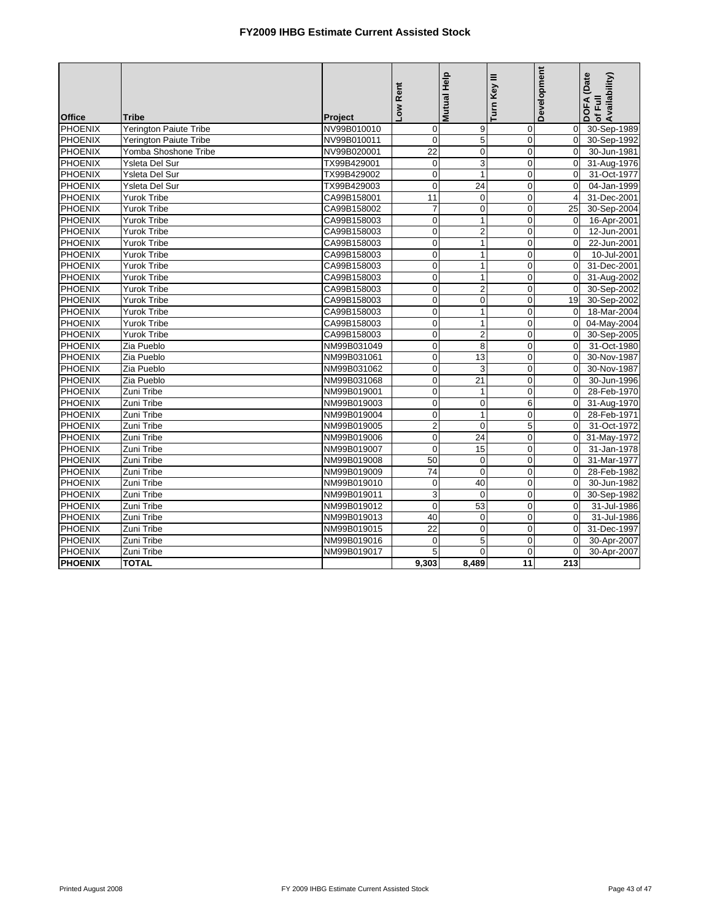|                |                        |             |                         | Mutual Help             | Turn Key III    | Development    | DOFA (Date<br>of Full<br>Availability) |
|----------------|------------------------|-------------|-------------------------|-------------------------|-----------------|----------------|----------------------------------------|
|                |                        |             | Low Rent                |                         |                 |                |                                        |
| <b>Office</b>  | <b>Tribe</b>           | Project     |                         |                         |                 |                |                                        |
| PHOENIX        | Yerington Paiute Tribe | NV99B010010 | $\overline{0}$          | 9                       | 0               | $\overline{0}$ | 30-Sep-1989                            |
| <b>PHOENIX</b> | Yerington Paiute Tribe | NV99B010011 | $\mathbf{0}$            | 5                       | $\mathbf 0$     | $\Omega$       | 30-Sep-1992                            |
| PHOENIX        | Yomba Shoshone Tribe   | NV99B020001 | 22                      | $\mathbf 0$             | $\mathbf 0$     | $\overline{0}$ | 30-Jun-1981                            |
| PHOENIX        | Ysleta Del Sur         | TX99B429001 | $\overline{0}$          | $\overline{3}$          | $\overline{0}$  | $\Omega$       | 31-Aug-1976                            |
| <b>PHOENIX</b> | Ysleta Del Sur         | TX99B429002 | $\mathbf 0$             | $\mathbf{1}$            | $\mathbf 0$     | $\Omega$       | 31-Oct-1977                            |
| <b>PHOENIX</b> | Ysleta Del Sur         | TX99B429003 | $\mathbf 0$             | 24                      | $\mathbf 0$     | $\Omega$       | 04-Jan-1999                            |
| <b>PHOENIX</b> | <b>Yurok Tribe</b>     | CA99B158001 | $\overline{11}$         | $\pmb{0}$               | $\mathbf 0$     | $\overline{4}$ | 31-Dec-2001                            |
| PHOENIX        | Yurok Tribe            | CA99B158002 | $\overline{7}$          | $\pmb{0}$               | $\overline{0}$  | 25             | 30-Sep-2004                            |
| PHOENIX        | Yurok Tribe            | CA99B158003 | $\mathbf 0$             | $\mathbf 1$             | $\mathbf 0$     | $\Omega$       | 16-Apr-2001                            |
| PHOENIX        | Yurok Tribe            | CA99B158003 | $\mathbf 0$             | $\overline{\mathbf{c}}$ | $\mathbf 0$     | $\mathbf 0$    | 12-Jun-2001                            |
| <b>PHOENIX</b> | <b>Yurok Tribe</b>     | CA99B158003 | $\overline{0}$          | $\mathbf{1}$            | $\overline{0}$  | $\Omega$       | 22-Jun-2001                            |
| PHOENIX        | <b>Yurok Tribe</b>     | CA99B158003 | $\mathbf 0$             | $\mathbf{1}$            | $\mathbf 0$     | $\Omega$       | 10-Jul-2001                            |
| <b>PHOENIX</b> | Yurok Tribe            | CA99B158003 | $\mathbf 0$             | $\mathbf{1}$            | $\overline{0}$  | $\Omega$       | 31-Dec-2001                            |
| <b>PHOENIX</b> | <b>Yurok Tribe</b>     | CA99B158003 | $\pmb{0}$               | $\mathbf{1}$            | $\mathbf 0$     | $\mathbf 0$    | 31-Aug-2002                            |
| PHOENIX        | <b>Yurok Tribe</b>     | CA99B158003 | $\pmb{0}$               | $\mathbf 2$             | $\mathbf 0$     | $\Omega$       | 30-Sep-2002                            |
| <b>PHOENIX</b> | <b>Yurok Tribe</b>     | CA99B158003 | $\pmb{0}$               | $\pmb{0}$               | $\mathbf 0$     | 19             | 30-Sep-2002                            |
| <b>PHOENIX</b> | <b>Yurok Tribe</b>     | CA99B158003 | $\overline{0}$          | $\mathbf{1}$            | $\mathbf 0$     | $\mathbf 0$    | 18-Mar-2004                            |
| <b>PHOENIX</b> | Yurok Tribe            | CA99B158003 | $\pmb{0}$               | $\mathbf{1}$            | $\mathbf 0$     | $\Omega$       | 04-May-2004                            |
| PHOENIX        | Yurok Tribe            | CA99B158003 | $\overline{\mathbf{0}}$ | $\overline{2}$          | $\mathbf 0$     | $\overline{0}$ | 30-Sep-2005                            |
| PHOENIX        | Zia Pueblo             | NM99B031049 | $\mathbf{0}$            | 8                       | $\overline{0}$  | $\Omega$       | 31-Oct-1980                            |
| <b>PHOENIX</b> | Zia Pueblo             | NM99B031061 | $\mathbf 0$             | 13                      | $\overline{0}$  | $\Omega$       | 30-Nov-1987                            |
| <b>PHOENIX</b> | Zia Pueblo             | NM99B031062 | $\overline{\mathbf{0}}$ | 3                       | $\mathbf 0$     | $\overline{0}$ | 30-Nov-1987                            |
| <b>PHOENIX</b> | Zia Pueblo             | NM99B031068 | $\mathbf 0$             | $\overline{21}$         | $\overline{0}$  | $\Omega$       | 30-Jun-1996                            |
| PHOENIX        | Zuni Tribe             | NM99B019001 | $\mathbf 0$             | $\mathbf{1}$            | $\overline{0}$  | $\Omega$       | 28-Feb-1970                            |
| PHOENIX        | Zuni Tribe             | NM99B019003 | $\mathbf 0$             | $\pmb{0}$               | 6               | $\overline{0}$ | 31-Aug-1970                            |
| <b>PHOENIX</b> | Zuni Tribe             | NM99B019004 | $\mathbf 0$             | $\mathbf{1}$            | $\mathbf 0$     | $\overline{0}$ | 28-Feb-1971                            |
| <b>PHOENIX</b> | Zuni Tribe             | NM99B019005 | $\overline{2}$          | $\mathbf 0$             | 5               | $\Omega$       | 31-Oct-1972                            |
| PHOENIX        | Zuni Tribe             | NM99B019006 | $\pmb{0}$               | 24                      | $\mathbf 0$     | $\mathbf 0$    | 31-May-1972                            |
| <b>PHOENIX</b> | Zuni Tribe             | NM99B019007 | $\overline{0}$          | 15                      | $\mathbf 0$     | $\mathbf 0$    | 31-Jan-1978                            |
| <b>PHOENIX</b> | Zuni Tribe             | NM99B019008 | 50                      | $\mathbf 0$             | $\mathbf 0$     | $\Omega$       | 31-Mar-1977                            |
| <b>PHOENIX</b> | Zuni Tribe             | NM99B019009 | 74                      | $\mathbf 0$             | $\mathbf 0$     | $\overline{0}$ | 28-Feb-1982                            |
| PHOENIX        | Zuni Tribe             | NM99B019010 | $\mathbf 0$             | 40                      | $\mathbf 0$     | $\mathbf 0$    | 30-Jun-1982                            |
| <b>PHOENIX</b> | Zuni Tribe             | NM99B019011 | 3                       | $\mathbf 0$             | $\overline{0}$  | $\Omega$       | 30-Sep-1982                            |
| <b>PHOENIX</b> | Zuni Tribe             | NM99B019012 | $\Omega$                | 53                      | $\mathbf 0$     | $\Omega$       | 31-Jul-1986                            |
| PHOENIX        | Zuni Tribe             | NM99B019013 | 40                      | $\pmb{0}$               | $\mathbf 0$     | $\mathbf 0$    | 31-Jul-1986                            |
| PHOENIX        | Zuni Tribe             | NM99B019015 | 22                      | $\overline{0}$          | $\overline{0}$  | $\Omega$       | 31-Dec-1997                            |
| <b>PHOENIX</b> | Zuni Tribe             | NM99B019016 | $\mathbf 0$             | 5                       | $\mathbf 0$     | $\Omega$       | 30-Apr-2007                            |
| <b>PHOENIX</b> | Zuni Tribe             | NM99B019017 | 5                       | $\Omega$                | $\mathbf 0$     | $\Omega$       | 30-Apr-2007                            |
| <b>PHOENIX</b> | <b>TOTAL</b>           |             | 9,303                   | 8,489                   | $\overline{11}$ | 213            |                                        |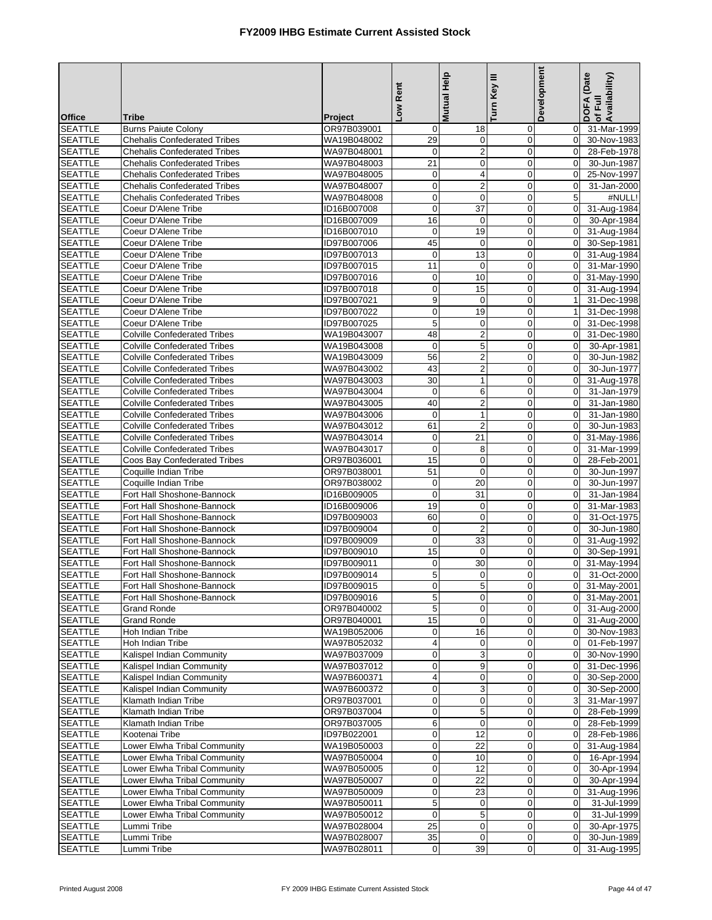| <b>SEATTLE</b><br><b>Burns Paiute Colony</b><br>OR97B039001<br>31-Mar-1999<br>18<br>0<br>$\overline{0}$<br>0<br><b>SEATTLE</b><br><b>Chehalis Confederated Tribes</b><br>29<br>0<br>$\pmb{0}$<br>$\mathbf 0$<br>30-Nov-1983<br>WA19B048002<br>$\overline{2}$<br>$\mathbf 0$<br><b>SEATTLE</b><br>WA97B048001<br>$\mathbf 0$<br><b>Chehalis Confederated Tribes</b><br>$\mathbf 0$<br>28-Feb-1978<br><b>SEATTLE</b><br><b>Chehalis Confederated Tribes</b><br>WA97B048003<br>21<br>0<br>$\overline{0}$<br>$\Omega$<br>30-Jun-1987<br>4<br>$\pmb{0}$<br><b>SEATTLE</b><br>$\mathbf 0$<br>$\mathbf 0$<br>25-Nov-1997<br><b>Chehalis Confederated Tribes</b><br>WA97B048005<br>$\pmb{0}$<br>$\overline{c}$<br>$\mathbf 0$<br>$\mathbf 0$<br>31-Jan-2000<br><b>SEATTLE</b><br><b>Chehalis Confederated Tribes</b><br>WA97B048007<br><b>SEATTLE</b><br>$\pmb{0}$<br>$\mathbf 0$<br>$\mathbf 0$<br>5<br>#NULL!<br><b>Chehalis Confederated Tribes</b><br>WA97B048008<br><b>SEATTLE</b><br>Coeur D'Alene Tribe<br>$\mathbf 0$<br>37<br>$\mathbf 0$<br>31-Aug-1984<br>ID16B007008<br>$\mathbf 0$<br>Coeur D'Alene Tribe<br>16<br>$\mathbf 0$<br>$\mathbf 0$<br>$\mathbf 0$<br><b>SEATTLE</b><br>ID16B007009<br>30-Apr-1984<br><b>SEATTLE</b><br>19<br>$\mathbf 0$<br>Coeur D'Alene Tribe<br>ID16B007010<br>$\mathbf 0$<br>$\mathbf 0$<br>31-Aug-1984<br>45<br>$\mathbf 0$<br>$\mathbf 0$<br><b>SEATTLE</b><br>Coeur D'Alene Tribe<br>ID97B007006<br>$\mathbf 0$<br>30-Sep-1981<br><b>SEATTLE</b><br>Coeur D'Alene Tribe<br>ID97B007013<br>$\mathbf 0$<br>13<br>$\mathbf 0$<br>$\mathbf 0$<br>31-Aug-1984<br><b>SEATTLE</b><br>11<br>$\mathbf 0$<br>$\mathbf 0$<br>31-Mar-1990<br>Coeur D'Alene Tribe<br>ID97B007015<br>$\mathbf 0$<br>Coeur D'Alene Tribe<br>ID97B007016<br>10<br>$\mathbf 0$<br><b>SEATTLE</b><br>0<br>$\mathbf 0$<br>31-May-1990<br><b>SEATTLE</b><br>$\pmb{0}$<br>15<br>$\mathbf 0$<br>Coeur D'Alene Tribe<br>ID97B007018<br>$\overline{0}$<br>31-Aug-1994<br>$\boldsymbol{9}$<br>$\mathbf 0$<br>$\pmb{0}$<br><b>SEATTLE</b><br>Coeur D'Alene Tribe<br>ID97B007021<br>1<br>31-Dec-1998<br>Coeur D'Alene Tribe<br>ID97B007022<br>$\mathbf 0$<br>19<br>$\overline{0}$<br>31-Dec-1998<br><b>SEATTLE</b><br>$\mathbf{1}$<br><b>SEATTLE</b><br>5<br>$\mathbf 0$<br>Coeur D'Alene Tribe<br>ID97B007025<br>0<br>$\mathbf 0$<br>31-Dec-1998<br>$\overline{2}$<br><b>SEATTLE</b><br>48<br>$\mathbf 0$<br>31-Dec-1980<br><b>Colville Confederated Tribes</b><br>WA19B043007<br>$\mathbf 0$<br>5<br>$\mathbf 0$<br>$\mathbf 0$<br>$\boldsymbol{0}$<br><b>SEATTLE</b><br><b>Colville Confederated Tribes</b><br>WA19B043008<br>30-Apr-1981<br>$\overline{2}$<br><b>SEATTLE</b><br>56<br>$\mathbf 0$<br><b>Colville Confederated Tribes</b><br>WA19B043009<br>$\mathbf 0$<br>30-Jun-1982<br>43<br>$\overline{c}$<br>$\mathbf 0$<br><b>SEATTLE</b><br>$\mathbf 0$<br><b>Colville Confederated Tribes</b><br>WA97B043002<br>30-Jun-1977<br><b>SEATTLE</b><br>WA97B043003<br>30<br>$\mathbf{1}$<br>$\mathbf 0$<br>$\mathbf 0$<br><b>Colville Confederated Tribes</b><br>31-Aug-1978<br><b>SEATTLE</b><br>$\mathbf 0$<br>6<br>$\mathbf 0$<br>$\mathbf 0$<br><b>Colville Confederated Tribes</b><br>WA97B043004<br>31-Jan-1979<br>40<br>$\overline{\mathbf{c}}$<br>$\mathbf 0$<br><b>SEATTLE</b><br><b>Colville Confederated Tribes</b><br>WA97B043005<br>$\mathbf 0$<br>31-Jan-1980<br><b>SEATTLE</b><br>$\mathbf 0$<br>$\mathbf{1}$<br>$\mathbf 0$<br><b>Colville Confederated Tribes</b><br>WA97B043006<br>$\mathbf 0$<br>31-Jan-1980<br>$\overline{c}$<br><b>SEATTLE</b><br><b>Colville Confederated Tribes</b><br>61<br>$\mathbf 0$<br>$\mathbf 0$<br>30-Jun-1983<br>WA97B043012<br>21<br>WA97B043014<br>$\pmb{0}$<br>$\overline{0}$<br>31-May-1986<br><b>SEATTLE</b><br><b>Colville Confederated Tribes</b><br>$\mathbf 0$<br><b>SEATTLE</b><br><b>Colville Confederated Tribes</b><br>$\mathbf 0$<br>8<br>$\overline{0}$<br>$\mathbf 0$<br>31-Mar-1999<br>WA97B043017<br>$\pmb{0}$<br><b>SEATTLE</b><br>15<br>$\mathbf 0$<br>$\boldsymbol{0}$<br>28-Feb-2001<br>Coos Bay Confederated Tribes<br>OR97B036001<br>51<br>$\mathbf 0$<br>$\mathbf 0$<br>$\mathbf 0$<br><b>SEATTLE</b><br>Coquille Indian Tribe<br>OR97B038001<br>30-Jun-1997<br><b>SEATTLE</b><br>$\pmb{0}$<br>20<br>$\mathbf 0$<br>Coquille Indian Tribe<br>OR97B038002<br>$\Omega$<br>30-Jun-1997<br>$\mathbf 0$<br><b>SEATTLE</b><br>$\mathbf{0}$<br>31<br>Fort Hall Shoshone-Bannock<br>ID16B009005<br>$\mathbf 0$<br>31-Jan-1984<br>19<br>$\mathbf 0$<br>$\mathbf 0$<br><b>SEATTLE</b><br>Fort Hall Shoshone-Bannock<br>ID16B009006<br>$\mathbf 0$<br>31-Mar-1983<br><b>SEATTLE</b><br>Fort Hall Shoshone-Bannock<br>ID97B009003<br>60<br>0<br>$\mathbf 0$<br>$\mathbf 0$<br>31-Oct-1975<br>$\pmb{0}$<br>$\overline{c}$<br>$\mathbf 0$<br><b>SEATTLE</b><br>Fort Hall Shoshone-Bannock<br>ID97B009004<br>$\mathbf 0$<br>30-Jun-1980<br>$\mathbf 0$<br>$\mathbf 0$<br><b>SEATTLE</b><br>Fort Hall Shoshone-Bannock<br>ID97B009009<br>33<br>$\mathbf 0$<br>31-Aug-1992<br>15<br>$\mathbf 0$<br>$\mathbf 0$<br><b>SEATTLE</b><br>Fort Hall Shoshone-Bannock<br>ID97B009010<br>$\mathbf 0$<br>30-Sep-1991<br>30<br>$\overline{0}$<br><b>SEATTLE</b><br>Fort Hall Shoshone-Bannock<br>ID97B009011<br>0<br>$\mathbf 0$<br>31-May-1994<br>5<br><b>SEATTLE</b><br>$\mathbf 0$<br>$\overline{0}$<br>0<br>31-Oct-2000<br>Fort Hall Shoshone-Bannock<br>ID97B009014<br><b>SEATTLE</b><br>Fort Hall Shoshone-Bannock<br>ID97B009015<br>$\overline{0}$<br>5<br>$\overline{0}$<br>0 31-May-2001<br>5<br><b>SEATTLE</b><br>Fort Hall Shoshone-Bannock<br>ID97B009016<br>0<br>$\mathbf 0$<br>31-May-2001<br>$\mathbf 0$<br>5<br><b>SEATTLE</b><br><b>Grand Ronde</b><br>OR97B040002<br>0<br>$\overline{0}$<br>31-Aug-2000<br>0<br><b>SEATTLE</b><br><b>Grand Ronde</b><br>OR97B040001<br>15<br>0<br>0<br>31-Aug-2000<br>$\overline{0}$<br>16<br>Hoh Indian Tribe<br>WA19B052006<br>$\mathbf 0$<br>0<br>$\overline{0}$<br>30-Nov-1983<br><b>SEATTLE</b><br>Hoh Indian Tribe<br><b>SEATTLE</b><br>WA97B052032<br>4<br>0<br>0<br>01-Feb-1997<br>$\overline{0}$<br>3<br>$\mathbf 0$<br>$\mathbf 0$<br><b>SEATTLE</b><br>Kalispel Indian Community<br>$\overline{0}$<br>30-Nov-1990<br>WA97B037009<br>$\mathbf 0$<br>9<br>$\mathbf 0$<br><b>SEATTLE</b><br>Kalispel Indian Community<br>WA97B037012<br>$\overline{0}$<br>31-Dec-1996<br>4<br>30-Sep-2000<br><b>SEATTLE</b><br>Kalispel Indian Community<br>WA97B600371<br>0<br>0<br>$\mathbf 0$<br>$\mathbf 0$<br>3<br><b>SEATTLE</b><br>Kalispel Indian Community<br>WA97B600372<br>0<br>30-Sep-2000<br>$\mathbf 0$<br><b>SEATTLE</b><br>Klamath Indian Tribe<br>OR97B037001<br>$\boldsymbol{0}$<br>$\mathbf 0$<br>0<br>3<br>31-Mar-1997<br>$\boldsymbol{0}$<br>5<br><b>SEATTLE</b><br>Klamath Indian Tribe<br>OR97B037004<br>0<br>$\mathbf 0$<br>28-Feb-1999<br>$\,6$<br>$\mathbf 0$<br>$\mathbf 0$<br><b>SEATTLE</b><br>Klamath Indian Tribe<br>OR97B037005<br>28-Feb-1999<br>$\mathbf 0$<br>12<br><b>SEATTLE</b><br>Kootenai Tribe<br>ID97B022001<br>$\mathbf 0$<br>0<br>28-Feb-1986<br>$\overline{0}$<br>Lower Elwha Tribal Community<br>$\overline{0}$<br>22<br>$\pmb{0}$<br><b>SEATTLE</b><br>WA19B050003<br>$\mathbf 0$<br>31-Aug-1984<br>$\mathbf 0$<br>10<br>Lower Elwha Tribal Community<br>0<br>$\mathbf 0$<br>16-Apr-1994<br><b>SEATTLE</b><br>WA97B050004<br>$\pmb{0}$<br><b>SEATTLE</b><br>Lower Elwha Tribal Community<br>WA97B050005<br>12<br>0<br>$\mathbf 0$<br>30-Apr-1994<br>$\boldsymbol{0}$<br><b>SEATTLE</b><br>Lower Elwha Tribal Community<br>WA97B050007<br>$\mathbf 0$<br>22<br>$\mathbf 0$<br>30-Apr-1994<br>$\pmb{0}$<br>23<br><b>SEATTLE</b><br>Lower Elwha Tribal Community<br>WA97B050009<br>0<br>$\mathbf 0$<br>31-Aug-1996<br><b>SEATTLE</b><br>Lower Elwha Tribal Community<br>WA97B050011<br>5<br>$\mathbf 0$<br>31-Jul-1999<br>0<br>0<br>$\mathbf 0$<br>5<br>$\mathbf 0$<br>Lower Elwha Tribal Community<br>$\mathbf 0$<br><b>SEATTLE</b><br>WA97B050012<br>31-Jul-1999<br>25<br><b>SEATTLE</b><br>WA97B028004<br>$\pmb{0}$<br>$\boldsymbol{0}$<br>$\mathbf 0$<br>30-Apr-1975<br>Lummi Tribe<br>$\mathbf 0$<br>30-Jun-1989<br><b>SEATTLE</b><br>Lummi Tribe<br>WA97B028007<br>35<br>0<br>0<br>$\pmb{0}$<br>39<br>0<br><b>SEATTLE</b><br>Lummi Tribe<br>WA97B028011<br>$\mathbf 0$<br>31-Aug-1995 | <b>Office</b> | <b>Tribe</b> | Project | -ow Rent | <b>Mutual Help</b> | Turn Key III | Development | DOFA (Date<br>Availability)<br>of Full |
|----------------------------------------------------------------------------------------------------------------------------------------------------------------------------------------------------------------------------------------------------------------------------------------------------------------------------------------------------------------------------------------------------------------------------------------------------------------------------------------------------------------------------------------------------------------------------------------------------------------------------------------------------------------------------------------------------------------------------------------------------------------------------------------------------------------------------------------------------------------------------------------------------------------------------------------------------------------------------------------------------------------------------------------------------------------------------------------------------------------------------------------------------------------------------------------------------------------------------------------------------------------------------------------------------------------------------------------------------------------------------------------------------------------------------------------------------------------------------------------------------------------------------------------------------------------------------------------------------------------------------------------------------------------------------------------------------------------------------------------------------------------------------------------------------------------------------------------------------------------------------------------------------------------------------------------------------------------------------------------------------------------------------------------------------------------------------------------------------------------------------------------------------------------------------------------------------------------------------------------------------------------------------------------------------------------------------------------------------------------------------------------------------------------------------------------------------------------------------------------------------------------------------------------------------------------------------------------------------------------------------------------------------------------------------------------------------------------------------------------------------------------------------------------------------------------------------------------------------------------------------------------------------------------------------------------------------------------------------------------------------------------------------------------------------------------------------------------------------------------------------------------------------------------------------------------------------------------------------------------------------------------------------------------------------------------------------------------------------------------------------------------------------------------------------------------------------------------------------------------------------------------------------------------------------------------------------------------------------------------------------------------------------------------------------------------------------------------------------------------------------------------------------------------------------------------------------------------------------------------------------------------------------------------------------------------------------------------------------------------------------------------------------------------------------------------------------------------------------------------------------------------------------------------------------------------------------------------------------------------------------------------------------------------------------------------------------------------------------------------------------------------------------------------------------------------------------------------------------------------------------------------------------------------------------------------------------------------------------------------------------------------------------------------------------------------------------------------------------------------------------------------------------------------------------------------------------------------------------------------------------------------------------------------------------------------------------------------------------------------------------------------------------------------------------------------------------------------------------------------------------------------------------------------------------------------------------------------------------------------------------------------------------------------------------------------------------------------------------------------------------------------------------------------------------------------------------------------------------------------------------------------------------------------------------------------------------------------------------------------------------------------------------------------------------------------------------------------------------------------------------------------------------------------------------------------------------------------------------------------------------------------------------------------------------------------------------------------------------------------------------------------------------------------------------------------------------------------------------------------------------------------------------------------------------------------------------------------------------------------------------------------------------------------------------------------------------------------------------------------------------------------------------------------------------------------------------------------------------------------------------------------------------------------------------------------------------------------------------------------------------------------------------------------------------------------------------------------------------------------------------------------------------------------------------------------------------------------------------------------------------------------------------------------------------------------------------------------------------------------------------------------------------------------------------------------------------------------------------------------------------------------------------------------------------------------------------------------------------------------------------------------------------------------------------------------------------------------------------------------------------------------------------------------------------------------------------------------------------------------------------------------------------------------------------------------------------------------------------------------------------------------------------------------------------------------------------------------------------------------------------------------------------------------------------------------------------------------------------------------------------------------------------------------------------------------------------------------------------------------------------------------------------------------------------------------------------------------------------------------------------------------------------------------------------------------------------------------------------------------------------------------------------------------------------------------------------------|---------------|--------------|---------|----------|--------------------|--------------|-------------|----------------------------------------|
|                                                                                                                                                                                                                                                                                                                                                                                                                                                                                                                                                                                                                                                                                                                                                                                                                                                                                                                                                                                                                                                                                                                                                                                                                                                                                                                                                                                                                                                                                                                                                                                                                                                                                                                                                                                                                                                                                                                                                                                                                                                                                                                                                                                                                                                                                                                                                                                                                                                                                                                                                                                                                                                                                                                                                                                                                                                                                                                                                                                                                                                                                                                                                                                                                                                                                                                                                                                                                                                                                                                                                                                                                                                                                                                                                                                                                                                                                                                                                                                                                                                                                                                                                                                                                                                                                                                                                                                                                                                                                                                                                                                                                                                                                                                                                                                                                                                                                                                                                                                                                                                                                                                                                                                                                                                                                                                                                                                                                                                                                                                                                                                                                                                                                                                                                                                                                                                                                                                                                                                                                                                                                                                                                                                                                                                                                                                                                                                                                                                                                                                                                                                                                                                                                                                                                                                                                                                                                                                                                                                                                                                                                                                                                                                                                                                                                                                                                                                                                                                                                                                                                                                                                                                                                                                                                                                                                                                                                                                                                                                                                                                                                                                                                                                                                                                                                                                                  |               |              |         |          |                    |              |             |                                        |
|                                                                                                                                                                                                                                                                                                                                                                                                                                                                                                                                                                                                                                                                                                                                                                                                                                                                                                                                                                                                                                                                                                                                                                                                                                                                                                                                                                                                                                                                                                                                                                                                                                                                                                                                                                                                                                                                                                                                                                                                                                                                                                                                                                                                                                                                                                                                                                                                                                                                                                                                                                                                                                                                                                                                                                                                                                                                                                                                                                                                                                                                                                                                                                                                                                                                                                                                                                                                                                                                                                                                                                                                                                                                                                                                                                                                                                                                                                                                                                                                                                                                                                                                                                                                                                                                                                                                                                                                                                                                                                                                                                                                                                                                                                                                                                                                                                                                                                                                                                                                                                                                                                                                                                                                                                                                                                                                                                                                                                                                                                                                                                                                                                                                                                                                                                                                                                                                                                                                                                                                                                                                                                                                                                                                                                                                                                                                                                                                                                                                                                                                                                                                                                                                                                                                                                                                                                                                                                                                                                                                                                                                                                                                                                                                                                                                                                                                                                                                                                                                                                                                                                                                                                                                                                                                                                                                                                                                                                                                                                                                                                                                                                                                                                                                                                                                                                                                  |               |              |         |          |                    |              |             |                                        |
|                                                                                                                                                                                                                                                                                                                                                                                                                                                                                                                                                                                                                                                                                                                                                                                                                                                                                                                                                                                                                                                                                                                                                                                                                                                                                                                                                                                                                                                                                                                                                                                                                                                                                                                                                                                                                                                                                                                                                                                                                                                                                                                                                                                                                                                                                                                                                                                                                                                                                                                                                                                                                                                                                                                                                                                                                                                                                                                                                                                                                                                                                                                                                                                                                                                                                                                                                                                                                                                                                                                                                                                                                                                                                                                                                                                                                                                                                                                                                                                                                                                                                                                                                                                                                                                                                                                                                                                                                                                                                                                                                                                                                                                                                                                                                                                                                                                                                                                                                                                                                                                                                                                                                                                                                                                                                                                                                                                                                                                                                                                                                                                                                                                                                                                                                                                                                                                                                                                                                                                                                                                                                                                                                                                                                                                                                                                                                                                                                                                                                                                                                                                                                                                                                                                                                                                                                                                                                                                                                                                                                                                                                                                                                                                                                                                                                                                                                                                                                                                                                                                                                                                                                                                                                                                                                                                                                                                                                                                                                                                                                                                                                                                                                                                                                                                                                                                                  |               |              |         |          |                    |              |             |                                        |
|                                                                                                                                                                                                                                                                                                                                                                                                                                                                                                                                                                                                                                                                                                                                                                                                                                                                                                                                                                                                                                                                                                                                                                                                                                                                                                                                                                                                                                                                                                                                                                                                                                                                                                                                                                                                                                                                                                                                                                                                                                                                                                                                                                                                                                                                                                                                                                                                                                                                                                                                                                                                                                                                                                                                                                                                                                                                                                                                                                                                                                                                                                                                                                                                                                                                                                                                                                                                                                                                                                                                                                                                                                                                                                                                                                                                                                                                                                                                                                                                                                                                                                                                                                                                                                                                                                                                                                                                                                                                                                                                                                                                                                                                                                                                                                                                                                                                                                                                                                                                                                                                                                                                                                                                                                                                                                                                                                                                                                                                                                                                                                                                                                                                                                                                                                                                                                                                                                                                                                                                                                                                                                                                                                                                                                                                                                                                                                                                                                                                                                                                                                                                                                                                                                                                                                                                                                                                                                                                                                                                                                                                                                                                                                                                                                                                                                                                                                                                                                                                                                                                                                                                                                                                                                                                                                                                                                                                                                                                                                                                                                                                                                                                                                                                                                                                                                                                  |               |              |         |          |                    |              |             |                                        |
|                                                                                                                                                                                                                                                                                                                                                                                                                                                                                                                                                                                                                                                                                                                                                                                                                                                                                                                                                                                                                                                                                                                                                                                                                                                                                                                                                                                                                                                                                                                                                                                                                                                                                                                                                                                                                                                                                                                                                                                                                                                                                                                                                                                                                                                                                                                                                                                                                                                                                                                                                                                                                                                                                                                                                                                                                                                                                                                                                                                                                                                                                                                                                                                                                                                                                                                                                                                                                                                                                                                                                                                                                                                                                                                                                                                                                                                                                                                                                                                                                                                                                                                                                                                                                                                                                                                                                                                                                                                                                                                                                                                                                                                                                                                                                                                                                                                                                                                                                                                                                                                                                                                                                                                                                                                                                                                                                                                                                                                                                                                                                                                                                                                                                                                                                                                                                                                                                                                                                                                                                                                                                                                                                                                                                                                                                                                                                                                                                                                                                                                                                                                                                                                                                                                                                                                                                                                                                                                                                                                                                                                                                                                                                                                                                                                                                                                                                                                                                                                                                                                                                                                                                                                                                                                                                                                                                                                                                                                                                                                                                                                                                                                                                                                                                                                                                                                                  |               |              |         |          |                    |              |             |                                        |
|                                                                                                                                                                                                                                                                                                                                                                                                                                                                                                                                                                                                                                                                                                                                                                                                                                                                                                                                                                                                                                                                                                                                                                                                                                                                                                                                                                                                                                                                                                                                                                                                                                                                                                                                                                                                                                                                                                                                                                                                                                                                                                                                                                                                                                                                                                                                                                                                                                                                                                                                                                                                                                                                                                                                                                                                                                                                                                                                                                                                                                                                                                                                                                                                                                                                                                                                                                                                                                                                                                                                                                                                                                                                                                                                                                                                                                                                                                                                                                                                                                                                                                                                                                                                                                                                                                                                                                                                                                                                                                                                                                                                                                                                                                                                                                                                                                                                                                                                                                                                                                                                                                                                                                                                                                                                                                                                                                                                                                                                                                                                                                                                                                                                                                                                                                                                                                                                                                                                                                                                                                                                                                                                                                                                                                                                                                                                                                                                                                                                                                                                                                                                                                                                                                                                                                                                                                                                                                                                                                                                                                                                                                                                                                                                                                                                                                                                                                                                                                                                                                                                                                                                                                                                                                                                                                                                                                                                                                                                                                                                                                                                                                                                                                                                                                                                                                                                  |               |              |         |          |                    |              |             |                                        |
|                                                                                                                                                                                                                                                                                                                                                                                                                                                                                                                                                                                                                                                                                                                                                                                                                                                                                                                                                                                                                                                                                                                                                                                                                                                                                                                                                                                                                                                                                                                                                                                                                                                                                                                                                                                                                                                                                                                                                                                                                                                                                                                                                                                                                                                                                                                                                                                                                                                                                                                                                                                                                                                                                                                                                                                                                                                                                                                                                                                                                                                                                                                                                                                                                                                                                                                                                                                                                                                                                                                                                                                                                                                                                                                                                                                                                                                                                                                                                                                                                                                                                                                                                                                                                                                                                                                                                                                                                                                                                                                                                                                                                                                                                                                                                                                                                                                                                                                                                                                                                                                                                                                                                                                                                                                                                                                                                                                                                                                                                                                                                                                                                                                                                                                                                                                                                                                                                                                                                                                                                                                                                                                                                                                                                                                                                                                                                                                                                                                                                                                                                                                                                                                                                                                                                                                                                                                                                                                                                                                                                                                                                                                                                                                                                                                                                                                                                                                                                                                                                                                                                                                                                                                                                                                                                                                                                                                                                                                                                                                                                                                                                                                                                                                                                                                                                                                                  |               |              |         |          |                    |              |             |                                        |
|                                                                                                                                                                                                                                                                                                                                                                                                                                                                                                                                                                                                                                                                                                                                                                                                                                                                                                                                                                                                                                                                                                                                                                                                                                                                                                                                                                                                                                                                                                                                                                                                                                                                                                                                                                                                                                                                                                                                                                                                                                                                                                                                                                                                                                                                                                                                                                                                                                                                                                                                                                                                                                                                                                                                                                                                                                                                                                                                                                                                                                                                                                                                                                                                                                                                                                                                                                                                                                                                                                                                                                                                                                                                                                                                                                                                                                                                                                                                                                                                                                                                                                                                                                                                                                                                                                                                                                                                                                                                                                                                                                                                                                                                                                                                                                                                                                                                                                                                                                                                                                                                                                                                                                                                                                                                                                                                                                                                                                                                                                                                                                                                                                                                                                                                                                                                                                                                                                                                                                                                                                                                                                                                                                                                                                                                                                                                                                                                                                                                                                                                                                                                                                                                                                                                                                                                                                                                                                                                                                                                                                                                                                                                                                                                                                                                                                                                                                                                                                                                                                                                                                                                                                                                                                                                                                                                                                                                                                                                                                                                                                                                                                                                                                                                                                                                                                                                  |               |              |         |          |                    |              |             |                                        |
|                                                                                                                                                                                                                                                                                                                                                                                                                                                                                                                                                                                                                                                                                                                                                                                                                                                                                                                                                                                                                                                                                                                                                                                                                                                                                                                                                                                                                                                                                                                                                                                                                                                                                                                                                                                                                                                                                                                                                                                                                                                                                                                                                                                                                                                                                                                                                                                                                                                                                                                                                                                                                                                                                                                                                                                                                                                                                                                                                                                                                                                                                                                                                                                                                                                                                                                                                                                                                                                                                                                                                                                                                                                                                                                                                                                                                                                                                                                                                                                                                                                                                                                                                                                                                                                                                                                                                                                                                                                                                                                                                                                                                                                                                                                                                                                                                                                                                                                                                                                                                                                                                                                                                                                                                                                                                                                                                                                                                                                                                                                                                                                                                                                                                                                                                                                                                                                                                                                                                                                                                                                                                                                                                                                                                                                                                                                                                                                                                                                                                                                                                                                                                                                                                                                                                                                                                                                                                                                                                                                                                                                                                                                                                                                                                                                                                                                                                                                                                                                                                                                                                                                                                                                                                                                                                                                                                                                                                                                                                                                                                                                                                                                                                                                                                                                                                                                                  |               |              |         |          |                    |              |             |                                        |
|                                                                                                                                                                                                                                                                                                                                                                                                                                                                                                                                                                                                                                                                                                                                                                                                                                                                                                                                                                                                                                                                                                                                                                                                                                                                                                                                                                                                                                                                                                                                                                                                                                                                                                                                                                                                                                                                                                                                                                                                                                                                                                                                                                                                                                                                                                                                                                                                                                                                                                                                                                                                                                                                                                                                                                                                                                                                                                                                                                                                                                                                                                                                                                                                                                                                                                                                                                                                                                                                                                                                                                                                                                                                                                                                                                                                                                                                                                                                                                                                                                                                                                                                                                                                                                                                                                                                                                                                                                                                                                                                                                                                                                                                                                                                                                                                                                                                                                                                                                                                                                                                                                                                                                                                                                                                                                                                                                                                                                                                                                                                                                                                                                                                                                                                                                                                                                                                                                                                                                                                                                                                                                                                                                                                                                                                                                                                                                                                                                                                                                                                                                                                                                                                                                                                                                                                                                                                                                                                                                                                                                                                                                                                                                                                                                                                                                                                                                                                                                                                                                                                                                                                                                                                                                                                                                                                                                                                                                                                                                                                                                                                                                                                                                                                                                                                                                                                  |               |              |         |          |                    |              |             |                                        |
|                                                                                                                                                                                                                                                                                                                                                                                                                                                                                                                                                                                                                                                                                                                                                                                                                                                                                                                                                                                                                                                                                                                                                                                                                                                                                                                                                                                                                                                                                                                                                                                                                                                                                                                                                                                                                                                                                                                                                                                                                                                                                                                                                                                                                                                                                                                                                                                                                                                                                                                                                                                                                                                                                                                                                                                                                                                                                                                                                                                                                                                                                                                                                                                                                                                                                                                                                                                                                                                                                                                                                                                                                                                                                                                                                                                                                                                                                                                                                                                                                                                                                                                                                                                                                                                                                                                                                                                                                                                                                                                                                                                                                                                                                                                                                                                                                                                                                                                                                                                                                                                                                                                                                                                                                                                                                                                                                                                                                                                                                                                                                                                                                                                                                                                                                                                                                                                                                                                                                                                                                                                                                                                                                                                                                                                                                                                                                                                                                                                                                                                                                                                                                                                                                                                                                                                                                                                                                                                                                                                                                                                                                                                                                                                                                                                                                                                                                                                                                                                                                                                                                                                                                                                                                                                                                                                                                                                                                                                                                                                                                                                                                                                                                                                                                                                                                                                                  |               |              |         |          |                    |              |             |                                        |
|                                                                                                                                                                                                                                                                                                                                                                                                                                                                                                                                                                                                                                                                                                                                                                                                                                                                                                                                                                                                                                                                                                                                                                                                                                                                                                                                                                                                                                                                                                                                                                                                                                                                                                                                                                                                                                                                                                                                                                                                                                                                                                                                                                                                                                                                                                                                                                                                                                                                                                                                                                                                                                                                                                                                                                                                                                                                                                                                                                                                                                                                                                                                                                                                                                                                                                                                                                                                                                                                                                                                                                                                                                                                                                                                                                                                                                                                                                                                                                                                                                                                                                                                                                                                                                                                                                                                                                                                                                                                                                                                                                                                                                                                                                                                                                                                                                                                                                                                                                                                                                                                                                                                                                                                                                                                                                                                                                                                                                                                                                                                                                                                                                                                                                                                                                                                                                                                                                                                                                                                                                                                                                                                                                                                                                                                                                                                                                                                                                                                                                                                                                                                                                                                                                                                                                                                                                                                                                                                                                                                                                                                                                                                                                                                                                                                                                                                                                                                                                                                                                                                                                                                                                                                                                                                                                                                                                                                                                                                                                                                                                                                                                                                                                                                                                                                                                                                  |               |              |         |          |                    |              |             |                                        |
|                                                                                                                                                                                                                                                                                                                                                                                                                                                                                                                                                                                                                                                                                                                                                                                                                                                                                                                                                                                                                                                                                                                                                                                                                                                                                                                                                                                                                                                                                                                                                                                                                                                                                                                                                                                                                                                                                                                                                                                                                                                                                                                                                                                                                                                                                                                                                                                                                                                                                                                                                                                                                                                                                                                                                                                                                                                                                                                                                                                                                                                                                                                                                                                                                                                                                                                                                                                                                                                                                                                                                                                                                                                                                                                                                                                                                                                                                                                                                                                                                                                                                                                                                                                                                                                                                                                                                                                                                                                                                                                                                                                                                                                                                                                                                                                                                                                                                                                                                                                                                                                                                                                                                                                                                                                                                                                                                                                                                                                                                                                                                                                                                                                                                                                                                                                                                                                                                                                                                                                                                                                                                                                                                                                                                                                                                                                                                                                                                                                                                                                                                                                                                                                                                                                                                                                                                                                                                                                                                                                                                                                                                                                                                                                                                                                                                                                                                                                                                                                                                                                                                                                                                                                                                                                                                                                                                                                                                                                                                                                                                                                                                                                                                                                                                                                                                                                                  |               |              |         |          |                    |              |             |                                        |
|                                                                                                                                                                                                                                                                                                                                                                                                                                                                                                                                                                                                                                                                                                                                                                                                                                                                                                                                                                                                                                                                                                                                                                                                                                                                                                                                                                                                                                                                                                                                                                                                                                                                                                                                                                                                                                                                                                                                                                                                                                                                                                                                                                                                                                                                                                                                                                                                                                                                                                                                                                                                                                                                                                                                                                                                                                                                                                                                                                                                                                                                                                                                                                                                                                                                                                                                                                                                                                                                                                                                                                                                                                                                                                                                                                                                                                                                                                                                                                                                                                                                                                                                                                                                                                                                                                                                                                                                                                                                                                                                                                                                                                                                                                                                                                                                                                                                                                                                                                                                                                                                                                                                                                                                                                                                                                                                                                                                                                                                                                                                                                                                                                                                                                                                                                                                                                                                                                                                                                                                                                                                                                                                                                                                                                                                                                                                                                                                                                                                                                                                                                                                                                                                                                                                                                                                                                                                                                                                                                                                                                                                                                                                                                                                                                                                                                                                                                                                                                                                                                                                                                                                                                                                                                                                                                                                                                                                                                                                                                                                                                                                                                                                                                                                                                                                                                                                  |               |              |         |          |                    |              |             |                                        |
|                                                                                                                                                                                                                                                                                                                                                                                                                                                                                                                                                                                                                                                                                                                                                                                                                                                                                                                                                                                                                                                                                                                                                                                                                                                                                                                                                                                                                                                                                                                                                                                                                                                                                                                                                                                                                                                                                                                                                                                                                                                                                                                                                                                                                                                                                                                                                                                                                                                                                                                                                                                                                                                                                                                                                                                                                                                                                                                                                                                                                                                                                                                                                                                                                                                                                                                                                                                                                                                                                                                                                                                                                                                                                                                                                                                                                                                                                                                                                                                                                                                                                                                                                                                                                                                                                                                                                                                                                                                                                                                                                                                                                                                                                                                                                                                                                                                                                                                                                                                                                                                                                                                                                                                                                                                                                                                                                                                                                                                                                                                                                                                                                                                                                                                                                                                                                                                                                                                                                                                                                                                                                                                                                                                                                                                                                                                                                                                                                                                                                                                                                                                                                                                                                                                                                                                                                                                                                                                                                                                                                                                                                                                                                                                                                                                                                                                                                                                                                                                                                                                                                                                                                                                                                                                                                                                                                                                                                                                                                                                                                                                                                                                                                                                                                                                                                                                                  |               |              |         |          |                    |              |             |                                        |
|                                                                                                                                                                                                                                                                                                                                                                                                                                                                                                                                                                                                                                                                                                                                                                                                                                                                                                                                                                                                                                                                                                                                                                                                                                                                                                                                                                                                                                                                                                                                                                                                                                                                                                                                                                                                                                                                                                                                                                                                                                                                                                                                                                                                                                                                                                                                                                                                                                                                                                                                                                                                                                                                                                                                                                                                                                                                                                                                                                                                                                                                                                                                                                                                                                                                                                                                                                                                                                                                                                                                                                                                                                                                                                                                                                                                                                                                                                                                                                                                                                                                                                                                                                                                                                                                                                                                                                                                                                                                                                                                                                                                                                                                                                                                                                                                                                                                                                                                                                                                                                                                                                                                                                                                                                                                                                                                                                                                                                                                                                                                                                                                                                                                                                                                                                                                                                                                                                                                                                                                                                                                                                                                                                                                                                                                                                                                                                                                                                                                                                                                                                                                                                                                                                                                                                                                                                                                                                                                                                                                                                                                                                                                                                                                                                                                                                                                                                                                                                                                                                                                                                                                                                                                                                                                                                                                                                                                                                                                                                                                                                                                                                                                                                                                                                                                                                                                  |               |              |         |          |                    |              |             |                                        |
|                                                                                                                                                                                                                                                                                                                                                                                                                                                                                                                                                                                                                                                                                                                                                                                                                                                                                                                                                                                                                                                                                                                                                                                                                                                                                                                                                                                                                                                                                                                                                                                                                                                                                                                                                                                                                                                                                                                                                                                                                                                                                                                                                                                                                                                                                                                                                                                                                                                                                                                                                                                                                                                                                                                                                                                                                                                                                                                                                                                                                                                                                                                                                                                                                                                                                                                                                                                                                                                                                                                                                                                                                                                                                                                                                                                                                                                                                                                                                                                                                                                                                                                                                                                                                                                                                                                                                                                                                                                                                                                                                                                                                                                                                                                                                                                                                                                                                                                                                                                                                                                                                                                                                                                                                                                                                                                                                                                                                                                                                                                                                                                                                                                                                                                                                                                                                                                                                                                                                                                                                                                                                                                                                                                                                                                                                                                                                                                                                                                                                                                                                                                                                                                                                                                                                                                                                                                                                                                                                                                                                                                                                                                                                                                                                                                                                                                                                                                                                                                                                                                                                                                                                                                                                                                                                                                                                                                                                                                                                                                                                                                                                                                                                                                                                                                                                                                                  |               |              |         |          |                    |              |             |                                        |
|                                                                                                                                                                                                                                                                                                                                                                                                                                                                                                                                                                                                                                                                                                                                                                                                                                                                                                                                                                                                                                                                                                                                                                                                                                                                                                                                                                                                                                                                                                                                                                                                                                                                                                                                                                                                                                                                                                                                                                                                                                                                                                                                                                                                                                                                                                                                                                                                                                                                                                                                                                                                                                                                                                                                                                                                                                                                                                                                                                                                                                                                                                                                                                                                                                                                                                                                                                                                                                                                                                                                                                                                                                                                                                                                                                                                                                                                                                                                                                                                                                                                                                                                                                                                                                                                                                                                                                                                                                                                                                                                                                                                                                                                                                                                                                                                                                                                                                                                                                                                                                                                                                                                                                                                                                                                                                                                                                                                                                                                                                                                                                                                                                                                                                                                                                                                                                                                                                                                                                                                                                                                                                                                                                                                                                                                                                                                                                                                                                                                                                                                                                                                                                                                                                                                                                                                                                                                                                                                                                                                                                                                                                                                                                                                                                                                                                                                                                                                                                                                                                                                                                                                                                                                                                                                                                                                                                                                                                                                                                                                                                                                                                                                                                                                                                                                                                                                  |               |              |         |          |                    |              |             |                                        |
|                                                                                                                                                                                                                                                                                                                                                                                                                                                                                                                                                                                                                                                                                                                                                                                                                                                                                                                                                                                                                                                                                                                                                                                                                                                                                                                                                                                                                                                                                                                                                                                                                                                                                                                                                                                                                                                                                                                                                                                                                                                                                                                                                                                                                                                                                                                                                                                                                                                                                                                                                                                                                                                                                                                                                                                                                                                                                                                                                                                                                                                                                                                                                                                                                                                                                                                                                                                                                                                                                                                                                                                                                                                                                                                                                                                                                                                                                                                                                                                                                                                                                                                                                                                                                                                                                                                                                                                                                                                                                                                                                                                                                                                                                                                                                                                                                                                                                                                                                                                                                                                                                                                                                                                                                                                                                                                                                                                                                                                                                                                                                                                                                                                                                                                                                                                                                                                                                                                                                                                                                                                                                                                                                                                                                                                                                                                                                                                                                                                                                                                                                                                                                                                                                                                                                                                                                                                                                                                                                                                                                                                                                                                                                                                                                                                                                                                                                                                                                                                                                                                                                                                                                                                                                                                                                                                                                                                                                                                                                                                                                                                                                                                                                                                                                                                                                                                                  |               |              |         |          |                    |              |             |                                        |
|                                                                                                                                                                                                                                                                                                                                                                                                                                                                                                                                                                                                                                                                                                                                                                                                                                                                                                                                                                                                                                                                                                                                                                                                                                                                                                                                                                                                                                                                                                                                                                                                                                                                                                                                                                                                                                                                                                                                                                                                                                                                                                                                                                                                                                                                                                                                                                                                                                                                                                                                                                                                                                                                                                                                                                                                                                                                                                                                                                                                                                                                                                                                                                                                                                                                                                                                                                                                                                                                                                                                                                                                                                                                                                                                                                                                                                                                                                                                                                                                                                                                                                                                                                                                                                                                                                                                                                                                                                                                                                                                                                                                                                                                                                                                                                                                                                                                                                                                                                                                                                                                                                                                                                                                                                                                                                                                                                                                                                                                                                                                                                                                                                                                                                                                                                                                                                                                                                                                                                                                                                                                                                                                                                                                                                                                                                                                                                                                                                                                                                                                                                                                                                                                                                                                                                                                                                                                                                                                                                                                                                                                                                                                                                                                                                                                                                                                                                                                                                                                                                                                                                                                                                                                                                                                                                                                                                                                                                                                                                                                                                                                                                                                                                                                                                                                                                                                  |               |              |         |          |                    |              |             |                                        |
|                                                                                                                                                                                                                                                                                                                                                                                                                                                                                                                                                                                                                                                                                                                                                                                                                                                                                                                                                                                                                                                                                                                                                                                                                                                                                                                                                                                                                                                                                                                                                                                                                                                                                                                                                                                                                                                                                                                                                                                                                                                                                                                                                                                                                                                                                                                                                                                                                                                                                                                                                                                                                                                                                                                                                                                                                                                                                                                                                                                                                                                                                                                                                                                                                                                                                                                                                                                                                                                                                                                                                                                                                                                                                                                                                                                                                                                                                                                                                                                                                                                                                                                                                                                                                                                                                                                                                                                                                                                                                                                                                                                                                                                                                                                                                                                                                                                                                                                                                                                                                                                                                                                                                                                                                                                                                                                                                                                                                                                                                                                                                                                                                                                                                                                                                                                                                                                                                                                                                                                                                                                                                                                                                                                                                                                                                                                                                                                                                                                                                                                                                                                                                                                                                                                                                                                                                                                                                                                                                                                                                                                                                                                                                                                                                                                                                                                                                                                                                                                                                                                                                                                                                                                                                                                                                                                                                                                                                                                                                                                                                                                                                                                                                                                                                                                                                                                                  |               |              |         |          |                    |              |             |                                        |
|                                                                                                                                                                                                                                                                                                                                                                                                                                                                                                                                                                                                                                                                                                                                                                                                                                                                                                                                                                                                                                                                                                                                                                                                                                                                                                                                                                                                                                                                                                                                                                                                                                                                                                                                                                                                                                                                                                                                                                                                                                                                                                                                                                                                                                                                                                                                                                                                                                                                                                                                                                                                                                                                                                                                                                                                                                                                                                                                                                                                                                                                                                                                                                                                                                                                                                                                                                                                                                                                                                                                                                                                                                                                                                                                                                                                                                                                                                                                                                                                                                                                                                                                                                                                                                                                                                                                                                                                                                                                                                                                                                                                                                                                                                                                                                                                                                                                                                                                                                                                                                                                                                                                                                                                                                                                                                                                                                                                                                                                                                                                                                                                                                                                                                                                                                                                                                                                                                                                                                                                                                                                                                                                                                                                                                                                                                                                                                                                                                                                                                                                                                                                                                                                                                                                                                                                                                                                                                                                                                                                                                                                                                                                                                                                                                                                                                                                                                                                                                                                                                                                                                                                                                                                                                                                                                                                                                                                                                                                                                                                                                                                                                                                                                                                                                                                                                                                  |               |              |         |          |                    |              |             |                                        |
|                                                                                                                                                                                                                                                                                                                                                                                                                                                                                                                                                                                                                                                                                                                                                                                                                                                                                                                                                                                                                                                                                                                                                                                                                                                                                                                                                                                                                                                                                                                                                                                                                                                                                                                                                                                                                                                                                                                                                                                                                                                                                                                                                                                                                                                                                                                                                                                                                                                                                                                                                                                                                                                                                                                                                                                                                                                                                                                                                                                                                                                                                                                                                                                                                                                                                                                                                                                                                                                                                                                                                                                                                                                                                                                                                                                                                                                                                                                                                                                                                                                                                                                                                                                                                                                                                                                                                                                                                                                                                                                                                                                                                                                                                                                                                                                                                                                                                                                                                                                                                                                                                                                                                                                                                                                                                                                                                                                                                                                                                                                                                                                                                                                                                                                                                                                                                                                                                                                                                                                                                                                                                                                                                                                                                                                                                                                                                                                                                                                                                                                                                                                                                                                                                                                                                                                                                                                                                                                                                                                                                                                                                                                                                                                                                                                                                                                                                                                                                                                                                                                                                                                                                                                                                                                                                                                                                                                                                                                                                                                                                                                                                                                                                                                                                                                                                                                                  |               |              |         |          |                    |              |             |                                        |
|                                                                                                                                                                                                                                                                                                                                                                                                                                                                                                                                                                                                                                                                                                                                                                                                                                                                                                                                                                                                                                                                                                                                                                                                                                                                                                                                                                                                                                                                                                                                                                                                                                                                                                                                                                                                                                                                                                                                                                                                                                                                                                                                                                                                                                                                                                                                                                                                                                                                                                                                                                                                                                                                                                                                                                                                                                                                                                                                                                                                                                                                                                                                                                                                                                                                                                                                                                                                                                                                                                                                                                                                                                                                                                                                                                                                                                                                                                                                                                                                                                                                                                                                                                                                                                                                                                                                                                                                                                                                                                                                                                                                                                                                                                                                                                                                                                                                                                                                                                                                                                                                                                                                                                                                                                                                                                                                                                                                                                                                                                                                                                                                                                                                                                                                                                                                                                                                                                                                                                                                                                                                                                                                                                                                                                                                                                                                                                                                                                                                                                                                                                                                                                                                                                                                                                                                                                                                                                                                                                                                                                                                                                                                                                                                                                                                                                                                                                                                                                                                                                                                                                                                                                                                                                                                                                                                                                                                                                                                                                                                                                                                                                                                                                                                                                                                                                                                  |               |              |         |          |                    |              |             |                                        |
|                                                                                                                                                                                                                                                                                                                                                                                                                                                                                                                                                                                                                                                                                                                                                                                                                                                                                                                                                                                                                                                                                                                                                                                                                                                                                                                                                                                                                                                                                                                                                                                                                                                                                                                                                                                                                                                                                                                                                                                                                                                                                                                                                                                                                                                                                                                                                                                                                                                                                                                                                                                                                                                                                                                                                                                                                                                                                                                                                                                                                                                                                                                                                                                                                                                                                                                                                                                                                                                                                                                                                                                                                                                                                                                                                                                                                                                                                                                                                                                                                                                                                                                                                                                                                                                                                                                                                                                                                                                                                                                                                                                                                                                                                                                                                                                                                                                                                                                                                                                                                                                                                                                                                                                                                                                                                                                                                                                                                                                                                                                                                                                                                                                                                                                                                                                                                                                                                                                                                                                                                                                                                                                                                                                                                                                                                                                                                                                                                                                                                                                                                                                                                                                                                                                                                                                                                                                                                                                                                                                                                                                                                                                                                                                                                                                                                                                                                                                                                                                                                                                                                                                                                                                                                                                                                                                                                                                                                                                                                                                                                                                                                                                                                                                                                                                                                                                                  |               |              |         |          |                    |              |             |                                        |
|                                                                                                                                                                                                                                                                                                                                                                                                                                                                                                                                                                                                                                                                                                                                                                                                                                                                                                                                                                                                                                                                                                                                                                                                                                                                                                                                                                                                                                                                                                                                                                                                                                                                                                                                                                                                                                                                                                                                                                                                                                                                                                                                                                                                                                                                                                                                                                                                                                                                                                                                                                                                                                                                                                                                                                                                                                                                                                                                                                                                                                                                                                                                                                                                                                                                                                                                                                                                                                                                                                                                                                                                                                                                                                                                                                                                                                                                                                                                                                                                                                                                                                                                                                                                                                                                                                                                                                                                                                                                                                                                                                                                                                                                                                                                                                                                                                                                                                                                                                                                                                                                                                                                                                                                                                                                                                                                                                                                                                                                                                                                                                                                                                                                                                                                                                                                                                                                                                                                                                                                                                                                                                                                                                                                                                                                                                                                                                                                                                                                                                                                                                                                                                                                                                                                                                                                                                                                                                                                                                                                                                                                                                                                                                                                                                                                                                                                                                                                                                                                                                                                                                                                                                                                                                                                                                                                                                                                                                                                                                                                                                                                                                                                                                                                                                                                                                                                  |               |              |         |          |                    |              |             |                                        |
|                                                                                                                                                                                                                                                                                                                                                                                                                                                                                                                                                                                                                                                                                                                                                                                                                                                                                                                                                                                                                                                                                                                                                                                                                                                                                                                                                                                                                                                                                                                                                                                                                                                                                                                                                                                                                                                                                                                                                                                                                                                                                                                                                                                                                                                                                                                                                                                                                                                                                                                                                                                                                                                                                                                                                                                                                                                                                                                                                                                                                                                                                                                                                                                                                                                                                                                                                                                                                                                                                                                                                                                                                                                                                                                                                                                                                                                                                                                                                                                                                                                                                                                                                                                                                                                                                                                                                                                                                                                                                                                                                                                                                                                                                                                                                                                                                                                                                                                                                                                                                                                                                                                                                                                                                                                                                                                                                                                                                                                                                                                                                                                                                                                                                                                                                                                                                                                                                                                                                                                                                                                                                                                                                                                                                                                                                                                                                                                                                                                                                                                                                                                                                                                                                                                                                                                                                                                                                                                                                                                                                                                                                                                                                                                                                                                                                                                                                                                                                                                                                                                                                                                                                                                                                                                                                                                                                                                                                                                                                                                                                                                                                                                                                                                                                                                                                                                                  |               |              |         |          |                    |              |             |                                        |
|                                                                                                                                                                                                                                                                                                                                                                                                                                                                                                                                                                                                                                                                                                                                                                                                                                                                                                                                                                                                                                                                                                                                                                                                                                                                                                                                                                                                                                                                                                                                                                                                                                                                                                                                                                                                                                                                                                                                                                                                                                                                                                                                                                                                                                                                                                                                                                                                                                                                                                                                                                                                                                                                                                                                                                                                                                                                                                                                                                                                                                                                                                                                                                                                                                                                                                                                                                                                                                                                                                                                                                                                                                                                                                                                                                                                                                                                                                                                                                                                                                                                                                                                                                                                                                                                                                                                                                                                                                                                                                                                                                                                                                                                                                                                                                                                                                                                                                                                                                                                                                                                                                                                                                                                                                                                                                                                                                                                                                                                                                                                                                                                                                                                                                                                                                                                                                                                                                                                                                                                                                                                                                                                                                                                                                                                                                                                                                                                                                                                                                                                                                                                                                                                                                                                                                                                                                                                                                                                                                                                                                                                                                                                                                                                                                                                                                                                                                                                                                                                                                                                                                                                                                                                                                                                                                                                                                                                                                                                                                                                                                                                                                                                                                                                                                                                                                                                  |               |              |         |          |                    |              |             |                                        |
|                                                                                                                                                                                                                                                                                                                                                                                                                                                                                                                                                                                                                                                                                                                                                                                                                                                                                                                                                                                                                                                                                                                                                                                                                                                                                                                                                                                                                                                                                                                                                                                                                                                                                                                                                                                                                                                                                                                                                                                                                                                                                                                                                                                                                                                                                                                                                                                                                                                                                                                                                                                                                                                                                                                                                                                                                                                                                                                                                                                                                                                                                                                                                                                                                                                                                                                                                                                                                                                                                                                                                                                                                                                                                                                                                                                                                                                                                                                                                                                                                                                                                                                                                                                                                                                                                                                                                                                                                                                                                                                                                                                                                                                                                                                                                                                                                                                                                                                                                                                                                                                                                                                                                                                                                                                                                                                                                                                                                                                                                                                                                                                                                                                                                                                                                                                                                                                                                                                                                                                                                                                                                                                                                                                                                                                                                                                                                                                                                                                                                                                                                                                                                                                                                                                                                                                                                                                                                                                                                                                                                                                                                                                                                                                                                                                                                                                                                                                                                                                                                                                                                                                                                                                                                                                                                                                                                                                                                                                                                                                                                                                                                                                                                                                                                                                                                                                                  |               |              |         |          |                    |              |             |                                        |
|                                                                                                                                                                                                                                                                                                                                                                                                                                                                                                                                                                                                                                                                                                                                                                                                                                                                                                                                                                                                                                                                                                                                                                                                                                                                                                                                                                                                                                                                                                                                                                                                                                                                                                                                                                                                                                                                                                                                                                                                                                                                                                                                                                                                                                                                                                                                                                                                                                                                                                                                                                                                                                                                                                                                                                                                                                                                                                                                                                                                                                                                                                                                                                                                                                                                                                                                                                                                                                                                                                                                                                                                                                                                                                                                                                                                                                                                                                                                                                                                                                                                                                                                                                                                                                                                                                                                                                                                                                                                                                                                                                                                                                                                                                                                                                                                                                                                                                                                                                                                                                                                                                                                                                                                                                                                                                                                                                                                                                                                                                                                                                                                                                                                                                                                                                                                                                                                                                                                                                                                                                                                                                                                                                                                                                                                                                                                                                                                                                                                                                                                                                                                                                                                                                                                                                                                                                                                                                                                                                                                                                                                                                                                                                                                                                                                                                                                                                                                                                                                                                                                                                                                                                                                                                                                                                                                                                                                                                                                                                                                                                                                                                                                                                                                                                                                                                                                  |               |              |         |          |                    |              |             |                                        |
|                                                                                                                                                                                                                                                                                                                                                                                                                                                                                                                                                                                                                                                                                                                                                                                                                                                                                                                                                                                                                                                                                                                                                                                                                                                                                                                                                                                                                                                                                                                                                                                                                                                                                                                                                                                                                                                                                                                                                                                                                                                                                                                                                                                                                                                                                                                                                                                                                                                                                                                                                                                                                                                                                                                                                                                                                                                                                                                                                                                                                                                                                                                                                                                                                                                                                                                                                                                                                                                                                                                                                                                                                                                                                                                                                                                                                                                                                                                                                                                                                                                                                                                                                                                                                                                                                                                                                                                                                                                                                                                                                                                                                                                                                                                                                                                                                                                                                                                                                                                                                                                                                                                                                                                                                                                                                                                                                                                                                                                                                                                                                                                                                                                                                                                                                                                                                                                                                                                                                                                                                                                                                                                                                                                                                                                                                                                                                                                                                                                                                                                                                                                                                                                                                                                                                                                                                                                                                                                                                                                                                                                                                                                                                                                                                                                                                                                                                                                                                                                                                                                                                                                                                                                                                                                                                                                                                                                                                                                                                                                                                                                                                                                                                                                                                                                                                                                                  |               |              |         |          |                    |              |             |                                        |
|                                                                                                                                                                                                                                                                                                                                                                                                                                                                                                                                                                                                                                                                                                                                                                                                                                                                                                                                                                                                                                                                                                                                                                                                                                                                                                                                                                                                                                                                                                                                                                                                                                                                                                                                                                                                                                                                                                                                                                                                                                                                                                                                                                                                                                                                                                                                                                                                                                                                                                                                                                                                                                                                                                                                                                                                                                                                                                                                                                                                                                                                                                                                                                                                                                                                                                                                                                                                                                                                                                                                                                                                                                                                                                                                                                                                                                                                                                                                                                                                                                                                                                                                                                                                                                                                                                                                                                                                                                                                                                                                                                                                                                                                                                                                                                                                                                                                                                                                                                                                                                                                                                                                                                                                                                                                                                                                                                                                                                                                                                                                                                                                                                                                                                                                                                                                                                                                                                                                                                                                                                                                                                                                                                                                                                                                                                                                                                                                                                                                                                                                                                                                                                                                                                                                                                                                                                                                                                                                                                                                                                                                                                                                                                                                                                                                                                                                                                                                                                                                                                                                                                                                                                                                                                                                                                                                                                                                                                                                                                                                                                                                                                                                                                                                                                                                                                                                  |               |              |         |          |                    |              |             |                                        |
|                                                                                                                                                                                                                                                                                                                                                                                                                                                                                                                                                                                                                                                                                                                                                                                                                                                                                                                                                                                                                                                                                                                                                                                                                                                                                                                                                                                                                                                                                                                                                                                                                                                                                                                                                                                                                                                                                                                                                                                                                                                                                                                                                                                                                                                                                                                                                                                                                                                                                                                                                                                                                                                                                                                                                                                                                                                                                                                                                                                                                                                                                                                                                                                                                                                                                                                                                                                                                                                                                                                                                                                                                                                                                                                                                                                                                                                                                                                                                                                                                                                                                                                                                                                                                                                                                                                                                                                                                                                                                                                                                                                                                                                                                                                                                                                                                                                                                                                                                                                                                                                                                                                                                                                                                                                                                                                                                                                                                                                                                                                                                                                                                                                                                                                                                                                                                                                                                                                                                                                                                                                                                                                                                                                                                                                                                                                                                                                                                                                                                                                                                                                                                                                                                                                                                                                                                                                                                                                                                                                                                                                                                                                                                                                                                                                                                                                                                                                                                                                                                                                                                                                                                                                                                                                                                                                                                                                                                                                                                                                                                                                                                                                                                                                                                                                                                                                                  |               |              |         |          |                    |              |             |                                        |
|                                                                                                                                                                                                                                                                                                                                                                                                                                                                                                                                                                                                                                                                                                                                                                                                                                                                                                                                                                                                                                                                                                                                                                                                                                                                                                                                                                                                                                                                                                                                                                                                                                                                                                                                                                                                                                                                                                                                                                                                                                                                                                                                                                                                                                                                                                                                                                                                                                                                                                                                                                                                                                                                                                                                                                                                                                                                                                                                                                                                                                                                                                                                                                                                                                                                                                                                                                                                                                                                                                                                                                                                                                                                                                                                                                                                                                                                                                                                                                                                                                                                                                                                                                                                                                                                                                                                                                                                                                                                                                                                                                                                                                                                                                                                                                                                                                                                                                                                                                                                                                                                                                                                                                                                                                                                                                                                                                                                                                                                                                                                                                                                                                                                                                                                                                                                                                                                                                                                                                                                                                                                                                                                                                                                                                                                                                                                                                                                                                                                                                                                                                                                                                                                                                                                                                                                                                                                                                                                                                                                                                                                                                                                                                                                                                                                                                                                                                                                                                                                                                                                                                                                                                                                                                                                                                                                                                                                                                                                                                                                                                                                                                                                                                                                                                                                                                                                  |               |              |         |          |                    |              |             |                                        |
|                                                                                                                                                                                                                                                                                                                                                                                                                                                                                                                                                                                                                                                                                                                                                                                                                                                                                                                                                                                                                                                                                                                                                                                                                                                                                                                                                                                                                                                                                                                                                                                                                                                                                                                                                                                                                                                                                                                                                                                                                                                                                                                                                                                                                                                                                                                                                                                                                                                                                                                                                                                                                                                                                                                                                                                                                                                                                                                                                                                                                                                                                                                                                                                                                                                                                                                                                                                                                                                                                                                                                                                                                                                                                                                                                                                                                                                                                                                                                                                                                                                                                                                                                                                                                                                                                                                                                                                                                                                                                                                                                                                                                                                                                                                                                                                                                                                                                                                                                                                                                                                                                                                                                                                                                                                                                                                                                                                                                                                                                                                                                                                                                                                                                                                                                                                                                                                                                                                                                                                                                                                                                                                                                                                                                                                                                                                                                                                                                                                                                                                                                                                                                                                                                                                                                                                                                                                                                                                                                                                                                                                                                                                                                                                                                                                                                                                                                                                                                                                                                                                                                                                                                                                                                                                                                                                                                                                                                                                                                                                                                                                                                                                                                                                                                                                                                                                                  |               |              |         |          |                    |              |             |                                        |
|                                                                                                                                                                                                                                                                                                                                                                                                                                                                                                                                                                                                                                                                                                                                                                                                                                                                                                                                                                                                                                                                                                                                                                                                                                                                                                                                                                                                                                                                                                                                                                                                                                                                                                                                                                                                                                                                                                                                                                                                                                                                                                                                                                                                                                                                                                                                                                                                                                                                                                                                                                                                                                                                                                                                                                                                                                                                                                                                                                                                                                                                                                                                                                                                                                                                                                                                                                                                                                                                                                                                                                                                                                                                                                                                                                                                                                                                                                                                                                                                                                                                                                                                                                                                                                                                                                                                                                                                                                                                                                                                                                                                                                                                                                                                                                                                                                                                                                                                                                                                                                                                                                                                                                                                                                                                                                                                                                                                                                                                                                                                                                                                                                                                                                                                                                                                                                                                                                                                                                                                                                                                                                                                                                                                                                                                                                                                                                                                                                                                                                                                                                                                                                                                                                                                                                                                                                                                                                                                                                                                                                                                                                                                                                                                                                                                                                                                                                                                                                                                                                                                                                                                                                                                                                                                                                                                                                                                                                                                                                                                                                                                                                                                                                                                                                                                                                                                  |               |              |         |          |                    |              |             |                                        |
|                                                                                                                                                                                                                                                                                                                                                                                                                                                                                                                                                                                                                                                                                                                                                                                                                                                                                                                                                                                                                                                                                                                                                                                                                                                                                                                                                                                                                                                                                                                                                                                                                                                                                                                                                                                                                                                                                                                                                                                                                                                                                                                                                                                                                                                                                                                                                                                                                                                                                                                                                                                                                                                                                                                                                                                                                                                                                                                                                                                                                                                                                                                                                                                                                                                                                                                                                                                                                                                                                                                                                                                                                                                                                                                                                                                                                                                                                                                                                                                                                                                                                                                                                                                                                                                                                                                                                                                                                                                                                                                                                                                                                                                                                                                                                                                                                                                                                                                                                                                                                                                                                                                                                                                                                                                                                                                                                                                                                                                                                                                                                                                                                                                                                                                                                                                                                                                                                                                                                                                                                                                                                                                                                                                                                                                                                                                                                                                                                                                                                                                                                                                                                                                                                                                                                                                                                                                                                                                                                                                                                                                                                                                                                                                                                                                                                                                                                                                                                                                                                                                                                                                                                                                                                                                                                                                                                                                                                                                                                                                                                                                                                                                                                                                                                                                                                                                                  |               |              |         |          |                    |              |             |                                        |
|                                                                                                                                                                                                                                                                                                                                                                                                                                                                                                                                                                                                                                                                                                                                                                                                                                                                                                                                                                                                                                                                                                                                                                                                                                                                                                                                                                                                                                                                                                                                                                                                                                                                                                                                                                                                                                                                                                                                                                                                                                                                                                                                                                                                                                                                                                                                                                                                                                                                                                                                                                                                                                                                                                                                                                                                                                                                                                                                                                                                                                                                                                                                                                                                                                                                                                                                                                                                                                                                                                                                                                                                                                                                                                                                                                                                                                                                                                                                                                                                                                                                                                                                                                                                                                                                                                                                                                                                                                                                                                                                                                                                                                                                                                                                                                                                                                                                                                                                                                                                                                                                                                                                                                                                                                                                                                                                                                                                                                                                                                                                                                                                                                                                                                                                                                                                                                                                                                                                                                                                                                                                                                                                                                                                                                                                                                                                                                                                                                                                                                                                                                                                                                                                                                                                                                                                                                                                                                                                                                                                                                                                                                                                                                                                                                                                                                                                                                                                                                                                                                                                                                                                                                                                                                                                                                                                                                                                                                                                                                                                                                                                                                                                                                                                                                                                                                                                  |               |              |         |          |                    |              |             |                                        |
|                                                                                                                                                                                                                                                                                                                                                                                                                                                                                                                                                                                                                                                                                                                                                                                                                                                                                                                                                                                                                                                                                                                                                                                                                                                                                                                                                                                                                                                                                                                                                                                                                                                                                                                                                                                                                                                                                                                                                                                                                                                                                                                                                                                                                                                                                                                                                                                                                                                                                                                                                                                                                                                                                                                                                                                                                                                                                                                                                                                                                                                                                                                                                                                                                                                                                                                                                                                                                                                                                                                                                                                                                                                                                                                                                                                                                                                                                                                                                                                                                                                                                                                                                                                                                                                                                                                                                                                                                                                                                                                                                                                                                                                                                                                                                                                                                                                                                                                                                                                                                                                                                                                                                                                                                                                                                                                                                                                                                                                                                                                                                                                                                                                                                                                                                                                                                                                                                                                                                                                                                                                                                                                                                                                                                                                                                                                                                                                                                                                                                                                                                                                                                                                                                                                                                                                                                                                                                                                                                                                                                                                                                                                                                                                                                                                                                                                                                                                                                                                                                                                                                                                                                                                                                                                                                                                                                                                                                                                                                                                                                                                                                                                                                                                                                                                                                                                                  |               |              |         |          |                    |              |             |                                        |
|                                                                                                                                                                                                                                                                                                                                                                                                                                                                                                                                                                                                                                                                                                                                                                                                                                                                                                                                                                                                                                                                                                                                                                                                                                                                                                                                                                                                                                                                                                                                                                                                                                                                                                                                                                                                                                                                                                                                                                                                                                                                                                                                                                                                                                                                                                                                                                                                                                                                                                                                                                                                                                                                                                                                                                                                                                                                                                                                                                                                                                                                                                                                                                                                                                                                                                                                                                                                                                                                                                                                                                                                                                                                                                                                                                                                                                                                                                                                                                                                                                                                                                                                                                                                                                                                                                                                                                                                                                                                                                                                                                                                                                                                                                                                                                                                                                                                                                                                                                                                                                                                                                                                                                                                                                                                                                                                                                                                                                                                                                                                                                                                                                                                                                                                                                                                                                                                                                                                                                                                                                                                                                                                                                                                                                                                                                                                                                                                                                                                                                                                                                                                                                                                                                                                                                                                                                                                                                                                                                                                                                                                                                                                                                                                                                                                                                                                                                                                                                                                                                                                                                                                                                                                                                                                                                                                                                                                                                                                                                                                                                                                                                                                                                                                                                                                                                                                  |               |              |         |          |                    |              |             |                                        |
|                                                                                                                                                                                                                                                                                                                                                                                                                                                                                                                                                                                                                                                                                                                                                                                                                                                                                                                                                                                                                                                                                                                                                                                                                                                                                                                                                                                                                                                                                                                                                                                                                                                                                                                                                                                                                                                                                                                                                                                                                                                                                                                                                                                                                                                                                                                                                                                                                                                                                                                                                                                                                                                                                                                                                                                                                                                                                                                                                                                                                                                                                                                                                                                                                                                                                                                                                                                                                                                                                                                                                                                                                                                                                                                                                                                                                                                                                                                                                                                                                                                                                                                                                                                                                                                                                                                                                                                                                                                                                                                                                                                                                                                                                                                                                                                                                                                                                                                                                                                                                                                                                                                                                                                                                                                                                                                                                                                                                                                                                                                                                                                                                                                                                                                                                                                                                                                                                                                                                                                                                                                                                                                                                                                                                                                                                                                                                                                                                                                                                                                                                                                                                                                                                                                                                                                                                                                                                                                                                                                                                                                                                                                                                                                                                                                                                                                                                                                                                                                                                                                                                                                                                                                                                                                                                                                                                                                                                                                                                                                                                                                                                                                                                                                                                                                                                                                                  |               |              |         |          |                    |              |             |                                        |
|                                                                                                                                                                                                                                                                                                                                                                                                                                                                                                                                                                                                                                                                                                                                                                                                                                                                                                                                                                                                                                                                                                                                                                                                                                                                                                                                                                                                                                                                                                                                                                                                                                                                                                                                                                                                                                                                                                                                                                                                                                                                                                                                                                                                                                                                                                                                                                                                                                                                                                                                                                                                                                                                                                                                                                                                                                                                                                                                                                                                                                                                                                                                                                                                                                                                                                                                                                                                                                                                                                                                                                                                                                                                                                                                                                                                                                                                                                                                                                                                                                                                                                                                                                                                                                                                                                                                                                                                                                                                                                                                                                                                                                                                                                                                                                                                                                                                                                                                                                                                                                                                                                                                                                                                                                                                                                                                                                                                                                                                                                                                                                                                                                                                                                                                                                                                                                                                                                                                                                                                                                                                                                                                                                                                                                                                                                                                                                                                                                                                                                                                                                                                                                                                                                                                                                                                                                                                                                                                                                                                                                                                                                                                                                                                                                                                                                                                                                                                                                                                                                                                                                                                                                                                                                                                                                                                                                                                                                                                                                                                                                                                                                                                                                                                                                                                                                                                  |               |              |         |          |                    |              |             |                                        |
|                                                                                                                                                                                                                                                                                                                                                                                                                                                                                                                                                                                                                                                                                                                                                                                                                                                                                                                                                                                                                                                                                                                                                                                                                                                                                                                                                                                                                                                                                                                                                                                                                                                                                                                                                                                                                                                                                                                                                                                                                                                                                                                                                                                                                                                                                                                                                                                                                                                                                                                                                                                                                                                                                                                                                                                                                                                                                                                                                                                                                                                                                                                                                                                                                                                                                                                                                                                                                                                                                                                                                                                                                                                                                                                                                                                                                                                                                                                                                                                                                                                                                                                                                                                                                                                                                                                                                                                                                                                                                                                                                                                                                                                                                                                                                                                                                                                                                                                                                                                                                                                                                                                                                                                                                                                                                                                                                                                                                                                                                                                                                                                                                                                                                                                                                                                                                                                                                                                                                                                                                                                                                                                                                                                                                                                                                                                                                                                                                                                                                                                                                                                                                                                                                                                                                                                                                                                                                                                                                                                                                                                                                                                                                                                                                                                                                                                                                                                                                                                                                                                                                                                                                                                                                                                                                                                                                                                                                                                                                                                                                                                                                                                                                                                                                                                                                                                                  |               |              |         |          |                    |              |             |                                        |
|                                                                                                                                                                                                                                                                                                                                                                                                                                                                                                                                                                                                                                                                                                                                                                                                                                                                                                                                                                                                                                                                                                                                                                                                                                                                                                                                                                                                                                                                                                                                                                                                                                                                                                                                                                                                                                                                                                                                                                                                                                                                                                                                                                                                                                                                                                                                                                                                                                                                                                                                                                                                                                                                                                                                                                                                                                                                                                                                                                                                                                                                                                                                                                                                                                                                                                                                                                                                                                                                                                                                                                                                                                                                                                                                                                                                                                                                                                                                                                                                                                                                                                                                                                                                                                                                                                                                                                                                                                                                                                                                                                                                                                                                                                                                                                                                                                                                                                                                                                                                                                                                                                                                                                                                                                                                                                                                                                                                                                                                                                                                                                                                                                                                                                                                                                                                                                                                                                                                                                                                                                                                                                                                                                                                                                                                                                                                                                                                                                                                                                                                                                                                                                                                                                                                                                                                                                                                                                                                                                                                                                                                                                                                                                                                                                                                                                                                                                                                                                                                                                                                                                                                                                                                                                                                                                                                                                                                                                                                                                                                                                                                                                                                                                                                                                                                                                                                  |               |              |         |          |                    |              |             |                                        |
|                                                                                                                                                                                                                                                                                                                                                                                                                                                                                                                                                                                                                                                                                                                                                                                                                                                                                                                                                                                                                                                                                                                                                                                                                                                                                                                                                                                                                                                                                                                                                                                                                                                                                                                                                                                                                                                                                                                                                                                                                                                                                                                                                                                                                                                                                                                                                                                                                                                                                                                                                                                                                                                                                                                                                                                                                                                                                                                                                                                                                                                                                                                                                                                                                                                                                                                                                                                                                                                                                                                                                                                                                                                                                                                                                                                                                                                                                                                                                                                                                                                                                                                                                                                                                                                                                                                                                                                                                                                                                                                                                                                                                                                                                                                                                                                                                                                                                                                                                                                                                                                                                                                                                                                                                                                                                                                                                                                                                                                                                                                                                                                                                                                                                                                                                                                                                                                                                                                                                                                                                                                                                                                                                                                                                                                                                                                                                                                                                                                                                                                                                                                                                                                                                                                                                                                                                                                                                                                                                                                                                                                                                                                                                                                                                                                                                                                                                                                                                                                                                                                                                                                                                                                                                                                                                                                                                                                                                                                                                                                                                                                                                                                                                                                                                                                                                                                                  |               |              |         |          |                    |              |             |                                        |
|                                                                                                                                                                                                                                                                                                                                                                                                                                                                                                                                                                                                                                                                                                                                                                                                                                                                                                                                                                                                                                                                                                                                                                                                                                                                                                                                                                                                                                                                                                                                                                                                                                                                                                                                                                                                                                                                                                                                                                                                                                                                                                                                                                                                                                                                                                                                                                                                                                                                                                                                                                                                                                                                                                                                                                                                                                                                                                                                                                                                                                                                                                                                                                                                                                                                                                                                                                                                                                                                                                                                                                                                                                                                                                                                                                                                                                                                                                                                                                                                                                                                                                                                                                                                                                                                                                                                                                                                                                                                                                                                                                                                                                                                                                                                                                                                                                                                                                                                                                                                                                                                                                                                                                                                                                                                                                                                                                                                                                                                                                                                                                                                                                                                                                                                                                                                                                                                                                                                                                                                                                                                                                                                                                                                                                                                                                                                                                                                                                                                                                                                                                                                                                                                                                                                                                                                                                                                                                                                                                                                                                                                                                                                                                                                                                                                                                                                                                                                                                                                                                                                                                                                                                                                                                                                                                                                                                                                                                                                                                                                                                                                                                                                                                                                                                                                                                                                  |               |              |         |          |                    |              |             |                                        |
|                                                                                                                                                                                                                                                                                                                                                                                                                                                                                                                                                                                                                                                                                                                                                                                                                                                                                                                                                                                                                                                                                                                                                                                                                                                                                                                                                                                                                                                                                                                                                                                                                                                                                                                                                                                                                                                                                                                                                                                                                                                                                                                                                                                                                                                                                                                                                                                                                                                                                                                                                                                                                                                                                                                                                                                                                                                                                                                                                                                                                                                                                                                                                                                                                                                                                                                                                                                                                                                                                                                                                                                                                                                                                                                                                                                                                                                                                                                                                                                                                                                                                                                                                                                                                                                                                                                                                                                                                                                                                                                                                                                                                                                                                                                                                                                                                                                                                                                                                                                                                                                                                                                                                                                                                                                                                                                                                                                                                                                                                                                                                                                                                                                                                                                                                                                                                                                                                                                                                                                                                                                                                                                                                                                                                                                                                                                                                                                                                                                                                                                                                                                                                                                                                                                                                                                                                                                                                                                                                                                                                                                                                                                                                                                                                                                                                                                                                                                                                                                                                                                                                                                                                                                                                                                                                                                                                                                                                                                                                                                                                                                                                                                                                                                                                                                                                                                                  |               |              |         |          |                    |              |             |                                        |
|                                                                                                                                                                                                                                                                                                                                                                                                                                                                                                                                                                                                                                                                                                                                                                                                                                                                                                                                                                                                                                                                                                                                                                                                                                                                                                                                                                                                                                                                                                                                                                                                                                                                                                                                                                                                                                                                                                                                                                                                                                                                                                                                                                                                                                                                                                                                                                                                                                                                                                                                                                                                                                                                                                                                                                                                                                                                                                                                                                                                                                                                                                                                                                                                                                                                                                                                                                                                                                                                                                                                                                                                                                                                                                                                                                                                                                                                                                                                                                                                                                                                                                                                                                                                                                                                                                                                                                                                                                                                                                                                                                                                                                                                                                                                                                                                                                                                                                                                                                                                                                                                                                                                                                                                                                                                                                                                                                                                                                                                                                                                                                                                                                                                                                                                                                                                                                                                                                                                                                                                                                                                                                                                                                                                                                                                                                                                                                                                                                                                                                                                                                                                                                                                                                                                                                                                                                                                                                                                                                                                                                                                                                                                                                                                                                                                                                                                                                                                                                                                                                                                                                                                                                                                                                                                                                                                                                                                                                                                                                                                                                                                                                                                                                                                                                                                                                                                  |               |              |         |          |                    |              |             |                                        |
|                                                                                                                                                                                                                                                                                                                                                                                                                                                                                                                                                                                                                                                                                                                                                                                                                                                                                                                                                                                                                                                                                                                                                                                                                                                                                                                                                                                                                                                                                                                                                                                                                                                                                                                                                                                                                                                                                                                                                                                                                                                                                                                                                                                                                                                                                                                                                                                                                                                                                                                                                                                                                                                                                                                                                                                                                                                                                                                                                                                                                                                                                                                                                                                                                                                                                                                                                                                                                                                                                                                                                                                                                                                                                                                                                                                                                                                                                                                                                                                                                                                                                                                                                                                                                                                                                                                                                                                                                                                                                                                                                                                                                                                                                                                                                                                                                                                                                                                                                                                                                                                                                                                                                                                                                                                                                                                                                                                                                                                                                                                                                                                                                                                                                                                                                                                                                                                                                                                                                                                                                                                                                                                                                                                                                                                                                                                                                                                                                                                                                                                                                                                                                                                                                                                                                                                                                                                                                                                                                                                                                                                                                                                                                                                                                                                                                                                                                                                                                                                                                                                                                                                                                                                                                                                                                                                                                                                                                                                                                                                                                                                                                                                                                                                                                                                                                                                                  |               |              |         |          |                    |              |             |                                        |
|                                                                                                                                                                                                                                                                                                                                                                                                                                                                                                                                                                                                                                                                                                                                                                                                                                                                                                                                                                                                                                                                                                                                                                                                                                                                                                                                                                                                                                                                                                                                                                                                                                                                                                                                                                                                                                                                                                                                                                                                                                                                                                                                                                                                                                                                                                                                                                                                                                                                                                                                                                                                                                                                                                                                                                                                                                                                                                                                                                                                                                                                                                                                                                                                                                                                                                                                                                                                                                                                                                                                                                                                                                                                                                                                                                                                                                                                                                                                                                                                                                                                                                                                                                                                                                                                                                                                                                                                                                                                                                                                                                                                                                                                                                                                                                                                                                                                                                                                                                                                                                                                                                                                                                                                                                                                                                                                                                                                                                                                                                                                                                                                                                                                                                                                                                                                                                                                                                                                                                                                                                                                                                                                                                                                                                                                                                                                                                                                                                                                                                                                                                                                                                                                                                                                                                                                                                                                                                                                                                                                                                                                                                                                                                                                                                                                                                                                                                                                                                                                                                                                                                                                                                                                                                                                                                                                                                                                                                                                                                                                                                                                                                                                                                                                                                                                                                                                  |               |              |         |          |                    |              |             |                                        |
|                                                                                                                                                                                                                                                                                                                                                                                                                                                                                                                                                                                                                                                                                                                                                                                                                                                                                                                                                                                                                                                                                                                                                                                                                                                                                                                                                                                                                                                                                                                                                                                                                                                                                                                                                                                                                                                                                                                                                                                                                                                                                                                                                                                                                                                                                                                                                                                                                                                                                                                                                                                                                                                                                                                                                                                                                                                                                                                                                                                                                                                                                                                                                                                                                                                                                                                                                                                                                                                                                                                                                                                                                                                                                                                                                                                                                                                                                                                                                                                                                                                                                                                                                                                                                                                                                                                                                                                                                                                                                                                                                                                                                                                                                                                                                                                                                                                                                                                                                                                                                                                                                                                                                                                                                                                                                                                                                                                                                                                                                                                                                                                                                                                                                                                                                                                                                                                                                                                                                                                                                                                                                                                                                                                                                                                                                                                                                                                                                                                                                                                                                                                                                                                                                                                                                                                                                                                                                                                                                                                                                                                                                                                                                                                                                                                                                                                                                                                                                                                                                                                                                                                                                                                                                                                                                                                                                                                                                                                                                                                                                                                                                                                                                                                                                                                                                                                                  |               |              |         |          |                    |              |             |                                        |
|                                                                                                                                                                                                                                                                                                                                                                                                                                                                                                                                                                                                                                                                                                                                                                                                                                                                                                                                                                                                                                                                                                                                                                                                                                                                                                                                                                                                                                                                                                                                                                                                                                                                                                                                                                                                                                                                                                                                                                                                                                                                                                                                                                                                                                                                                                                                                                                                                                                                                                                                                                                                                                                                                                                                                                                                                                                                                                                                                                                                                                                                                                                                                                                                                                                                                                                                                                                                                                                                                                                                                                                                                                                                                                                                                                                                                                                                                                                                                                                                                                                                                                                                                                                                                                                                                                                                                                                                                                                                                                                                                                                                                                                                                                                                                                                                                                                                                                                                                                                                                                                                                                                                                                                                                                                                                                                                                                                                                                                                                                                                                                                                                                                                                                                                                                                                                                                                                                                                                                                                                                                                                                                                                                                                                                                                                                                                                                                                                                                                                                                                                                                                                                                                                                                                                                                                                                                                                                                                                                                                                                                                                                                                                                                                                                                                                                                                                                                                                                                                                                                                                                                                                                                                                                                                                                                                                                                                                                                                                                                                                                                                                                                                                                                                                                                                                                                                  |               |              |         |          |                    |              |             |                                        |
|                                                                                                                                                                                                                                                                                                                                                                                                                                                                                                                                                                                                                                                                                                                                                                                                                                                                                                                                                                                                                                                                                                                                                                                                                                                                                                                                                                                                                                                                                                                                                                                                                                                                                                                                                                                                                                                                                                                                                                                                                                                                                                                                                                                                                                                                                                                                                                                                                                                                                                                                                                                                                                                                                                                                                                                                                                                                                                                                                                                                                                                                                                                                                                                                                                                                                                                                                                                                                                                                                                                                                                                                                                                                                                                                                                                                                                                                                                                                                                                                                                                                                                                                                                                                                                                                                                                                                                                                                                                                                                                                                                                                                                                                                                                                                                                                                                                                                                                                                                                                                                                                                                                                                                                                                                                                                                                                                                                                                                                                                                                                                                                                                                                                                                                                                                                                                                                                                                                                                                                                                                                                                                                                                                                                                                                                                                                                                                                                                                                                                                                                                                                                                                                                                                                                                                                                                                                                                                                                                                                                                                                                                                                                                                                                                                                                                                                                                                                                                                                                                                                                                                                                                                                                                                                                                                                                                                                                                                                                                                                                                                                                                                                                                                                                                                                                                                                                  |               |              |         |          |                    |              |             |                                        |
|                                                                                                                                                                                                                                                                                                                                                                                                                                                                                                                                                                                                                                                                                                                                                                                                                                                                                                                                                                                                                                                                                                                                                                                                                                                                                                                                                                                                                                                                                                                                                                                                                                                                                                                                                                                                                                                                                                                                                                                                                                                                                                                                                                                                                                                                                                                                                                                                                                                                                                                                                                                                                                                                                                                                                                                                                                                                                                                                                                                                                                                                                                                                                                                                                                                                                                                                                                                                                                                                                                                                                                                                                                                                                                                                                                                                                                                                                                                                                                                                                                                                                                                                                                                                                                                                                                                                                                                                                                                                                                                                                                                                                                                                                                                                                                                                                                                                                                                                                                                                                                                                                                                                                                                                                                                                                                                                                                                                                                                                                                                                                                                                                                                                                                                                                                                                                                                                                                                                                                                                                                                                                                                                                                                                                                                                                                                                                                                                                                                                                                                                                                                                                                                                                                                                                                                                                                                                                                                                                                                                                                                                                                                                                                                                                                                                                                                                                                                                                                                                                                                                                                                                                                                                                                                                                                                                                                                                                                                                                                                                                                                                                                                                                                                                                                                                                                                                  |               |              |         |          |                    |              |             |                                        |
|                                                                                                                                                                                                                                                                                                                                                                                                                                                                                                                                                                                                                                                                                                                                                                                                                                                                                                                                                                                                                                                                                                                                                                                                                                                                                                                                                                                                                                                                                                                                                                                                                                                                                                                                                                                                                                                                                                                                                                                                                                                                                                                                                                                                                                                                                                                                                                                                                                                                                                                                                                                                                                                                                                                                                                                                                                                                                                                                                                                                                                                                                                                                                                                                                                                                                                                                                                                                                                                                                                                                                                                                                                                                                                                                                                                                                                                                                                                                                                                                                                                                                                                                                                                                                                                                                                                                                                                                                                                                                                                                                                                                                                                                                                                                                                                                                                                                                                                                                                                                                                                                                                                                                                                                                                                                                                                                                                                                                                                                                                                                                                                                                                                                                                                                                                                                                                                                                                                                                                                                                                                                                                                                                                                                                                                                                                                                                                                                                                                                                                                                                                                                                                                                                                                                                                                                                                                                                                                                                                                                                                                                                                                                                                                                                                                                                                                                                                                                                                                                                                                                                                                                                                                                                                                                                                                                                                                                                                                                                                                                                                                                                                                                                                                                                                                                                                                                  |               |              |         |          |                    |              |             |                                        |
|                                                                                                                                                                                                                                                                                                                                                                                                                                                                                                                                                                                                                                                                                                                                                                                                                                                                                                                                                                                                                                                                                                                                                                                                                                                                                                                                                                                                                                                                                                                                                                                                                                                                                                                                                                                                                                                                                                                                                                                                                                                                                                                                                                                                                                                                                                                                                                                                                                                                                                                                                                                                                                                                                                                                                                                                                                                                                                                                                                                                                                                                                                                                                                                                                                                                                                                                                                                                                                                                                                                                                                                                                                                                                                                                                                                                                                                                                                                                                                                                                                                                                                                                                                                                                                                                                                                                                                                                                                                                                                                                                                                                                                                                                                                                                                                                                                                                                                                                                                                                                                                                                                                                                                                                                                                                                                                                                                                                                                                                                                                                                                                                                                                                                                                                                                                                                                                                                                                                                                                                                                                                                                                                                                                                                                                                                                                                                                                                                                                                                                                                                                                                                                                                                                                                                                                                                                                                                                                                                                                                                                                                                                                                                                                                                                                                                                                                                                                                                                                                                                                                                                                                                                                                                                                                                                                                                                                                                                                                                                                                                                                                                                                                                                                                                                                                                                                                  |               |              |         |          |                    |              |             |                                        |
|                                                                                                                                                                                                                                                                                                                                                                                                                                                                                                                                                                                                                                                                                                                                                                                                                                                                                                                                                                                                                                                                                                                                                                                                                                                                                                                                                                                                                                                                                                                                                                                                                                                                                                                                                                                                                                                                                                                                                                                                                                                                                                                                                                                                                                                                                                                                                                                                                                                                                                                                                                                                                                                                                                                                                                                                                                                                                                                                                                                                                                                                                                                                                                                                                                                                                                                                                                                                                                                                                                                                                                                                                                                                                                                                                                                                                                                                                                                                                                                                                                                                                                                                                                                                                                                                                                                                                                                                                                                                                                                                                                                                                                                                                                                                                                                                                                                                                                                                                                                                                                                                                                                                                                                                                                                                                                                                                                                                                                                                                                                                                                                                                                                                                                                                                                                                                                                                                                                                                                                                                                                                                                                                                                                                                                                                                                                                                                                                                                                                                                                                                                                                                                                                                                                                                                                                                                                                                                                                                                                                                                                                                                                                                                                                                                                                                                                                                                                                                                                                                                                                                                                                                                                                                                                                                                                                                                                                                                                                                                                                                                                                                                                                                                                                                                                                                                                                  |               |              |         |          |                    |              |             |                                        |
|                                                                                                                                                                                                                                                                                                                                                                                                                                                                                                                                                                                                                                                                                                                                                                                                                                                                                                                                                                                                                                                                                                                                                                                                                                                                                                                                                                                                                                                                                                                                                                                                                                                                                                                                                                                                                                                                                                                                                                                                                                                                                                                                                                                                                                                                                                                                                                                                                                                                                                                                                                                                                                                                                                                                                                                                                                                                                                                                                                                                                                                                                                                                                                                                                                                                                                                                                                                                                                                                                                                                                                                                                                                                                                                                                                                                                                                                                                                                                                                                                                                                                                                                                                                                                                                                                                                                                                                                                                                                                                                                                                                                                                                                                                                                                                                                                                                                                                                                                                                                                                                                                                                                                                                                                                                                                                                                                                                                                                                                                                                                                                                                                                                                                                                                                                                                                                                                                                                                                                                                                                                                                                                                                                                                                                                                                                                                                                                                                                                                                                                                                                                                                                                                                                                                                                                                                                                                                                                                                                                                                                                                                                                                                                                                                                                                                                                                                                                                                                                                                                                                                                                                                                                                                                                                                                                                                                                                                                                                                                                                                                                                                                                                                                                                                                                                                                                                  |               |              |         |          |                    |              |             |                                        |
|                                                                                                                                                                                                                                                                                                                                                                                                                                                                                                                                                                                                                                                                                                                                                                                                                                                                                                                                                                                                                                                                                                                                                                                                                                                                                                                                                                                                                                                                                                                                                                                                                                                                                                                                                                                                                                                                                                                                                                                                                                                                                                                                                                                                                                                                                                                                                                                                                                                                                                                                                                                                                                                                                                                                                                                                                                                                                                                                                                                                                                                                                                                                                                                                                                                                                                                                                                                                                                                                                                                                                                                                                                                                                                                                                                                                                                                                                                                                                                                                                                                                                                                                                                                                                                                                                                                                                                                                                                                                                                                                                                                                                                                                                                                                                                                                                                                                                                                                                                                                                                                                                                                                                                                                                                                                                                                                                                                                                                                                                                                                                                                                                                                                                                                                                                                                                                                                                                                                                                                                                                                                                                                                                                                                                                                                                                                                                                                                                                                                                                                                                                                                                                                                                                                                                                                                                                                                                                                                                                                                                                                                                                                                                                                                                                                                                                                                                                                                                                                                                                                                                                                                                                                                                                                                                                                                                                                                                                                                                                                                                                                                                                                                                                                                                                                                                                                                  |               |              |         |          |                    |              |             |                                        |
|                                                                                                                                                                                                                                                                                                                                                                                                                                                                                                                                                                                                                                                                                                                                                                                                                                                                                                                                                                                                                                                                                                                                                                                                                                                                                                                                                                                                                                                                                                                                                                                                                                                                                                                                                                                                                                                                                                                                                                                                                                                                                                                                                                                                                                                                                                                                                                                                                                                                                                                                                                                                                                                                                                                                                                                                                                                                                                                                                                                                                                                                                                                                                                                                                                                                                                                                                                                                                                                                                                                                                                                                                                                                                                                                                                                                                                                                                                                                                                                                                                                                                                                                                                                                                                                                                                                                                                                                                                                                                                                                                                                                                                                                                                                                                                                                                                                                                                                                                                                                                                                                                                                                                                                                                                                                                                                                                                                                                                                                                                                                                                                                                                                                                                                                                                                                                                                                                                                                                                                                                                                                                                                                                                                                                                                                                                                                                                                                                                                                                                                                                                                                                                                                                                                                                                                                                                                                                                                                                                                                                                                                                                                                                                                                                                                                                                                                                                                                                                                                                                                                                                                                                                                                                                                                                                                                                                                                                                                                                                                                                                                                                                                                                                                                                                                                                                                                  |               |              |         |          |                    |              |             |                                        |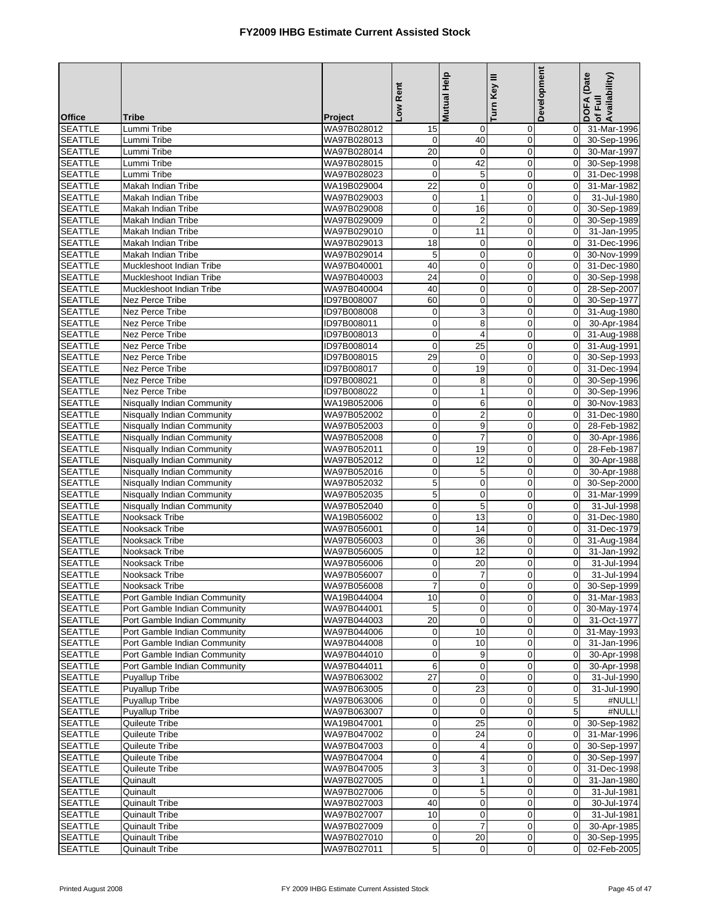|                                  |                                                              |                            | Rent                     | <b>Mutual Help</b>      | Turn Key III                | Development                      | DOFA (Date<br>of Full<br>Availability) |
|----------------------------------|--------------------------------------------------------------|----------------------------|--------------------------|-------------------------|-----------------------------|----------------------------------|----------------------------------------|
| <b>Office</b>                    | <b>Tribe</b>                                                 | Project                    | <b>No7</b>               |                         |                             |                                  |                                        |
| <b>SEATTLE</b>                   | Lummi Tribe                                                  | WA97B028012                | 15                       | 0                       | 0                           | $\overline{0}$                   | 31-Mar-1996                            |
| <b>SEATTLE</b>                   | Lummi Tribe                                                  | WA97B028013                | $\mathbf 0$              | 40                      | $\mathbf 0$                 |                                  | 0 30-Sep-1996                          |
| <b>SEATTLE</b>                   | Lummi Tribe                                                  | WA97B028014                | 20                       | $\mathbf 0$             | $\mathbf 0$                 | $\Omega$                         | 30-Mar-1997                            |
| <b>SEATTLE</b>                   | Lummi Tribe                                                  | WA97B028015                | $\mathbf 0$              | 42                      | $\mathbf 0$                 | $\overline{0}$                   | 30-Sep-1998                            |
| <b>SEATTLE</b>                   | Lummi Tribe                                                  | WA97B028023                | $\mathbf 0$              | $\mathbf 5$             | $\mathbf 0$                 | $\overline{0}$                   | 31-Dec-1998                            |
| <b>SEATTLE</b><br><b>SEATTLE</b> | Makah Indian Tribe<br>Makah Indian Tribe                     | WA19B029004<br>WA97B029003 | 22<br>$\boldsymbol{0}$   | 0<br>$\mathbf{1}$       | $\mathbf 0$<br>$\mathbf 0$  | $\Omega$<br>$\overline{0}$       | 31-Mar-1982<br>31-Jul-1980             |
| <b>SEATTLE</b>                   | <b>Makah Indian Tribe</b>                                    | WA97B029008                | $\pmb{0}$                | 16                      | $\mathbf 0$                 | $\overline{0}$                   | 30-Sep-1989                            |
| <b>SEATTLE</b>                   | Makah Indian Tribe                                           | WA97B029009                | $\pmb{0}$                | $\boldsymbol{2}$        | $\mathbf 0$                 | $\Omega$                         | 30-Sep-1989                            |
| <b>SEATTLE</b>                   | Makah Indian Tribe                                           | WA97B029010                | $\mathbf 0$              | 11                      | $\pmb{0}$                   | $\overline{0}$                   | 31-Jan-1995                            |
| <b>SEATTLE</b>                   | Makah Indian Tribe                                           | WA97B029013                | 18                       | $\mathbf 0$             | $\overline{0}$              | $\Omega$                         | 31-Dec-1996                            |
| <b>SEATTLE</b>                   | Makah Indian Tribe                                           | WA97B029014                | 5                        | 0                       | $\mathbf 0$                 | $\Omega$                         | 30-Nov-1999                            |
| <b>SEATTLE</b>                   | Muckleshoot Indian Tribe                                     | WA97B040001                | 40                       | $\pmb{0}$               | $\pmb{0}$                   | $\overline{0}$                   | 31-Dec-1980                            |
| <b>SEATTLE</b>                   | Muckleshoot Indian Tribe                                     | WA97B040003                | $\overline{24}$          | 0                       | $\mathbf 0$                 | $\Omega$                         | 30-Sep-1998                            |
| <b>SEATTLE</b>                   | Muckleshoot Indian Tribe                                     | WA97B040004                | 40                       | $\mathbf 0$             | $\mathbf 0$                 | $\overline{0}$                   | 28-Sep-2007                            |
| <b>SEATTLE</b>                   | <b>Nez Perce Tribe</b>                                       | ID97B008007                | 60                       | $\pmb{0}$               | $\mathbf 0$                 | $\overline{0}$                   | 30-Sep-1977                            |
| <b>SEATTLE</b>                   | Nez Perce Tribe                                              | ID97B008008                | $\pmb{0}$                | 3                       | $\mathbf 0$                 | $\Omega$                         | 31-Aug-1980                            |
| <b>SEATTLE</b>                   | Nez Perce Tribe                                              | ID97B008011                | $\mathbf 0$              | 8                       | $\mathbf 0$                 | $\mathbf{0}$                     | 30-Apr-1984                            |
| <b>SEATTLE</b>                   | Nez Perce Tribe                                              | ID97B008013                | $\pmb{0}$                | $\overline{\mathbf{4}}$ | $\mathbf 0$                 | $\overline{0}$                   | 31-Aug-1988                            |
| <b>SEATTLE</b>                   | Nez Perce Tribe<br>Nez Perce Tribe                           | ID97B008014                | $\pmb{0}$                | 25                      | $\mathbf 0$                 | $\Omega$<br>$\overline{0}$       | 31-Aug-1991                            |
| <b>SEATTLE</b><br><b>SEATTLE</b> | Nez Perce Tribe                                              | ID97B008015<br>ID97B008017 | 29<br>$\mathbf 0$        | 0<br>19                 | 0<br>$\overline{0}$         | $\overline{0}$                   | 30-Sep-1993<br>31-Dec-1994             |
| <b>SEATTLE</b>                   | Nez Perce Tribe                                              | ID97B008021                | $\pmb{0}$                | 8                       | $\mathbf 0$                 | $\overline{0}$                   | 30-Sep-1996                            |
| <b>SEATTLE</b>                   | Nez Perce Tribe                                              | ID97B008022                | $\mathbf 0$              | $\mathbf{1}$            | $\pmb{0}$                   | $\overline{0}$                   | 30-Sep-1996                            |
| <b>SEATTLE</b>                   | <b>Nisqually Indian Community</b>                            | WA19B052006                | $\pmb{0}$                | 6                       | $\mathbf 0$                 | $\mathbf{0}$                     | 30-Nov-1983                            |
| <b>SEATTLE</b>                   | Nisqually Indian Community                                   | WA97B052002                | $\mathbf 0$              | $\mathbf 2$             | $\mathbf 0$                 | $\overline{0}$                   | 31-Dec-1980                            |
| <b>SEATTLE</b>                   | Nisqually Indian Community                                   | WA97B052003                | $\mathbf 0$              | $\boldsymbol{9}$        | $\mathbf 0$                 | $\overline{0}$                   | 28-Feb-1982                            |
| <b>SEATTLE</b>                   | Nisqually Indian Community                                   | WA97B052008                | $\pmb{0}$                | $\overline{7}$          | $\mathbf 0$                 | $\Omega$                         | 30-Apr-1986                            |
| <b>SEATTLE</b>                   | Nisqually Indian Community                                   | WA97B052011                | $\pmb{0}$                | 19                      | $\mathbf 0$                 | $\overline{0}$                   | 28-Feb-1987                            |
| <b>SEATTLE</b>                   | Nisqually Indian Community                                   | WA97B052012                | $\pmb{0}$                | 12                      | $\mathbf 0$                 | $\overline{0}$                   | 30-Apr-1988                            |
| <b>SEATTLE</b>                   | <b>Nisqually Indian Community</b>                            | WA97B052016                | $\pmb{0}$                | 5                       | $\mathbf 0$                 | $\Omega$                         | 30-Apr-1988                            |
| <b>SEATTLE</b>                   | Nisqually Indian Community                                   | WA97B052032                | $\mathbf 5$              | $\pmb{0}$               | $\mathbf 0$                 | $\overline{0}$                   | 30-Sep-2000                            |
| <b>SEATTLE</b>                   | <b>Nisqually Indian Community</b>                            | WA97B052035                | $\overline{5}$           | $\mathbf 0$             | $\mathbf 0$                 | $\mathbf{0}$                     | 31-Mar-1999                            |
| <b>SEATTLE</b>                   | Nisqually Indian Community                                   | WA97B052040                | $\pmb{0}$                | 5<br>13                 | $\mathbf 0$                 | $\overline{0}$<br>$\overline{0}$ | 31-Jul-1998                            |
| <b>SEATTLE</b><br><b>SEATTLE</b> | Nooksack Tribe<br>Nooksack Tribe                             | WA19B056002<br>WA97B056001 | $\pmb{0}$<br>$\mathbf 0$ | 14                      | $\pmb{0}$<br>$\mathbf 0$    | $\Omega$                         | 31-Dec-1980<br>31-Dec-1979             |
| <b>SEATTLE</b>                   | Nooksack Tribe                                               | WA97B056003                | $\pmb{0}$                | 36                      | $\mathbf 0$                 | $\overline{0}$                   | 31-Aug-1984                            |
| <b>SEATTLE</b>                   | Nooksack Tribe                                               | WA97B056005                | $\pmb{0}$                | 12                      | $\pmb{0}$                   | $\overline{0}$                   | 31-Jan-1992                            |
| <b>SEATTLE</b>                   | Nooksack Tribe                                               | WA97B056006                | $\pmb{0}$                | 20                      | $\mathbf 0$                 | $\Omega$                         | 31-Jul-1994                            |
| <b>SEATTLE</b>                   | Nooksack Tribe                                               | WA97B056007                | $\mathbf 0$              | 7                       | $\overline{0}$              | $\Omega$                         | 31-Jul-1994                            |
| <b>SEATTLE</b>                   | Nooksack Tribe                                               | WA97B056008                | $\overline{7}$           | $\mathbf 0$             | $\mathsf{O}\xspace$         |                                  | 0 30-Sep-1999                          |
| <b>SEATTLE</b>                   | Port Gamble Indian Community                                 | WA19B044004                | 10                       | $\mathbf 0$             | $\mathbf 0$                 |                                  | 0 31-Mar-1983                          |
| <b>SEATTLE</b>                   | Port Gamble Indian Community                                 | WA97B044001                | 5                        | 0                       | 0                           | $\overline{0}$                   | 30-May-1974                            |
| <b>SEATTLE</b>                   | Port Gamble Indian Community                                 | WA97B044003                | 20                       | $\mathbf 0$             | $\mathbf 0$                 | $\overline{0}$                   | 31-Oct-1977                            |
| <b>SEATTLE</b>                   | Port Gamble Indian Community                                 | WA97B044006                | $\pmb{0}$                | 10                      | $\mathbf 0$                 | $\Omega$                         | 31-May-1993                            |
| <b>SEATTLE</b>                   | Port Gamble Indian Community                                 | WA97B044008                | $\boldsymbol{0}$         | 10                      | $\mathbf 0$                 | $\overline{0}$                   | 31-Jan-1996                            |
| <b>SEATTLE</b>                   | Port Gamble Indian Community<br>Port Gamble Indian Community | WA97B044010                | $\mathbf 0$              | 9                       | $\mathbf 0$                 | $\overline{0}$<br>$\overline{0}$ | 30-Apr-1998                            |
| <b>SEATTLE</b><br><b>SEATTLE</b> | Puyallup Tribe                                               | WA97B044011<br>WA97B063002 | 6<br>27                  | 0<br>$\mathbf 0$        | $\mathbf 0$<br>$\pmb{0}$    | $\mathbf 0$                      | 30-Apr-1998<br>31-Jul-1990             |
| <b>SEATTLE</b>                   | <b>Puyallup Tribe</b>                                        | WA97B063005                | $\mathbf 0$              | 23                      | $\mathbf 0$                 | $\mathbf 0$                      | 31-Jul-1990                            |
| <b>SEATTLE</b>                   | Puyallup Tribe                                               | WA97B063006                | $\mathbf 0$              | $\mathbf 0$             | 0                           | 5                                | #NULL!                                 |
| <b>SEATTLE</b>                   | Puyallup Tribe                                               | WA97B063007                | $\overline{0}$           | $\mathbf 0$             | $\mathbf 0$                 | 5 <sub>5</sub>                   | #NULL!                                 |
| <b>SEATTLE</b>                   | Quileute Tribe                                               | WA19B047001                | $\pmb{0}$                | 25                      | $\mathbf 0$                 | $\Omega$                         | 30-Sep-1982                            |
| <b>SEATTLE</b>                   | Quileute Tribe                                               | WA97B047002                | $\mathbf 0$              | 24                      | $\mathbf 0$                 | $\overline{0}$                   | 31-Mar-1996                            |
| <b>SEATTLE</b>                   | Quileute Tribe                                               | WA97B047003                | $\mathbf 0$              | 4                       | $\mathbf 0$                 | $\overline{0}$                   | 30-Sep-1997                            |
| <b>SEATTLE</b>                   | Quileute Tribe                                               | WA97B047004                | $\pmb{0}$                | 4                       | $\mathbf 0$                 | $\overline{0}$                   | 30-Sep-1997                            |
| <b>SEATTLE</b>                   | Quileute Tribe                                               | WA97B047005                | 3                        | 3                       | $\pmb{0}$                   | $\overline{0}$                   | 31-Dec-1998                            |
| <b>SEATTLE</b>                   | Quinault                                                     | WA97B027005                | $\mathbf 0$              | $\mathbf{1}$            | $\mathbf 0$                 | $\overline{0}$                   | 31-Jan-1980                            |
| <b>SEATTLE</b>                   | Quinault                                                     | WA97B027006                | $\mathbf 0$              | 5                       | $\mathbf 0$                 | $\overline{0}$                   | 31-Jul-1981                            |
| <b>SEATTLE</b><br><b>SEATTLE</b> | <b>Quinault Tribe</b>                                        | WA97B027003<br>WA97B027007 | 40<br>10                 | $\pmb{0}$<br>0          | $\pmb{0}$<br>$\overline{0}$ | $\overline{0}$<br>$\Omega$       | 30-Jul-1974<br>31-Jul-1981             |
| <b>SEATTLE</b>                   | Quinault Tribe<br>Quinault Tribe                             | WA97B027009                | $\boldsymbol{0}$         | 7                       | $\mathbf 0$                 | $\overline{0}$                   | 30-Apr-1985                            |
| <b>SEATTLE</b>                   | Quinault Tribe                                               | WA97B027010                | $\mathbf 0$              | 20                      | $\pmb{0}$                   | $\overline{0}$                   | 30-Sep-1995                            |
| <b>SEATTLE</b>                   | Quinault Tribe                                               | WA97B027011                | 5                        | $\mathbf 0$             | 0                           | $\overline{0}$                   | 02-Feb-2005                            |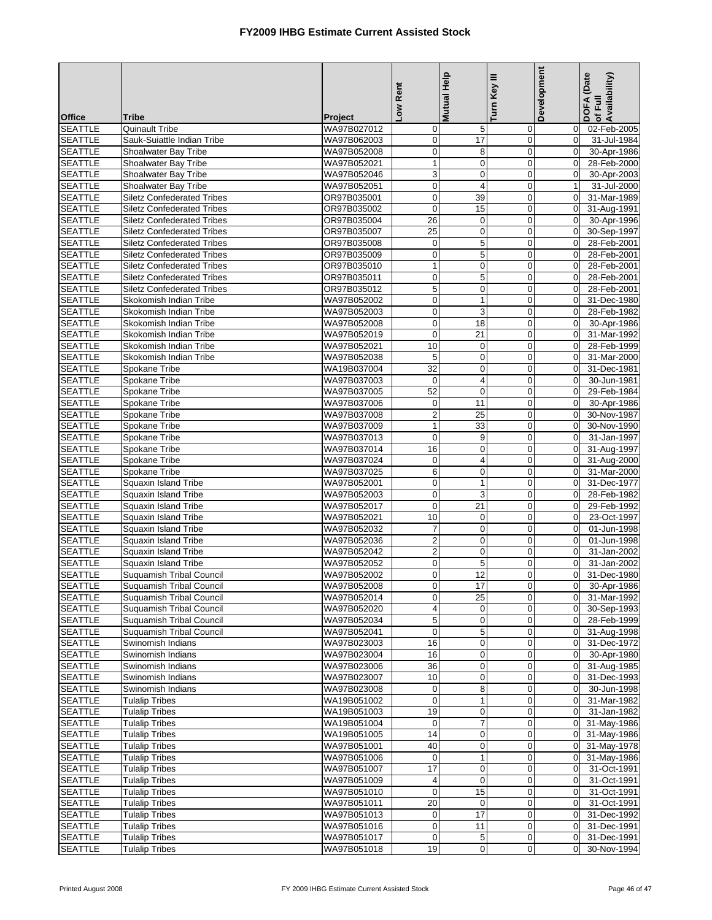|                                  |                                                                        |                            | Low Rent                  | Mutual Help                     | Turn Key III                | Development                | DOFA (Date<br>of Full<br>Availability) |
|----------------------------------|------------------------------------------------------------------------|----------------------------|---------------------------|---------------------------------|-----------------------------|----------------------------|----------------------------------------|
| <b>Office</b>                    | <b>Tribe</b>                                                           | Project                    |                           |                                 |                             |                            |                                        |
| <b>SEATTLE</b>                   | <b>Quinault Tribe</b>                                                  | WA97B027012                | $\mathbf 0$               | 5                               | $\mathbf 0$                 | $\overline{0}$             | 02-Feb-2005                            |
| <b>SEATTLE</b>                   | Sauk-Suiattle Indian Tribe                                             | WA97B062003                | $\pmb{0}$                 | $\overline{17}$                 | $\mathbf 0$                 | $\overline{0}$             | 31-Jul-1984                            |
| <b>SEATTLE</b>                   | Shoalwater Bay Tribe                                                   | WA97B052008                | $\mathbf 0$               | 8                               | $\mathbf 0$                 | $\Omega$                   | 30-Apr-1986                            |
| <b>SEATTLE</b>                   | Shoalwater Bay Tribe                                                   | WA97B052021                | $\mathbf{1}$              | $\mathbf 0$                     | $\mathbf 0$                 | $\overline{0}$             | 28-Feb-2000                            |
| <b>SEATTLE</b>                   | Shoalwater Bay Tribe                                                   | WA97B052046                | $\ensuremath{\mathsf{3}}$ | 0                               | $\mathbf 0$                 | $\overline{0}$             | 30-Apr-2003                            |
| <b>SEATTLE</b>                   | Shoalwater Bay Tribe                                                   | WA97B052051                | $\mathbf 0$               | $\overline{4}$                  | $\mathbf 0$                 | 1                          | 31-Jul-2000                            |
| <b>SEATTLE</b>                   | <b>Siletz Confederated Tribes</b>                                      | OR97B035001                | $\pmb{0}$                 | 39                              | $\mathbf 0$                 | $\overline{0}$             | 31-Mar-1989                            |
| <b>SEATTLE</b>                   | <b>Siletz Confederated Tribes</b>                                      | OR97B035002                | $\mathbf 0$               | 15                              | $\mathbf 0$                 | $\overline{0}$             | 31-Aug-1991                            |
| <b>SEATTLE</b>                   | <b>Siletz Confederated Tribes</b>                                      | OR97B035004                | 26                        | $\pmb{0}$                       | $\mathbf 0$                 | $\overline{0}$             | 30-Apr-1996                            |
| <b>SEATTLE</b><br><b>SEATTLE</b> | <b>Siletz Confederated Tribes</b><br><b>Siletz Confederated Tribes</b> | OR97B035007<br>OR97B035008 | 25<br>$\mathbf 0$         | $\overline{0}$<br>5             | $\pmb{0}$<br>$\overline{0}$ | $\overline{0}$<br>$\Omega$ | 30-Sep-1997<br>28-Feb-2001             |
| <b>SEATTLE</b>                   | <b>Siletz Confederated Tribes</b>                                      | OR97B035009                | $\boldsymbol{0}$          | 5                               | $\mathbf 0$                 | $\overline{0}$             | 28-Feb-2001                            |
| <b>SEATTLE</b>                   | <b>Siletz Confederated Tribes</b>                                      | OR97B035010                | $\mathbf{1}$              | $\pmb{0}$                       | $\mathbf 0$                 | $\overline{0}$             | 28-Feb-2001                            |
| <b>SEATTLE</b>                   | <b>Siletz Confederated Tribes</b>                                      | OR97B035011                | $\mathbf 0$               | 5                               | $\mathbf 0$                 | $\Omega$                   | 28-Feb-2001                            |
| <b>SEATTLE</b>                   | <b>Siletz Confederated Tribes</b>                                      | OR97B035012                | $\mathbf 5$               | $\pmb{0}$                       | $\mathbf 0$                 | $\overline{0}$             | 28-Feb-2001                            |
| <b>SEATTLE</b>                   | Skokomish Indian Tribe                                                 | WA97B052002                | $\mathbf 0$               | $\mathbf{1}$                    | $\mathbf 0$                 | $\overline{0}$             | 31-Dec-1980                            |
| <b>SEATTLE</b>                   | Skokomish Indian Tribe                                                 | WA97B052003                | $\mathbf 0$               | 3                               | $\mathbf 0$                 | $\Omega$                   | 28-Feb-1982                            |
| <b>SEATTLE</b>                   | Skokomish Indian Tribe                                                 | WA97B052008                | $\mathbf 0$               | 18                              | $\mathbf 0$                 | $\overline{0}$             | 30-Apr-1986                            |
| <b>SEATTLE</b>                   | Skokomish Indian Tribe                                                 | WA97B052019                | $\mathbf 0$               | $\overline{21}$                 | $\mathbf 0$                 | $\overline{0}$             | 31-Mar-1992                            |
| <b>SEATTLE</b>                   | Skokomish Indian Tribe                                                 | WA97B052021                | 10                        | $\pmb{0}$                       | $\mathbf 0$                 | $\Omega$                   | 28-Feb-1999                            |
| <b>SEATTLE</b>                   | Skokomish Indian Tribe                                                 | WA97B052038                | 5                         | $\pmb{0}$                       | $\mathbf 0$                 | $\overline{0}$             | 31-Mar-2000                            |
| <b>SEATTLE</b>                   | Spokane Tribe                                                          | WA19B037004                | $\overline{32}$           | $\pmb{0}$                       | $\overline{0}$              | $\overline{0}$             | 31-Dec-1981                            |
| <b>SEATTLE</b>                   | Spokane Tribe                                                          | WA97B037003                | $\mathbf 0$               | 4                               | $\mathbf 0$                 | $\Omega$                   | 30-Jun-1981                            |
| <b>SEATTLE</b>                   | Spokane Tribe                                                          | WA97B037005                | 52                        | $\boldsymbol{0}$                | $\pmb{0}$                   | $\overline{0}$             | 29-Feb-1984                            |
| <b>SEATTLE</b>                   | Spokane Tribe                                                          | WA97B037006                | $\mathbf 0$               | 11                              | $\mathbf 0$                 | $\overline{0}$             | 30-Apr-1986                            |
| <b>SEATTLE</b>                   | Spokane Tribe                                                          | WA97B037008                | $\overline{2}$            | 25                              | $\mathbf 0$                 | $\overline{0}$             | 30-Nov-1987                            |
| <b>SEATTLE</b>                   | Spokane Tribe                                                          | WA97B037009                | $\mathbf{1}$              | 33                              | $\mathbf 0$                 | $\overline{0}$             | 30-Nov-1990                            |
| <b>SEATTLE</b>                   | Spokane Tribe                                                          | WA97B037013                | $\mathbf 0$               | 9                               | $\mathbf 0$                 | $\Omega$                   | 31-Jan-1997                            |
| <b>SEATTLE</b>                   | Spokane Tribe                                                          | WA97B037014                | 16                        | $\mathbf 0$                     | $\mathbf 0$                 | $\overline{0}$             | 31-Aug-1997                            |
| <b>SEATTLE</b><br><b>SEATTLE</b> | Spokane Tribe<br>Spokane Tribe                                         | WA97B037024<br>WA97B037025 | $\boldsymbol{0}$<br>6     | 4<br>$\pmb{0}$                  | $\mathbf 0$<br>$\mathbf 0$  | $\overline{0}$<br>$\Omega$ | 31-Aug-2000<br>31-Mar-2000             |
| <b>SEATTLE</b>                   | Squaxin Island Tribe                                                   | WA97B052001                | $\pmb{0}$                 | $\mathbf{1}$                    | $\mathbf 0$                 | $\overline{0}$             | 31-Dec-1977                            |
| <b>SEATTLE</b>                   | Squaxin Island Tribe                                                   | WA97B052003                | $\mathbf 0$               | 3                               | $\mathbf 0$                 | $\overline{0}$             | 28-Feb-1982                            |
| <b>SEATTLE</b>                   | Squaxin Island Tribe                                                   | WA97B052017                | $\mathbf 0$               | 21                              | $\mathbf 0$                 | $\overline{0}$             | 29-Feb-1992                            |
| <b>SEATTLE</b>                   | Squaxin Island Tribe                                                   | WA97B052021                | 10                        | $\mathbf 0$                     | $\pmb{0}$                   | $\overline{0}$             | 23-Oct-1997                            |
| <b>SEATTLE</b>                   | Squaxin Island Tribe                                                   | WA97B052032                | $\overline{7}$            | $\pmb{0}$                       | $\overline{0}$              | $\Omega$                   | 01-Jun-1998                            |
| <b>SEATTLE</b>                   | Squaxin Island Tribe                                                   | WA97B052036                | $\overline{2}$            | 0                               | $\mathbf 0$                 | $\mathbf 0$                | 01-Jun-1998                            |
| <b>SEATTLE</b>                   | Squaxin Island Tribe                                                   | WA97B052042                | $\overline{2}$            | $\pmb{0}$                       | $\mathbf 0$                 | $\overline{0}$             | 31-Jan-2002                            |
| <b>SEATTLE</b>                   | Squaxin Island Tribe                                                   | WA97B052052                | $\mathbf 0$               | 5                               | $\mathbf 0$                 | $\Omega$                   | 31-Jan-2002                            |
| <b>SEATTLE</b>                   | <b>Suquamish Tribal Council</b>                                        | WA97B052002                | $\mathbf 0$               | 12                              | $\mathbf 0$                 | $\Omega$                   | 31-Dec-1980                            |
| <b>SEATTLE</b>                   | Suquamish Tribal Council                                               | WA97B052008                | $\overline{0}$            | $\overline{17}$                 | $\overline{0}$              |                            | 0 30-Apr-1986                          |
| <b>SEATTLE</b>                   | Suquamish Tribal Council                                               | WA97B052014                | $\mathbf 0$               | 25                              | $\mathbf 0$                 |                            | 0 31-Mar-1992                          |
| <b>SEATTLE</b>                   | Suguamish Tribal Council                                               | WA97B052020                | $\overline{\mathbf{4}}$   | 0                               | 0                           | $\overline{0}$             | 30-Sep-1993                            |
| <b>SEATTLE</b>                   | Suquamish Tribal Council                                               | WA97B052034                | $\mathbf 5$               | $\pmb{0}$                       | $\mathbf 0$                 | $\overline{0}$             | 28-Feb-1999                            |
| <b>SEATTLE</b>                   | Suquamish Tribal Council                                               | WA97B052041<br>WA97B023003 | $\mathbf 0$               | 5                               | $\mathbf 0$                 | $\Omega$<br>$\overline{0}$ | 31-Aug-1998                            |
| <b>SEATTLE</b><br><b>SEATTLE</b> | Swinomish Indians<br>Swinomish Indians                                 | WA97B023004                | 16<br>16                  | $\boldsymbol{0}$<br>$\mathbf 0$ | $\mathbf 0$<br>$\mathbf 0$  | $\overline{0}$             | 31-Dec-1972<br>30-Apr-1980             |
| <b>SEATTLE</b>                   | Swinomish Indians                                                      | WA97B023006                | 36                        | 0                               | 0                           | $\overline{0}$             | 31-Aug-1985                            |
| <b>SEATTLE</b>                   | Swinomish Indians                                                      | WA97B023007                | 10                        | $\pmb{0}$                       | $\pmb{0}$                   | $\overline{0}$             | 31-Dec-1993                            |
| <b>SEATTLE</b>                   | Swinomish Indians                                                      | WA97B023008                | $\mathbf 0$               | 8                               | $\mathbf 0$                 | $\overline{0}$             | 30-Jun-1998                            |
| <b>SEATTLE</b>                   | <b>Tulalip Tribes</b>                                                  | WA19B051002                | $\mathbf 0$               | $\mathbf{1}$                    | $\mathbf 0$                 | $\overline{0}$             | 31-Mar-1982                            |
| <b>SEATTLE</b>                   | <b>Tulalip Tribes</b>                                                  | WA19B051003                | 19                        | $\pmb{0}$                       | $\mathbf 0$                 | $\overline{0}$             | 31-Jan-1982                            |
| <b>SEATTLE</b>                   | <b>Tulalip Tribes</b>                                                  | WA19B051004                | $\mathbf 0$               | $\overline{7}$                  | $\mathbf 0$                 |                            | 0 31-May-1986                          |
| <b>SEATTLE</b>                   | <b>Tulalip Tribes</b>                                                  | WA19B051005                | 14                        | 0                               | $\mathbf 0$                 | $\overline{0}$             | 31-May-1986                            |
| <b>SEATTLE</b>                   | <b>Tulalip Tribes</b>                                                  | WA97B051001                | 40                        | $\pmb{0}$                       | $\mathbf 0$                 |                            | 0 31-May-1978                          |
| <b>SEATTLE</b>                   | <b>Tulalip Tribes</b>                                                  | WA97B051006                | $\mathbf 0$               | $\mathbf{1}$                    | $\mathbf 0$                 |                            | 0 31-May-1986                          |
| <b>SEATTLE</b>                   | <b>Tulalip Tribes</b>                                                  | WA97B051007                | 17                        | $\boldsymbol{0}$                | $\pmb{0}$                   | $\overline{0}$             | 31-Oct-1991                            |
| <b>SEATTLE</b>                   | <b>Tulalip Tribes</b>                                                  | WA97B051009                | $\overline{\mathbf{4}}$   | $\boldsymbol{0}$                | $\mathbf 0$                 | $\overline{0}$             | 31-Oct-1991                            |
| <b>SEATTLE</b>                   | <b>Tulalip Tribes</b>                                                  | WA97B051010                | $\mathbf 0$               | 15                              | $\mathbf 0$                 | $\overline{0}$             | 31-Oct-1991                            |
| <b>SEATTLE</b>                   | <b>Tulalip Tribes</b>                                                  | WA97B051011                | 20                        | $\mathbf 0$                     | $\pmb{0}$                   | $\overline{0}$             | 31-Oct-1991                            |
| <b>SEATTLE</b>                   | <b>Tulalip Tribes</b>                                                  | WA97B051013                | $\mathbf 0$               | 17                              | $\mathbf 0$                 | $\overline{0}$             | 31-Dec-1992                            |
| <b>SEATTLE</b>                   | <b>Tulalip Tribes</b>                                                  | WA97B051016                | $\pmb{0}$                 | 11                              | $\mathbf 0$                 | $\overline{0}$             | 31-Dec-1991                            |
| <b>SEATTLE</b><br><b>SEATTLE</b> | <b>Tulalip Tribes</b><br><b>Tulalip Tribes</b>                         | WA97B051017<br>WA97B051018 | $\pmb{0}$<br>19           | 5<br>$\pmb{0}$                  | $\pmb{0}$<br>$\mathbf 0$    | $\overline{0}$<br>$\Omega$ | 31-Dec-1991<br>30-Nov-1994             |
|                                  |                                                                        |                            |                           |                                 |                             |                            |                                        |